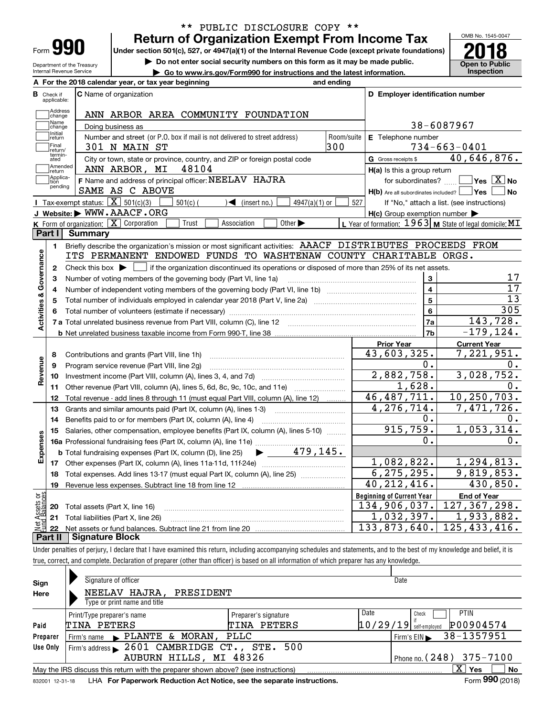| Form |  |
|------|--|

Department of the Treasury Internal Revenue Service

## **Return of Organization Exempt From Income Tax** \*\* PUBLIC DISCLOSURE COPY \*\*

**Under section 501(c), 527, or 4947(a)(1) of the Internal Revenue Code (except private foundations)**  $\frac{1}{20}$  Under section 501(c), 527, or 4947(a)(1) of the Internal Revenue Code (except private foundations) 2018

**| Do not enter social security numbers on this form as it may be made public.**

**| Go to www.irs.gov/Form990 for instructions and the latest information. Inspection**

OMB No. 1545-0047 **Open to Public** 

| A For the 2018 calendar year, or tax year beginning                                                                                              | and ending                                                                               |                 |
|--------------------------------------------------------------------------------------------------------------------------------------------------|------------------------------------------------------------------------------------------|-----------------|
| <b>C</b> Name of organization<br>в<br>Check if<br>applicable:                                                                                    | D Employer identification number                                                         |                 |
| Address<br>ANN ARBOR AREA COMMUNITY FOUNDATION<br>change                                                                                         |                                                                                          |                 |
| Name<br>Doing business as<br>change                                                                                                              | 38-6087967                                                                               |                 |
| Initial<br>Number and street (or P.O. box if mail is not delivered to street address)<br>return                                                  | Room/suite<br>E Telephone number                                                         |                 |
| Final<br>301 N MAIN ST<br>return/                                                                                                                | 300<br>$734 - 663 - 0401$                                                                |                 |
| termin-<br>City or town, state or province, country, and ZIP or foreign postal code<br>ated                                                      | 40,646,876.<br>G Gross receipts \$                                                       |                 |
| Amended<br>ANN ARBOR, MI<br>48104<br> return                                                                                                     | H(a) Is this a group return                                                              |                 |
| Applica-<br>F Name and address of principal officer: NEELAV HAJRA<br>tion                                                                        | for subordinates? $\Box$ Yes $\boxed{X}$ No                                              |                 |
| pending<br>SAME AS C ABOVE                                                                                                                       | H(b) Are all subordinates included?   Yes                                                | ∣No             |
| <b>I</b> Tax-exempt status: $\boxed{\mathbf{X}}$ 501(c)(3)<br>$501(c)$ (<br>$\sqrt{\frac{1}{1}}$ (insert no.)                                    | $4947(a)(1)$ or<br>527<br>If "No," attach a list. (see instructions)                     |                 |
| J Website: WWW.AAACF.ORG                                                                                                                         | $H(c)$ Group exemption number $\blacktriangleright$                                      |                 |
| K Form of organization: $X$ Corporation<br>Trust<br>Association                                                                                  | Other $\blacktriangleright$<br>L Year of formation: $1963$ M State of legal domicile: MT |                 |
| Part I Summary                                                                                                                                   |                                                                                          |                 |
| Briefly describe the organization's mission or most significant activities: AAACF DISTRIBUTES PROCEEDS FROM<br>1.                                |                                                                                          |                 |
| ITS PERMANENT ENDOWED FUNDS TO WASHTENAW COUNTY CHARITABLE ORGS.                                                                                 |                                                                                          |                 |
| Check this box $\blacktriangleright$ $\Box$ if the organization discontinued its operations or disposed of more than 25% of its net assets.<br>2 |                                                                                          |                 |
| Activities & Governance<br>Number of voting members of the governing body (Part VI, line 1a)<br>з                                                | 3                                                                                        | 17              |
| 4                                                                                                                                                | $\overline{\mathbf{4}}$                                                                  | 17              |
|                                                                                                                                                  | $\overline{\mathbf{5}}$                                                                  | $\overline{13}$ |
|                                                                                                                                                  | 6                                                                                        | 305             |
|                                                                                                                                                  | 7a                                                                                       | 143,728.        |
|                                                                                                                                                  | 7b                                                                                       | $-179, 124.$    |
|                                                                                                                                                  | <b>Prior Year</b><br><b>Current Year</b>                                                 |                 |
| 8                                                                                                                                                | 43,603,325.<br>7,221,951.                                                                |                 |
| Revenue<br>Program service revenue (Part VIII, line 2g)<br>9                                                                                     | 0.                                                                                       | 0.              |
| 10                                                                                                                                               | 2,882,758.<br>3,028,752.                                                                 |                 |
| Other revenue (Part VIII, column (A), lines 5, 6d, 8c, 9c, 10c, and 11e)<br>11                                                                   | 1,628.                                                                                   | 0.              |
| Total revenue - add lines 8 through 11 (must equal Part VIII, column (A), line 12)<br>12                                                         | 10,250,703.<br>46, 487, 711.                                                             |                 |
| Grants and similar amounts paid (Part IX, column (A), lines 1-3) <i>manoronominimining</i><br>13                                                 | $\overline{4,276,714}$ .<br>7,471,726.                                                   |                 |
| Benefits paid to or for members (Part IX, column (A), line 4)<br>14                                                                              | 0.                                                                                       | υ.              |
| Salaries, other compensation, employee benefits (Part IX, column (A), lines 5-10)<br>15                                                          | 915,759.<br>1,053,314.                                                                   |                 |
|                                                                                                                                                  | 0.                                                                                       | 0.              |
| Expenses<br><b>b</b> Total fundraising expenses (Part IX, column (D), line 25)                                                                   | $\blacktriangleright$ 479,145.                                                           |                 |
|                                                                                                                                                  | 1,082,822.<br>1,294,813.                                                                 |                 |
| 18 Total expenses. Add lines 13-17 (must equal Part IX, column (A), line 25)                                                                     | 6, 275, 295.<br>9,819,853.                                                               |                 |
| 19<br>Revenue less expenses. Subtract line 18 from line 12                                                                                       | 40, 212, 416.                                                                            | 430,850.        |
|                                                                                                                                                  | <b>Beginning of Current Year</b><br><b>End of Year</b>                                   |                 |
| Total assets (Part X, line 16)<br>20                                                                                                             | 134,906,037.<br>127, 367, 298.                                                           |                 |
| Total liabilities (Part X, line 26)<br>21                                                                                                        | $\overline{1}$ , 933, 882.<br>1,032,397.                                                 |                 |
| Net Assets or<br>Fund Balances<br>22                                                                                                             | 125, 433, 416.<br>133,873,640.                                                           |                 |
| <b>Signature Block</b>                                                                                                                           |                                                                                          |                 |

true, correct, and complete. Declaration of preparer (other than officer) is based on all information of which preparer has any knowledge.

| Sign            | Signature of officer                                                              |                      |          | Date                       |  |  |  |  |
|-----------------|-----------------------------------------------------------------------------------|----------------------|----------|----------------------------|--|--|--|--|
| Here            | NEELAV HAJRA.<br>PRESIDENT                                                        |                      |          |                            |  |  |  |  |
|                 | Type or print name and title                                                      |                      |          |                            |  |  |  |  |
|                 | Print/Type preparer's name                                                        | Preparer's signature | Date     | <b>PTIN</b><br>Check       |  |  |  |  |
| Paid            | TINA PETERS                                                                       | TINA PETERS          | 10/29/19 | P00904574<br>self-employed |  |  |  |  |
| Preparer        | $\blacktriangleright$ PLANTE & MORAN,<br>Firm's name                              | PLLC                 |          | 38-1357951<br>Firm's $EIN$ |  |  |  |  |
| Use Only        | Firm's address $\blacktriangleright$ 2601 CAMBRIDGE CT., STE.                     | 500                  |          |                            |  |  |  |  |
|                 | AUBURN HILLS, MI 48326<br>Phone no. $(248)$ 375-7100                              |                      |          |                            |  |  |  |  |
|                 | May the IRS discuss this return with the preparer shown above? (see instructions) |                      |          | X.<br>No<br>Yes            |  |  |  |  |
| 832001 12-31-18 | LHA For Paperwork Reduction Act Notice, see the separate instructions.            |                      |          | Form 990 (2018)            |  |  |  |  |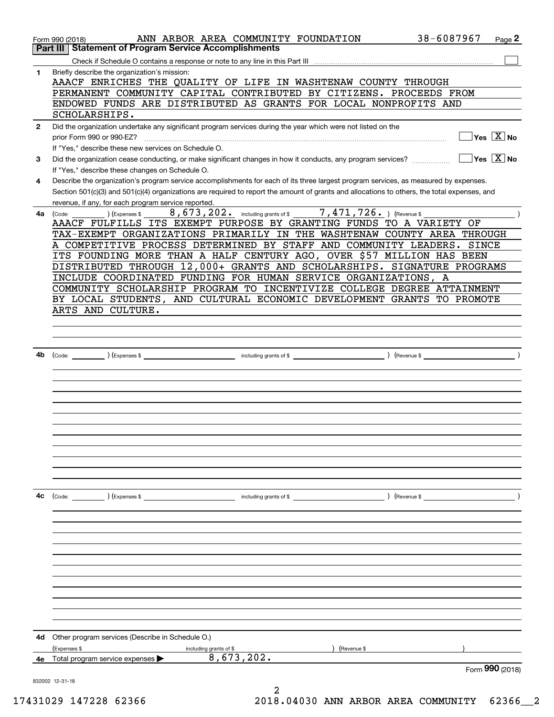|              | ANN ARBOR AREA COMMUNITY FOUNDATION<br>Form 990 (2018)<br><b>Statement of Program Service Accomplishments</b><br>Part III                    | 38-6087967<br>Page 2                                                       |
|--------------|----------------------------------------------------------------------------------------------------------------------------------------------|----------------------------------------------------------------------------|
|              |                                                                                                                                              |                                                                            |
|              |                                                                                                                                              |                                                                            |
| 1            | Briefly describe the organization's mission:<br>AAACF ENRICHES THE QUALITY OF LIFE IN WASHTENAW COUNTY THROUGH                               |                                                                            |
|              | PERMANENT COMMUNITY CAPITAL CONTRIBUTED BY CITIZENS. PROCEEDS FROM                                                                           |                                                                            |
|              |                                                                                                                                              |                                                                            |
|              | ENDOWED FUNDS ARE DISTRIBUTED AS GRANTS FOR LOCAL NONPROFITS AND                                                                             |                                                                            |
|              | SCHOLARSHIPS.                                                                                                                                |                                                                            |
| $\mathbf{2}$ | Did the organization undertake any significant program services during the year which were not listed on the                                 |                                                                            |
|              | prior Form 990 or 990-EZ?                                                                                                                    | $\overline{\ }$ Yes $\overline{\phantom{X}}$ No                            |
|              | If "Yes," describe these new services on Schedule O.                                                                                         |                                                                            |
| 3            | Did the organization cease conducting, or make significant changes in how it conducts, any program services?                                 | $\Box$ Yes $\Box X \,$ No                                                  |
|              | If "Yes," describe these changes on Schedule O.                                                                                              |                                                                            |
| 4            | Describe the organization's program service accomplishments for each of its three largest program services, as measured by expenses.         |                                                                            |
|              | Section 501(c)(3) and 501(c)(4) organizations are required to report the amount of grants and allocations to others, the total expenses, and |                                                                            |
|              | revenue, if any, for each program service reported.                                                                                          |                                                                            |
| 4a           | 8, 673, 202. including grants of \$7, 471, 726. ) (Revenue \$<br>(Code:<br>) (Expenses \$                                                    |                                                                            |
|              | AAACF FULFILLS ITS EXEMPT PURPOSE BY GRANTING FUNDS TO A VARIETY OF                                                                          |                                                                            |
|              | TAX-EXEMPT ORGANIZATIONS PRIMARILY IN THE WASHTENAW COUNTY AREA THROUGH                                                                      |                                                                            |
|              | A COMPETITIVE PROCESS DETERMINED BY STAFF AND COMMUNITY LEADERS. SINCE                                                                       |                                                                            |
|              | ITS FOUNDING MORE THAN A HALF CENTURY AGO, OVER \$57 MILLION HAS BEEN                                                                        |                                                                            |
|              | DISTRIBUTED THROUGH 12,000+ GRANTS AND SCHOLARSHIPS. SIGNATURE PROGRAMS                                                                      |                                                                            |
|              | INCLUDE COORDINATED FUNDING FOR HUMAN SERVICE ORGANIZATIONS, A                                                                               |                                                                            |
|              | COMMUNITY SCHOLARSHIP PROGRAM TO INCENTIVIZE COLLEGE DEGREE ATTAINMENT                                                                       |                                                                            |
|              | BY LOCAL STUDENTS, AND CULTURAL ECONOMIC DEVELOPMENT GRANTS TO PROMOTE                                                                       |                                                                            |
|              | ARTS AND CULTURE.                                                                                                                            |                                                                            |
|              |                                                                                                                                              |                                                                            |
|              |                                                                                                                                              |                                                                            |
|              |                                                                                                                                              |                                                                            |
|              |                                                                                                                                              |                                                                            |
| 4b           |                                                                                                                                              | $\overline{\phantom{a}}$ $\overline{\phantom{a}}$ $\overline{\phantom{a}}$ |
|              |                                                                                                                                              |                                                                            |
|              |                                                                                                                                              |                                                                            |
|              |                                                                                                                                              |                                                                            |
|              |                                                                                                                                              |                                                                            |
|              |                                                                                                                                              |                                                                            |
|              |                                                                                                                                              |                                                                            |
|              |                                                                                                                                              |                                                                            |
|              |                                                                                                                                              |                                                                            |
|              |                                                                                                                                              |                                                                            |
|              |                                                                                                                                              |                                                                            |
|              |                                                                                                                                              |                                                                            |
|              |                                                                                                                                              |                                                                            |
| 4c           | (Code: ) (Expenses \$<br>including grants of \$                                                                                              | (Revenue \$                                                                |
|              |                                                                                                                                              |                                                                            |
|              |                                                                                                                                              |                                                                            |
|              |                                                                                                                                              |                                                                            |
|              |                                                                                                                                              |                                                                            |
|              |                                                                                                                                              |                                                                            |
|              |                                                                                                                                              |                                                                            |
|              |                                                                                                                                              |                                                                            |
|              |                                                                                                                                              |                                                                            |
|              |                                                                                                                                              |                                                                            |
|              |                                                                                                                                              |                                                                            |
|              |                                                                                                                                              |                                                                            |
|              |                                                                                                                                              |                                                                            |
|              |                                                                                                                                              |                                                                            |
| 4d           | Other program services (Describe in Schedule O.)                                                                                             |                                                                            |
|              | (Expenses \$<br>(Revenue \$<br>including grants of \$<br>8,673,202.                                                                          |                                                                            |
| 4е           | Total program service expenses ▶                                                                                                             | Form 990 (2018)                                                            |
|              |                                                                                                                                              |                                                                            |
|              | 832002 12-31-18<br>2                                                                                                                         |                                                                            |
|              |                                                                                                                                              |                                                                            |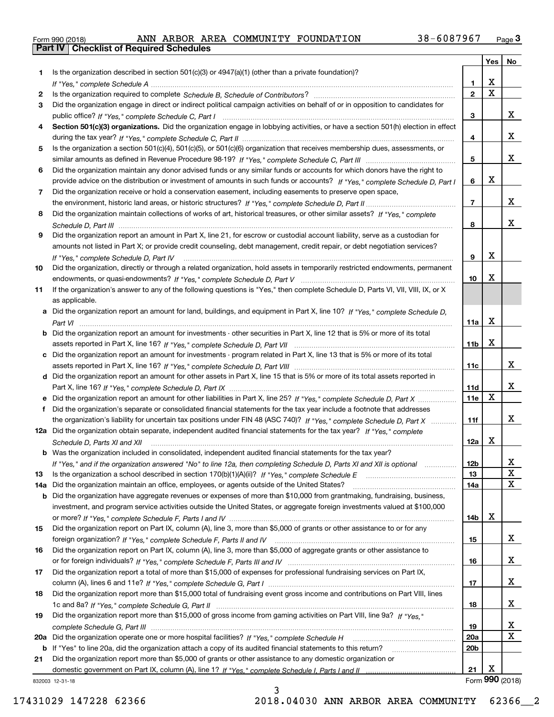|  | Form 990 (2018) |
|--|-----------------|

|     |                                                                                                                                  |                  | Yes         | No              |
|-----|----------------------------------------------------------------------------------------------------------------------------------|------------------|-------------|-----------------|
| 1   | Is the organization described in section 501(c)(3) or 4947(a)(1) (other than a private foundation)?                              |                  |             |                 |
|     |                                                                                                                                  | 1.               | X           |                 |
| 2   |                                                                                                                                  | $\overline{2}$   | $\mathbf X$ |                 |
| 3   | Did the organization engage in direct or indirect political campaign activities on behalf of or in opposition to candidates for  |                  |             |                 |
|     |                                                                                                                                  | 3                |             | x               |
| 4   | Section 501(c)(3) organizations. Did the organization engage in lobbying activities, or have a section 501(h) election in effect |                  |             |                 |
|     |                                                                                                                                  | 4                |             | x               |
| 5   | Is the organization a section 501(c)(4), 501(c)(5), or 501(c)(6) organization that receives membership dues, assessments, or     |                  |             |                 |
|     |                                                                                                                                  | 5                |             | x               |
| 6   | Did the organization maintain any donor advised funds or any similar funds or accounts for which donors have the right to        |                  |             |                 |
|     | provide advice on the distribution or investment of amounts in such funds or accounts? If "Yes," complete Schedule D, Part I     | 6                | X           |                 |
| 7   | Did the organization receive or hold a conservation easement, including easements to preserve open space,                        |                  |             |                 |
|     |                                                                                                                                  | $\overline{7}$   |             | x               |
| 8   | Did the organization maintain collections of works of art, historical treasures, or other similar assets? If "Yes," complete     |                  |             |                 |
|     |                                                                                                                                  | 8                |             | x               |
| 9   | Did the organization report an amount in Part X, line 21, for escrow or custodial account liability, serve as a custodian for    |                  |             |                 |
|     | amounts not listed in Part X; or provide credit counseling, debt management, credit repair, or debt negotiation services?        |                  | X           |                 |
|     | If "Yes," complete Schedule D, Part IV                                                                                           | 9                |             |                 |
| 10  | Did the organization, directly or through a related organization, hold assets in temporarily restricted endowments, permanent    | 10 <sub>10</sub> | X           |                 |
| 11  | If the organization's answer to any of the following questions is "Yes," then complete Schedule D, Parts VI, VII, VIII, IX, or X |                  |             |                 |
|     | as applicable.                                                                                                                   |                  |             |                 |
| a   | Did the organization report an amount for land, buildings, and equipment in Part X, line 10? If "Yes," complete Schedule D.      |                  |             |                 |
|     |                                                                                                                                  | 11a              | X           |                 |
|     | Did the organization report an amount for investments - other securities in Part X, line 12 that is 5% or more of its total      |                  |             |                 |
|     |                                                                                                                                  | 11 <sub>b</sub>  | X           |                 |
|     | c Did the organization report an amount for investments - program related in Part X, line 13 that is 5% or more of its total     |                  |             |                 |
|     |                                                                                                                                  | 11c              |             | x               |
|     | d Did the organization report an amount for other assets in Part X, line 15 that is 5% or more of its total assets reported in   |                  |             |                 |
|     |                                                                                                                                  | 11d              |             | x               |
|     | e Did the organization report an amount for other liabilities in Part X, line 25? If "Yes," complete Schedule D, Part X          | 11e              | X           |                 |
| f   | Did the organization's separate or consolidated financial statements for the tax year include a footnote that addresses          |                  |             |                 |
|     | the organization's liability for uncertain tax positions under FIN 48 (ASC 740)? If "Yes," complete Schedule D, Part X           | 11f              |             | x               |
|     | 12a Did the organization obtain separate, independent audited financial statements for the tax year? If "Yes," complete          |                  |             |                 |
|     | Schedule D, Parts XI and XII                                                                                                     | 12a              | X           |                 |
|     | <b>b</b> Was the organization included in consolidated, independent audited financial statements for the tax year?               |                  |             |                 |
|     | If "Yes," and if the organization answered "No" to line 12a, then completing Schedule D, Parts XI and XII is optional            | 12 <sub>b</sub>  |             | ▵               |
| 13  |                                                                                                                                  | 13               |             | X               |
| 14a | Did the organization maintain an office, employees, or agents outside of the United States?                                      | 14a              |             | x               |
| b   | Did the organization have aggregate revenues or expenses of more than \$10,000 from grantmaking, fundraising, business,          |                  |             |                 |
|     | investment, and program service activities outside the United States, or aggregate foreign investments valued at \$100,000       |                  |             |                 |
|     |                                                                                                                                  | 14b              | х           |                 |
| 15  | Did the organization report on Part IX, column (A), line 3, more than \$5,000 of grants or other assistance to or for any        |                  |             |                 |
|     |                                                                                                                                  | 15               |             | x               |
| 16  | Did the organization report on Part IX, column (A), line 3, more than \$5,000 of aggregate grants or other assistance to         |                  |             |                 |
|     |                                                                                                                                  | 16               |             | x               |
| 17  | Did the organization report a total of more than \$15,000 of expenses for professional fundraising services on Part IX,          |                  |             |                 |
|     |                                                                                                                                  | 17               |             | x               |
| 18  | Did the organization report more than \$15,000 total of fundraising event gross income and contributions on Part VIII, lines     |                  |             |                 |
|     |                                                                                                                                  | 18               |             | x               |
| 19  | Did the organization report more than \$15,000 of gross income from gaming activities on Part VIII, line 9a? If "Yes."           |                  |             |                 |
|     |                                                                                                                                  | 19               |             | X               |
| 20a |                                                                                                                                  | 20a              |             | х               |
|     | <b>b</b> If "Yes" to line 20a, did the organization attach a copy of its audited financial statements to this return?            | 20 <sub>b</sub>  |             |                 |
| 21  | Did the organization report more than \$5,000 of grants or other assistance to any domestic organization or                      |                  | х           |                 |
|     |                                                                                                                                  | 21               |             | Form 990 (2018) |
|     | 832003 12-31-18                                                                                                                  |                  |             |                 |

3

832003 12-31-18

17431029 147228 62366 2018.04030 ANN ARBOR AREA COMMUNITY 62366\_\_2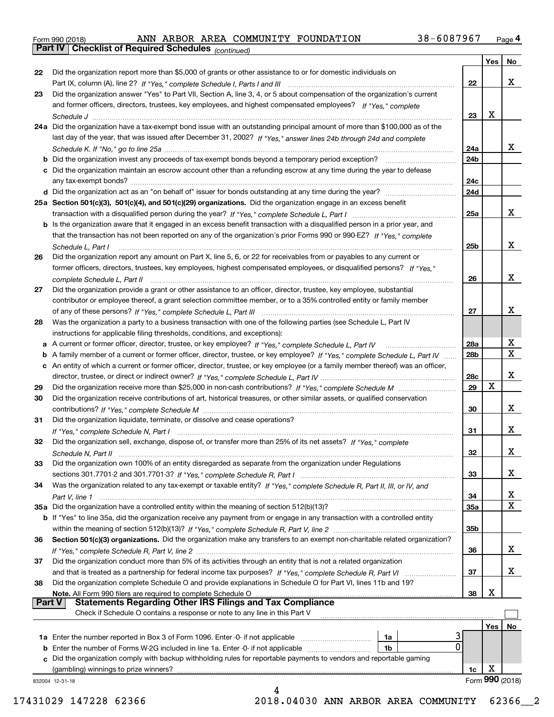|  | Form 990 (2018) |  |
|--|-----------------|--|
|  |                 |  |

*(continued)*

|               |                                                                                                                                   |                 | Yes | No.             |
|---------------|-----------------------------------------------------------------------------------------------------------------------------------|-----------------|-----|-----------------|
| 22            | Did the organization report more than \$5,000 of grants or other assistance to or for domestic individuals on                     |                 |     |                 |
|               |                                                                                                                                   | 22              |     | х               |
| 23            | Did the organization answer "Yes" to Part VII, Section A, line 3, 4, or 5 about compensation of the organization's current        |                 |     |                 |
|               | and former officers, directors, trustees, key employees, and highest compensated employees? If "Yes," complete                    |                 |     |                 |
|               |                                                                                                                                   | 23              | x   |                 |
|               | 24a Did the organization have a tax-exempt bond issue with an outstanding principal amount of more than \$100,000 as of the       |                 |     |                 |
|               | last day of the year, that was issued after December 31, 2002? If "Yes," answer lines 24b through 24d and complete                |                 |     |                 |
|               |                                                                                                                                   | 24a             |     | x               |
|               | b Did the organization invest any proceeds of tax-exempt bonds beyond a temporary period exception?                               | 24 <sub>b</sub> |     |                 |
|               | c Did the organization maintain an escrow account other than a refunding escrow at any time during the year to defease            |                 |     |                 |
|               | any tax-exempt bonds?                                                                                                             | 24c             |     |                 |
|               | d Did the organization act as an "on behalf of" issuer for bonds outstanding at any time during the year?                         | 24d             |     |                 |
|               |                                                                                                                                   |                 |     |                 |
|               | 25a Section 501(c)(3), 501(c)(4), and 501(c)(29) organizations. Did the organization engage in an excess benefit                  |                 |     | х               |
|               |                                                                                                                                   | 25a             |     |                 |
|               | b Is the organization aware that it engaged in an excess benefit transaction with a disqualified person in a prior year, and      |                 |     |                 |
|               | that the transaction has not been reported on any of the organization's prior Forms 990 or 990-EZ? If "Yes," complete             |                 |     |                 |
|               | Schedule L, Part I                                                                                                                | 25 <sub>b</sub> |     | х               |
| 26            | Did the organization report any amount on Part X, line 5, 6, or 22 for receivables from or payables to any current or             |                 |     |                 |
|               | former officers, directors, trustees, key employees, highest compensated employees, or disqualified persons? If "Yes."            |                 |     |                 |
|               | complete Schedule L, Part II manufactured and complete Schedule L, Part II manufactured and complete Schedule L, Part II          | 26              |     | х               |
| 27            | Did the organization provide a grant or other assistance to an officer, director, trustee, key employee, substantial              |                 |     |                 |
|               | contributor or employee thereof, a grant selection committee member, or to a 35% controlled entity or family member               |                 |     |                 |
|               |                                                                                                                                   | 27              |     | х               |
| 28            | Was the organization a party to a business transaction with one of the following parties (see Schedule L, Part IV                 |                 |     |                 |
|               | instructions for applicable filing thresholds, conditions, and exceptions):                                                       |                 |     |                 |
|               | a A current or former officer, director, trustee, or key employee? If "Yes," complete Schedule L, Part IV                         | 28a             |     | х               |
|               | b A family member of a current or former officer, director, trustee, or key employee? If "Yes," complete Schedule L, Part IV      | 28 <sub>b</sub> |     | $\mathbf X$     |
|               | c An entity of which a current or former officer, director, trustee, or key employee (or a family member thereof) was an officer, |                 |     |                 |
|               |                                                                                                                                   | 28c             |     | х               |
| 29            |                                                                                                                                   | 29              | x   |                 |
| 30            | Did the organization receive contributions of art, historical treasures, or other similar assets, or qualified conservation       |                 |     |                 |
|               |                                                                                                                                   | 30              |     | х               |
| 31            | Did the organization liquidate, terminate, or dissolve and cease operations?                                                      |                 |     |                 |
|               |                                                                                                                                   | 31              |     | х               |
| 32            | Did the organization sell, exchange, dispose of, or transfer more than 25% of its net assets? If "Yes," complete                  |                 |     |                 |
|               |                                                                                                                                   |                 |     | x               |
|               |                                                                                                                                   | 32              |     |                 |
| 33            | Did the organization own 100% of an entity disregarded as separate from the organization under Regulations                        |                 |     |                 |
|               |                                                                                                                                   | 33              |     | х               |
| 34            | Was the organization related to any tax-exempt or taxable entity? If "Yes," complete Schedule R, Part II, III, or IV, and         |                 |     |                 |
|               |                                                                                                                                   | 34              |     | х               |
|               | 35a Did the organization have a controlled entity within the meaning of section 512(b)(13)?                                       | 35a             |     | X               |
|               | b If "Yes" to line 35a, did the organization receive any payment from or engage in any transaction with a controlled entity       |                 |     |                 |
|               |                                                                                                                                   | 35 <sub>b</sub> |     |                 |
| 36            | Section 501(c)(3) organizations. Did the organization make any transfers to an exempt non-charitable related organization?        |                 |     |                 |
|               |                                                                                                                                   | 36              |     | x               |
| 37            | Did the organization conduct more than 5% of its activities through an entity that is not a related organization                  |                 |     |                 |
|               | and that is treated as a partnership for federal income tax purposes? If "Yes," complete Schedule R, Part VI                      | 37              |     | x               |
| 38            | Did the organization complete Schedule O and provide explanations in Schedule O for Part VI, lines 11b and 19?                    |                 |     |                 |
|               | Note. All Form 990 filers are required to complete Schedule O                                                                     | 38              | х   |                 |
| <b>Part V</b> | <b>Statements Regarding Other IRS Filings and Tax Compliance</b>                                                                  |                 |     |                 |
|               | Check if Schedule O contains a response or note to any line in this Part V                                                        |                 |     |                 |
|               |                                                                                                                                   |                 | Yes | No              |
|               | <b>1a</b> Enter the number reported in Box 3 of Form 1096. Enter -0- if not applicable <i>manumumumum</i><br>1a                   |                 |     |                 |
|               | 0<br><b>b</b> Enter the number of Forms W-2G included in line 1a. Enter -0- if not applicable<br>1b                               |                 |     |                 |
|               | c Did the organization comply with backup withholding rules for reportable payments to vendors and reportable gaming              |                 |     |                 |
|               | (gambling) winnings to prize winners?                                                                                             | 1c              | х   |                 |
|               | 832004 12-31-18                                                                                                                   |                 |     | Form 990 (2018) |
|               |                                                                                                                                   |                 |     |                 |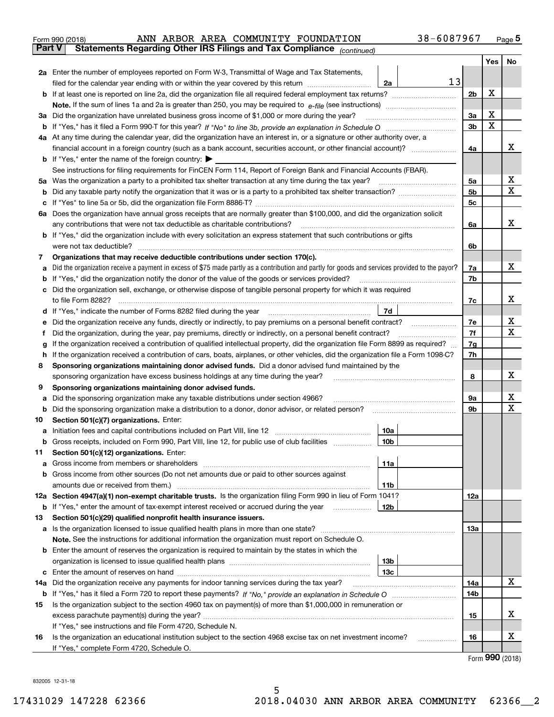|               | 38-6087967<br>ANN ARBOR AREA COMMUNITY FOUNDATION<br>Form 990 (2018)                                                                                                                                                                       |                |     | $_{\text{Page}}$ 5          |
|---------------|--------------------------------------------------------------------------------------------------------------------------------------------------------------------------------------------------------------------------------------------|----------------|-----|-----------------------------|
| <b>Part V</b> | Statements Regarding Other IRS Filings and Tax Compliance (continued)                                                                                                                                                                      |                |     |                             |
|               |                                                                                                                                                                                                                                            |                | Yes | No                          |
|               | 2a Enter the number of employees reported on Form W-3, Transmittal of Wage and Tax Statements,                                                                                                                                             |                |     |                             |
|               | 13<br>filed for the calendar year ending with or within the year covered by this return<br>2a                                                                                                                                              |                |     |                             |
|               |                                                                                                                                                                                                                                            | 2 <sub>b</sub> | х   |                             |
|               |                                                                                                                                                                                                                                            |                |     |                             |
| За            | Did the organization have unrelated business gross income of \$1,000 or more during the year?                                                                                                                                              | 3a             | X   |                             |
|               |                                                                                                                                                                                                                                            | 3 <sub>b</sub> | X   |                             |
|               | 4a At any time during the calendar year, did the organization have an interest in, or a signature or other authority over, a                                                                                                               |                |     |                             |
|               |                                                                                                                                                                                                                                            | 4a             |     | x                           |
|               | <b>b</b> If "Yes," enter the name of the foreign country: $\blacktriangleright$                                                                                                                                                            |                |     |                             |
|               | See instructions for filing requirements for FinCEN Form 114, Report of Foreign Bank and Financial Accounts (FBAR).                                                                                                                        |                |     |                             |
| 5a            | Was the organization a party to a prohibited tax shelter transaction at any time during the tax year?                                                                                                                                      | 5a             |     | х                           |
| b             |                                                                                                                                                                                                                                            | 5b             |     | X                           |
| с             |                                                                                                                                                                                                                                            | 5c             |     |                             |
|               | 6a Does the organization have annual gross receipts that are normally greater than \$100,000, and did the organization solicit                                                                                                             |                |     |                             |
|               | any contributions that were not tax deductible as charitable contributions?                                                                                                                                                                | 6a             |     | x                           |
|               | <b>b</b> If "Yes," did the organization include with every solicitation an express statement that such contributions or gifts                                                                                                              |                |     |                             |
|               | were not tax deductible?                                                                                                                                                                                                                   | 6b             |     |                             |
| 7             | Organizations that may receive deductible contributions under section 170(c).                                                                                                                                                              |                |     |                             |
| а             | Did the organization receive a payment in excess of \$75 made partly as a contribution and partly for goods and services provided to the payor?                                                                                            | 7a             |     | x                           |
| b             | If "Yes," did the organization notify the donor of the value of the goods or services provided?                                                                                                                                            | 7b             |     |                             |
|               | Did the organization sell, exchange, or otherwise dispose of tangible personal property for which it was required                                                                                                                          |                |     |                             |
|               |                                                                                                                                                                                                                                            | 7c             |     | x                           |
| d             | 7d                                                                                                                                                                                                                                         |                |     |                             |
| е             |                                                                                                                                                                                                                                            | 7e             |     | х                           |
| f             | Did the organization, during the year, pay premiums, directly or indirectly, on a personal benefit contract?                                                                                                                               | 7f             |     | X                           |
| g             | If the organization received a contribution of qualified intellectual property, did the organization file Form 8899 as required?                                                                                                           | 7g             |     |                             |
| h             | If the organization received a contribution of cars, boats, airplanes, or other vehicles, did the organization file a Form 1098-C?<br>Sponsoring organizations maintaining donor advised funds. Did a donor advised fund maintained by the | 7h             |     |                             |
| 8             |                                                                                                                                                                                                                                            | 8              |     | х                           |
| 9             | sponsoring organization have excess business holdings at any time during the year?<br>Sponsoring organizations maintaining donor advised funds.                                                                                            |                |     |                             |
| а             | Did the sponsoring organization make any taxable distributions under section 4966?                                                                                                                                                         | 9а             |     | х                           |
| b             | Did the sponsoring organization make a distribution to a donor, donor advisor, or related person?                                                                                                                                          | 9b             |     | х                           |
| 10            | Section 501(c)(7) organizations. Enter:                                                                                                                                                                                                    |                |     |                             |
| а             | 10a<br>Initiation fees and capital contributions included on Part VIII, line 12 [111] [11] [11] [12] [11] [12] [11] [                                                                                                                      |                |     |                             |
|               | 10b <br>Gross receipts, included on Form 990, Part VIII, line 12, for public use of club facilities                                                                                                                                        |                |     |                             |
| 11            | Section 501(c)(12) organizations. Enter:                                                                                                                                                                                                   |                |     |                             |
| а             | Gross income from members or shareholders<br>11a                                                                                                                                                                                           |                |     |                             |
| b             | Gross income from other sources (Do not net amounts due or paid to other sources against                                                                                                                                                   |                |     |                             |
|               | 11 <sub>b</sub><br>amounts due or received from them.)                                                                                                                                                                                     |                |     |                             |
|               | 12a Section 4947(a)(1) non-exempt charitable trusts. Is the organization filing Form 990 in lieu of Form 1041?                                                                                                                             | <b>12a</b>     |     |                             |
|               | 12b<br><b>b</b> If "Yes," enter the amount of tax-exempt interest received or accrued during the year <i>manument</i>                                                                                                                      |                |     |                             |
| 13            | Section 501(c)(29) qualified nonprofit health insurance issuers.                                                                                                                                                                           |                |     |                             |
| a             | Is the organization licensed to issue qualified health plans in more than one state?                                                                                                                                                       | <b>13a</b>     |     |                             |
|               | Note. See the instructions for additional information the organization must report on Schedule O.                                                                                                                                          |                |     |                             |
| b             | Enter the amount of reserves the organization is required to maintain by the states in which the                                                                                                                                           |                |     |                             |
|               | 13 <sub>b</sub>                                                                                                                                                                                                                            |                |     |                             |
| с             | 13c                                                                                                                                                                                                                                        |                |     |                             |
| 14a           | Did the organization receive any payments for indoor tanning services during the tax year?                                                                                                                                                 | 14a            |     | X                           |
|               |                                                                                                                                                                                                                                            | 14b            |     |                             |
| 15            | Is the organization subject to the section 4960 tax on payment(s) of more than \$1,000,000 in remuneration or                                                                                                                              |                |     |                             |
|               |                                                                                                                                                                                                                                            | 15             |     | х                           |
|               | If "Yes," see instructions and file Form 4720, Schedule N.                                                                                                                                                                                 |                |     |                             |
| 16            | Is the organization an educational institution subject to the section 4968 excise tax on net investment income?                                                                                                                            | 16             |     | х                           |
|               | If "Yes," complete Form 4720, Schedule O.                                                                                                                                                                                                  |                |     | $F_{\text{arm}}$ 990 (2019) |

Form (2018) **990**

832005 12-31-18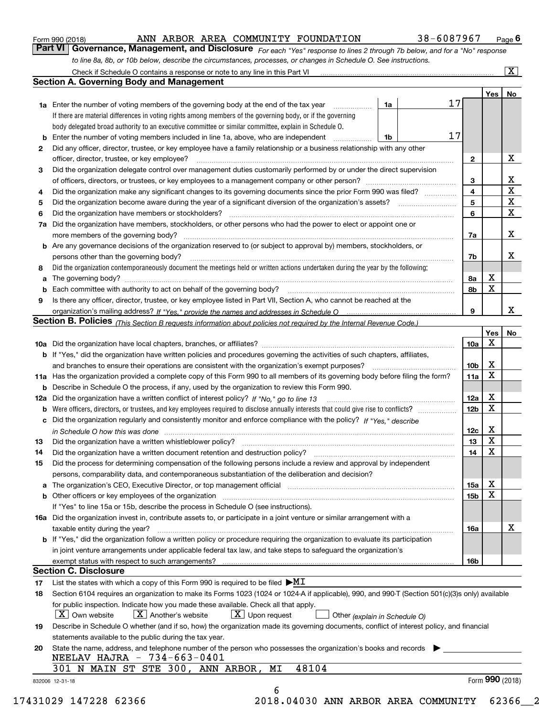|  | Form 990 (2018) |  |
|--|-----------------|--|
|  |                 |  |

#### ANN ARBOR AREA COMMUNITY FOUNDATION 38-6087967

*For each "Yes" response to lines 2 through 7b below, and for a "No" response to line 8a, 8b, or 10b below, describe the circumstances, processes, or changes in Schedule O. See instructions.* Form 990 (2018) **COMMIC AREA COMMUNITY FOUNDATION** 38 – 6087967 Page 6<br>**Part VI Governance, Management, and Disclosure** For each "Yes" response to lines 2 through 7b below, and for a "No" response

|    |                                                                                                                                                                                                                                |                 | Yes   No        |                         |
|----|--------------------------------------------------------------------------------------------------------------------------------------------------------------------------------------------------------------------------------|-----------------|-----------------|-------------------------|
|    | <b>1a</b> Enter the number of voting members of the governing body at the end of the tax year<br>1a                                                                                                                            | 17              |                 |                         |
|    | If there are material differences in voting rights among members of the governing body, or if the governing                                                                                                                    |                 |                 |                         |
|    | body delegated broad authority to an executive committee or similar committee, explain in Schedule O.                                                                                                                          |                 |                 |                         |
| b  | Enter the number of voting members included in line 1a, above, who are independent<br>1b                                                                                                                                       | 17              |                 |                         |
| 2  | Did any officer, director, trustee, or key employee have a family relationship or a business relationship with any other                                                                                                       |                 |                 |                         |
|    | officer, director, trustee, or key employee?                                                                                                                                                                                   | $\mathbf{2}$    |                 | X                       |
| 3  | Did the organization delegate control over management duties customarily performed by or under the direct supervision                                                                                                          |                 |                 |                         |
|    |                                                                                                                                                                                                                                | 3               |                 | $\mathbf{X}$            |
| 4  | Did the organization make any significant changes to its governing documents since the prior Form 990 was filed?                                                                                                               | 4               |                 | $\overline{\textbf{x}}$ |
| 5  |                                                                                                                                                                                                                                | 5               |                 | $\overline{\mathbf{x}}$ |
| 6  | Did the organization have members or stockholders?                                                                                                                                                                             | 6               |                 | $\overline{\mathbf{x}}$ |
| 7a | Did the organization have members, stockholders, or other persons who had the power to elect or appoint one or                                                                                                                 |                 |                 |                         |
|    |                                                                                                                                                                                                                                | 7a              |                 | X                       |
|    | <b>b</b> Are any governance decisions of the organization reserved to (or subject to approval by) members, stockholders, or                                                                                                    |                 |                 |                         |
|    | persons other than the governing body?                                                                                                                                                                                         | 7b              |                 | X                       |
| 8  | Did the organization contemporaneously document the meetings held or written actions undertaken during the year by the following:                                                                                              |                 |                 |                         |
| a  |                                                                                                                                                                                                                                | 8а              | X               |                         |
|    |                                                                                                                                                                                                                                | 8b              | X               |                         |
| 9  | Is there any officer, director, trustee, or key employee listed in Part VII, Section A, who cannot be reached at the                                                                                                           |                 |                 |                         |
|    |                                                                                                                                                                                                                                | 9               |                 | X                       |
|    | Section B. Policies <sub>(This</sub> Section B requests information about policies not required by the Internal Revenue Code.)                                                                                                 |                 |                 |                         |
|    |                                                                                                                                                                                                                                |                 | Yes             | No                      |
|    |                                                                                                                                                                                                                                | 10a             | X               |                         |
|    | <b>b</b> If "Yes," did the organization have written policies and procedures governing the activities of such chapters, affiliates,                                                                                            |                 |                 |                         |
|    |                                                                                                                                                                                                                                | 10 <sub>b</sub> | X               |                         |
|    | 11a Has the organization provided a complete copy of this Form 990 to all members of its governing body before filing the form?                                                                                                | 11a             | X               |                         |
|    | <b>b</b> Describe in Schedule O the process, if any, used by the organization to review this Form 990.                                                                                                                         |                 |                 |                         |
|    |                                                                                                                                                                                                                                | 12a             | X               |                         |
| b  |                                                                                                                                                                                                                                | 12 <sub>b</sub> | X               |                         |
|    | c Did the organization regularly and consistently monitor and enforce compliance with the policy? If "Yes," describe                                                                                                           |                 |                 |                         |
|    | in Schedule O how this was done measured and the control of the control of the state of the control of the control of the control of the control of the control of the control of the control of the control of the control of | 12c             | X               |                         |
| 13 |                                                                                                                                                                                                                                | 13              | $\mathbf x$     |                         |
| 14 |                                                                                                                                                                                                                                | 14              | X               |                         |
| 15 | Did the process for determining compensation of the following persons include a review and approval by independent                                                                                                             |                 |                 |                         |
|    | persons, comparability data, and contemporaneous substantiation of the deliberation and decision?                                                                                                                              |                 |                 |                         |
|    |                                                                                                                                                                                                                                | 15a             | х               |                         |
|    |                                                                                                                                                                                                                                | 15 <sub>b</sub> | X               |                         |
|    | If "Yes" to line 15a or 15b, describe the process in Schedule O (see instructions).                                                                                                                                            |                 |                 |                         |
|    | 16a Did the organization invest in, contribute assets to, or participate in a joint venture or similar arrangement with a                                                                                                      |                 |                 |                         |
|    | taxable entity during the year?                                                                                                                                                                                                | 16a             |                 | X                       |
|    | b If "Yes," did the organization follow a written policy or procedure requiring the organization to evaluate its participation                                                                                                 |                 |                 |                         |
|    | in joint venture arrangements under applicable federal tax law, and take steps to safeguard the organization's                                                                                                                 |                 |                 |                         |
|    |                                                                                                                                                                                                                                | 16b             |                 |                         |
|    | <b>Section C. Disclosure</b>                                                                                                                                                                                                   |                 |                 |                         |
| 17 | List the states with which a copy of this Form 990 is required to be filed $\blacktriangleright\text{MI}$                                                                                                                      |                 |                 |                         |
| 18 | Section 6104 requires an organization to make its Forms 1023 (1024 or 1024-A if applicable), 990, and 990-T (Section 501(c)(3)s only) available                                                                                |                 |                 |                         |
|    | for public inspection. Indicate how you made these available. Check all that apply.<br>$X$ Upon request<br>$ X $ Own website<br>$ X $ Another's website                                                                        |                 |                 |                         |
| 19 | Other (explain in Schedule O)<br>Describe in Schedule O whether (and if so, how) the organization made its governing documents, conflict of interest policy, and financial                                                     |                 |                 |                         |
|    | statements available to the public during the tax year.                                                                                                                                                                        |                 |                 |                         |
| 20 | State the name, address, and telephone number of the person who possesses the organization's books and records                                                                                                                 |                 |                 |                         |
|    | NEELAV HAJRA - 734-663-0401                                                                                                                                                                                                    |                 |                 |                         |
|    | 48104<br>301 N MAIN ST STE 300, ANN ARBOR, MI                                                                                                                                                                                  |                 |                 |                         |
|    | 832006 12-31-18                                                                                                                                                                                                                |                 | Form 990 (2018) |                         |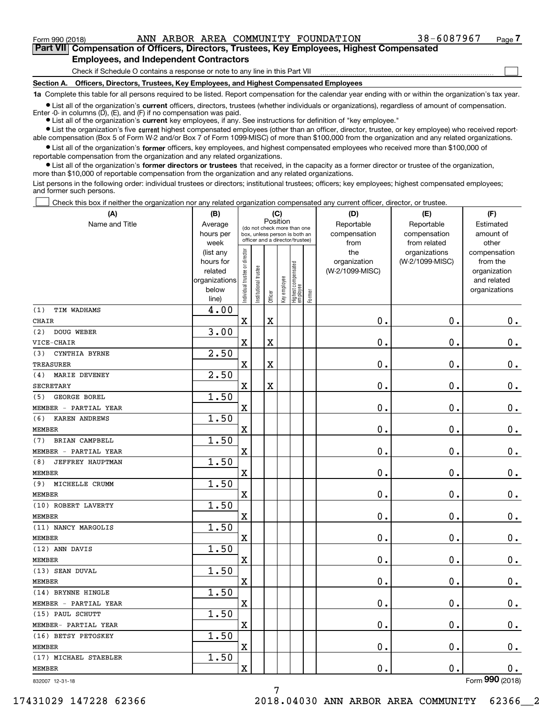**(A)**

Form 990 (2018) ANN ARBOR AREA COMMUNITY FOUNDATION 38-6087967 <sub>Page</sub>

 $\mathcal{L}^{\text{max}}$ 

**7Part VII Compensation of Officers, Directors, Trustees, Key Employees, Highest Compensated Employees, and Independent Contractors**

Check if Schedule O contains a response or note to any line in this Part VII

**Section A. Officers, Directors, Trustees, Key Employees, and Highest Compensated Employees**

**1a**  Complete this table for all persons required to be listed. Report compensation for the calendar year ending with or within the organization's tax year.

**•** List all of the organization's current officers, directors, trustees (whether individuals or organizations), regardless of amount of compensation. Enter -0- in columns  $(D)$ ,  $(E)$ , and  $(F)$  if no compensation was paid.

● List all of the organization's **current** key employees, if any. See instructions for definition of "key employee."

**•** List the organization's five current highest compensated employees (other than an officer, director, trustee, or key employee) who received reportable compensation (Box 5 of Form W-2 and/or Box 7 of Form 1099-MISC) of more than \$100,000 from the organization and any related organizations.

 $\bullet$  List all of the organization's **former** officers, key employees, and highest compensated employees who received more than \$100,000 of reportable compensation from the organization and any related organizations.

**•** List all of the organization's former directors or trustees that received, in the capacity as a former director or trustee of the organization, more than \$10,000 of reportable compensation from the organization and any related organizations.

List persons in the following order: individual trustees or directors; institutional trustees; officers; key employees; highest compensated employees; and former such persons.

Check this box if neither the organization nor any related organization compensated any current officer, director, or trustee.  $\mathcal{L}^{\text{max}}$ 

| Position<br>Name and Title<br>Reportable<br>Reportable<br>Average<br>Estimated<br>(do not check more than one<br>compensation<br>hours per<br>compensation<br>amount of<br>box, unless person is both an<br>officer and a director/trustee)<br>from related<br>other<br>week<br>from<br>ndividual trustee or director<br>the<br>organizations<br>(list any<br>compensation<br>(W-2/1099-MISC)<br>hours for<br>organization<br>from the<br>Highest compensated<br> employee<br>nstitutional trustee<br>(W-2/1099-MISC)<br>related<br>organization<br>Key employee<br>organizations<br>and related<br>below<br>organizations<br>Former<br>Officer<br>line)<br>4.00<br>(1)<br>TIM WADHAMS<br>$\overline{\mathbf{X}}$<br>0.<br>$\mathbf 0$ .<br>$\mathbf X$<br>$0_{.}$<br><b>CHAIR</b><br>3.00<br>DOUG WEBER<br>(2)<br>0.<br>$\overline{\mathbf{X}}$<br>0.<br>$0_{.}$<br>$\mathbf X$<br>VICE-CHAIR<br>2.50<br>CYNTHIA BYRNE<br>(3)<br>$\mathbf 0$ .<br>$\mathbf 0$ .<br>X<br>$\mathbf X$<br>$\mathbf 0$ .<br><b>TREASURER</b><br>$\overline{2.50}$<br>MARIE DEVENEY<br>(4)<br>$\overline{\mathbf{X}}$<br>0.<br>$\mathbf 0$ .<br>$\mathbf X$<br>$\mathbf 0$ .<br><b>SECRETARY</b><br>1.50<br>GEORGE BOREL<br>(5)<br>$\overline{\textbf{X}}$<br>$\mathbf 0$ .<br>0.<br>$\mathbf 0$ .<br>MEMBER - PARTIAL YEAR<br>1.50<br>KAREN ANDREWS<br>(6)<br>$\overline{\mathbf{X}}$<br>0.<br>$\mathbf 0$ .<br>0.<br><b>MEMBER</b><br>1.50<br>BRIAN CAMPBELL<br>(7)<br>$\overline{\mathbf{X}}$<br>0.<br>$\mathbf 0$ .<br>$\mathbf 0$ .<br>MEMBER - PARTIAL YEAR<br>1.50<br>JEFFREY HAUPTMAN<br>(8)<br>$\overline{\mathbf{X}}$<br>0.<br>$\mathbf 0$ .<br>$0_{.}$<br><b>MEMBER</b><br>1.50<br>MICHELLE CRUMM<br>(9)<br>$\overline{\mathbf{X}}$<br>0.<br>$\mathbf 0$ .<br>$\mathbf 0$ .<br><b>MEMBER</b><br>1.50<br>(10) ROBERT LAVERTY<br>$\overline{\mathbf{X}}$<br>$\mathbf{0}$ .<br>$\mathbf 0$ .<br>0.<br><b>MEMBER</b><br>1.50<br>(11) NANCY MARGOLIS<br>$\overline{\mathbf{X}}$<br>0.<br>$\mathbf 0$ .<br>$\mathbf 0$ .<br><b>MEMBER</b><br>1.50<br>(12) ANN DAVIS<br>$\overline{\text{X}}$<br>0.<br>$\mathbf 0$ .<br>$\mathbf 0$ .<br><b>MEMBER</b><br>1.50<br>(13) SEAN DUVAL<br>$\overline{\text{X}}$<br>$\mathbf 0$ .<br>0.<br>$0_{.}$<br><b>MEMBER</b><br>1.50<br>(14) BRYNNE HINGLE<br>$\overline{\text{X}}$<br>0.<br>$\mathbf 0$ .<br>$\mathbf 0$ .<br>MEMBER - PARTIAL YEAR<br>1.50<br>(15) PAUL SCHUTT<br>$\overline{\mathbf{X}}$<br>0.<br>$\mathbf 0$ .<br>$\mathbf 0$ .<br>MEMBER- PARTIAL YEAR<br>1.50<br>(16) BETSY PETOSKEY<br>$\overline{\mathbf{X}}$<br>0.<br>$\mathbf 0$ .<br>$\mathbf 0$ .<br><b>MEMBER</b><br>1.50<br>(17) MICHAEL STAEBLER<br>$\overline{\mathbf{X}}$<br>0.<br>$\mathbf 0$ .<br>$\mathbf 0$ .<br><b>MEMBER</b> | (A) | (B) |  | (C) |  | (D) | (E) | (F) |
|--------------------------------------------------------------------------------------------------------------------------------------------------------------------------------------------------------------------------------------------------------------------------------------------------------------------------------------------------------------------------------------------------------------------------------------------------------------------------------------------------------------------------------------------------------------------------------------------------------------------------------------------------------------------------------------------------------------------------------------------------------------------------------------------------------------------------------------------------------------------------------------------------------------------------------------------------------------------------------------------------------------------------------------------------------------------------------------------------------------------------------------------------------------------------------------------------------------------------------------------------------------------------------------------------------------------------------------------------------------------------------------------------------------------------------------------------------------------------------------------------------------------------------------------------------------------------------------------------------------------------------------------------------------------------------------------------------------------------------------------------------------------------------------------------------------------------------------------------------------------------------------------------------------------------------------------------------------------------------------------------------------------------------------------------------------------------------------------------------------------------------------------------------------------------------------------------------------------------------------------------------------------------------------------------------------------------------------------------------------------------------------------------------------------------------------------------------------------------------------------------------------------------------------------------------------------------------------------------------------------------------------------------------------------------------------------------------------------------------------|-----|-----|--|-----|--|-----|-----|-----|
|                                                                                                                                                                                                                                                                                                                                                                                                                                                                                                                                                                                                                                                                                                                                                                                                                                                                                                                                                                                                                                                                                                                                                                                                                                                                                                                                                                                                                                                                                                                                                                                                                                                                                                                                                                                                                                                                                                                                                                                                                                                                                                                                                                                                                                                                                                                                                                                                                                                                                                                                                                                                                                                                                                                                      |     |     |  |     |  |     |     |     |
|                                                                                                                                                                                                                                                                                                                                                                                                                                                                                                                                                                                                                                                                                                                                                                                                                                                                                                                                                                                                                                                                                                                                                                                                                                                                                                                                                                                                                                                                                                                                                                                                                                                                                                                                                                                                                                                                                                                                                                                                                                                                                                                                                                                                                                                                                                                                                                                                                                                                                                                                                                                                                                                                                                                                      |     |     |  |     |  |     |     |     |
|                                                                                                                                                                                                                                                                                                                                                                                                                                                                                                                                                                                                                                                                                                                                                                                                                                                                                                                                                                                                                                                                                                                                                                                                                                                                                                                                                                                                                                                                                                                                                                                                                                                                                                                                                                                                                                                                                                                                                                                                                                                                                                                                                                                                                                                                                                                                                                                                                                                                                                                                                                                                                                                                                                                                      |     |     |  |     |  |     |     |     |
|                                                                                                                                                                                                                                                                                                                                                                                                                                                                                                                                                                                                                                                                                                                                                                                                                                                                                                                                                                                                                                                                                                                                                                                                                                                                                                                                                                                                                                                                                                                                                                                                                                                                                                                                                                                                                                                                                                                                                                                                                                                                                                                                                                                                                                                                                                                                                                                                                                                                                                                                                                                                                                                                                                                                      |     |     |  |     |  |     |     |     |
|                                                                                                                                                                                                                                                                                                                                                                                                                                                                                                                                                                                                                                                                                                                                                                                                                                                                                                                                                                                                                                                                                                                                                                                                                                                                                                                                                                                                                                                                                                                                                                                                                                                                                                                                                                                                                                                                                                                                                                                                                                                                                                                                                                                                                                                                                                                                                                                                                                                                                                                                                                                                                                                                                                                                      |     |     |  |     |  |     |     |     |
|                                                                                                                                                                                                                                                                                                                                                                                                                                                                                                                                                                                                                                                                                                                                                                                                                                                                                                                                                                                                                                                                                                                                                                                                                                                                                                                                                                                                                                                                                                                                                                                                                                                                                                                                                                                                                                                                                                                                                                                                                                                                                                                                                                                                                                                                                                                                                                                                                                                                                                                                                                                                                                                                                                                                      |     |     |  |     |  |     |     |     |
|                                                                                                                                                                                                                                                                                                                                                                                                                                                                                                                                                                                                                                                                                                                                                                                                                                                                                                                                                                                                                                                                                                                                                                                                                                                                                                                                                                                                                                                                                                                                                                                                                                                                                                                                                                                                                                                                                                                                                                                                                                                                                                                                                                                                                                                                                                                                                                                                                                                                                                                                                                                                                                                                                                                                      |     |     |  |     |  |     |     |     |
|                                                                                                                                                                                                                                                                                                                                                                                                                                                                                                                                                                                                                                                                                                                                                                                                                                                                                                                                                                                                                                                                                                                                                                                                                                                                                                                                                                                                                                                                                                                                                                                                                                                                                                                                                                                                                                                                                                                                                                                                                                                                                                                                                                                                                                                                                                                                                                                                                                                                                                                                                                                                                                                                                                                                      |     |     |  |     |  |     |     |     |
|                                                                                                                                                                                                                                                                                                                                                                                                                                                                                                                                                                                                                                                                                                                                                                                                                                                                                                                                                                                                                                                                                                                                                                                                                                                                                                                                                                                                                                                                                                                                                                                                                                                                                                                                                                                                                                                                                                                                                                                                                                                                                                                                                                                                                                                                                                                                                                                                                                                                                                                                                                                                                                                                                                                                      |     |     |  |     |  |     |     |     |
|                                                                                                                                                                                                                                                                                                                                                                                                                                                                                                                                                                                                                                                                                                                                                                                                                                                                                                                                                                                                                                                                                                                                                                                                                                                                                                                                                                                                                                                                                                                                                                                                                                                                                                                                                                                                                                                                                                                                                                                                                                                                                                                                                                                                                                                                                                                                                                                                                                                                                                                                                                                                                                                                                                                                      |     |     |  |     |  |     |     |     |
|                                                                                                                                                                                                                                                                                                                                                                                                                                                                                                                                                                                                                                                                                                                                                                                                                                                                                                                                                                                                                                                                                                                                                                                                                                                                                                                                                                                                                                                                                                                                                                                                                                                                                                                                                                                                                                                                                                                                                                                                                                                                                                                                                                                                                                                                                                                                                                                                                                                                                                                                                                                                                                                                                                                                      |     |     |  |     |  |     |     |     |
|                                                                                                                                                                                                                                                                                                                                                                                                                                                                                                                                                                                                                                                                                                                                                                                                                                                                                                                                                                                                                                                                                                                                                                                                                                                                                                                                                                                                                                                                                                                                                                                                                                                                                                                                                                                                                                                                                                                                                                                                                                                                                                                                                                                                                                                                                                                                                                                                                                                                                                                                                                                                                                                                                                                                      |     |     |  |     |  |     |     |     |
|                                                                                                                                                                                                                                                                                                                                                                                                                                                                                                                                                                                                                                                                                                                                                                                                                                                                                                                                                                                                                                                                                                                                                                                                                                                                                                                                                                                                                                                                                                                                                                                                                                                                                                                                                                                                                                                                                                                                                                                                                                                                                                                                                                                                                                                                                                                                                                                                                                                                                                                                                                                                                                                                                                                                      |     |     |  |     |  |     |     |     |
|                                                                                                                                                                                                                                                                                                                                                                                                                                                                                                                                                                                                                                                                                                                                                                                                                                                                                                                                                                                                                                                                                                                                                                                                                                                                                                                                                                                                                                                                                                                                                                                                                                                                                                                                                                                                                                                                                                                                                                                                                                                                                                                                                                                                                                                                                                                                                                                                                                                                                                                                                                                                                                                                                                                                      |     |     |  |     |  |     |     |     |
|                                                                                                                                                                                                                                                                                                                                                                                                                                                                                                                                                                                                                                                                                                                                                                                                                                                                                                                                                                                                                                                                                                                                                                                                                                                                                                                                                                                                                                                                                                                                                                                                                                                                                                                                                                                                                                                                                                                                                                                                                                                                                                                                                                                                                                                                                                                                                                                                                                                                                                                                                                                                                                                                                                                                      |     |     |  |     |  |     |     |     |
|                                                                                                                                                                                                                                                                                                                                                                                                                                                                                                                                                                                                                                                                                                                                                                                                                                                                                                                                                                                                                                                                                                                                                                                                                                                                                                                                                                                                                                                                                                                                                                                                                                                                                                                                                                                                                                                                                                                                                                                                                                                                                                                                                                                                                                                                                                                                                                                                                                                                                                                                                                                                                                                                                                                                      |     |     |  |     |  |     |     |     |
|                                                                                                                                                                                                                                                                                                                                                                                                                                                                                                                                                                                                                                                                                                                                                                                                                                                                                                                                                                                                                                                                                                                                                                                                                                                                                                                                                                                                                                                                                                                                                                                                                                                                                                                                                                                                                                                                                                                                                                                                                                                                                                                                                                                                                                                                                                                                                                                                                                                                                                                                                                                                                                                                                                                                      |     |     |  |     |  |     |     |     |
|                                                                                                                                                                                                                                                                                                                                                                                                                                                                                                                                                                                                                                                                                                                                                                                                                                                                                                                                                                                                                                                                                                                                                                                                                                                                                                                                                                                                                                                                                                                                                                                                                                                                                                                                                                                                                                                                                                                                                                                                                                                                                                                                                                                                                                                                                                                                                                                                                                                                                                                                                                                                                                                                                                                                      |     |     |  |     |  |     |     |     |
|                                                                                                                                                                                                                                                                                                                                                                                                                                                                                                                                                                                                                                                                                                                                                                                                                                                                                                                                                                                                                                                                                                                                                                                                                                                                                                                                                                                                                                                                                                                                                                                                                                                                                                                                                                                                                                                                                                                                                                                                                                                                                                                                                                                                                                                                                                                                                                                                                                                                                                                                                                                                                                                                                                                                      |     |     |  |     |  |     |     |     |
|                                                                                                                                                                                                                                                                                                                                                                                                                                                                                                                                                                                                                                                                                                                                                                                                                                                                                                                                                                                                                                                                                                                                                                                                                                                                                                                                                                                                                                                                                                                                                                                                                                                                                                                                                                                                                                                                                                                                                                                                                                                                                                                                                                                                                                                                                                                                                                                                                                                                                                                                                                                                                                                                                                                                      |     |     |  |     |  |     |     |     |
|                                                                                                                                                                                                                                                                                                                                                                                                                                                                                                                                                                                                                                                                                                                                                                                                                                                                                                                                                                                                                                                                                                                                                                                                                                                                                                                                                                                                                                                                                                                                                                                                                                                                                                                                                                                                                                                                                                                                                                                                                                                                                                                                                                                                                                                                                                                                                                                                                                                                                                                                                                                                                                                                                                                                      |     |     |  |     |  |     |     |     |
|                                                                                                                                                                                                                                                                                                                                                                                                                                                                                                                                                                                                                                                                                                                                                                                                                                                                                                                                                                                                                                                                                                                                                                                                                                                                                                                                                                                                                                                                                                                                                                                                                                                                                                                                                                                                                                                                                                                                                                                                                                                                                                                                                                                                                                                                                                                                                                                                                                                                                                                                                                                                                                                                                                                                      |     |     |  |     |  |     |     |     |
|                                                                                                                                                                                                                                                                                                                                                                                                                                                                                                                                                                                                                                                                                                                                                                                                                                                                                                                                                                                                                                                                                                                                                                                                                                                                                                                                                                                                                                                                                                                                                                                                                                                                                                                                                                                                                                                                                                                                                                                                                                                                                                                                                                                                                                                                                                                                                                                                                                                                                                                                                                                                                                                                                                                                      |     |     |  |     |  |     |     |     |
|                                                                                                                                                                                                                                                                                                                                                                                                                                                                                                                                                                                                                                                                                                                                                                                                                                                                                                                                                                                                                                                                                                                                                                                                                                                                                                                                                                                                                                                                                                                                                                                                                                                                                                                                                                                                                                                                                                                                                                                                                                                                                                                                                                                                                                                                                                                                                                                                                                                                                                                                                                                                                                                                                                                                      |     |     |  |     |  |     |     |     |
|                                                                                                                                                                                                                                                                                                                                                                                                                                                                                                                                                                                                                                                                                                                                                                                                                                                                                                                                                                                                                                                                                                                                                                                                                                                                                                                                                                                                                                                                                                                                                                                                                                                                                                                                                                                                                                                                                                                                                                                                                                                                                                                                                                                                                                                                                                                                                                                                                                                                                                                                                                                                                                                                                                                                      |     |     |  |     |  |     |     |     |
|                                                                                                                                                                                                                                                                                                                                                                                                                                                                                                                                                                                                                                                                                                                                                                                                                                                                                                                                                                                                                                                                                                                                                                                                                                                                                                                                                                                                                                                                                                                                                                                                                                                                                                                                                                                                                                                                                                                                                                                                                                                                                                                                                                                                                                                                                                                                                                                                                                                                                                                                                                                                                                                                                                                                      |     |     |  |     |  |     |     |     |
|                                                                                                                                                                                                                                                                                                                                                                                                                                                                                                                                                                                                                                                                                                                                                                                                                                                                                                                                                                                                                                                                                                                                                                                                                                                                                                                                                                                                                                                                                                                                                                                                                                                                                                                                                                                                                                                                                                                                                                                                                                                                                                                                                                                                                                                                                                                                                                                                                                                                                                                                                                                                                                                                                                                                      |     |     |  |     |  |     |     |     |
|                                                                                                                                                                                                                                                                                                                                                                                                                                                                                                                                                                                                                                                                                                                                                                                                                                                                                                                                                                                                                                                                                                                                                                                                                                                                                                                                                                                                                                                                                                                                                                                                                                                                                                                                                                                                                                                                                                                                                                                                                                                                                                                                                                                                                                                                                                                                                                                                                                                                                                                                                                                                                                                                                                                                      |     |     |  |     |  |     |     |     |
|                                                                                                                                                                                                                                                                                                                                                                                                                                                                                                                                                                                                                                                                                                                                                                                                                                                                                                                                                                                                                                                                                                                                                                                                                                                                                                                                                                                                                                                                                                                                                                                                                                                                                                                                                                                                                                                                                                                                                                                                                                                                                                                                                                                                                                                                                                                                                                                                                                                                                                                                                                                                                                                                                                                                      |     |     |  |     |  |     |     |     |
|                                                                                                                                                                                                                                                                                                                                                                                                                                                                                                                                                                                                                                                                                                                                                                                                                                                                                                                                                                                                                                                                                                                                                                                                                                                                                                                                                                                                                                                                                                                                                                                                                                                                                                                                                                                                                                                                                                                                                                                                                                                                                                                                                                                                                                                                                                                                                                                                                                                                                                                                                                                                                                                                                                                                      |     |     |  |     |  |     |     |     |
|                                                                                                                                                                                                                                                                                                                                                                                                                                                                                                                                                                                                                                                                                                                                                                                                                                                                                                                                                                                                                                                                                                                                                                                                                                                                                                                                                                                                                                                                                                                                                                                                                                                                                                                                                                                                                                                                                                                                                                                                                                                                                                                                                                                                                                                                                                                                                                                                                                                                                                                                                                                                                                                                                                                                      |     |     |  |     |  |     |     |     |
|                                                                                                                                                                                                                                                                                                                                                                                                                                                                                                                                                                                                                                                                                                                                                                                                                                                                                                                                                                                                                                                                                                                                                                                                                                                                                                                                                                                                                                                                                                                                                                                                                                                                                                                                                                                                                                                                                                                                                                                                                                                                                                                                                                                                                                                                                                                                                                                                                                                                                                                                                                                                                                                                                                                                      |     |     |  |     |  |     |     |     |
|                                                                                                                                                                                                                                                                                                                                                                                                                                                                                                                                                                                                                                                                                                                                                                                                                                                                                                                                                                                                                                                                                                                                                                                                                                                                                                                                                                                                                                                                                                                                                                                                                                                                                                                                                                                                                                                                                                                                                                                                                                                                                                                                                                                                                                                                                                                                                                                                                                                                                                                                                                                                                                                                                                                                      |     |     |  |     |  |     |     |     |
|                                                                                                                                                                                                                                                                                                                                                                                                                                                                                                                                                                                                                                                                                                                                                                                                                                                                                                                                                                                                                                                                                                                                                                                                                                                                                                                                                                                                                                                                                                                                                                                                                                                                                                                                                                                                                                                                                                                                                                                                                                                                                                                                                                                                                                                                                                                                                                                                                                                                                                                                                                                                                                                                                                                                      |     |     |  |     |  |     |     |     |
|                                                                                                                                                                                                                                                                                                                                                                                                                                                                                                                                                                                                                                                                                                                                                                                                                                                                                                                                                                                                                                                                                                                                                                                                                                                                                                                                                                                                                                                                                                                                                                                                                                                                                                                                                                                                                                                                                                                                                                                                                                                                                                                                                                                                                                                                                                                                                                                                                                                                                                                                                                                                                                                                                                                                      |     |     |  |     |  |     |     |     |
|                                                                                                                                                                                                                                                                                                                                                                                                                                                                                                                                                                                                                                                                                                                                                                                                                                                                                                                                                                                                                                                                                                                                                                                                                                                                                                                                                                                                                                                                                                                                                                                                                                                                                                                                                                                                                                                                                                                                                                                                                                                                                                                                                                                                                                                                                                                                                                                                                                                                                                                                                                                                                                                                                                                                      |     |     |  |     |  |     |     |     |
|                                                                                                                                                                                                                                                                                                                                                                                                                                                                                                                                                                                                                                                                                                                                                                                                                                                                                                                                                                                                                                                                                                                                                                                                                                                                                                                                                                                                                                                                                                                                                                                                                                                                                                                                                                                                                                                                                                                                                                                                                                                                                                                                                                                                                                                                                                                                                                                                                                                                                                                                                                                                                                                                                                                                      |     |     |  |     |  |     |     |     |
|                                                                                                                                                                                                                                                                                                                                                                                                                                                                                                                                                                                                                                                                                                                                                                                                                                                                                                                                                                                                                                                                                                                                                                                                                                                                                                                                                                                                                                                                                                                                                                                                                                                                                                                                                                                                                                                                                                                                                                                                                                                                                                                                                                                                                                                                                                                                                                                                                                                                                                                                                                                                                                                                                                                                      |     |     |  |     |  |     |     |     |
|                                                                                                                                                                                                                                                                                                                                                                                                                                                                                                                                                                                                                                                                                                                                                                                                                                                                                                                                                                                                                                                                                                                                                                                                                                                                                                                                                                                                                                                                                                                                                                                                                                                                                                                                                                                                                                                                                                                                                                                                                                                                                                                                                                                                                                                                                                                                                                                                                                                                                                                                                                                                                                                                                                                                      |     |     |  |     |  |     |     |     |
|                                                                                                                                                                                                                                                                                                                                                                                                                                                                                                                                                                                                                                                                                                                                                                                                                                                                                                                                                                                                                                                                                                                                                                                                                                                                                                                                                                                                                                                                                                                                                                                                                                                                                                                                                                                                                                                                                                                                                                                                                                                                                                                                                                                                                                                                                                                                                                                                                                                                                                                                                                                                                                                                                                                                      |     |     |  |     |  |     |     |     |
|                                                                                                                                                                                                                                                                                                                                                                                                                                                                                                                                                                                                                                                                                                                                                                                                                                                                                                                                                                                                                                                                                                                                                                                                                                                                                                                                                                                                                                                                                                                                                                                                                                                                                                                                                                                                                                                                                                                                                                                                                                                                                                                                                                                                                                                                                                                                                                                                                                                                                                                                                                                                                                                                                                                                      |     |     |  |     |  |     |     |     |
|                                                                                                                                                                                                                                                                                                                                                                                                                                                                                                                                                                                                                                                                                                                                                                                                                                                                                                                                                                                                                                                                                                                                                                                                                                                                                                                                                                                                                                                                                                                                                                                                                                                                                                                                                                                                                                                                                                                                                                                                                                                                                                                                                                                                                                                                                                                                                                                                                                                                                                                                                                                                                                                                                                                                      |     |     |  |     |  |     |     |     |

832007 12-31-18

7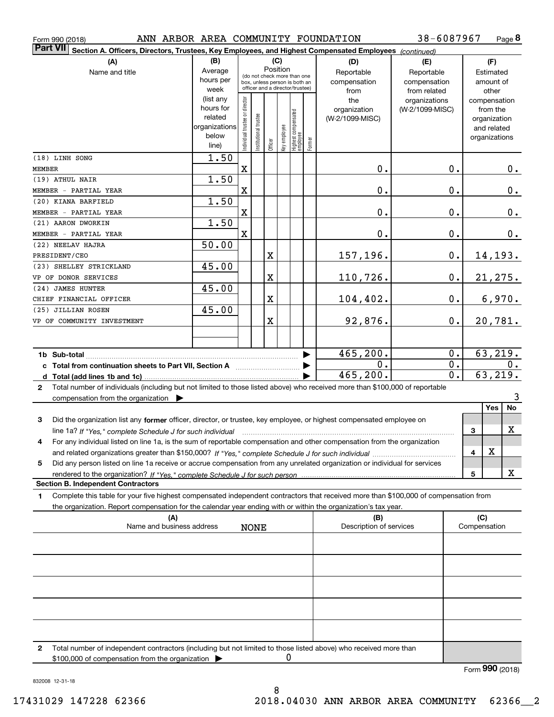| ANN ARBOR AREA COMMUNITY FOUNDATION<br>Form 990 (2018)                                                                                            |                        |                                                                                                 |                       |                         |              |                                         |              |                         | 38-6087967      |              |                             | Page 8        |
|---------------------------------------------------------------------------------------------------------------------------------------------------|------------------------|-------------------------------------------------------------------------------------------------|-----------------------|-------------------------|--------------|-----------------------------------------|--------------|-------------------------|-----------------|--------------|-----------------------------|---------------|
| <b>Part VII</b><br>Section A. Officers, Directors, Trustees, Key Employees, and Highest Compensated Employees (continued)                         |                        |                                                                                                 |                       |                         |              |                                         |              |                         |                 |              |                             |               |
| (A)                                                                                                                                               | (B)                    |                                                                                                 |                       |                         | (C)          |                                         |              | (D)                     | (E)             |              | (F)                         |               |
| Name and title                                                                                                                                    | Average                |                                                                                                 |                       | Position                |              |                                         |              | Reportable              | Reportable      |              | Estimated                   |               |
|                                                                                                                                                   | hours per              | (do not check more than one<br>box, unless person is both an<br>officer and a director/trustee) |                       |                         |              |                                         | compensation | compensation            |                 | amount of    |                             |               |
|                                                                                                                                                   | week                   |                                                                                                 |                       |                         |              |                                         |              | from                    | from related    |              | other                       |               |
|                                                                                                                                                   | (list any<br>hours for |                                                                                                 |                       |                         |              |                                         |              | the                     | organizations   |              | compensation                |               |
|                                                                                                                                                   | related                |                                                                                                 |                       |                         |              |                                         |              | organization            | (W-2/1099-MISC) |              | from the                    |               |
|                                                                                                                                                   | organizations          |                                                                                                 |                       |                         |              |                                         |              | (W-2/1099-MISC)         |                 |              | organization<br>and related |               |
|                                                                                                                                                   | below                  |                                                                                                 |                       |                         |              |                                         |              |                         |                 |              | organizations               |               |
|                                                                                                                                                   | line)                  | Individual trustee or director                                                                  | Institutional trustee | Officer                 | key employee | <br>  Highest compensated<br>  employee | Former       |                         |                 |              |                             |               |
| (18) LINH SONG                                                                                                                                    | $\overline{1.50}$      |                                                                                                 |                       |                         |              |                                         |              |                         |                 |              |                             |               |
| MEMBER                                                                                                                                            |                        | $\mathbf X$                                                                                     |                       |                         |              |                                         |              | $\mathbf 0$ .           | $\mathbf 0$ .   |              |                             | $\mathbf 0$ . |
| (19) ATHUL NAIR                                                                                                                                   | 1.50                   |                                                                                                 |                       |                         |              |                                         |              |                         |                 |              |                             |               |
| MEMBER - PARTIAL YEAR                                                                                                                             |                        | X                                                                                               |                       |                         |              |                                         |              | $\mathbf 0$ .           | $\mathbf 0$ .   |              |                             | $\mathbf 0$ . |
| (20) KIANA BARFIELD                                                                                                                               | 1.50                   |                                                                                                 |                       |                         |              |                                         |              |                         |                 |              |                             |               |
| MEMBER - PARTIAL YEAR                                                                                                                             |                        | X                                                                                               |                       |                         |              |                                         |              | $\mathbf 0$ .           | $\mathbf 0$ .   |              |                             | $\mathbf 0$ . |
| (21) AARON DWORKIN                                                                                                                                | 1.50                   |                                                                                                 |                       |                         |              |                                         |              |                         |                 |              |                             |               |
| MEMBER - PARTIAL YEAR                                                                                                                             |                        | x                                                                                               |                       |                         |              |                                         |              | $\mathbf 0$ .           | $\mathbf 0$ .   |              |                             | 0.            |
| (22) NEELAV HAJRA                                                                                                                                 | 50.00                  |                                                                                                 |                       |                         |              |                                         |              |                         |                 |              |                             |               |
| PRESIDENT/CEO                                                                                                                                     |                        |                                                                                                 |                       | X                       |              |                                         |              | 157,196.                | $\mathbf 0$ .   |              | 14,193.                     |               |
| (23) SHELLEY STRICKLAND                                                                                                                           | 45.00                  |                                                                                                 |                       |                         |              |                                         |              |                         |                 |              |                             |               |
| VP OF DONOR SERVICES                                                                                                                              |                        |                                                                                                 |                       | $\overline{\textbf{X}}$ |              |                                         |              | 110,726.                | $\mathbf 0$ .   |              | 21,275.                     |               |
| (24) JAMES HUNTER                                                                                                                                 | 45.00                  |                                                                                                 |                       |                         |              |                                         |              |                         |                 |              |                             |               |
| CHIEF FINANCIAL OFFICER                                                                                                                           |                        |                                                                                                 |                       | X                       |              |                                         |              | 104,402.                | 0.              |              | 6,970.                      |               |
| (25) JILLIAN ROSEN                                                                                                                                | 45.00                  |                                                                                                 |                       |                         |              |                                         |              |                         |                 |              |                             |               |
| VP OF COMMUNITY INVESTMENT                                                                                                                        |                        |                                                                                                 |                       | X                       |              |                                         |              | 92,876.                 | 0.              |              | 20,781.                     |               |
|                                                                                                                                                   |                        |                                                                                                 |                       |                         |              |                                         |              |                         |                 |              |                             |               |
|                                                                                                                                                   |                        |                                                                                                 |                       |                         |              |                                         |              |                         |                 |              |                             |               |
|                                                                                                                                                   |                        |                                                                                                 |                       |                         |              |                                         |              | 465, 200.               | $\mathbf 0$ .   |              | 63,219.                     |               |
|                                                                                                                                                   |                        |                                                                                                 |                       |                         |              |                                         |              | 0.                      | $\mathbf 0$ .   |              |                             | 0.            |
|                                                                                                                                                   |                        |                                                                                                 |                       |                         |              |                                         |              | 465, 200.               | 0.              |              | 63,219.                     |               |
| Total number of individuals (including but not limited to those listed above) who received more than \$100,000 of reportable<br>$\mathbf{2}$      |                        |                                                                                                 |                       |                         |              |                                         |              |                         |                 |              |                             |               |
| compensation from the organization                                                                                                                |                        |                                                                                                 |                       |                         |              |                                         |              |                         |                 |              |                             | 3             |
|                                                                                                                                                   |                        |                                                                                                 |                       |                         |              |                                         |              |                         |                 |              | Yes                         | No            |
| 3<br>Did the organization list any former officer, director, or trustee, key employee, or highest compensated employee on                         |                        |                                                                                                 |                       |                         |              |                                         |              |                         |                 |              |                             |               |
| line 1a? If "Yes," complete Schedule J for such individual material content content to the content of the complete schedule J for such individual |                        |                                                                                                 |                       |                         |              |                                         |              |                         |                 | 3            |                             | X             |
| For any individual listed on line 1a, is the sum of reportable compensation and other compensation from the organization                          |                        |                                                                                                 |                       |                         |              |                                         |              |                         |                 |              |                             |               |
|                                                                                                                                                   |                        |                                                                                                 |                       |                         |              |                                         |              |                         |                 | 4            | х                           |               |
| Did any person listed on line 1a receive or accrue compensation from any unrelated organization or individual for services<br>5                   |                        |                                                                                                 |                       |                         |              |                                         |              |                         |                 |              |                             |               |
|                                                                                                                                                   |                        |                                                                                                 |                       |                         |              |                                         |              |                         |                 | 5            |                             | x             |
| <b>Section B. Independent Contractors</b>                                                                                                         |                        |                                                                                                 |                       |                         |              |                                         |              |                         |                 |              |                             |               |
| Complete this table for your five highest compensated independent contractors that received more than \$100,000 of compensation from<br>1         |                        |                                                                                                 |                       |                         |              |                                         |              |                         |                 |              |                             |               |
| the organization. Report compensation for the calendar year ending with or within the organization's tax year.                                    |                        |                                                                                                 |                       |                         |              |                                         |              |                         |                 |              |                             |               |
| (A)                                                                                                                                               |                        |                                                                                                 |                       |                         |              |                                         |              | (B)                     |                 |              | (C)                         |               |
| Name and business address                                                                                                                         |                        |                                                                                                 | <b>NONE</b>           |                         |              |                                         |              | Description of services |                 | Compensation |                             |               |
|                                                                                                                                                   |                        |                                                                                                 |                       |                         |              |                                         |              |                         |                 |              |                             |               |
|                                                                                                                                                   |                        |                                                                                                 |                       |                         |              |                                         |              |                         |                 |              |                             |               |
|                                                                                                                                                   |                        |                                                                                                 |                       |                         |              |                                         |              |                         |                 |              |                             |               |
|                                                                                                                                                   |                        |                                                                                                 |                       |                         |              |                                         |              |                         |                 |              |                             |               |
|                                                                                                                                                   |                        |                                                                                                 |                       |                         |              |                                         |              |                         |                 |              |                             |               |
|                                                                                                                                                   |                        |                                                                                                 |                       |                         |              |                                         |              |                         |                 |              |                             |               |
|                                                                                                                                                   |                        |                                                                                                 |                       |                         |              |                                         |              |                         |                 |              |                             |               |

**2**Total number of independent contractors (including but not limited to those listed above) who received more than \$100,000 of compensation from the organization 0

Form (2018) **990**

832008 12-31-18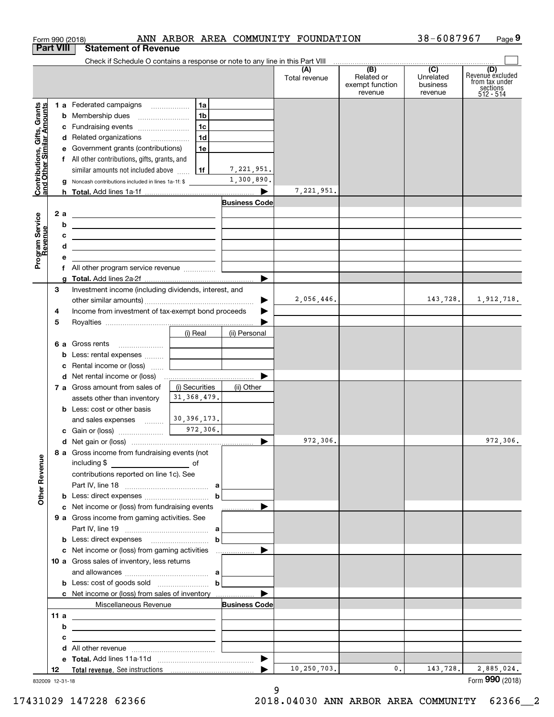|                                                           | Form 990 (2018)                                                                                                           |                                   |                          | ANN ARBOR AREA COMMUNITY FOUNDATION |                                      | 38-6087967                                | Page 9                                    |
|-----------------------------------------------------------|---------------------------------------------------------------------------------------------------------------------------|-----------------------------------|--------------------------|-------------------------------------|--------------------------------------|-------------------------------------------|-------------------------------------------|
| <b>Part VIII</b>                                          | <b>Statement of Revenue</b>                                                                                               |                                   |                          |                                     |                                      |                                           |                                           |
|                                                           | Check if Schedule O contains a response or note to any line in this Part VIII                                             |                                   |                          | (A)<br>Total revenue                | (B)<br>Related or<br>exempt function | $\overline{(C)}$<br>Unrelated<br>business | (D)<br>Revenue excluded<br>from tax under |
|                                                           |                                                                                                                           |                                   |                          |                                     | revenue                              | revenue                                   | sections<br>512 - 514                     |
| Contributions, Gifts, Grants<br>and Other Similar Amounts | 1 a Federated campaigns                                                                                                   | 1a                                |                          |                                     |                                      |                                           |                                           |
|                                                           |                                                                                                                           | 1 <sub>b</sub>                    |                          |                                     |                                      |                                           |                                           |
|                                                           | c Fundraising events                                                                                                      | 1c                                |                          |                                     |                                      |                                           |                                           |
|                                                           | d Related organizations                                                                                                   | 1d                                |                          |                                     |                                      |                                           |                                           |
|                                                           | e Government grants (contributions)                                                                                       | 1e                                |                          |                                     |                                      |                                           |                                           |
|                                                           | f All other contributions, gifts, grants, and                                                                             |                                   |                          |                                     |                                      |                                           |                                           |
|                                                           | similar amounts not included above                                                                                        | 1f                                | 7,221,951.<br>1,300,890. |                                     |                                      |                                           |                                           |
|                                                           | Noncash contributions included in lines 1a-1f: \$<br>g                                                                    |                                   |                          | 7,221,951.                          |                                      |                                           |                                           |
|                                                           |                                                                                                                           |                                   | <b>Business Code</b>     |                                     |                                      |                                           |                                           |
| 2 a                                                       | <u> 1989 - Andrea Station Barbara, amerikan personal (h. 1989)</u>                                                        |                                   |                          |                                     |                                      |                                           |                                           |
|                                                           | b<br><u> 1989 - Johann Barn, fransk politik amerikansk politik (</u>                                                      |                                   |                          |                                     |                                      |                                           |                                           |
|                                                           | с<br><u> 1989 - Johann Barn, fransk politik amerikansk politik (</u>                                                      |                                   |                          |                                     |                                      |                                           |                                           |
|                                                           | d<br><u> 1989 - Johann Barn, mars ann an t-Amhain Aonaich an t-Aonaich an t-Aonaich ann an t-Aonaich ann an t-Aonaich</u> |                                   |                          |                                     |                                      |                                           |                                           |
| Program Service<br>Revenue                                | е<br><u> 1980 - Jan Barbara Barbara, maso a se</u>                                                                        |                                   |                          |                                     |                                      |                                           |                                           |
|                                                           | f All other program service revenue                                                                                       |                                   |                          |                                     |                                      |                                           |                                           |
|                                                           | a                                                                                                                         |                                   |                          |                                     |                                      |                                           |                                           |
| З                                                         | Investment income (including dividends, interest, and                                                                     |                                   |                          |                                     |                                      | 143, 728.                                 |                                           |
|                                                           |                                                                                                                           |                                   |                          | 2,056,446.                          |                                      |                                           | 1,912,718.                                |
| 4                                                         | Income from investment of tax-exempt bond proceeds                                                                        |                                   |                          |                                     |                                      |                                           |                                           |
| 5                                                         |                                                                                                                           |                                   | (ii) Personal            |                                     |                                      |                                           |                                           |
|                                                           | <b>6 a</b> Gross rents                                                                                                    | (i) Real                          |                          |                                     |                                      |                                           |                                           |
|                                                           | <b>b</b> Less: rental expenses                                                                                            |                                   |                          |                                     |                                      |                                           |                                           |
|                                                           | Rental income or (loss)<br>c                                                                                              |                                   |                          |                                     |                                      |                                           |                                           |
|                                                           |                                                                                                                           | and the control of the control of |                          |                                     |                                      |                                           |                                           |
|                                                           | 7 a Gross amount from sales of                                                                                            | (i) Securities                    | (ii) Other               |                                     |                                      |                                           |                                           |
|                                                           | assets other than inventory                                                                                               | 31, 368, 479.                     |                          |                                     |                                      |                                           |                                           |
|                                                           | <b>b</b> Less: cost or other basis                                                                                        |                                   |                          |                                     |                                      |                                           |                                           |
|                                                           | and sales expenses                                                                                                        | 30, 396, 173.                     |                          |                                     |                                      |                                           |                                           |
|                                                           | c Gain or (loss) 272,306.                                                                                                 |                                   |                          |                                     |                                      |                                           |                                           |
|                                                           |                                                                                                                           |                                   |                          | 972,306.                            |                                      |                                           | 972,306.                                  |
|                                                           | 8 a Gross income from fundraising events (not                                                                             |                                   |                          |                                     |                                      |                                           |                                           |
| <b>Other Revenue</b>                                      |                                                                                                                           |                                   |                          |                                     |                                      |                                           |                                           |
|                                                           | contributions reported on line 1c). See                                                                                   |                                   |                          |                                     |                                      |                                           |                                           |
|                                                           |                                                                                                                           | $\mathbf b$                       |                          |                                     |                                      |                                           |                                           |
|                                                           | c Net income or (loss) from fundraising events                                                                            |                                   | .                        |                                     |                                      |                                           |                                           |
|                                                           | <b>9 a</b> Gross income from gaming activities. See                                                                       |                                   |                          |                                     |                                      |                                           |                                           |
|                                                           |                                                                                                                           |                                   |                          |                                     |                                      |                                           |                                           |
|                                                           |                                                                                                                           | $\mathbf b$                       |                          |                                     |                                      |                                           |                                           |
|                                                           |                                                                                                                           |                                   |                          |                                     |                                      |                                           |                                           |
|                                                           | 10 a Gross sales of inventory, less returns                                                                               |                                   |                          |                                     |                                      |                                           |                                           |
|                                                           |                                                                                                                           |                                   |                          |                                     |                                      |                                           |                                           |
|                                                           | <b>b</b> Less: cost of goods sold $\begin{bmatrix} b & b \end{bmatrix}$                                                   |                                   |                          |                                     |                                      |                                           |                                           |
|                                                           | <b>c</b> Net income or (loss) from sales of inventory                                                                     |                                   |                          |                                     |                                      |                                           |                                           |
|                                                           | Miscellaneous Revenue                                                                                                     |                                   | <b>Business Code</b>     |                                     |                                      |                                           |                                           |
| 11 a                                                      | <u> 1989 - Johann Barn, fransk politik (d. 1989)</u>                                                                      |                                   |                          |                                     |                                      |                                           |                                           |
|                                                           | b<br><u> 1989 - Johann Barbara, martxa eta idazlea (h. 1989).</u>                                                         |                                   |                          |                                     |                                      |                                           |                                           |
|                                                           | с<br>the contract of the contract of the contract of the contract of the contract of                                      |                                   |                          |                                     |                                      |                                           |                                           |
|                                                           |                                                                                                                           |                                   |                          |                                     |                                      |                                           |                                           |
|                                                           |                                                                                                                           |                                   |                          |                                     |                                      |                                           |                                           |
|                                                           |                                                                                                                           |                                   |                          |                                     |                                      |                                           |                                           |

832009 12-31-18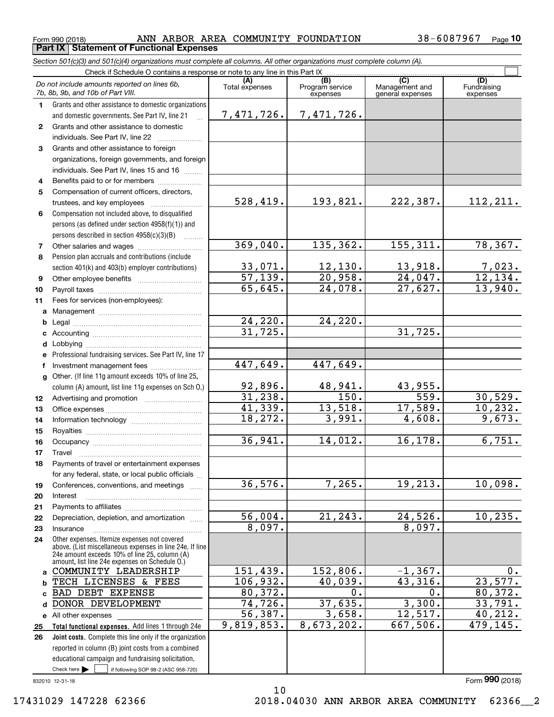**Part IX Statement of Functional Expenses**

*Section 501(c)(3) and 501(c)(4) organizations must complete all columns. All other organizations must complete column (A).*

|              | Check if Schedule O contains a response or note to any line in this Part IX                              |                           |                                    |                                           |                                |  |  |  |
|--------------|----------------------------------------------------------------------------------------------------------|---------------------------|------------------------------------|-------------------------------------------|--------------------------------|--|--|--|
|              | Do not include amounts reported on lines 6b,<br>7b, 8b, 9b, and 10b of Part VIII.                        | Total expenses            | (B)<br>Program service<br>expenses | (C)<br>Management and<br>general expenses | (D)<br>Fundraising<br>expenses |  |  |  |
| 1.           | Grants and other assistance to domestic organizations                                                    |                           |                                    |                                           |                                |  |  |  |
|              | and domestic governments. See Part IV, line 21                                                           | 7,471,726.                | 7,471,726.                         |                                           |                                |  |  |  |
| $\mathbf{2}$ | Grants and other assistance to domestic                                                                  |                           |                                    |                                           |                                |  |  |  |
|              | individuals. See Part IV, line 22                                                                        |                           |                                    |                                           |                                |  |  |  |
| 3            | Grants and other assistance to foreign                                                                   |                           |                                    |                                           |                                |  |  |  |
|              | organizations, foreign governments, and foreign                                                          |                           |                                    |                                           |                                |  |  |  |
|              | individuals. See Part IV, lines 15 and 16                                                                |                           |                                    |                                           |                                |  |  |  |
| 4            | Benefits paid to or for members                                                                          |                           |                                    |                                           |                                |  |  |  |
| 5            | Compensation of current officers, directors,                                                             |                           |                                    |                                           |                                |  |  |  |
|              |                                                                                                          | 528,419.                  | 193,821.                           | 222,387.                                  | 112,211.                       |  |  |  |
| 6            | Compensation not included above, to disqualified                                                         |                           |                                    |                                           |                                |  |  |  |
|              | persons (as defined under section 4958(f)(1)) and                                                        |                           |                                    |                                           |                                |  |  |  |
|              | persons described in section 4958(c)(3)(B)                                                               |                           |                                    |                                           |                                |  |  |  |
| 7            |                                                                                                          | 369,040.                  | 135, 362.                          | 155, 311.                                 | 78, 367.                       |  |  |  |
| 8            | Pension plan accruals and contributions (include                                                         |                           |                                    | 13,918.                                   |                                |  |  |  |
|              | section 401(k) and 403(b) employer contributions)                                                        | $\frac{33,071}{57,139}$ . | $\frac{12,130}{20,958}$            | $\overline{24,047}$ .                     | $\frac{7,023}{12,134}$         |  |  |  |
| 9<br>10      |                                                                                                          | 65,645.                   | 24,078.                            | 27,627.                                   | 13,940.                        |  |  |  |
| 11           | Fees for services (non-employees):                                                                       |                           |                                    |                                           |                                |  |  |  |
| a            |                                                                                                          |                           |                                    |                                           |                                |  |  |  |
| b            |                                                                                                          |                           | 24, 220.                           |                                           |                                |  |  |  |
| c            |                                                                                                          | $\frac{24,220}{31,725}$   |                                    | 31,725.                                   |                                |  |  |  |
| d            | Lobbying                                                                                                 |                           |                                    |                                           |                                |  |  |  |
| e            | Professional fundraising services. See Part IV, line 17                                                  |                           |                                    |                                           |                                |  |  |  |
| f            | Investment management fees                                                                               | 447,649.                  | 447,649.                           |                                           |                                |  |  |  |
| $\mathbf{q}$ | Other. (If line 11g amount exceeds 10% of line 25,                                                       |                           |                                    |                                           |                                |  |  |  |
|              | column (A) amount, list line 11g expenses on Sch O.)                                                     | <u>92,896.</u>            | 48,941.                            | 43,955.                                   |                                |  |  |  |
| 12           |                                                                                                          | 31,238.                   | $\overline{150}$ .                 | 559.                                      | 30,529.                        |  |  |  |
| 13           |                                                                                                          | 41,339.                   | 13,518.                            | 17,589.                                   | 10, 232.                       |  |  |  |
| 14           |                                                                                                          | 18,272.                   | 3,991.                             | 4,608.                                    | 9,673.                         |  |  |  |
| 15           |                                                                                                          |                           |                                    |                                           |                                |  |  |  |
| 16           |                                                                                                          | 36,941.                   | 14,012.                            | 16, 178.                                  | 6,751.                         |  |  |  |
| 17           | Travel                                                                                                   |                           |                                    |                                           |                                |  |  |  |
| 18           | Payments of travel or entertainment expenses<br>for any federal, state, or local public officials        |                           |                                    |                                           |                                |  |  |  |
| 19           | Conferences, conventions, and meetings                                                                   | 36,576.                   | 7,265.                             | 19,213.                                   | 10,098.                        |  |  |  |
| 20           | Interest                                                                                                 |                           |                                    |                                           |                                |  |  |  |
| 21           |                                                                                                          |                           |                                    |                                           |                                |  |  |  |
| 22           | Depreciation, depletion, and amortization                                                                | 56,004.                   | 21, 243.                           | 24,526.                                   | 10, 235.                       |  |  |  |
| 23           | Insurance                                                                                                | 8,097.                    |                                    | 8,097.                                    |                                |  |  |  |
| 24           | Other expenses. Itemize expenses not covered<br>above. (List miscellaneous expenses in line 24e. If line |                           |                                    |                                           |                                |  |  |  |
|              | 24e amount exceeds 10% of line 25, column (A)                                                            |                           |                                    |                                           |                                |  |  |  |
| a            | amount, list line 24e expenses on Schedule O.)<br>COMMUNITY LEADERSHIP                                   | 151,439.                  | 152,806.                           | $-1,367.$                                 | $0$ .                          |  |  |  |
| b            | TECH LICENSES & FEES                                                                                     | 106,932.                  | 40,039.                            | 43,316.                                   | 23,577.                        |  |  |  |
| C            | <b>BAD DEBT EXPENSE</b>                                                                                  | 80,372.                   | 0.                                 | 0.                                        | 80,372.                        |  |  |  |
| d            | DONOR DEVELOPMENT                                                                                        | 74,726.                   | 37,635.                            | 3,300.                                    | 33,791.                        |  |  |  |
| е            | All other expenses                                                                                       | 56,387.                   | 3,658.                             | 12,517.                                   | 40,212.                        |  |  |  |
| 25           | Total functional expenses. Add lines 1 through 24e                                                       | 9,819,853.                | 8,673,202.                         | 667,506.                                  | 479, 145.                      |  |  |  |
| 26           | Joint costs. Complete this line only if the organization                                                 |                           |                                    |                                           |                                |  |  |  |
|              | reported in column (B) joint costs from a combined                                                       |                           |                                    |                                           |                                |  |  |  |
|              | educational campaign and fundraising solicitation.                                                       |                           |                                    |                                           |                                |  |  |  |
|              | Check here $\blacktriangleright$<br>if following SOP 98-2 (ASC 958-720)                                  |                           |                                    |                                           |                                |  |  |  |

10

832010 12-31-18

17431029 147228 62366 2018.04030 ANN ARBOR AREA COMMUNITY 62366\_\_2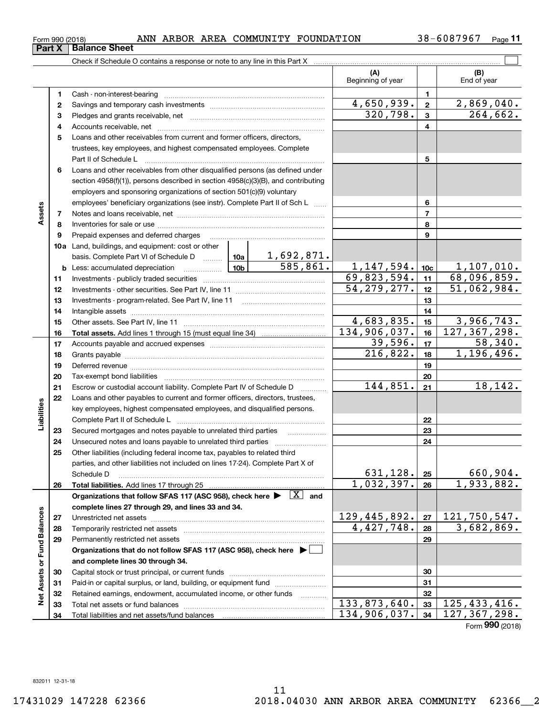$_{\rm Form}$  990 (2018) ANN ARBOR AREA COMMUNITY FOUNDATION 38-6087967  $_{\rm Page}$ **Part X Balance Sheet**

**11**

|                             |              |                                                                                                                                     |                                             | (A)<br>Beginning of year    |                         | (B)<br>End of year               |
|-----------------------------|--------------|-------------------------------------------------------------------------------------------------------------------------------------|---------------------------------------------|-----------------------------|-------------------------|----------------------------------|
|                             | 1            |                                                                                                                                     |                                             |                             | $\mathbf{1}$            |                                  |
|                             | $\mathbf{2}$ |                                                                                                                                     |                                             | 4,650,939.                  | $\overline{\mathbf{2}}$ | 2,869,040.                       |
|                             | З            |                                                                                                                                     |                                             | 320,798.                    | 3                       | $\overline{264,662}$ .           |
|                             | 4            |                                                                                                                                     |                                             |                             | 4                       |                                  |
|                             | 5            | Loans and other receivables from current and former officers, directors,                                                            |                                             |                             |                         |                                  |
|                             |              | trustees, key employees, and highest compensated employees. Complete                                                                |                                             |                             |                         |                                  |
|                             |              | Part II of Schedule L                                                                                                               |                                             | 5                           |                         |                                  |
|                             | 6            | Loans and other receivables from other disqualified persons (as defined under                                                       |                                             |                             |                         |                                  |
|                             |              | section 4958(f)(1)), persons described in section 4958(c)(3)(B), and contributing                                                   |                                             |                             |                         |                                  |
|                             |              | employers and sponsoring organizations of section 501(c)(9) voluntary                                                               |                                             |                             |                         |                                  |
|                             |              | employees' beneficiary organizations (see instr). Complete Part II of Sch L                                                         |                                             | 6                           |                         |                                  |
| Assets                      | 7            |                                                                                                                                     |                                             |                             | $\overline{7}$          |                                  |
|                             | 8            |                                                                                                                                     |                                             |                             | 8                       |                                  |
|                             | 9            | Prepaid expenses and deferred charges                                                                                               |                                             |                             | 9                       |                                  |
|                             |              | 10a Land, buildings, and equipment: cost or other                                                                                   |                                             |                             |                         |                                  |
|                             |              | basis. Complete Part VI of Schedule D  10a                                                                                          | <u>1,692,871.</u><br>$\overline{585,861}$ . |                             |                         |                                  |
|                             |              | $\boxed{\phantom{1}10b}$<br><b>b</b> Less: accumulated depreciation                                                                 |                                             | 1, 147, 594.<br>69,823,594. | 10 <sub>c</sub>         | <u>1,107,010.</u><br>68,096,859. |
|                             | 11           |                                                                                                                                     | 54, 279, 277.                               | 11                          | 51,062,984.             |                                  |
|                             | 12           |                                                                                                                                     |                                             | 12<br>13                    |                         |                                  |
|                             | 13<br>14     |                                                                                                                                     |                                             |                             | 14                      |                                  |
|                             | 15           |                                                                                                                                     | 4,683,835.                                  | 15                          | 3,966,743.              |                                  |
|                             | 16           |                                                                                                                                     |                                             | 134,906,037.                | 16                      | 127, 367, 298.                   |
|                             | 17           |                                                                                                                                     | 39,596.                                     | 17                          | 58,340.                 |                                  |
|                             | 18           |                                                                                                                                     |                                             | 216,822.                    | 18                      | 1,196,496.                       |
|                             | 19           |                                                                                                                                     |                                             |                             | 19                      |                                  |
|                             | 20           |                                                                                                                                     |                                             |                             | 20                      |                                  |
|                             | 21           | Escrow or custodial account liability. Complete Part IV of Schedule D                                                               |                                             | 144,851.                    | 21                      | 18,142.                          |
|                             | 22           | Loans and other payables to current and former officers, directors, trustees,                                                       |                                             |                             |                         |                                  |
| Liabilities                 |              | key employees, highest compensated employees, and disqualified persons.                                                             |                                             |                             |                         |                                  |
|                             |              |                                                                                                                                     |                                             |                             | 22                      |                                  |
|                             | 23           | Secured mortgages and notes payable to unrelated third parties                                                                      |                                             |                             | 23                      |                                  |
|                             | 24           |                                                                                                                                     |                                             |                             | 24                      |                                  |
|                             | 25           | Other liabilities (including federal income tax, payables to related third                                                          |                                             |                             |                         |                                  |
|                             |              | parties, and other liabilities not included on lines 17-24). Complete Part X of                                                     |                                             |                             |                         |                                  |
|                             |              | Schedule D                                                                                                                          |                                             | 631,128.                    | 25                      | 660,904.<br>1,933,882.           |
|                             | 26           | Total liabilities. Add lines 17 through 25                                                                                          |                                             | 1,032,397.                  | 26                      |                                  |
|                             |              | Organizations that follow SFAS 117 (ASC 958), check here $\blacktriangleright \begin{array}{ c } \hline X & \text{and} \end{array}$ |                                             |                             |                         |                                  |
|                             |              | complete lines 27 through 29, and lines 33 and 34.                                                                                  |                                             | 129,445,892.                | 27                      | 121,750,547.                     |
|                             | 27<br>28     | Temporarily restricted net assets                                                                                                   |                                             | 4,427,748.                  | 28                      | 3,682,869.                       |
|                             | 29           | Permanently restricted net assets                                                                                                   |                                             |                             | 29                      |                                  |
|                             |              | Organizations that do not follow SFAS 117 (ASC 958), check here ▶ □                                                                 |                                             |                             |                         |                                  |
|                             |              | and complete lines 30 through 34.                                                                                                   |                                             |                             |                         |                                  |
| Net Assets or Fund Balances | 30           |                                                                                                                                     |                                             |                             | 30                      |                                  |
|                             | 31           |                                                                                                                                     |                                             |                             | 31                      |                                  |
|                             | 32           | Retained earnings, endowment, accumulated income, or other funds                                                                    | 1.1.1.1.1.1.1.1.1.1                         |                             | 32                      |                                  |
|                             | 33           |                                                                                                                                     |                                             | 133,873,640.                | 33                      | 125, 433, 416.                   |
|                             | 34           |                                                                                                                                     |                                             | 134,906,037.                | 34                      | 127, 367, 298.                   |

Form (2018) **990**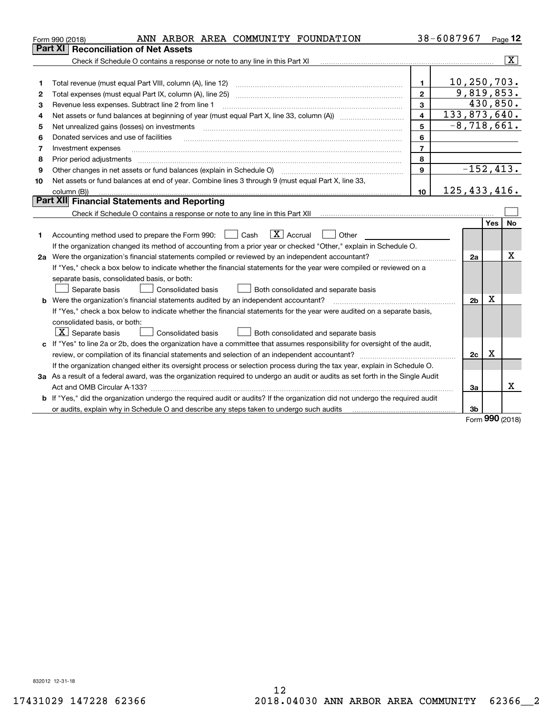|    | ANN ARBOR AREA COMMUNITY FOUNDATION<br>Form 990 (2018)                                                                                                                                                                                                                                                                                                                                                                                                                                              |                | 38-6087967     |                             |      | Page 12                 |
|----|-----------------------------------------------------------------------------------------------------------------------------------------------------------------------------------------------------------------------------------------------------------------------------------------------------------------------------------------------------------------------------------------------------------------------------------------------------------------------------------------------------|----------------|----------------|-----------------------------|------|-------------------------|
|    | Part XI<br><b>Reconciliation of Net Assets</b>                                                                                                                                                                                                                                                                                                                                                                                                                                                      |                |                |                             |      |                         |
|    | Check if Schedule O contains a response or note to any line in this Part XI                                                                                                                                                                                                                                                                                                                                                                                                                         |                |                |                             |      | $\overline{\mathbf{x}}$ |
|    |                                                                                                                                                                                                                                                                                                                                                                                                                                                                                                     |                |                |                             |      |                         |
| 1  |                                                                                                                                                                                                                                                                                                                                                                                                                                                                                                     | 1              |                | 10, 250, 703.               |      |                         |
| 2  | Total expenses (must equal Part IX, column (A), line 25)                                                                                                                                                                                                                                                                                                                                                                                                                                            | $\mathbf{2}$   |                | 9,819,853.                  |      |                         |
| з  | Revenue less expenses. Subtract line 2 from line 1                                                                                                                                                                                                                                                                                                                                                                                                                                                  | 3              |                |                             |      | 430,850.                |
| 4  | Net assets or fund balances at beginning of year (must equal Part X, line 33, column (A)) manured manu-                                                                                                                                                                                                                                                                                                                                                                                             | 4              | 133,873,640.   |                             |      |                         |
| 5  | Net unrealized gains (losses) on investments                                                                                                                                                                                                                                                                                                                                                                                                                                                        | 5              |                | $\overline{-8}$ , 718, 661. |      |                         |
| 6  | Donated services and use of facilities<br>$\mathcal{L} = \{ \mathcal{L}^{\mathcal{L}}_{\mathcal{L}} \mathcal{L}^{\mathcal{L}}_{\mathcal{L}} \mathcal{L}^{\mathcal{L}}_{\mathcal{L}} \mathcal{L}^{\mathcal{L}}_{\mathcal{L}} \mathcal{L}^{\mathcal{L}}_{\mathcal{L}} \mathcal{L}^{\mathcal{L}}_{\mathcal{L}} \mathcal{L}^{\mathcal{L}}_{\mathcal{L}} \mathcal{L}^{\mathcal{L}}_{\mathcal{L}} \mathcal{L}^{\mathcal{L}}_{\mathcal{L}} \mathcal{L}^{\mathcal{L}}_{\mathcal{L}} \mathcal{L}^{\mathcal{$ | 6              |                |                             |      |                         |
| 7  | Investment expenses                                                                                                                                                                                                                                                                                                                                                                                                                                                                                 | $\overline{7}$ |                |                             |      |                         |
| 8  | Prior period adjustments                                                                                                                                                                                                                                                                                                                                                                                                                                                                            | 8              |                |                             |      |                         |
| 9  | Other changes in net assets or fund balances (explain in Schedule O)                                                                                                                                                                                                                                                                                                                                                                                                                                | 9              |                | $-152, 413.$                |      |                         |
| 10 | Net assets or fund balances at end of year. Combine lines 3 through 9 (must equal Part X, line 33,                                                                                                                                                                                                                                                                                                                                                                                                  |                |                |                             |      |                         |
|    | column (B))                                                                                                                                                                                                                                                                                                                                                                                                                                                                                         | 10             | 125, 433, 416. |                             |      |                         |
|    | Part XII Financial Statements and Reporting                                                                                                                                                                                                                                                                                                                                                                                                                                                         |                |                |                             |      |                         |
|    |                                                                                                                                                                                                                                                                                                                                                                                                                                                                                                     |                |                |                             |      |                         |
|    |                                                                                                                                                                                                                                                                                                                                                                                                                                                                                                     |                |                |                             | Yes  | No                      |
| 1  | $\boxed{\mathbf{X}}$ Accrual<br>Accounting method used to prepare the Form 990: <u>I</u> Cash<br>Other                                                                                                                                                                                                                                                                                                                                                                                              |                |                |                             |      |                         |
|    | If the organization changed its method of accounting from a prior year or checked "Other," explain in Schedule O.                                                                                                                                                                                                                                                                                                                                                                                   |                |                |                             |      |                         |
|    | 2a Were the organization's financial statements compiled or reviewed by an independent accountant?                                                                                                                                                                                                                                                                                                                                                                                                  |                |                | 2a                          |      | X                       |
|    | If "Yes," check a box below to indicate whether the financial statements for the year were compiled or reviewed on a                                                                                                                                                                                                                                                                                                                                                                                |                |                |                             |      |                         |
|    | separate basis, consolidated basis, or both:                                                                                                                                                                                                                                                                                                                                                                                                                                                        |                |                |                             |      |                         |
|    | Separate basis<br>Both consolidated and separate basis<br>Consolidated basis                                                                                                                                                                                                                                                                                                                                                                                                                        |                |                |                             |      |                         |
|    | <b>b</b> Were the organization's financial statements audited by an independent accountant?                                                                                                                                                                                                                                                                                                                                                                                                         |                |                | 2 <sub>b</sub>              | X    |                         |
|    | If "Yes," check a box below to indicate whether the financial statements for the year were audited on a separate basis,                                                                                                                                                                                                                                                                                                                                                                             |                |                |                             |      |                         |
|    | consolidated basis, or both:                                                                                                                                                                                                                                                                                                                                                                                                                                                                        |                |                |                             |      |                         |
|    | $\boxed{\textbf{X}}$ Separate basis<br>Consolidated basis<br>Both consolidated and separate basis                                                                                                                                                                                                                                                                                                                                                                                                   |                |                |                             |      |                         |
|    | c If "Yes" to line 2a or 2b, does the organization have a committee that assumes responsibility for oversight of the audit,                                                                                                                                                                                                                                                                                                                                                                         |                |                |                             |      |                         |
|    |                                                                                                                                                                                                                                                                                                                                                                                                                                                                                                     |                |                | 2c                          | X    |                         |
|    | If the organization changed either its oversight process or selection process during the tax year, explain in Schedule O.                                                                                                                                                                                                                                                                                                                                                                           |                |                |                             |      |                         |
|    | 3a As a result of a federal award, was the organization required to undergo an audit or audits as set forth in the Single Audit                                                                                                                                                                                                                                                                                                                                                                     |                |                |                             |      |                         |
|    | Act and OMB Circular A-133?                                                                                                                                                                                                                                                                                                                                                                                                                                                                         |                |                | За                          |      | x                       |
|    | b If "Yes," did the organization undergo the required audit or audits? If the organization did not undergo the required audit                                                                                                                                                                                                                                                                                                                                                                       |                |                |                             |      |                         |
|    | or audits, explain why in Schedule O and describe any steps taken to undergo such audits                                                                                                                                                                                                                                                                                                                                                                                                            |                |                | 3b                          | nnn. |                         |
|    |                                                                                                                                                                                                                                                                                                                                                                                                                                                                                                     |                |                |                             |      |                         |

Form (2018) **990**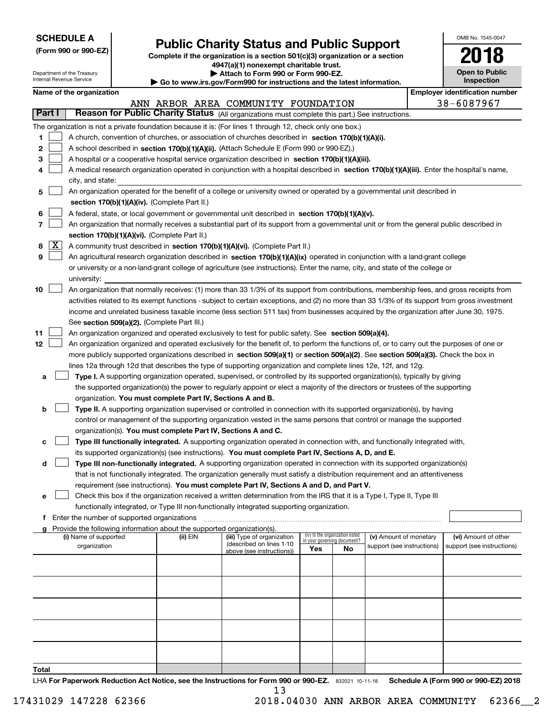| <b>SCHEDULE A</b> |
|-------------------|
|-------------------|

Department of the Treasury

**(Form 990 or 990-EZ)**

## **Public Charity Status and Public Support**

**Complete if the organization is a section 501(c)(3) organization or a section 4947(a)(1) nonexempt charitable trust. | Attach to Form 990 or Form 990-EZ.** 

| OMB No. 1545-0047                   |
|-------------------------------------|
| 2018                                |
|                                     |
| <b>Open to Public</b><br>Inconcrice |

|    |               | Internal Revenue Service |                                             |                                                            | $\blacktriangleright$ Go to www.irs.gov/Form990 for instructions and the latest information.                                                  |     |                                                                |                            | Inspection                            |
|----|---------------|--------------------------|---------------------------------------------|------------------------------------------------------------|-----------------------------------------------------------------------------------------------------------------------------------------------|-----|----------------------------------------------------------------|----------------------------|---------------------------------------|
|    |               | Name of the organization |                                             |                                                            |                                                                                                                                               |     |                                                                |                            | <b>Employer identification number</b> |
|    |               |                          |                                             |                                                            | ANN ARBOR AREA COMMUNITY FOUNDATION                                                                                                           |     |                                                                |                            | 38-6087967                            |
|    | <b>Part I</b> |                          |                                             |                                                            | Reason for Public Charity Status (All organizations must complete this part.) See instructions.                                               |     |                                                                |                            |                                       |
|    |               |                          |                                             |                                                            | The organization is not a private foundation because it is: (For lines 1 through 12, check only one box.)                                     |     |                                                                |                            |                                       |
| 1  |               |                          |                                             |                                                            | A church, convention of churches, or association of churches described in section 170(b)(1)(A)(i).                                            |     |                                                                |                            |                                       |
| 2  |               |                          |                                             |                                                            | A school described in section 170(b)(1)(A)(ii). (Attach Schedule E (Form 990 or 990-EZ).)                                                     |     |                                                                |                            |                                       |
| з  |               |                          |                                             |                                                            | A hospital or a cooperative hospital service organization described in section 170(b)(1)(A)(iii).                                             |     |                                                                |                            |                                       |
| 4  |               |                          |                                             |                                                            | A medical research organization operated in conjunction with a hospital described in section 170(b)(1)(A)(iii). Enter the hospital's name,    |     |                                                                |                            |                                       |
|    |               | city, and state:         |                                             |                                                            |                                                                                                                                               |     |                                                                |                            |                                       |
| 5  |               |                          |                                             |                                                            | An organization operated for the benefit of a college or university owned or operated by a governmental unit described in                     |     |                                                                |                            |                                       |
|    |               |                          |                                             | section 170(b)(1)(A)(iv). (Complete Part II.)              |                                                                                                                                               |     |                                                                |                            |                                       |
| 6  |               |                          |                                             |                                                            | A federal, state, or local government or governmental unit described in section 170(b)(1)(A)(v).                                              |     |                                                                |                            |                                       |
| 7  |               |                          |                                             |                                                            | An organization that normally receives a substantial part of its support from a governmental unit or from the general public described in     |     |                                                                |                            |                                       |
|    |               |                          |                                             | section 170(b)(1)(A)(vi). (Complete Part II.)              |                                                                                                                                               |     |                                                                |                            |                                       |
| 8  | X             |                          |                                             |                                                            | A community trust described in section 170(b)(1)(A)(vi). (Complete Part II.)                                                                  |     |                                                                |                            |                                       |
| 9  |               |                          |                                             |                                                            | An agricultural research organization described in section 170(b)(1)(A)(ix) operated in conjunction with a land-grant college                 |     |                                                                |                            |                                       |
|    |               |                          |                                             |                                                            | or university or a non-land-grant college of agriculture (see instructions). Enter the name, city, and state of the college or                |     |                                                                |                            |                                       |
|    |               | university:              |                                             |                                                            |                                                                                                                                               |     |                                                                |                            |                                       |
| 10 |               |                          |                                             |                                                            | An organization that normally receives: (1) more than 33 1/3% of its support from contributions, membership fees, and gross receipts from     |     |                                                                |                            |                                       |
|    |               |                          |                                             |                                                            | activities related to its exempt functions - subject to certain exceptions, and (2) no more than 33 1/3% of its support from gross investment |     |                                                                |                            |                                       |
|    |               |                          |                                             | See section 509(a)(2). (Complete Part III.)                | income and unrelated business taxable income (less section 511 tax) from businesses acquired by the organization after June 30, 1975.         |     |                                                                |                            |                                       |
| 11 |               |                          |                                             |                                                            | An organization organized and operated exclusively to test for public safety. See section 509(a)(4).                                          |     |                                                                |                            |                                       |
| 12 |               |                          |                                             |                                                            | An organization organized and operated exclusively for the benefit of, to perform the functions of, or to carry out the purposes of one or    |     |                                                                |                            |                                       |
|    |               |                          |                                             |                                                            | more publicly supported organizations described in section 509(a)(1) or section 509(a)(2). See section 509(a)(3). Check the box in            |     |                                                                |                            |                                       |
|    |               |                          |                                             |                                                            | lines 12a through 12d that describes the type of supporting organization and complete lines 12e, 12f, and 12g.                                |     |                                                                |                            |                                       |
| а  |               |                          |                                             |                                                            | Type I. A supporting organization operated, supervised, or controlled by its supported organization(s), typically by giving                   |     |                                                                |                            |                                       |
|    |               |                          |                                             |                                                            | the supported organization(s) the power to regularly appoint or elect a majority of the directors or trustees of the supporting               |     |                                                                |                            |                                       |
|    |               |                          |                                             | organization. You must complete Part IV, Sections A and B. |                                                                                                                                               |     |                                                                |                            |                                       |
| b  |               |                          |                                             |                                                            | Type II. A supporting organization supervised or controlled in connection with its supported organization(s), by having                       |     |                                                                |                            |                                       |
|    |               |                          |                                             |                                                            | control or management of the supporting organization vested in the same persons that control or manage the supported                          |     |                                                                |                            |                                       |
|    |               |                          |                                             |                                                            | organization(s). You must complete Part IV, Sections A and C.                                                                                 |     |                                                                |                            |                                       |
| с  |               |                          |                                             |                                                            | Type III functionally integrated. A supporting organization operated in connection with, and functionally integrated with,                    |     |                                                                |                            |                                       |
|    |               |                          |                                             |                                                            | its supported organization(s) (see instructions). You must complete Part IV, Sections A, D, and E.                                            |     |                                                                |                            |                                       |
| d  |               |                          |                                             |                                                            | Type III non-functionally integrated. A supporting organization operated in connection with its supported organization(s)                     |     |                                                                |                            |                                       |
|    |               |                          |                                             |                                                            | that is not functionally integrated. The organization generally must satisfy a distribution requirement and an attentiveness                  |     |                                                                |                            |                                       |
|    |               |                          |                                             |                                                            | requirement (see instructions). You must complete Part IV, Sections A and D, and Part V.                                                      |     |                                                                |                            |                                       |
| е  |               |                          |                                             |                                                            | Check this box if the organization received a written determination from the IRS that it is a Type I, Type II, Type III                       |     |                                                                |                            |                                       |
|    |               |                          |                                             |                                                            | functionally integrated, or Type III non-functionally integrated supporting organization.                                                     |     |                                                                |                            |                                       |
| f  |               |                          | Enter the number of supported organizations |                                                            |                                                                                                                                               |     |                                                                |                            |                                       |
|    |               |                          |                                             |                                                            | Provide the following information about the supported organization(s).                                                                        |     |                                                                |                            |                                       |
|    |               | (i) Name of supported    |                                             | (ii) EIN                                                   | (iii) Type of organization<br>(described on lines 1-10                                                                                        |     | (iv) Is the organization listed<br>in your governing document? | (v) Amount of monetary     | (vi) Amount of other                  |
|    |               | organization             |                                             |                                                            | above (see instructions))                                                                                                                     | Yes | No                                                             | support (see instructions) | support (see instructions)            |
|    |               |                          |                                             |                                                            |                                                                                                                                               |     |                                                                |                            |                                       |
|    |               |                          |                                             |                                                            |                                                                                                                                               |     |                                                                |                            |                                       |
|    |               |                          |                                             |                                                            |                                                                                                                                               |     |                                                                |                            |                                       |
|    |               |                          |                                             |                                                            |                                                                                                                                               |     |                                                                |                            |                                       |
|    |               |                          |                                             |                                                            |                                                                                                                                               |     |                                                                |                            |                                       |
|    |               |                          |                                             |                                                            |                                                                                                                                               |     |                                                                |                            |                                       |
|    |               |                          |                                             |                                                            |                                                                                                                                               |     |                                                                |                            |                                       |
|    |               |                          |                                             |                                                            |                                                                                                                                               |     |                                                                |                            |                                       |
|    |               |                          |                                             |                                                            |                                                                                                                                               |     |                                                                |                            |                                       |
|    |               |                          |                                             |                                                            |                                                                                                                                               |     |                                                                |                            |                                       |

**Total**

13

LHA For Paperwork Reduction Act Notice, see the Instructions for Form 990 or 990-EZ. 832021 10-11-18 Schedule A (Form 990 or 990-EZ) 2018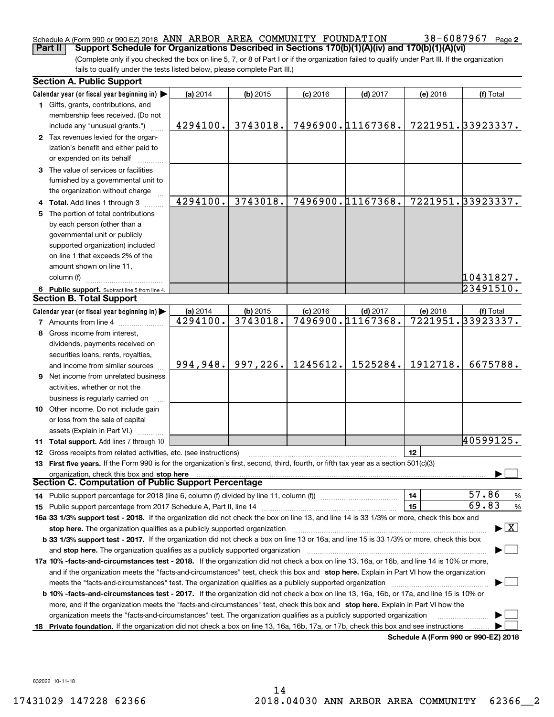## Schedule A (Form 990 or 990-EZ) 2018  $\,$  ANN  $\,$  ARBOR  $\,$  AREA  $\,$  COMMUNITY  $\,$  FOUNDATION  $\,$   $\,$  38  $-$  6087967  $\,$  Page

**2**

(Complete only if you checked the box on line 5, 7, or 8 of Part I or if the organization failed to qualify under Part III. If the organization fails to qualify under the tests listed below, please complete Part III.) **Part II Support Schedule for Organizations Described in Sections 170(b)(1)(A)(iv) and 170(b)(1)(A)(vi)**

|    | <b>Section A. Public Support</b>                                                                                                               |                      |            |            |                                 |          |                                         |
|----|------------------------------------------------------------------------------------------------------------------------------------------------|----------------------|------------|------------|---------------------------------|----------|-----------------------------------------|
|    | Calendar year (or fiscal year beginning in)                                                                                                    | (a) 2014             | $(b)$ 2015 | $(c)$ 2016 | $(d)$ 2017                      | (e) 2018 | (f) Total                               |
|    | 1 Gifts, grants, contributions, and                                                                                                            |                      |            |            |                                 |          |                                         |
|    | membership fees received. (Do not                                                                                                              |                      |            |            |                                 |          |                                         |
|    | include any "unusual grants.")                                                                                                                 | 4294100.             | 3743018.   |            | 7496900.11167368.               |          | 7221951.33923337.                       |
|    | 2 Tax revenues levied for the organ-                                                                                                           |                      |            |            |                                 |          |                                         |
|    | ization's benefit and either paid to                                                                                                           |                      |            |            |                                 |          |                                         |
|    | or expended on its behalf                                                                                                                      |                      |            |            |                                 |          |                                         |
|    | 3 The value of services or facilities                                                                                                          |                      |            |            |                                 |          |                                         |
|    | furnished by a governmental unit to                                                                                                            |                      |            |            |                                 |          |                                         |
|    | the organization without charge                                                                                                                |                      |            |            |                                 |          |                                         |
|    | 4 Total. Add lines 1 through 3                                                                                                                 | 4294100.             | 3743018.   |            | 7496900.11167368.               |          | 7221951.33923337.                       |
|    | 5 The portion of total contributions                                                                                                           |                      |            |            |                                 |          |                                         |
|    | by each person (other than a                                                                                                                   |                      |            |            |                                 |          |                                         |
|    | governmental unit or publicly                                                                                                                  |                      |            |            |                                 |          |                                         |
|    | supported organization) included                                                                                                               |                      |            |            |                                 |          |                                         |
|    | on line 1 that exceeds 2% of the                                                                                                               |                      |            |            |                                 |          |                                         |
|    | amount shown on line 11,                                                                                                                       |                      |            |            |                                 |          |                                         |
|    | column (f)                                                                                                                                     |                      |            |            |                                 |          | 10431827.                               |
|    | 6 Public support. Subtract line 5 from line 4.                                                                                                 |                      |            |            |                                 |          | 23491510.                               |
|    | <b>Section B. Total Support</b>                                                                                                                |                      |            |            |                                 |          |                                         |
|    | Calendar year (or fiscal year beginning in)                                                                                                    |                      | $(b)$ 2015 | $(c)$ 2016 |                                 |          |                                         |
|    | <b>7</b> Amounts from line 4                                                                                                                   | (a) 2014<br>4294100. | 3743018.   |            | $(d)$ 2017<br>7496900.11167368. | (e) 2018 | (f) Total<br>7221951.33923337.          |
|    |                                                                                                                                                |                      |            |            |                                 |          |                                         |
|    | 8 Gross income from interest,                                                                                                                  |                      |            |            |                                 |          |                                         |
|    | dividends, payments received on                                                                                                                |                      |            |            |                                 |          |                                         |
|    | securities loans, rents, royalties,                                                                                                            | 994,948.             | 997,226.   | 1245612.   | 1525284.                        | 1912718. | 6675788.                                |
|    | and income from similar sources                                                                                                                |                      |            |            |                                 |          |                                         |
|    | <b>9</b> Net income from unrelated business                                                                                                    |                      |            |            |                                 |          |                                         |
|    | activities, whether or not the                                                                                                                 |                      |            |            |                                 |          |                                         |
|    | business is regularly carried on                                                                                                               |                      |            |            |                                 |          |                                         |
|    | <b>10</b> Other income. Do not include gain                                                                                                    |                      |            |            |                                 |          |                                         |
|    | or loss from the sale of capital                                                                                                               |                      |            |            |                                 |          |                                         |
|    | assets (Explain in Part VI.)                                                                                                                   |                      |            |            |                                 |          |                                         |
|    | 11 Total support. Add lines 7 through 10                                                                                                       |                      |            |            |                                 |          | 40599125.                               |
|    | 12 Gross receipts from related activities, etc. (see instructions)                                                                             |                      |            |            |                                 | 12       |                                         |
|    | 13 First five years. If the Form 990 is for the organization's first, second, third, fourth, or fifth tax year as a section 501(c)(3)          |                      |            |            |                                 |          |                                         |
|    | organization, check this box and stop here                                                                                                     |                      |            |            |                                 |          |                                         |
|    | Section C. Computation of Public Support Percentage                                                                                            |                      |            |            |                                 |          |                                         |
|    | 14 Public support percentage for 2018 (line 6, column (f) divided by line 11, column (f) <i>manumeronoming</i>                                 |                      |            |            |                                 | 14       | 57.86<br>$\frac{9}{6}$                  |
|    |                                                                                                                                                |                      |            |            |                                 | 15       | 69.83<br>%                              |
|    | 16a 33 1/3% support test - 2018. If the organization did not check the box on line 13, and line 14 is 33 1/3% or more, check this box and      |                      |            |            |                                 |          |                                         |
|    | stop here. The organization qualifies as a publicly supported organization                                                                     |                      |            |            |                                 |          | $\blacktriangleright$ $\vert$ X $\vert$ |
|    | b 33 1/3% support test - 2017. If the organization did not check a box on line 13 or 16a, and line 15 is 33 1/3% or more, check this box       |                      |            |            |                                 |          |                                         |
|    | and stop here. The organization qualifies as a publicly supported organization                                                                 |                      |            |            |                                 |          |                                         |
|    | 17a 10% -facts-and-circumstances test - 2018. If the organization did not check a box on line 13, 16a, or 16b, and line 14 is 10% or more,     |                      |            |            |                                 |          |                                         |
|    | and if the organization meets the "facts-and-circumstances" test, check this box and stop here. Explain in Part VI how the organization        |                      |            |            |                                 |          |                                         |
|    | meets the "facts-and-circumstances" test. The organization qualifies as a publicly supported organization <i>marroummumumumum</i>              |                      |            |            |                                 |          |                                         |
|    | <b>b 10% -facts-and-circumstances test - 2017.</b> If the organization did not check a box on line 13, 16a, 16b, or 17a, and line 15 is 10% or |                      |            |            |                                 |          |                                         |
|    | more, and if the organization meets the "facts-and-circumstances" test, check this box and stop here. Explain in Part VI how the               |                      |            |            |                                 |          |                                         |
|    | organization meets the "facts-and-circumstances" test. The organization qualifies as a publicly supported organization                         |                      |            |            |                                 |          |                                         |
| 18 | Private foundation. If the organization did not check a box on line 13, 16a, 16b, 17a, or 17b, check this box and see instructions             |                      |            |            |                                 |          |                                         |
|    |                                                                                                                                                |                      |            |            |                                 |          | Schedule A (Form 990 or 990-F7) 2018    |

**Schedule A (Form 990 or 990-EZ) 2018**

832022 10-11-18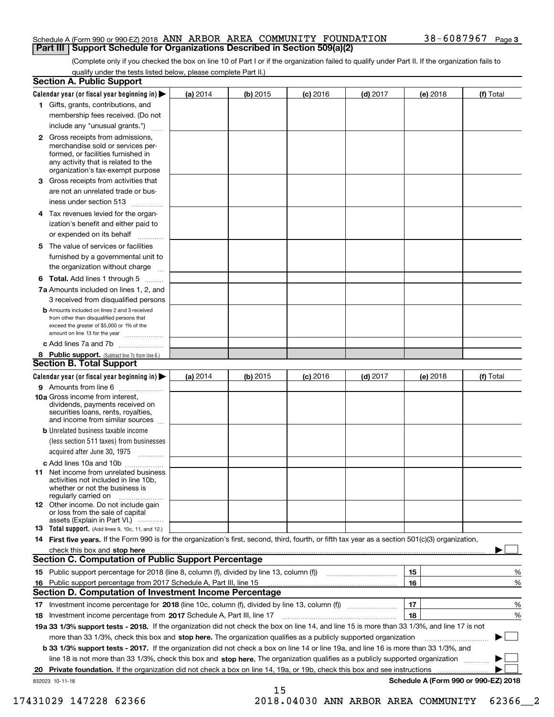#### Schedule A (Form 990 or 990-EZ) 2018  $\,$  ANN  $\,$  ARBOR  $\,$  AREA  $\,$  COMMUNITY  $\,$  FOUNDATION  $\,$   $\,$  38  $-$  6087967  $\,$  Page **Part III Support Schedule for Organizations Described in Section 509(a)(2)**

(Complete only if you checked the box on line 10 of Part I or if the organization failed to qualify under Part II. If the organization fails to qualify under the tests listed below, please complete Part II.)

|     | <b>Section A. Public Support</b>                                                                                                                                                                                                                                                             |          |            |            |            |          |                                      |
|-----|----------------------------------------------------------------------------------------------------------------------------------------------------------------------------------------------------------------------------------------------------------------------------------------------|----------|------------|------------|------------|----------|--------------------------------------|
|     | Calendar year (or fiscal year beginning in) $\blacktriangleright$                                                                                                                                                                                                                            | (a) 2014 | $(b)$ 2015 | $(c)$ 2016 | $(d)$ 2017 | (e) 2018 | (f) Total                            |
|     | 1 Gifts, grants, contributions, and                                                                                                                                                                                                                                                          |          |            |            |            |          |                                      |
|     | membership fees received. (Do not                                                                                                                                                                                                                                                            |          |            |            |            |          |                                      |
|     | include any "unusual grants.")                                                                                                                                                                                                                                                               |          |            |            |            |          |                                      |
|     | <b>2</b> Gross receipts from admissions,<br>merchandise sold or services per-<br>formed, or facilities furnished in<br>any activity that is related to the<br>organization's tax-exempt purpose                                                                                              |          |            |            |            |          |                                      |
|     | 3 Gross receipts from activities that<br>are not an unrelated trade or bus-                                                                                                                                                                                                                  |          |            |            |            |          |                                      |
|     | iness under section 513                                                                                                                                                                                                                                                                      |          |            |            |            |          |                                      |
|     | 4 Tax revenues levied for the organ-<br>ization's benefit and either paid to                                                                                                                                                                                                                 |          |            |            |            |          |                                      |
|     | or expended on its behalf<br>.                                                                                                                                                                                                                                                               |          |            |            |            |          |                                      |
|     | 5 The value of services or facilities                                                                                                                                                                                                                                                        |          |            |            |            |          |                                      |
|     | furnished by a governmental unit to                                                                                                                                                                                                                                                          |          |            |            |            |          |                                      |
|     | the organization without charge                                                                                                                                                                                                                                                              |          |            |            |            |          |                                      |
|     | <b>6 Total.</b> Add lines 1 through 5                                                                                                                                                                                                                                                        |          |            |            |            |          |                                      |
|     | 7a Amounts included on lines 1, 2, and<br>3 received from disqualified persons                                                                                                                                                                                                               |          |            |            |            |          |                                      |
|     | <b>b</b> Amounts included on lines 2 and 3 received<br>from other than disqualified persons that<br>exceed the greater of \$5,000 or 1% of the<br>amount on line 13 for the year                                                                                                             |          |            |            |            |          |                                      |
|     | c Add lines 7a and 7b                                                                                                                                                                                                                                                                        |          |            |            |            |          |                                      |
|     | 8 Public support. (Subtract line 7c from line 6.)<br><b>Section B. Total Support</b>                                                                                                                                                                                                         |          |            |            |            |          |                                      |
|     | Calendar year (or fiscal year beginning in)                                                                                                                                                                                                                                                  | (a) 2014 | $(b)$ 2015 | $(c)$ 2016 | $(d)$ 2017 | (e) 2018 | (f) Total                            |
|     | 9 Amounts from line 6                                                                                                                                                                                                                                                                        |          |            |            |            |          |                                      |
|     | <b>10a</b> Gross income from interest,<br>dividends, payments received on<br>securities loans, rents, royalties,<br>and income from similar sources                                                                                                                                          |          |            |            |            |          |                                      |
|     | <b>b</b> Unrelated business taxable income<br>(less section 511 taxes) from businesses                                                                                                                                                                                                       |          |            |            |            |          |                                      |
|     | acquired after June 30, 1975                                                                                                                                                                                                                                                                 |          |            |            |            |          |                                      |
|     | c Add lines 10a and 10b<br>11 Net income from unrelated business<br>activities not included in line 10b,<br>whether or not the business is<br>regularly carried on                                                                                                                           |          |            |            |            |          |                                      |
|     | <b>12</b> Other income. Do not include gain<br>or loss from the sale of capital<br>assets (Explain in Part VI.)                                                                                                                                                                              |          |            |            |            |          |                                      |
|     | <b>13</b> Total support. (Add lines 9, 10c, 11, and 12.)                                                                                                                                                                                                                                     |          |            |            |            |          |                                      |
|     | 14 First five years. If the Form 990 is for the organization's first, second, third, fourth, or fifth tax year as a section 501(c)(3) organization,                                                                                                                                          |          |            |            |            |          |                                      |
|     | check this box and stop here with the continuum control to the control of the control of the control of the control of the control of the control of the control of the control of the control of the control of the control o<br><b>Section C. Computation of Public Support Percentage</b> |          |            |            |            |          |                                      |
|     | 15 Public support percentage for 2018 (line 8, column (f), divided by line 13, column (f))                                                                                                                                                                                                   |          |            |            |            | 15       | %                                    |
| 16. | Public support percentage from 2017 Schedule A, Part III, line 15                                                                                                                                                                                                                            |          |            |            |            | 16       | %                                    |
|     | <b>Section D. Computation of Investment Income Percentage</b>                                                                                                                                                                                                                                |          |            |            |            |          |                                      |
|     | 17 Investment income percentage for 2018 (line 10c, column (f), divided by line 13, column (f))                                                                                                                                                                                              |          |            |            |            | 17       | %                                    |
|     | 18 Investment income percentage from 2017 Schedule A, Part III, line 17                                                                                                                                                                                                                      |          |            |            |            | 18       | %                                    |
|     | 19a 33 1/3% support tests - 2018. If the organization did not check the box on line 14, and line 15 is more than 33 1/3%, and line 17 is not                                                                                                                                                 |          |            |            |            |          |                                      |
|     | more than 33 1/3%, check this box and stop here. The organization qualifies as a publicly supported organization                                                                                                                                                                             |          |            |            |            |          | ▶                                    |
|     | <b>b 33 1/3% support tests - 2017.</b> If the organization did not check a box on line 14 or line 19a, and line 16 is more than 33 1/3%, and                                                                                                                                                 |          |            |            |            |          |                                      |
|     | line 18 is not more than 33 1/3%, check this box and stop here. The organization qualifies as a publicly supported organization                                                                                                                                                              |          |            |            |            |          |                                      |
| 20  | <b>Private foundation.</b> If the organization did not check a box on line 14, 19a, or 19b, check this box and see instructions                                                                                                                                                              |          |            |            |            |          | .                                    |
|     | 832023 10-11-18                                                                                                                                                                                                                                                                              |          |            |            |            |          | Schedule A (Form 990 or 990-EZ) 2018 |
|     |                                                                                                                                                                                                                                                                                              |          | 15         |            |            |          |                                      |

17431029 147228 62366 2018.04030 ANN ARBOR AREA COMMUNITY 62366\_\_2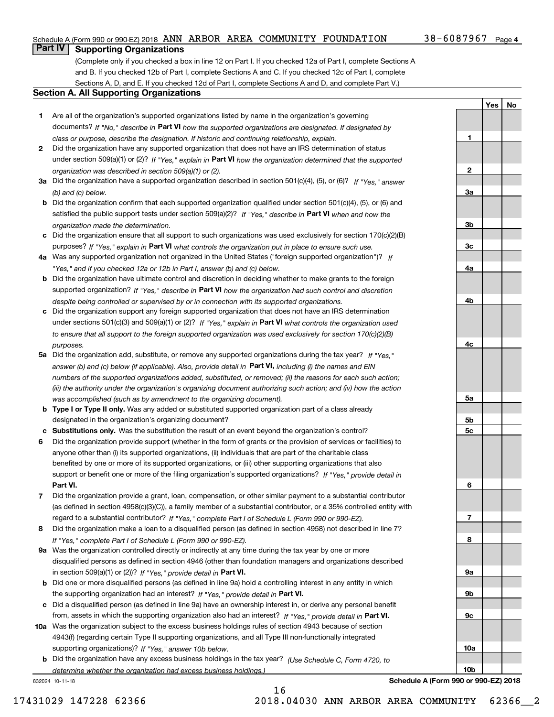#### Schedule A (Form 990 or 990-EZ) 2018  $\,$  ANN  $\,$  ARBOR  $\,$  AREA  $\,$  COMMUNITY  $\,$  FOUNDATION  $\,$   $\,$  38  $-$  6087967  $\,$  Page

**1**

**2**

**3a**

**3b**

**YesNo**

## **Part IV Supporting Organizations**

(Complete only if you checked a box in line 12 on Part I. If you checked 12a of Part I, complete Sections A and B. If you checked 12b of Part I, complete Sections A and C. If you checked 12c of Part I, complete Sections A, D, and E. If you checked 12d of Part I, complete Sections A and D, and complete Part V.)

#### **Section A. All Supporting Organizations**

- **1** Are all of the organization's supported organizations listed by name in the organization's governing documents? If "No," describe in **Part VI** how the supported organizations are designated. If designated by *class or purpose, describe the designation. If historic and continuing relationship, explain.*
- **2** Did the organization have any supported organization that does not have an IRS determination of status under section 509(a)(1) or (2)? If "Yes," explain in Part VI how the organization determined that the supported *organization was described in section 509(a)(1) or (2).*
- **3a** Did the organization have a supported organization described in section 501(c)(4), (5), or (6)? If "Yes," answer *(b) and (c) below.*
- **b** Did the organization confirm that each supported organization qualified under section 501(c)(4), (5), or (6) and satisfied the public support tests under section 509(a)(2)? If "Yes," describe in **Part VI** when and how the *organization made the determination.*
- **c**Did the organization ensure that all support to such organizations was used exclusively for section 170(c)(2)(B) purposes? If "Yes," explain in **Part VI** what controls the organization put in place to ensure such use.
- **4a***If* Was any supported organization not organized in the United States ("foreign supported organization")? *"Yes," and if you checked 12a or 12b in Part I, answer (b) and (c) below.*
- **b** Did the organization have ultimate control and discretion in deciding whether to make grants to the foreign supported organization? If "Yes," describe in **Part VI** how the organization had such control and discretion *despite being controlled or supervised by or in connection with its supported organizations.*
- **c** Did the organization support any foreign supported organization that does not have an IRS determination under sections 501(c)(3) and 509(a)(1) or (2)? If "Yes," explain in **Part VI** what controls the organization used *to ensure that all support to the foreign supported organization was used exclusively for section 170(c)(2)(B) purposes.*
- **5a** Did the organization add, substitute, or remove any supported organizations during the tax year? If "Yes," answer (b) and (c) below (if applicable). Also, provide detail in **Part VI,** including (i) the names and EIN *numbers of the supported organizations added, substituted, or removed; (ii) the reasons for each such action; (iii) the authority under the organization's organizing document authorizing such action; and (iv) how the action was accomplished (such as by amendment to the organizing document).*
- **b** Type I or Type II only. Was any added or substituted supported organization part of a class already designated in the organization's organizing document?
- **cSubstitutions only.**  Was the substitution the result of an event beyond the organization's control?
- **6** Did the organization provide support (whether in the form of grants or the provision of services or facilities) to **Part VI.** *If "Yes," provide detail in* support or benefit one or more of the filing organization's supported organizations? anyone other than (i) its supported organizations, (ii) individuals that are part of the charitable class benefited by one or more of its supported organizations, or (iii) other supporting organizations that also
- **7**Did the organization provide a grant, loan, compensation, or other similar payment to a substantial contributor *If "Yes," complete Part I of Schedule L (Form 990 or 990-EZ).* regard to a substantial contributor? (as defined in section 4958(c)(3)(C)), a family member of a substantial contributor, or a 35% controlled entity with
- **8** Did the organization make a loan to a disqualified person (as defined in section 4958) not described in line 7? *If "Yes," complete Part I of Schedule L (Form 990 or 990-EZ).*
- **9a** Was the organization controlled directly or indirectly at any time during the tax year by one or more in section 509(a)(1) or (2))? If "Yes," *provide detail in* <code>Part VI.</code> disqualified persons as defined in section 4946 (other than foundation managers and organizations described
- **b** Did one or more disqualified persons (as defined in line 9a) hold a controlling interest in any entity in which the supporting organization had an interest? If "Yes," provide detail in P**art VI**.
- **c**Did a disqualified person (as defined in line 9a) have an ownership interest in, or derive any personal benefit from, assets in which the supporting organization also had an interest? If "Yes," provide detail in P**art VI.**
- **10a** Was the organization subject to the excess business holdings rules of section 4943 because of section supporting organizations)? If "Yes," answer 10b below. 4943(f) (regarding certain Type II supporting organizations, and all Type III non-functionally integrated
- **b** Did the organization have any excess business holdings in the tax year? (Use Schedule C, Form 4720, to *determine whether the organization had excess business holdings.)*

16

832024 10-11-18

**3c4a4b4c5a 5b5c6789a 9b9c10a10b**

**Schedule A (Form 990 or 990-EZ) 2018**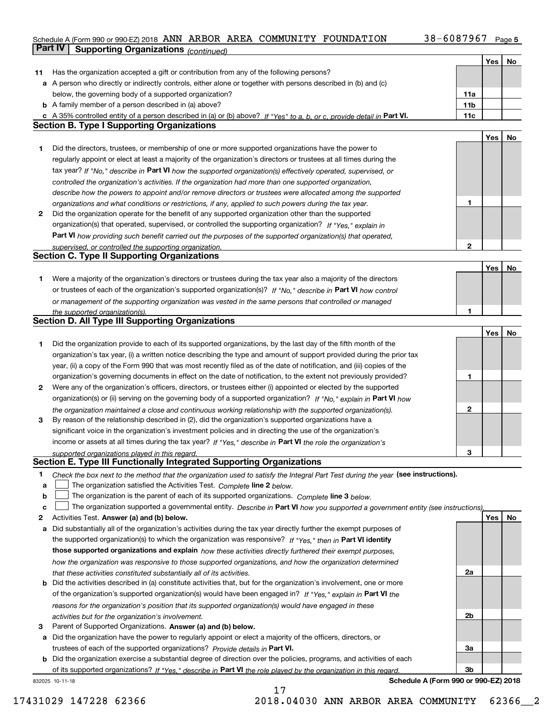#### **5** Schedule A (Form 990 or 990-EZ) 2018 Page ANN ARBOR AREA COMMUNITY FOUNDATION 38-6087967 **Part IV Supporting Organizations** *(continued)*

|    |                                                                                                                                                                                                                                         |                 | Yes | No |
|----|-----------------------------------------------------------------------------------------------------------------------------------------------------------------------------------------------------------------------------------------|-----------------|-----|----|
| 11 | Has the organization accepted a gift or contribution from any of the following persons?                                                                                                                                                 |                 |     |    |
|    | a A person who directly or indirectly controls, either alone or together with persons described in (b) and (c)                                                                                                                          |                 |     |    |
|    | below, the governing body of a supported organization?                                                                                                                                                                                  | 11a             |     |    |
|    | <b>b</b> A family member of a person described in (a) above?                                                                                                                                                                            | 11 <sub>b</sub> |     |    |
|    | c A 35% controlled entity of a person described in (a) or (b) above? If "Yes" to a, b, or c, provide detail in Part VI.                                                                                                                 | 11c             |     |    |
|    | <b>Section B. Type I Supporting Organizations</b>                                                                                                                                                                                       |                 |     |    |
|    |                                                                                                                                                                                                                                         |                 | Yes | No |
| 1. | Did the directors, trustees, or membership of one or more supported organizations have the power to                                                                                                                                     |                 |     |    |
|    | regularly appoint or elect at least a majority of the organization's directors or trustees at all times during the                                                                                                                      |                 |     |    |
|    | tax year? If "No," describe in Part VI how the supported organization(s) effectively operated, supervised, or                                                                                                                           |                 |     |    |
|    | controlled the organization's activities. If the organization had more than one supported organization,                                                                                                                                 |                 |     |    |
|    | describe how the powers to appoint and/or remove directors or trustees were allocated among the supported                                                                                                                               |                 |     |    |
|    | organizations and what conditions or restrictions, if any, applied to such powers during the tax year.                                                                                                                                  | 1               |     |    |
| 2  | Did the organization operate for the benefit of any supported organization other than the supported                                                                                                                                     |                 |     |    |
|    | organization(s) that operated, supervised, or controlled the supporting organization? If "Yes," explain in                                                                                                                              |                 |     |    |
|    | Part VI how providing such benefit carried out the purposes of the supported organization(s) that operated,                                                                                                                             |                 |     |    |
|    | supervised, or controlled the supporting organization.                                                                                                                                                                                  | 2               |     |    |
|    | <b>Section C. Type II Supporting Organizations</b>                                                                                                                                                                                      |                 |     |    |
|    |                                                                                                                                                                                                                                         |                 | Yes | No |
| 1. | Were a majority of the organization's directors or trustees during the tax year also a majority of the directors                                                                                                                        |                 |     |    |
|    | or trustees of each of the organization's supported organization(s)? If "No," describe in Part VI how control                                                                                                                           |                 |     |    |
|    | or management of the supporting organization was vested in the same persons that controlled or managed                                                                                                                                  |                 |     |    |
|    | the supported organization(s).<br><b>Section D. All Type III Supporting Organizations</b>                                                                                                                                               | 1               |     |    |
|    |                                                                                                                                                                                                                                         |                 |     |    |
|    |                                                                                                                                                                                                                                         |                 | Yes | No |
| 1. | Did the organization provide to each of its supported organizations, by the last day of the fifth month of the<br>organization's tax year, (i) a written notice describing the type and amount of support provided during the prior tax |                 |     |    |
|    | year, (ii) a copy of the Form 990 that was most recently filed as of the date of notification, and (iii) copies of the                                                                                                                  |                 |     |    |
|    | organization's governing documents in effect on the date of notification, to the extent not previously provided?                                                                                                                        | 1               |     |    |
| 2  | Were any of the organization's officers, directors, or trustees either (i) appointed or elected by the supported                                                                                                                        |                 |     |    |
|    | organization(s) or (ii) serving on the governing body of a supported organization? If "No," explain in Part VI how                                                                                                                      |                 |     |    |
|    | the organization maintained a close and continuous working relationship with the supported organization(s).                                                                                                                             | 2               |     |    |
| 3  | By reason of the relationship described in (2), did the organization's supported organizations have a                                                                                                                                   |                 |     |    |
|    | significant voice in the organization's investment policies and in directing the use of the organization's                                                                                                                              |                 |     |    |
|    | income or assets at all times during the tax year? If "Yes," describe in Part VI the role the organization's                                                                                                                            |                 |     |    |
|    | supported organizations played in this regard.                                                                                                                                                                                          | 3               |     |    |
|    | Section E. Type III Functionally Integrated Supporting Organizations                                                                                                                                                                    |                 |     |    |
| 1  | Check the box next to the method that the organization used to satisfy the Integral Part Test during the year (see instructions).                                                                                                       |                 |     |    |
| а  | The organization satisfied the Activities Test. Complete line 2 below.                                                                                                                                                                  |                 |     |    |
| b  | The organization is the parent of each of its supported organizations. Complete line 3 below.                                                                                                                                           |                 |     |    |
| c  | The organization supported a governmental entity. Describe in Part VI how you supported a government entity (see instructions),                                                                                                         |                 |     |    |
| 2  | Activities Test. Answer (a) and (b) below.                                                                                                                                                                                              |                 | Yes | No |
| а  | Did substantially all of the organization's activities during the tax year directly further the exempt purposes of                                                                                                                      |                 |     |    |
|    | the supported organization(s) to which the organization was responsive? If "Yes," then in Part VI identify                                                                                                                              |                 |     |    |
|    | those supported organizations and explain how these activities directly furthered their exempt purposes,                                                                                                                                |                 |     |    |
|    | how the organization was responsive to those supported organizations, and how the organization determined                                                                                                                               |                 |     |    |
|    | that these activities constituted substantially all of its activities.                                                                                                                                                                  | 2a              |     |    |
| b  | Did the activities described in (a) constitute activities that, but for the organization's involvement, one or more                                                                                                                     |                 |     |    |
|    | of the organization's supported organization(s) would have been engaged in? If "Yes," explain in Part VI the                                                                                                                            |                 |     |    |
|    | reasons for the organization's position that its supported organization(s) would have engaged in these                                                                                                                                  |                 |     |    |
|    | activities but for the organization's involvement.                                                                                                                                                                                      | 2b              |     |    |
| з  | Parent of Supported Organizations. Answer (a) and (b) below.                                                                                                                                                                            |                 |     |    |
| а  | Did the organization have the power to regularly appoint or elect a majority of the officers, directors, or                                                                                                                             | За              |     |    |
| b  | trustees of each of the supported organizations? Provide details in Part VI.<br>Did the organization exercise a substantial degree of direction over the policies, programs, and activities of each                                     |                 |     |    |
|    | of its supported organizations? If "Yes," describe in Part VI the role played by the organization in this regard.                                                                                                                       | 3b              |     |    |
|    |                                                                                                                                                                                                                                         |                 |     |    |

17

832025 10-11-18

**Schedule A (Form 990 or 990-EZ) 2018**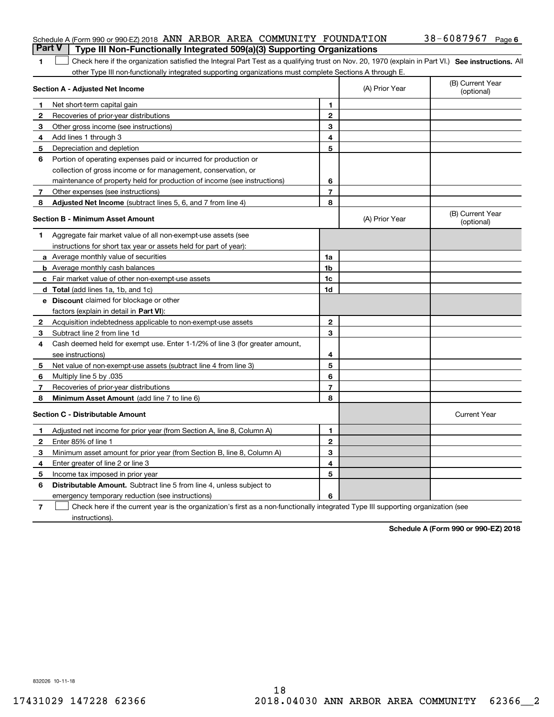| <b>Part V</b> Type III Non-Functionally Integrated 509(a)(3) Supporting Organizations |  |            |        |
|---------------------------------------------------------------------------------------|--|------------|--------|
| Schedule A (Form 990 or 990-EZ) 2018 ANN ARBOR AREA COMMUNITY FOUNDATION              |  | 38-6087967 | Page 6 |

| 1 Check here if the organization satisfied the Integral Part Test as a qualifying trust on Nov. 20, 1970 (explain in Part VI.) See instructions. All |  |
|------------------------------------------------------------------------------------------------------------------------------------------------------|--|
| other Type III non-functionally integrated supporting organizations must complete Sections A through E.                                              |  |

|                                         | Section A - Adjusted Net Income                                              | (A) Prior Year | (B) Current Year<br>(optional) |                                |
|-----------------------------------------|------------------------------------------------------------------------------|----------------|--------------------------------|--------------------------------|
| 1                                       | Net short-term capital gain                                                  | 1              |                                |                                |
| $\mathbf{2}$                            | Recoveries of prior-year distributions                                       | $\overline{2}$ |                                |                                |
| 3                                       | Other gross income (see instructions)                                        | 3              |                                |                                |
| 4                                       | Add lines 1 through 3                                                        | 4              |                                |                                |
| 5                                       | Depreciation and depletion                                                   | 5              |                                |                                |
| 6                                       | Portion of operating expenses paid or incurred for production or             |                |                                |                                |
|                                         | collection of gross income or for management, conservation, or               |                |                                |                                |
|                                         | maintenance of property held for production of income (see instructions)     | 6              |                                |                                |
| 7                                       | Other expenses (see instructions)                                            | $\overline{7}$ |                                |                                |
| 8                                       | Adjusted Net Income (subtract lines 5, 6, and 7 from line 4)                 | 8              |                                |                                |
| <b>Section B - Minimum Asset Amount</b> |                                                                              |                | (A) Prior Year                 | (B) Current Year<br>(optional) |
| 1                                       | Aggregate fair market value of all non-exempt-use assets (see                |                |                                |                                |
|                                         | instructions for short tax year or assets held for part of year):            |                |                                |                                |
|                                         | a Average monthly value of securities                                        | 1a             |                                |                                |
|                                         | <b>b</b> Average monthly cash balances                                       | 1b             |                                |                                |
|                                         | c Fair market value of other non-exempt-use assets                           | 1c             |                                |                                |
|                                         | d Total (add lines 1a, 1b, and 1c)                                           | 1d             |                                |                                |
|                                         | <b>e</b> Discount claimed for blockage or other                              |                |                                |                                |
|                                         | factors (explain in detail in <b>Part VI</b> ):                              |                |                                |                                |
| 2                                       | Acquisition indebtedness applicable to non-exempt-use assets                 | $\mathbf{2}$   |                                |                                |
| З                                       | Subtract line 2 from line 1d                                                 | 3              |                                |                                |
| 4                                       | Cash deemed held for exempt use. Enter 1-1/2% of line 3 (for greater amount, |                |                                |                                |
|                                         | see instructions)                                                            | 4              |                                |                                |
| 5                                       | Net value of non-exempt-use assets (subtract line 4 from line 3)             | 5              |                                |                                |
| 6                                       | Multiply line 5 by .035                                                      | 6              |                                |                                |
| 7                                       | Recoveries of prior-year distributions                                       | $\overline{7}$ |                                |                                |
| 8                                       | Minimum Asset Amount (add line 7 to line 6)                                  | 8              |                                |                                |
|                                         | <b>Section C - Distributable Amount</b>                                      |                |                                | <b>Current Year</b>            |
| 1                                       | Adjusted net income for prior year (from Section A, line 8, Column A)        | 1              |                                |                                |
| 2                                       | Enter 85% of line 1                                                          | $\overline{2}$ |                                |                                |
| 3                                       | Minimum asset amount for prior year (from Section B, line 8, Column A)       | 3              |                                |                                |
| 4                                       | Enter greater of line 2 or line 3                                            | 4              |                                |                                |
| 5                                       | Income tax imposed in prior year                                             | 5              |                                |                                |
| 6                                       | <b>Distributable Amount.</b> Subtract line 5 from line 4, unless subject to  |                |                                |                                |
|                                         | emergency temporary reduction (see instructions)                             | 6              |                                |                                |
|                                         |                                                                              |                |                                |                                |

**7** Check here if the current year is the organization's first as a non-functionally integrated Type III supporting organization (see instructions).

**Schedule A (Form 990 or 990-EZ) 2018**

832026 10-11-18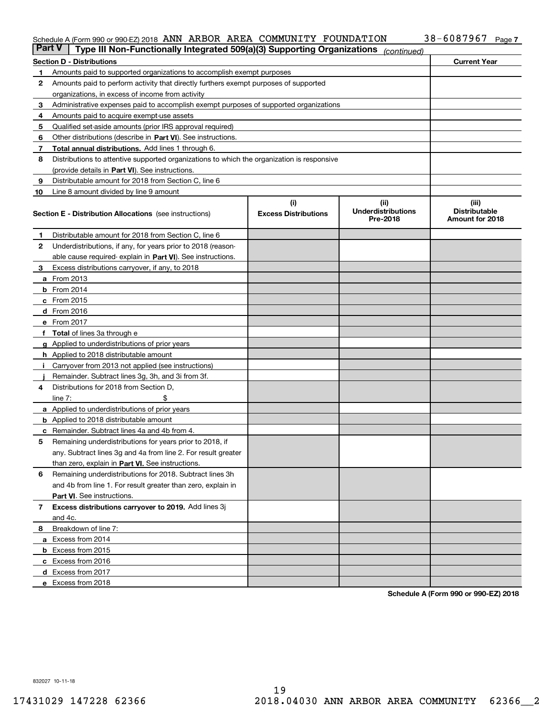#### Schedule A (Form 990 or 990-EZ) 2018 **ANN ARBOR AREA COMMUN**ITY FOUNDATIION 3 8 - 6 U 8 7 9 6 7 Page ANN ARBOR AREA COMMUNITY FOUNDATION 38-6087967

| <b>Part V</b> | Type III Non-Functionally Integrated 509(a)(3) Supporting Organizations                    |                             | (continued)                           |                                         |
|---------------|--------------------------------------------------------------------------------------------|-----------------------------|---------------------------------------|-----------------------------------------|
|               | <b>Section D - Distributions</b>                                                           |                             |                                       | <b>Current Year</b>                     |
| 1             | Amounts paid to supported organizations to accomplish exempt purposes                      |                             |                                       |                                         |
| 2             | Amounts paid to perform activity that directly furthers exempt purposes of supported       |                             |                                       |                                         |
|               | organizations, in excess of income from activity                                           |                             |                                       |                                         |
| 3             | Administrative expenses paid to accomplish exempt purposes of supported organizations      |                             |                                       |                                         |
| 4             | Amounts paid to acquire exempt-use assets                                                  |                             |                                       |                                         |
| 5             | Qualified set-aside amounts (prior IRS approval required)                                  |                             |                                       |                                         |
| 6             | Other distributions (describe in Part VI). See instructions.                               |                             |                                       |                                         |
| 7             | <b>Total annual distributions.</b> Add lines 1 through 6.                                  |                             |                                       |                                         |
| 8             | Distributions to attentive supported organizations to which the organization is responsive |                             |                                       |                                         |
|               | (provide details in Part VI). See instructions.                                            |                             |                                       |                                         |
| 9             | Distributable amount for 2018 from Section C, line 6                                       |                             |                                       |                                         |
| 10            | Line 8 amount divided by line 9 amount                                                     |                             |                                       |                                         |
|               |                                                                                            | (i)                         | (iii)                                 | (iii)                                   |
|               | <b>Section E - Distribution Allocations</b> (see instructions)                             | <b>Excess Distributions</b> | <b>Underdistributions</b><br>Pre-2018 | <b>Distributable</b><br>Amount for 2018 |
| 1             | Distributable amount for 2018 from Section C, line 6                                       |                             |                                       |                                         |
| 2             | Underdistributions, if any, for years prior to 2018 (reason-                               |                             |                                       |                                         |
|               | able cause required- explain in Part VI). See instructions.                                |                             |                                       |                                         |
| З             | Excess distributions carryover, if any, to 2018                                            |                             |                                       |                                         |
|               | <b>a</b> From 2013                                                                         |                             |                                       |                                         |
|               | <b>b</b> From 2014                                                                         |                             |                                       |                                         |
|               | $c$ From 2015                                                                              |                             |                                       |                                         |
|               | d From 2016                                                                                |                             |                                       |                                         |
|               | e From 2017                                                                                |                             |                                       |                                         |
|               | Total of lines 3a through e                                                                |                             |                                       |                                         |
| g             | Applied to underdistributions of prior years                                               |                             |                                       |                                         |
|               | <b>h</b> Applied to 2018 distributable amount                                              |                             |                                       |                                         |
|               | Carryover from 2013 not applied (see instructions)                                         |                             |                                       |                                         |
|               | Remainder. Subtract lines 3g, 3h, and 3i from 3f.                                          |                             |                                       |                                         |
| 4             | Distributions for 2018 from Section D,                                                     |                             |                                       |                                         |
|               | line $7:$                                                                                  |                             |                                       |                                         |
|               | <b>a</b> Applied to underdistributions of prior years                                      |                             |                                       |                                         |
|               | <b>b</b> Applied to 2018 distributable amount                                              |                             |                                       |                                         |
|               | c Remainder. Subtract lines 4a and 4b from 4.                                              |                             |                                       |                                         |
| 5             | Remaining underdistributions for years prior to 2018, if                                   |                             |                                       |                                         |
|               | any. Subtract lines 3g and 4a from line 2. For result greater                              |                             |                                       |                                         |
|               | than zero, explain in Part VI. See instructions.                                           |                             |                                       |                                         |
| 6             | Remaining underdistributions for 2018. Subtract lines 3h                                   |                             |                                       |                                         |
|               | and 4b from line 1. For result greater than zero, explain in                               |                             |                                       |                                         |
|               | Part VI. See instructions.                                                                 |                             |                                       |                                         |
| 7             | Excess distributions carryover to 2019. Add lines 3j                                       |                             |                                       |                                         |
|               | and 4c.                                                                                    |                             |                                       |                                         |
| 8             | Breakdown of line 7:                                                                       |                             |                                       |                                         |
|               | a Excess from 2014                                                                         |                             |                                       |                                         |
|               | <b>b</b> Excess from 2015                                                                  |                             |                                       |                                         |
|               | c Excess from 2016                                                                         |                             |                                       |                                         |
|               | d Excess from 2017                                                                         |                             |                                       |                                         |
|               | e Excess from 2018                                                                         |                             |                                       |                                         |

**Schedule A (Form 990 or 990-EZ) 2018**

832027 10-11-18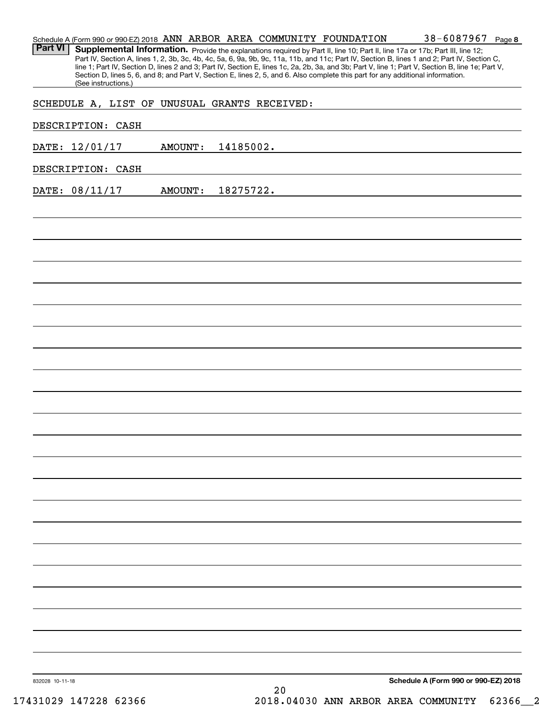|                   |                                              |                |           |    | Schedule A (Form 990 or 990-EZ) 2018 ANN ARBOR AREA COMMUNITY FOUNDATION                                                        | 38-6087967<br>Page 8                                                                                                                                                                                                                                                                                                                                                                                                              |
|-------------------|----------------------------------------------|----------------|-----------|----|---------------------------------------------------------------------------------------------------------------------------------|-----------------------------------------------------------------------------------------------------------------------------------------------------------------------------------------------------------------------------------------------------------------------------------------------------------------------------------------------------------------------------------------------------------------------------------|
| <b>Part VI</b>    | (See instructions.)                          |                |           |    | Section D, lines 5, 6, and 8; and Part V, Section E, lines 2, 5, and 6. Also complete this part for any additional information. | Supplemental Information. Provide the explanations required by Part II, line 10; Part II, line 17a or 17b; Part III, line 12;<br>Part IV, Section A, lines 1, 2, 3b, 3c, 4b, 4c, 5a, 6, 9a, 9b, 9c, 11a, 11b, and 11c; Part IV, Section B, lines 1 and 2; Part IV, Section C,<br>line 1; Part IV, Section D, lines 2 and 3; Part IV, Section E, lines 1c, 2a, 2b, 3a, and 3b; Part V, line 1; Part V, Section B, line 1e; Part V, |
|                   | SCHEDULE A, LIST OF UNUSUAL GRANTS RECEIVED: |                |           |    |                                                                                                                                 |                                                                                                                                                                                                                                                                                                                                                                                                                                   |
| DESCRIPTION: CASH |                                              |                |           |    |                                                                                                                                 |                                                                                                                                                                                                                                                                                                                                                                                                                                   |
| DATE: 12/01/17    |                                              | <b>AMOUNT:</b> | 14185002. |    |                                                                                                                                 |                                                                                                                                                                                                                                                                                                                                                                                                                                   |
| DESCRIPTION: CASH |                                              |                |           |    |                                                                                                                                 |                                                                                                                                                                                                                                                                                                                                                                                                                                   |
| DATE: 08/11/17    |                                              | <b>AMOUNT:</b> | 18275722. |    |                                                                                                                                 |                                                                                                                                                                                                                                                                                                                                                                                                                                   |
|                   |                                              |                |           |    |                                                                                                                                 |                                                                                                                                                                                                                                                                                                                                                                                                                                   |
|                   |                                              |                |           |    |                                                                                                                                 |                                                                                                                                                                                                                                                                                                                                                                                                                                   |
|                   |                                              |                |           |    |                                                                                                                                 |                                                                                                                                                                                                                                                                                                                                                                                                                                   |
|                   |                                              |                |           |    |                                                                                                                                 |                                                                                                                                                                                                                                                                                                                                                                                                                                   |
|                   |                                              |                |           |    |                                                                                                                                 |                                                                                                                                                                                                                                                                                                                                                                                                                                   |
|                   |                                              |                |           |    |                                                                                                                                 |                                                                                                                                                                                                                                                                                                                                                                                                                                   |
|                   |                                              |                |           |    |                                                                                                                                 |                                                                                                                                                                                                                                                                                                                                                                                                                                   |
|                   |                                              |                |           |    |                                                                                                                                 |                                                                                                                                                                                                                                                                                                                                                                                                                                   |
|                   |                                              |                |           |    |                                                                                                                                 |                                                                                                                                                                                                                                                                                                                                                                                                                                   |
|                   |                                              |                |           |    |                                                                                                                                 |                                                                                                                                                                                                                                                                                                                                                                                                                                   |
|                   |                                              |                |           |    |                                                                                                                                 |                                                                                                                                                                                                                                                                                                                                                                                                                                   |
|                   |                                              |                |           |    |                                                                                                                                 |                                                                                                                                                                                                                                                                                                                                                                                                                                   |
|                   |                                              |                |           |    |                                                                                                                                 |                                                                                                                                                                                                                                                                                                                                                                                                                                   |
|                   |                                              |                |           |    |                                                                                                                                 |                                                                                                                                                                                                                                                                                                                                                                                                                                   |
|                   |                                              |                |           |    |                                                                                                                                 |                                                                                                                                                                                                                                                                                                                                                                                                                                   |
|                   |                                              |                |           |    |                                                                                                                                 |                                                                                                                                                                                                                                                                                                                                                                                                                                   |
|                   |                                              |                |           |    |                                                                                                                                 |                                                                                                                                                                                                                                                                                                                                                                                                                                   |
|                   |                                              |                |           |    |                                                                                                                                 |                                                                                                                                                                                                                                                                                                                                                                                                                                   |
|                   |                                              |                |           |    |                                                                                                                                 |                                                                                                                                                                                                                                                                                                                                                                                                                                   |
|                   |                                              |                |           |    |                                                                                                                                 |                                                                                                                                                                                                                                                                                                                                                                                                                                   |
|                   |                                              |                |           |    |                                                                                                                                 |                                                                                                                                                                                                                                                                                                                                                                                                                                   |
| 832028 10-11-18   |                                              |                |           |    |                                                                                                                                 | Schedule A (Form 990 or 990-EZ) 2018                                                                                                                                                                                                                                                                                                                                                                                              |
|                   |                                              |                |           | 20 |                                                                                                                                 |                                                                                                                                                                                                                                                                                                                                                                                                                                   |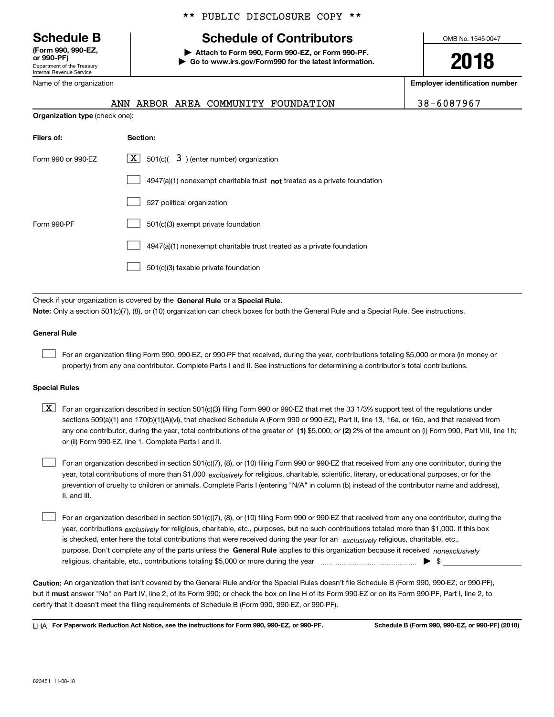Department of the Treasury Internal Revenue Service **(Form 990, 990-EZ, or 990-PF)**

Name of the organization

#### \*\* PUBLIC DISCLOSURE COPY \*\*

# **Schedule B Schedule of Contributors**

**| Attach to Form 990, Form 990-EZ, or Form 990-PF. | Go to www.irs.gov/Form990 for the latest information.** OMB No. 1545-0047

**2018**

**Employer identification number**

| 38-6087967 |  |  |  |  |
|------------|--|--|--|--|
|            |  |  |  |  |

| FOUNDATION                                                   | 38-6087967                                                                                                                                       |
|--------------------------------------------------------------|--------------------------------------------------------------------------------------------------------------------------------------------------|
|                                                              |                                                                                                                                                  |
| Section:                                                     |                                                                                                                                                  |
| -X I<br>501(c)( $\overline{3}$ ) (enter number) organization |                                                                                                                                                  |
|                                                              |                                                                                                                                                  |
| 527 political organization                                   |                                                                                                                                                  |
|                                                              | ANN ARBOR AREA COMMUNITY<br><b>Organization type (check one):</b><br>$4947(a)(1)$ nonexempt charitable trust not treated as a private foundation |

Form 990-PF 501(c)(3) exempt private foundation 4947(a)(1) nonexempt charitable trust treated as a private foundation 501(c)(3) taxable private foundation  $\mathcal{L}^{\text{max}}$  $\mathcal{L}^{\text{max}}$  $\mathcal{L}^{\text{max}}$ 

Check if your organization is covered by the **General Rule** or a **Special Rule. Note:**  Only a section 501(c)(7), (8), or (10) organization can check boxes for both the General Rule and a Special Rule. See instructions.

#### **General Rule**

 $\mathcal{L}^{\text{max}}$ 

For an organization filing Form 990, 990-EZ, or 990-PF that received, during the year, contributions totaling \$5,000 or more (in money or property) from any one contributor. Complete Parts I and II. See instructions for determining a contributor's total contributions.

#### **Special Rules**

any one contributor, during the year, total contributions of the greater of  $\,$  (1) \$5,000; or **(2)** 2% of the amount on (i) Form 990, Part VIII, line 1h;  $\boxed{\textbf{X}}$  For an organization described in section 501(c)(3) filing Form 990 or 990-EZ that met the 33 1/3% support test of the regulations under sections 509(a)(1) and 170(b)(1)(A)(vi), that checked Schedule A (Form 990 or 990-EZ), Part II, line 13, 16a, or 16b, and that received from or (ii) Form 990-EZ, line 1. Complete Parts I and II.

year, total contributions of more than \$1,000 *exclusively* for religious, charitable, scientific, literary, or educational purposes, or for the For an organization described in section 501(c)(7), (8), or (10) filing Form 990 or 990-EZ that received from any one contributor, during the prevention of cruelty to children or animals. Complete Parts I (entering "N/A" in column (b) instead of the contributor name and address), II, and III.  $\mathcal{L}^{\text{max}}$ 

purpose. Don't complete any of the parts unless the **General Rule** applies to this organization because it received *nonexclusively* year, contributions <sub>exclusively</sub> for religious, charitable, etc., purposes, but no such contributions totaled more than \$1,000. If this box is checked, enter here the total contributions that were received during the year for an  $\;$ exclusively religious, charitable, etc., For an organization described in section 501(c)(7), (8), or (10) filing Form 990 or 990-EZ that received from any one contributor, during the religious, charitable, etc., contributions totaling \$5,000 or more during the year  $\Box$ — $\Box$   $\Box$  $\mathcal{L}^{\text{max}}$ 

**Caution:**  An organization that isn't covered by the General Rule and/or the Special Rules doesn't file Schedule B (Form 990, 990-EZ, or 990-PF),  **must** but it answer "No" on Part IV, line 2, of its Form 990; or check the box on line H of its Form 990-EZ or on its Form 990-PF, Part I, line 2, to certify that it doesn't meet the filing requirements of Schedule B (Form 990, 990-EZ, or 990-PF).

**For Paperwork Reduction Act Notice, see the instructions for Form 990, 990-EZ, or 990-PF. Schedule B (Form 990, 990-EZ, or 990-PF) (2018)** LHA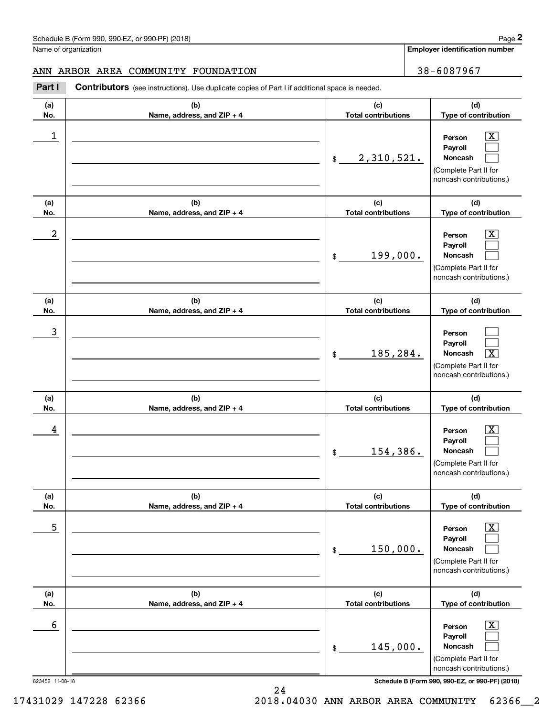**Employer identification number**

#### ANN ARBOR AREA COMMUNITY FOUNDATION | 38-6087967

Contributors (see instructions). Use duplicate copies of Part I if additional space is needed. Chedule B (Form 990, 990-EZ, or 990-PF) (2018)<br>Iame of organization<br>**2Part I 2Part I Contributors** (see instructions). Use duplicate copies of Part I if additional space is needed.

| (a)<br>No.      | (b)<br>Name, address, and ZIP + 4 | (c)<br><b>Total contributions</b> | (d)<br>Type of contribution                                                                                      |
|-----------------|-----------------------------------|-----------------------------------|------------------------------------------------------------------------------------------------------------------|
| 1               |                                   | 2,310,521.<br>$\frac{1}{2}$       | $\overline{\text{X}}$<br>Person<br>Payroll<br>Noncash<br>(Complete Part II for<br>noncash contributions.)        |
| (a)<br>No.      | (b)<br>Name, address, and ZIP + 4 | (c)<br><b>Total contributions</b> | (d)<br>Type of contribution                                                                                      |
| 2               |                                   | 199,000.<br>\$                    | $\overline{\text{X}}$<br>Person<br>Payroll<br>Noncash<br>(Complete Part II for<br>noncash contributions.)        |
| (a)<br>No.      | (b)<br>Name, address, and ZIP + 4 | (c)<br><b>Total contributions</b> | (d)<br>Type of contribution                                                                                      |
| 3               |                                   | 185,284.<br>\$                    | Person<br>Payroll<br>$\overline{\text{X}}$<br>Noncash<br>(Complete Part II for<br>noncash contributions.)        |
| (a)<br>No.      | (b)<br>Name, address, and ZIP + 4 | (c)<br><b>Total contributions</b> | (d)<br>Type of contribution                                                                                      |
| 4               |                                   | 154,386.<br>$\frac{1}{2}$         | $\overline{\text{X}}$<br>Person<br>Payroll<br><b>Noncash</b><br>(Complete Part II for<br>noncash contributions.) |
| (a)<br>No.      | (b)<br>Name, address, and ZIP + 4 | (c)<br><b>Total contributions</b> | (d)<br>Type of contribution                                                                                      |
| 5               |                                   | 150,000.<br>\$                    | $\overline{\mathbf{X}}$<br>Person<br>Payroll<br>Noncash<br>(Complete Part II for<br>noncash contributions.)      |
| (a)<br>No.      | (b)<br>Name, address, and ZIP + 4 | (c)<br><b>Total contributions</b> | (d)<br>Type of contribution                                                                                      |
| 6               |                                   | 145,000.<br>\$                    | $\boxed{\text{X}}$<br>Person<br>Payroll<br>Noncash<br>(Complete Part II for<br>noncash contributions.)           |
| 823452 11-08-18 |                                   |                                   | Schedule B (Form 990, 990-EZ, or 990-PF) (2018)                                                                  |

24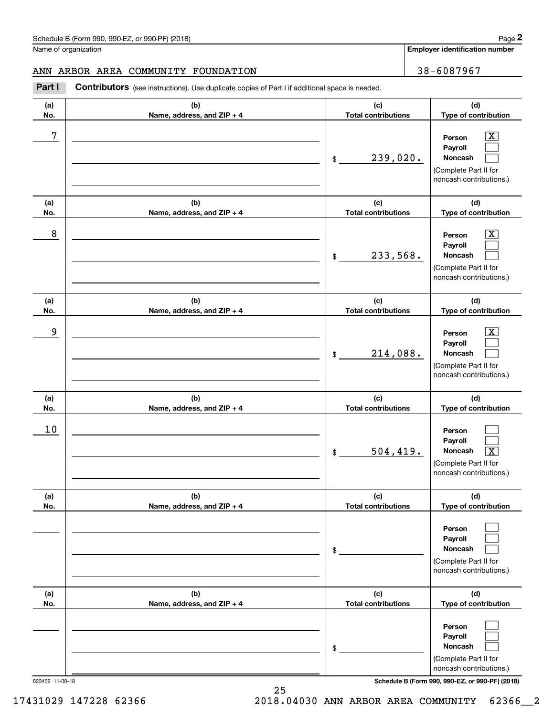**Employer identification number**

#### ANN ARBOR AREA COMMUNITY FOUNDATION | 38-6087967

Chedule B (Form 990, 990-EZ, or 990-PF) (2018)<br>
lame of organization<br> **28 - 6087967**<br> **28 - 6087967**<br> **28 - 6087967**<br> **28 - 6087967**<br> **28 - 6087967** 

| (a)<br>No. | (b)<br>Name, address, and ZIP + 4 | (c)<br><b>Total contributions</b> | (d)<br>Type of contribution                                                                                      |
|------------|-----------------------------------|-----------------------------------|------------------------------------------------------------------------------------------------------------------|
| 7          |                                   | 239,020.<br>\$                    | $\overline{\text{X}}$<br>Person<br>Payroll<br><b>Noncash</b><br>(Complete Part II for<br>noncash contributions.) |
| (a)<br>No. | (b)<br>Name, address, and ZIP + 4 | (c)<br><b>Total contributions</b> | (d)<br>Type of contribution                                                                                      |
| 8          |                                   | 233,568.<br>\$                    | $\overline{\text{X}}$<br>Person<br>Payroll<br>Noncash<br>(Complete Part II for<br>noncash contributions.)        |
| (a)<br>No. | (b)<br>Name, address, and ZIP + 4 | (c)<br><b>Total contributions</b> | (d)<br>Type of contribution                                                                                      |
| 9          |                                   | 214,088.<br>\$                    | $\overline{\text{X}}$<br>Person<br>Payroll<br>Noncash<br>(Complete Part II for<br>noncash contributions.)        |
| (a)<br>No. | (b)<br>Name, address, and ZIP + 4 | (c)<br><b>Total contributions</b> | (d)<br>Type of contribution                                                                                      |
| 10         |                                   | 504, 419.<br>\$                   | Person<br>Payroll<br>$\overline{\texttt{X}}$<br>Noncash<br>(Complete Part II for<br>noncash contributions.)      |
| (a)<br>No. | (b)<br>Name, address, and ZIP + 4 | (c)<br><b>Total contributions</b> | (d)<br>Type of contribution                                                                                      |
|            |                                   | \$                                | Person<br>Payroll<br>Noncash<br>(Complete Part II for<br>noncash contributions.)                                 |
| (a)<br>No. | (b)<br>Name, address, and ZIP + 4 | (c)<br><b>Total contributions</b> | (d)<br>Type of contribution                                                                                      |
|            |                                   | \$                                | Person<br>Payroll<br>Noncash<br>(Complete Part II for<br>noncash contributions.)                                 |

823452 11-08-18 **Schedule B (Form 990, 990-EZ, or 990-PF) (2018)**

25

17431029 147228 62366 2018.04030 ANN ARBOR AREA COMMUNITY 62366\_\_2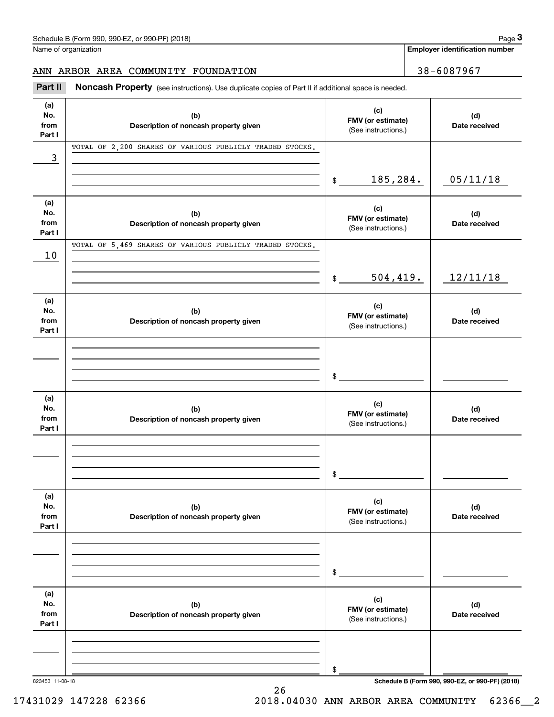Name of organization

**Employer identification number**

#### ANN ARBOR AREA COMMUNITY FOUNDATION | 38-6087967

(see instructions). Use duplicate copies of Part II if additional space is needed.<br> **2Part II Noncash Property** (see instructions). Use duplicate copies of Part II if additional space is needed.

| (a)<br>No.<br>from<br>Part I | (b)<br>Description of noncash property given             | (c)<br>FMV (or estimate)<br>(See instructions.) | (d)<br>Date received                            |
|------------------------------|----------------------------------------------------------|-------------------------------------------------|-------------------------------------------------|
| 3                            | TOTAL OF 2,200 SHARES OF VARIOUS PUBLICLY TRADED STOCKS. |                                                 |                                                 |
|                              |                                                          | 185,284.<br>$\frac{1}{2}$                       | 05/11/18                                        |
| (a)<br>No.<br>from<br>Part I | (b)<br>Description of noncash property given             | (c)<br>FMV (or estimate)<br>(See instructions.) | (d)<br>Date received                            |
| 10                           | TOTAL OF 5,469 SHARES OF VARIOUS PUBLICLY TRADED STOCKS. |                                                 |                                                 |
|                              |                                                          | 504,419.<br>$\frac{1}{2}$                       | 12/11/18                                        |
| (a)<br>No.<br>from<br>Part I | (b)<br>Description of noncash property given             | (c)<br>FMV (or estimate)<br>(See instructions.) | (d)<br>Date received                            |
|                              |                                                          | \$                                              |                                                 |
| (a)<br>No.<br>from<br>Part I | (b)<br>Description of noncash property given             | (c)<br>FMV (or estimate)<br>(See instructions.) | (d)<br>Date received                            |
|                              |                                                          | \$                                              |                                                 |
| (a)<br>No.<br>from<br>Part I | (b)<br>Description of noncash property given             | (c)<br>FMV (or estimate)<br>(See instructions.) | (d)<br>Date received                            |
|                              |                                                          | \$                                              |                                                 |
| (a)<br>No.<br>from<br>Part I | (b)<br>Description of noncash property given             | (c)<br>FMV (or estimate)<br>(See instructions.) | (d)<br>Date received                            |
|                              |                                                          | \$                                              |                                                 |
| 823453 11-08-18              |                                                          |                                                 | Schedule B (Form 990, 990-EZ, or 990-PF) (2018) |

26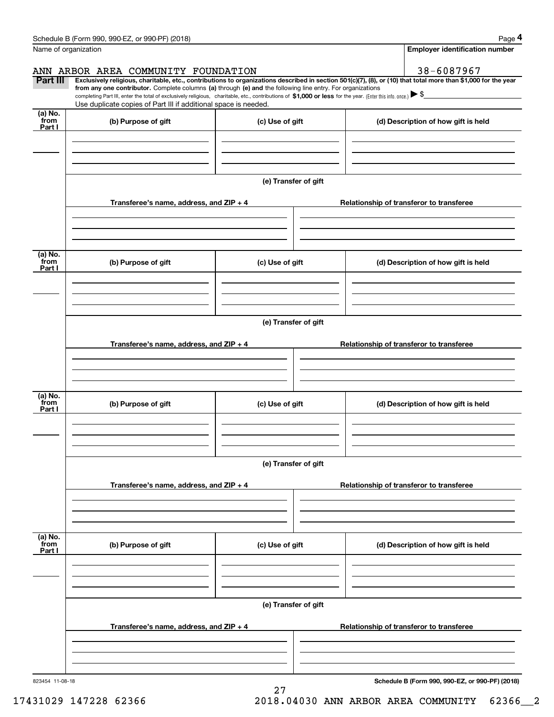|                 | Schedule B (Form 990, 990-EZ, or 990-PF) (2018)                                                                                                                                                                                                                              |                      |                                          |  | Page 4                                          |  |
|-----------------|------------------------------------------------------------------------------------------------------------------------------------------------------------------------------------------------------------------------------------------------------------------------------|----------------------|------------------------------------------|--|-------------------------------------------------|--|
|                 | Name of organization                                                                                                                                                                                                                                                         |                      |                                          |  | <b>Employer identification number</b>           |  |
|                 | ANN ARBOR AREA COMMUNITY FOUNDATION                                                                                                                                                                                                                                          |                      |                                          |  | 38-6087967                                      |  |
| Part III        | Exclusively religious, charitable, etc., contributions to organizations described in section 501(c)(7), (8), or (10) that total more than \$1,000 for the year<br>from any one contributor. Complete columns (a) through (e) and the following line entry. For organizations |                      |                                          |  |                                                 |  |
|                 | completing Part III, enter the total of exclusively religious, charitable, etc., contributions of \$1,000 or less for the year. (Enter this info. once.) $\blacktriangleright$ \$<br>Use duplicate copies of Part III if additional space is needed.                         |                      |                                          |  |                                                 |  |
| (a) No.         |                                                                                                                                                                                                                                                                              |                      |                                          |  |                                                 |  |
| from<br>Part I  | (b) Purpose of gift                                                                                                                                                                                                                                                          | (c) Use of gift      |                                          |  | (d) Description of how gift is held             |  |
|                 |                                                                                                                                                                                                                                                                              |                      |                                          |  |                                                 |  |
|                 |                                                                                                                                                                                                                                                                              |                      |                                          |  |                                                 |  |
|                 |                                                                                                                                                                                                                                                                              |                      |                                          |  |                                                 |  |
|                 |                                                                                                                                                                                                                                                                              | (e) Transfer of gift |                                          |  |                                                 |  |
|                 | Transferee's name, address, and ZIP + 4                                                                                                                                                                                                                                      |                      |                                          |  | Relationship of transferor to transferee        |  |
|                 |                                                                                                                                                                                                                                                                              |                      |                                          |  |                                                 |  |
|                 |                                                                                                                                                                                                                                                                              |                      |                                          |  |                                                 |  |
|                 |                                                                                                                                                                                                                                                                              |                      |                                          |  |                                                 |  |
| (a) No.<br>from |                                                                                                                                                                                                                                                                              |                      |                                          |  |                                                 |  |
| Part I          | (b) Purpose of gift                                                                                                                                                                                                                                                          | (c) Use of gift      |                                          |  | (d) Description of how gift is held             |  |
|                 |                                                                                                                                                                                                                                                                              |                      |                                          |  |                                                 |  |
|                 |                                                                                                                                                                                                                                                                              |                      |                                          |  |                                                 |  |
|                 |                                                                                                                                                                                                                                                                              |                      |                                          |  |                                                 |  |
|                 | (e) Transfer of gift                                                                                                                                                                                                                                                         |                      |                                          |  |                                                 |  |
|                 | Transferee's name, address, and ZIP + 4                                                                                                                                                                                                                                      |                      |                                          |  | Relationship of transferor to transferee        |  |
|                 |                                                                                                                                                                                                                                                                              |                      |                                          |  |                                                 |  |
|                 |                                                                                                                                                                                                                                                                              |                      |                                          |  |                                                 |  |
|                 |                                                                                                                                                                                                                                                                              |                      |                                          |  |                                                 |  |
| (a) No.<br>from | (b) Purpose of gift                                                                                                                                                                                                                                                          | (c) Use of gift      |                                          |  | (d) Description of how gift is held             |  |
| Part I          |                                                                                                                                                                                                                                                                              |                      |                                          |  |                                                 |  |
|                 |                                                                                                                                                                                                                                                                              |                      |                                          |  |                                                 |  |
|                 |                                                                                                                                                                                                                                                                              |                      |                                          |  |                                                 |  |
|                 | (e) Transfer of gift                                                                                                                                                                                                                                                         |                      |                                          |  |                                                 |  |
|                 |                                                                                                                                                                                                                                                                              |                      |                                          |  |                                                 |  |
|                 | Transferee's name, address, and $ZIP + 4$                                                                                                                                                                                                                                    |                      | Relationship of transferor to transferee |  |                                                 |  |
|                 |                                                                                                                                                                                                                                                                              |                      |                                          |  |                                                 |  |
|                 |                                                                                                                                                                                                                                                                              |                      |                                          |  |                                                 |  |
| (a) No.         |                                                                                                                                                                                                                                                                              |                      |                                          |  |                                                 |  |
| `from<br>Part I | (b) Purpose of gift                                                                                                                                                                                                                                                          | (c) Use of gift      |                                          |  | (d) Description of how gift is held             |  |
|                 |                                                                                                                                                                                                                                                                              |                      |                                          |  |                                                 |  |
|                 |                                                                                                                                                                                                                                                                              |                      |                                          |  |                                                 |  |
|                 |                                                                                                                                                                                                                                                                              |                      |                                          |  |                                                 |  |
|                 | (e) Transfer of gift                                                                                                                                                                                                                                                         |                      |                                          |  |                                                 |  |
|                 |                                                                                                                                                                                                                                                                              |                      |                                          |  |                                                 |  |
|                 | Transferee's name, address, and $ZIP + 4$                                                                                                                                                                                                                                    |                      |                                          |  | Relationship of transferor to transferee        |  |
|                 |                                                                                                                                                                                                                                                                              |                      |                                          |  |                                                 |  |
|                 |                                                                                                                                                                                                                                                                              |                      |                                          |  |                                                 |  |
| 823454 11-08-18 |                                                                                                                                                                                                                                                                              |                      |                                          |  | Schedule B (Form 990, 990-EZ, or 990-PF) (2018) |  |

27

**Schedule B (Form 990, 990-EZ, or 990-PF) (2018)**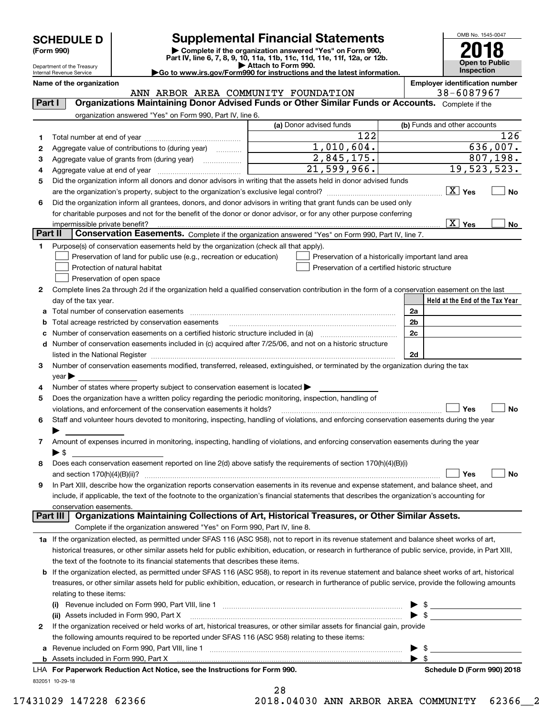| <b>SCHEDULE D</b> |  |  |
|-------------------|--|--|
|-------------------|--|--|

Department of the Treasury Internal Revenue Service

## **SCHEDULE D Supplemental Financial Statements**

(Form 990)<br>
Pepartment of the Treasury<br>
Department of the Treasury<br>
Department of the Treasury<br>
Department of the Treasury<br> **Co to www.irs.gov/Form990 for instructions and the latest information.**<br> **Co to www.irs.gov/Form9** 

OMB No. 1545-0047 **Open to Public Inspection 2018**

|  | Go to www.irs.gov/Form990 for instructions and the latest informa |  |  |  |
|--|-------------------------------------------------------------------|--|--|--|
|  |                                                                   |  |  |  |

| ANN ARBOR AREA COMMUNITY FOUNDATION<br>Organizations Maintaining Donor Advised Funds or Other Similar Funds or Accounts. Complete if the<br>Part I<br>organization answered "Yes" on Form 990, Part IV, line 6.<br>(a) Donor advised funds<br>(b) Funds and other accounts<br>122<br>126<br>1<br>1,010,604.<br>$\overline{636}$ , 007.<br>Aggregate value of contributions to (during year)<br>2<br>2,845,175.<br>807, 198.<br>3<br>$\overline{21,599,966}$ .<br>19,523,523.<br>4<br>Did the organization inform all donors and donor advisors in writing that the assets held in donor advised funds<br>5<br>$\boxed{\text{X}}$ Yes<br>No<br>Did the organization inform all grantees, donors, and donor advisors in writing that grant funds can be used only<br>6<br>for charitable purposes and not for the benefit of the donor or donor advisor, or for any other purpose conferring<br>$\overline{X}$ Yes<br>impermissible private benefit?<br>No<br>Part II<br>Conservation Easements. Complete if the organization answered "Yes" on Form 990, Part IV, line 7.<br>Purpose(s) of conservation easements held by the organization (check all that apply).<br>1<br>Preservation of land for public use (e.g., recreation or education)<br>Preservation of a historically important land area<br>Protection of natural habitat<br>Preservation of a certified historic structure<br>Preservation of open space<br>Complete lines 2a through 2d if the organization held a qualified conservation contribution in the form of a conservation easement on the last<br>2<br>day of the tax year.<br>Held at the End of the Tax Year<br>a Total number of conservation easements<br>2a<br>Total acreage restricted by conservation easements<br>2b<br>b<br>2c<br>c<br>d Number of conservation easements included in (c) acquired after 7/25/06, and not on a historic structure<br>2d<br>Number of conservation easements modified, transferred, released, extinguished, or terminated by the organization during the tax<br>з<br>$year \blacktriangleright$<br>Number of states where property subject to conservation easement is located ><br>4<br>Does the organization have a written policy regarding the periodic monitoring, inspection, handling of<br>5<br><b>No</b><br>Yes<br>violations, and enforcement of the conservation easements it holds?<br>Staff and volunteer hours devoted to monitoring, inspecting, handling of violations, and enforcing conservation easements during the year<br>6<br>Amount of expenses incurred in monitoring, inspecting, handling of violations, and enforcing conservation easements during the year<br>7<br>▶ \$<br>Does each conservation easement reported on line 2(d) above satisfy the requirements of section 170(h)(4)(B)(i)<br>8<br>Yes<br>No<br>and section $170(h)(4)(B)(ii)?$<br>In Part XIII, describe how the organization reports conservation easements in its revenue and expense statement, and balance sheet, and<br>include, if applicable, the text of the footnote to the organization's financial statements that describes the organization's accounting for<br>conservation easements.<br>Organizations Maintaining Collections of Art, Historical Treasures, or Other Similar Assets.<br>Part III  <br>Complete if the organization answered "Yes" on Form 990, Part IV, line 8.<br>1a If the organization elected, as permitted under SFAS 116 (ASC 958), not to report in its revenue statement and balance sheet works of art,<br>historical treasures, or other similar assets held for public exhibition, education, or research in furtherance of public service, provide, in Part XIII,<br>the text of the footnote to its financial statements that describes these items.<br><b>b</b> If the organization elected, as permitted under SFAS 116 (ASC 958), to report in its revenue statement and balance sheet works of art, historical<br>treasures, or other similar assets held for public exhibition, education, or research in furtherance of public service, provide the following amounts<br>relating to these items:<br>(i) Revenue included on Form 990, Part VIII, line 1 [2000] [2010] Contract the included on Form 990, Part VIII, line 1<br>$\blacktriangleright$ \$<br>(ii) Assets included in Form 990, Part X<br>If the organization received or held works of art, historical treasures, or other similar assets for financial gain, provide<br>2<br>the following amounts required to be reported under SFAS 116 (ASC 958) relating to these items:<br>$\blacktriangleright$ \$<br>$\blacktriangleright$ \$<br>LHA For Paperwork Reduction Act Notice, see the Instructions for Form 990. | Name of the organization |  | <b>Employer identification number</b><br>38-6087967 |
|-----------------------------------------------------------------------------------------------------------------------------------------------------------------------------------------------------------------------------------------------------------------------------------------------------------------------------------------------------------------------------------------------------------------------------------------------------------------------------------------------------------------------------------------------------------------------------------------------------------------------------------------------------------------------------------------------------------------------------------------------------------------------------------------------------------------------------------------------------------------------------------------------------------------------------------------------------------------------------------------------------------------------------------------------------------------------------------------------------------------------------------------------------------------------------------------------------------------------------------------------------------------------------------------------------------------------------------------------------------------------------------------------------------------------------------------------------------------------------------------------------------------------------------------------------------------------------------------------------------------------------------------------------------------------------------------------------------------------------------------------------------------------------------------------------------------------------------------------------------------------------------------------------------------------------------------------------------------------------------------------------------------------------------------------------------------------------------------------------------------------------------------------------------------------------------------------------------------------------------------------------------------------------------------------------------------------------------------------------------------------------------------------------------------------------------------------------------------------------------------------------------------------------------------------------------------------------------------------------------------------------------------------------------------------------------------------------------------------------------------------------------------------------------------------------------------------------------------------------------------------------------------------------------------------------------------------------------------------------------------------------------------------------------------------------------------------------------------------------------------------------------------------------------------------------------------------------------------------------------------------------------------------------------------------------------------------------------------------------------------------------------------------------------------------------------------------------------------------------------------------------------------------------------------------------------------------------------------------------------------------------------------------------------------------------------------------------------------------------------------------------------------------------------------------------------------------------------------------------------------------------------------------------------------------------------------------------------------------------------------------------------------------------------------------------------------------------------------------------------------------------------------------------------------------------------------------------------------------------------------------------------------------------------------------------------------------------------------------------------------------------------------------------------------------------------------------------------------------------------------------------------------------------------------------------------------------------------------------------------------------------------------------------------------------------------------------------|--------------------------|--|-----------------------------------------------------|
|                                                                                                                                                                                                                                                                                                                                                                                                                                                                                                                                                                                                                                                                                                                                                                                                                                                                                                                                                                                                                                                                                                                                                                                                                                                                                                                                                                                                                                                                                                                                                                                                                                                                                                                                                                                                                                                                                                                                                                                                                                                                                                                                                                                                                                                                                                                                                                                                                                                                                                                                                                                                                                                                                                                                                                                                                                                                                                                                                                                                                                                                                                                                                                                                                                                                                                                                                                                                                                                                                                                                                                                                                                                                                                                                                                                                                                                                                                                                                                                                                                                                                                                                                                                                                                                                                                                                                                                                                                                                                                                                                                                                                                                                                                     |                          |  |                                                     |
|                                                                                                                                                                                                                                                                                                                                                                                                                                                                                                                                                                                                                                                                                                                                                                                                                                                                                                                                                                                                                                                                                                                                                                                                                                                                                                                                                                                                                                                                                                                                                                                                                                                                                                                                                                                                                                                                                                                                                                                                                                                                                                                                                                                                                                                                                                                                                                                                                                                                                                                                                                                                                                                                                                                                                                                                                                                                                                                                                                                                                                                                                                                                                                                                                                                                                                                                                                                                                                                                                                                                                                                                                                                                                                                                                                                                                                                                                                                                                                                                                                                                                                                                                                                                                                                                                                                                                                                                                                                                                                                                                                                                                                                                                                     |                          |  |                                                     |
|                                                                                                                                                                                                                                                                                                                                                                                                                                                                                                                                                                                                                                                                                                                                                                                                                                                                                                                                                                                                                                                                                                                                                                                                                                                                                                                                                                                                                                                                                                                                                                                                                                                                                                                                                                                                                                                                                                                                                                                                                                                                                                                                                                                                                                                                                                                                                                                                                                                                                                                                                                                                                                                                                                                                                                                                                                                                                                                                                                                                                                                                                                                                                                                                                                                                                                                                                                                                                                                                                                                                                                                                                                                                                                                                                                                                                                                                                                                                                                                                                                                                                                                                                                                                                                                                                                                                                                                                                                                                                                                                                                                                                                                                                                     |                          |  |                                                     |
|                                                                                                                                                                                                                                                                                                                                                                                                                                                                                                                                                                                                                                                                                                                                                                                                                                                                                                                                                                                                                                                                                                                                                                                                                                                                                                                                                                                                                                                                                                                                                                                                                                                                                                                                                                                                                                                                                                                                                                                                                                                                                                                                                                                                                                                                                                                                                                                                                                                                                                                                                                                                                                                                                                                                                                                                                                                                                                                                                                                                                                                                                                                                                                                                                                                                                                                                                                                                                                                                                                                                                                                                                                                                                                                                                                                                                                                                                                                                                                                                                                                                                                                                                                                                                                                                                                                                                                                                                                                                                                                                                                                                                                                                                                     |                          |  |                                                     |
|                                                                                                                                                                                                                                                                                                                                                                                                                                                                                                                                                                                                                                                                                                                                                                                                                                                                                                                                                                                                                                                                                                                                                                                                                                                                                                                                                                                                                                                                                                                                                                                                                                                                                                                                                                                                                                                                                                                                                                                                                                                                                                                                                                                                                                                                                                                                                                                                                                                                                                                                                                                                                                                                                                                                                                                                                                                                                                                                                                                                                                                                                                                                                                                                                                                                                                                                                                                                                                                                                                                                                                                                                                                                                                                                                                                                                                                                                                                                                                                                                                                                                                                                                                                                                                                                                                                                                                                                                                                                                                                                                                                                                                                                                                     |                          |  |                                                     |
|                                                                                                                                                                                                                                                                                                                                                                                                                                                                                                                                                                                                                                                                                                                                                                                                                                                                                                                                                                                                                                                                                                                                                                                                                                                                                                                                                                                                                                                                                                                                                                                                                                                                                                                                                                                                                                                                                                                                                                                                                                                                                                                                                                                                                                                                                                                                                                                                                                                                                                                                                                                                                                                                                                                                                                                                                                                                                                                                                                                                                                                                                                                                                                                                                                                                                                                                                                                                                                                                                                                                                                                                                                                                                                                                                                                                                                                                                                                                                                                                                                                                                                                                                                                                                                                                                                                                                                                                                                                                                                                                                                                                                                                                                                     |                          |  |                                                     |
|                                                                                                                                                                                                                                                                                                                                                                                                                                                                                                                                                                                                                                                                                                                                                                                                                                                                                                                                                                                                                                                                                                                                                                                                                                                                                                                                                                                                                                                                                                                                                                                                                                                                                                                                                                                                                                                                                                                                                                                                                                                                                                                                                                                                                                                                                                                                                                                                                                                                                                                                                                                                                                                                                                                                                                                                                                                                                                                                                                                                                                                                                                                                                                                                                                                                                                                                                                                                                                                                                                                                                                                                                                                                                                                                                                                                                                                                                                                                                                                                                                                                                                                                                                                                                                                                                                                                                                                                                                                                                                                                                                                                                                                                                                     |                          |  |                                                     |
|                                                                                                                                                                                                                                                                                                                                                                                                                                                                                                                                                                                                                                                                                                                                                                                                                                                                                                                                                                                                                                                                                                                                                                                                                                                                                                                                                                                                                                                                                                                                                                                                                                                                                                                                                                                                                                                                                                                                                                                                                                                                                                                                                                                                                                                                                                                                                                                                                                                                                                                                                                                                                                                                                                                                                                                                                                                                                                                                                                                                                                                                                                                                                                                                                                                                                                                                                                                                                                                                                                                                                                                                                                                                                                                                                                                                                                                                                                                                                                                                                                                                                                                                                                                                                                                                                                                                                                                                                                                                                                                                                                                                                                                                                                     |                          |  |                                                     |
|                                                                                                                                                                                                                                                                                                                                                                                                                                                                                                                                                                                                                                                                                                                                                                                                                                                                                                                                                                                                                                                                                                                                                                                                                                                                                                                                                                                                                                                                                                                                                                                                                                                                                                                                                                                                                                                                                                                                                                                                                                                                                                                                                                                                                                                                                                                                                                                                                                                                                                                                                                                                                                                                                                                                                                                                                                                                                                                                                                                                                                                                                                                                                                                                                                                                                                                                                                                                                                                                                                                                                                                                                                                                                                                                                                                                                                                                                                                                                                                                                                                                                                                                                                                                                                                                                                                                                                                                                                                                                                                                                                                                                                                                                                     |                          |  |                                                     |
|                                                                                                                                                                                                                                                                                                                                                                                                                                                                                                                                                                                                                                                                                                                                                                                                                                                                                                                                                                                                                                                                                                                                                                                                                                                                                                                                                                                                                                                                                                                                                                                                                                                                                                                                                                                                                                                                                                                                                                                                                                                                                                                                                                                                                                                                                                                                                                                                                                                                                                                                                                                                                                                                                                                                                                                                                                                                                                                                                                                                                                                                                                                                                                                                                                                                                                                                                                                                                                                                                                                                                                                                                                                                                                                                                                                                                                                                                                                                                                                                                                                                                                                                                                                                                                                                                                                                                                                                                                                                                                                                                                                                                                                                                                     |                          |  |                                                     |
|                                                                                                                                                                                                                                                                                                                                                                                                                                                                                                                                                                                                                                                                                                                                                                                                                                                                                                                                                                                                                                                                                                                                                                                                                                                                                                                                                                                                                                                                                                                                                                                                                                                                                                                                                                                                                                                                                                                                                                                                                                                                                                                                                                                                                                                                                                                                                                                                                                                                                                                                                                                                                                                                                                                                                                                                                                                                                                                                                                                                                                                                                                                                                                                                                                                                                                                                                                                                                                                                                                                                                                                                                                                                                                                                                                                                                                                                                                                                                                                                                                                                                                                                                                                                                                                                                                                                                                                                                                                                                                                                                                                                                                                                                                     |                          |  |                                                     |
|                                                                                                                                                                                                                                                                                                                                                                                                                                                                                                                                                                                                                                                                                                                                                                                                                                                                                                                                                                                                                                                                                                                                                                                                                                                                                                                                                                                                                                                                                                                                                                                                                                                                                                                                                                                                                                                                                                                                                                                                                                                                                                                                                                                                                                                                                                                                                                                                                                                                                                                                                                                                                                                                                                                                                                                                                                                                                                                                                                                                                                                                                                                                                                                                                                                                                                                                                                                                                                                                                                                                                                                                                                                                                                                                                                                                                                                                                                                                                                                                                                                                                                                                                                                                                                                                                                                                                                                                                                                                                                                                                                                                                                                                                                     |                          |  |                                                     |
|                                                                                                                                                                                                                                                                                                                                                                                                                                                                                                                                                                                                                                                                                                                                                                                                                                                                                                                                                                                                                                                                                                                                                                                                                                                                                                                                                                                                                                                                                                                                                                                                                                                                                                                                                                                                                                                                                                                                                                                                                                                                                                                                                                                                                                                                                                                                                                                                                                                                                                                                                                                                                                                                                                                                                                                                                                                                                                                                                                                                                                                                                                                                                                                                                                                                                                                                                                                                                                                                                                                                                                                                                                                                                                                                                                                                                                                                                                                                                                                                                                                                                                                                                                                                                                                                                                                                                                                                                                                                                                                                                                                                                                                                                                     |                          |  |                                                     |
|                                                                                                                                                                                                                                                                                                                                                                                                                                                                                                                                                                                                                                                                                                                                                                                                                                                                                                                                                                                                                                                                                                                                                                                                                                                                                                                                                                                                                                                                                                                                                                                                                                                                                                                                                                                                                                                                                                                                                                                                                                                                                                                                                                                                                                                                                                                                                                                                                                                                                                                                                                                                                                                                                                                                                                                                                                                                                                                                                                                                                                                                                                                                                                                                                                                                                                                                                                                                                                                                                                                                                                                                                                                                                                                                                                                                                                                                                                                                                                                                                                                                                                                                                                                                                                                                                                                                                                                                                                                                                                                                                                                                                                                                                                     |                          |  |                                                     |
|                                                                                                                                                                                                                                                                                                                                                                                                                                                                                                                                                                                                                                                                                                                                                                                                                                                                                                                                                                                                                                                                                                                                                                                                                                                                                                                                                                                                                                                                                                                                                                                                                                                                                                                                                                                                                                                                                                                                                                                                                                                                                                                                                                                                                                                                                                                                                                                                                                                                                                                                                                                                                                                                                                                                                                                                                                                                                                                                                                                                                                                                                                                                                                                                                                                                                                                                                                                                                                                                                                                                                                                                                                                                                                                                                                                                                                                                                                                                                                                                                                                                                                                                                                                                                                                                                                                                                                                                                                                                                                                                                                                                                                                                                                     |                          |  |                                                     |
|                                                                                                                                                                                                                                                                                                                                                                                                                                                                                                                                                                                                                                                                                                                                                                                                                                                                                                                                                                                                                                                                                                                                                                                                                                                                                                                                                                                                                                                                                                                                                                                                                                                                                                                                                                                                                                                                                                                                                                                                                                                                                                                                                                                                                                                                                                                                                                                                                                                                                                                                                                                                                                                                                                                                                                                                                                                                                                                                                                                                                                                                                                                                                                                                                                                                                                                                                                                                                                                                                                                                                                                                                                                                                                                                                                                                                                                                                                                                                                                                                                                                                                                                                                                                                                                                                                                                                                                                                                                                                                                                                                                                                                                                                                     |                          |  |                                                     |
|                                                                                                                                                                                                                                                                                                                                                                                                                                                                                                                                                                                                                                                                                                                                                                                                                                                                                                                                                                                                                                                                                                                                                                                                                                                                                                                                                                                                                                                                                                                                                                                                                                                                                                                                                                                                                                                                                                                                                                                                                                                                                                                                                                                                                                                                                                                                                                                                                                                                                                                                                                                                                                                                                                                                                                                                                                                                                                                                                                                                                                                                                                                                                                                                                                                                                                                                                                                                                                                                                                                                                                                                                                                                                                                                                                                                                                                                                                                                                                                                                                                                                                                                                                                                                                                                                                                                                                                                                                                                                                                                                                                                                                                                                                     |                          |  |                                                     |
|                                                                                                                                                                                                                                                                                                                                                                                                                                                                                                                                                                                                                                                                                                                                                                                                                                                                                                                                                                                                                                                                                                                                                                                                                                                                                                                                                                                                                                                                                                                                                                                                                                                                                                                                                                                                                                                                                                                                                                                                                                                                                                                                                                                                                                                                                                                                                                                                                                                                                                                                                                                                                                                                                                                                                                                                                                                                                                                                                                                                                                                                                                                                                                                                                                                                                                                                                                                                                                                                                                                                                                                                                                                                                                                                                                                                                                                                                                                                                                                                                                                                                                                                                                                                                                                                                                                                                                                                                                                                                                                                                                                                                                                                                                     |                          |  |                                                     |
|                                                                                                                                                                                                                                                                                                                                                                                                                                                                                                                                                                                                                                                                                                                                                                                                                                                                                                                                                                                                                                                                                                                                                                                                                                                                                                                                                                                                                                                                                                                                                                                                                                                                                                                                                                                                                                                                                                                                                                                                                                                                                                                                                                                                                                                                                                                                                                                                                                                                                                                                                                                                                                                                                                                                                                                                                                                                                                                                                                                                                                                                                                                                                                                                                                                                                                                                                                                                                                                                                                                                                                                                                                                                                                                                                                                                                                                                                                                                                                                                                                                                                                                                                                                                                                                                                                                                                                                                                                                                                                                                                                                                                                                                                                     |                          |  |                                                     |
|                                                                                                                                                                                                                                                                                                                                                                                                                                                                                                                                                                                                                                                                                                                                                                                                                                                                                                                                                                                                                                                                                                                                                                                                                                                                                                                                                                                                                                                                                                                                                                                                                                                                                                                                                                                                                                                                                                                                                                                                                                                                                                                                                                                                                                                                                                                                                                                                                                                                                                                                                                                                                                                                                                                                                                                                                                                                                                                                                                                                                                                                                                                                                                                                                                                                                                                                                                                                                                                                                                                                                                                                                                                                                                                                                                                                                                                                                                                                                                                                                                                                                                                                                                                                                                                                                                                                                                                                                                                                                                                                                                                                                                                                                                     |                          |  |                                                     |
|                                                                                                                                                                                                                                                                                                                                                                                                                                                                                                                                                                                                                                                                                                                                                                                                                                                                                                                                                                                                                                                                                                                                                                                                                                                                                                                                                                                                                                                                                                                                                                                                                                                                                                                                                                                                                                                                                                                                                                                                                                                                                                                                                                                                                                                                                                                                                                                                                                                                                                                                                                                                                                                                                                                                                                                                                                                                                                                                                                                                                                                                                                                                                                                                                                                                                                                                                                                                                                                                                                                                                                                                                                                                                                                                                                                                                                                                                                                                                                                                                                                                                                                                                                                                                                                                                                                                                                                                                                                                                                                                                                                                                                                                                                     |                          |  |                                                     |
|                                                                                                                                                                                                                                                                                                                                                                                                                                                                                                                                                                                                                                                                                                                                                                                                                                                                                                                                                                                                                                                                                                                                                                                                                                                                                                                                                                                                                                                                                                                                                                                                                                                                                                                                                                                                                                                                                                                                                                                                                                                                                                                                                                                                                                                                                                                                                                                                                                                                                                                                                                                                                                                                                                                                                                                                                                                                                                                                                                                                                                                                                                                                                                                                                                                                                                                                                                                                                                                                                                                                                                                                                                                                                                                                                                                                                                                                                                                                                                                                                                                                                                                                                                                                                                                                                                                                                                                                                                                                                                                                                                                                                                                                                                     |                          |  |                                                     |
|                                                                                                                                                                                                                                                                                                                                                                                                                                                                                                                                                                                                                                                                                                                                                                                                                                                                                                                                                                                                                                                                                                                                                                                                                                                                                                                                                                                                                                                                                                                                                                                                                                                                                                                                                                                                                                                                                                                                                                                                                                                                                                                                                                                                                                                                                                                                                                                                                                                                                                                                                                                                                                                                                                                                                                                                                                                                                                                                                                                                                                                                                                                                                                                                                                                                                                                                                                                                                                                                                                                                                                                                                                                                                                                                                                                                                                                                                                                                                                                                                                                                                                                                                                                                                                                                                                                                                                                                                                                                                                                                                                                                                                                                                                     |                          |  |                                                     |
|                                                                                                                                                                                                                                                                                                                                                                                                                                                                                                                                                                                                                                                                                                                                                                                                                                                                                                                                                                                                                                                                                                                                                                                                                                                                                                                                                                                                                                                                                                                                                                                                                                                                                                                                                                                                                                                                                                                                                                                                                                                                                                                                                                                                                                                                                                                                                                                                                                                                                                                                                                                                                                                                                                                                                                                                                                                                                                                                                                                                                                                                                                                                                                                                                                                                                                                                                                                                                                                                                                                                                                                                                                                                                                                                                                                                                                                                                                                                                                                                                                                                                                                                                                                                                                                                                                                                                                                                                                                                                                                                                                                                                                                                                                     |                          |  |                                                     |
|                                                                                                                                                                                                                                                                                                                                                                                                                                                                                                                                                                                                                                                                                                                                                                                                                                                                                                                                                                                                                                                                                                                                                                                                                                                                                                                                                                                                                                                                                                                                                                                                                                                                                                                                                                                                                                                                                                                                                                                                                                                                                                                                                                                                                                                                                                                                                                                                                                                                                                                                                                                                                                                                                                                                                                                                                                                                                                                                                                                                                                                                                                                                                                                                                                                                                                                                                                                                                                                                                                                                                                                                                                                                                                                                                                                                                                                                                                                                                                                                                                                                                                                                                                                                                                                                                                                                                                                                                                                                                                                                                                                                                                                                                                     |                          |  |                                                     |
|                                                                                                                                                                                                                                                                                                                                                                                                                                                                                                                                                                                                                                                                                                                                                                                                                                                                                                                                                                                                                                                                                                                                                                                                                                                                                                                                                                                                                                                                                                                                                                                                                                                                                                                                                                                                                                                                                                                                                                                                                                                                                                                                                                                                                                                                                                                                                                                                                                                                                                                                                                                                                                                                                                                                                                                                                                                                                                                                                                                                                                                                                                                                                                                                                                                                                                                                                                                                                                                                                                                                                                                                                                                                                                                                                                                                                                                                                                                                                                                                                                                                                                                                                                                                                                                                                                                                                                                                                                                                                                                                                                                                                                                                                                     |                          |  |                                                     |
|                                                                                                                                                                                                                                                                                                                                                                                                                                                                                                                                                                                                                                                                                                                                                                                                                                                                                                                                                                                                                                                                                                                                                                                                                                                                                                                                                                                                                                                                                                                                                                                                                                                                                                                                                                                                                                                                                                                                                                                                                                                                                                                                                                                                                                                                                                                                                                                                                                                                                                                                                                                                                                                                                                                                                                                                                                                                                                                                                                                                                                                                                                                                                                                                                                                                                                                                                                                                                                                                                                                                                                                                                                                                                                                                                                                                                                                                                                                                                                                                                                                                                                                                                                                                                                                                                                                                                                                                                                                                                                                                                                                                                                                                                                     |                          |  |                                                     |
|                                                                                                                                                                                                                                                                                                                                                                                                                                                                                                                                                                                                                                                                                                                                                                                                                                                                                                                                                                                                                                                                                                                                                                                                                                                                                                                                                                                                                                                                                                                                                                                                                                                                                                                                                                                                                                                                                                                                                                                                                                                                                                                                                                                                                                                                                                                                                                                                                                                                                                                                                                                                                                                                                                                                                                                                                                                                                                                                                                                                                                                                                                                                                                                                                                                                                                                                                                                                                                                                                                                                                                                                                                                                                                                                                                                                                                                                                                                                                                                                                                                                                                                                                                                                                                                                                                                                                                                                                                                                                                                                                                                                                                                                                                     |                          |  |                                                     |
|                                                                                                                                                                                                                                                                                                                                                                                                                                                                                                                                                                                                                                                                                                                                                                                                                                                                                                                                                                                                                                                                                                                                                                                                                                                                                                                                                                                                                                                                                                                                                                                                                                                                                                                                                                                                                                                                                                                                                                                                                                                                                                                                                                                                                                                                                                                                                                                                                                                                                                                                                                                                                                                                                                                                                                                                                                                                                                                                                                                                                                                                                                                                                                                                                                                                                                                                                                                                                                                                                                                                                                                                                                                                                                                                                                                                                                                                                                                                                                                                                                                                                                                                                                                                                                                                                                                                                                                                                                                                                                                                                                                                                                                                                                     |                          |  |                                                     |
|                                                                                                                                                                                                                                                                                                                                                                                                                                                                                                                                                                                                                                                                                                                                                                                                                                                                                                                                                                                                                                                                                                                                                                                                                                                                                                                                                                                                                                                                                                                                                                                                                                                                                                                                                                                                                                                                                                                                                                                                                                                                                                                                                                                                                                                                                                                                                                                                                                                                                                                                                                                                                                                                                                                                                                                                                                                                                                                                                                                                                                                                                                                                                                                                                                                                                                                                                                                                                                                                                                                                                                                                                                                                                                                                                                                                                                                                                                                                                                                                                                                                                                                                                                                                                                                                                                                                                                                                                                                                                                                                                                                                                                                                                                     |                          |  |                                                     |
|                                                                                                                                                                                                                                                                                                                                                                                                                                                                                                                                                                                                                                                                                                                                                                                                                                                                                                                                                                                                                                                                                                                                                                                                                                                                                                                                                                                                                                                                                                                                                                                                                                                                                                                                                                                                                                                                                                                                                                                                                                                                                                                                                                                                                                                                                                                                                                                                                                                                                                                                                                                                                                                                                                                                                                                                                                                                                                                                                                                                                                                                                                                                                                                                                                                                                                                                                                                                                                                                                                                                                                                                                                                                                                                                                                                                                                                                                                                                                                                                                                                                                                                                                                                                                                                                                                                                                                                                                                                                                                                                                                                                                                                                                                     |                          |  |                                                     |
|                                                                                                                                                                                                                                                                                                                                                                                                                                                                                                                                                                                                                                                                                                                                                                                                                                                                                                                                                                                                                                                                                                                                                                                                                                                                                                                                                                                                                                                                                                                                                                                                                                                                                                                                                                                                                                                                                                                                                                                                                                                                                                                                                                                                                                                                                                                                                                                                                                                                                                                                                                                                                                                                                                                                                                                                                                                                                                                                                                                                                                                                                                                                                                                                                                                                                                                                                                                                                                                                                                                                                                                                                                                                                                                                                                                                                                                                                                                                                                                                                                                                                                                                                                                                                                                                                                                                                                                                                                                                                                                                                                                                                                                                                                     |                          |  |                                                     |
|                                                                                                                                                                                                                                                                                                                                                                                                                                                                                                                                                                                                                                                                                                                                                                                                                                                                                                                                                                                                                                                                                                                                                                                                                                                                                                                                                                                                                                                                                                                                                                                                                                                                                                                                                                                                                                                                                                                                                                                                                                                                                                                                                                                                                                                                                                                                                                                                                                                                                                                                                                                                                                                                                                                                                                                                                                                                                                                                                                                                                                                                                                                                                                                                                                                                                                                                                                                                                                                                                                                                                                                                                                                                                                                                                                                                                                                                                                                                                                                                                                                                                                                                                                                                                                                                                                                                                                                                                                                                                                                                                                                                                                                                                                     |                          |  |                                                     |
|                                                                                                                                                                                                                                                                                                                                                                                                                                                                                                                                                                                                                                                                                                                                                                                                                                                                                                                                                                                                                                                                                                                                                                                                                                                                                                                                                                                                                                                                                                                                                                                                                                                                                                                                                                                                                                                                                                                                                                                                                                                                                                                                                                                                                                                                                                                                                                                                                                                                                                                                                                                                                                                                                                                                                                                                                                                                                                                                                                                                                                                                                                                                                                                                                                                                                                                                                                                                                                                                                                                                                                                                                                                                                                                                                                                                                                                                                                                                                                                                                                                                                                                                                                                                                                                                                                                                                                                                                                                                                                                                                                                                                                                                                                     |                          |  |                                                     |
|                                                                                                                                                                                                                                                                                                                                                                                                                                                                                                                                                                                                                                                                                                                                                                                                                                                                                                                                                                                                                                                                                                                                                                                                                                                                                                                                                                                                                                                                                                                                                                                                                                                                                                                                                                                                                                                                                                                                                                                                                                                                                                                                                                                                                                                                                                                                                                                                                                                                                                                                                                                                                                                                                                                                                                                                                                                                                                                                                                                                                                                                                                                                                                                                                                                                                                                                                                                                                                                                                                                                                                                                                                                                                                                                                                                                                                                                                                                                                                                                                                                                                                                                                                                                                                                                                                                                                                                                                                                                                                                                                                                                                                                                                                     |                          |  |                                                     |
|                                                                                                                                                                                                                                                                                                                                                                                                                                                                                                                                                                                                                                                                                                                                                                                                                                                                                                                                                                                                                                                                                                                                                                                                                                                                                                                                                                                                                                                                                                                                                                                                                                                                                                                                                                                                                                                                                                                                                                                                                                                                                                                                                                                                                                                                                                                                                                                                                                                                                                                                                                                                                                                                                                                                                                                                                                                                                                                                                                                                                                                                                                                                                                                                                                                                                                                                                                                                                                                                                                                                                                                                                                                                                                                                                                                                                                                                                                                                                                                                                                                                                                                                                                                                                                                                                                                                                                                                                                                                                                                                                                                                                                                                                                     |                          |  |                                                     |
|                                                                                                                                                                                                                                                                                                                                                                                                                                                                                                                                                                                                                                                                                                                                                                                                                                                                                                                                                                                                                                                                                                                                                                                                                                                                                                                                                                                                                                                                                                                                                                                                                                                                                                                                                                                                                                                                                                                                                                                                                                                                                                                                                                                                                                                                                                                                                                                                                                                                                                                                                                                                                                                                                                                                                                                                                                                                                                                                                                                                                                                                                                                                                                                                                                                                                                                                                                                                                                                                                                                                                                                                                                                                                                                                                                                                                                                                                                                                                                                                                                                                                                                                                                                                                                                                                                                                                                                                                                                                                                                                                                                                                                                                                                     |                          |  |                                                     |
|                                                                                                                                                                                                                                                                                                                                                                                                                                                                                                                                                                                                                                                                                                                                                                                                                                                                                                                                                                                                                                                                                                                                                                                                                                                                                                                                                                                                                                                                                                                                                                                                                                                                                                                                                                                                                                                                                                                                                                                                                                                                                                                                                                                                                                                                                                                                                                                                                                                                                                                                                                                                                                                                                                                                                                                                                                                                                                                                                                                                                                                                                                                                                                                                                                                                                                                                                                                                                                                                                                                                                                                                                                                                                                                                                                                                                                                                                                                                                                                                                                                                                                                                                                                                                                                                                                                                                                                                                                                                                                                                                                                                                                                                                                     |                          |  |                                                     |
|                                                                                                                                                                                                                                                                                                                                                                                                                                                                                                                                                                                                                                                                                                                                                                                                                                                                                                                                                                                                                                                                                                                                                                                                                                                                                                                                                                                                                                                                                                                                                                                                                                                                                                                                                                                                                                                                                                                                                                                                                                                                                                                                                                                                                                                                                                                                                                                                                                                                                                                                                                                                                                                                                                                                                                                                                                                                                                                                                                                                                                                                                                                                                                                                                                                                                                                                                                                                                                                                                                                                                                                                                                                                                                                                                                                                                                                                                                                                                                                                                                                                                                                                                                                                                                                                                                                                                                                                                                                                                                                                                                                                                                                                                                     |                          |  |                                                     |
|                                                                                                                                                                                                                                                                                                                                                                                                                                                                                                                                                                                                                                                                                                                                                                                                                                                                                                                                                                                                                                                                                                                                                                                                                                                                                                                                                                                                                                                                                                                                                                                                                                                                                                                                                                                                                                                                                                                                                                                                                                                                                                                                                                                                                                                                                                                                                                                                                                                                                                                                                                                                                                                                                                                                                                                                                                                                                                                                                                                                                                                                                                                                                                                                                                                                                                                                                                                                                                                                                                                                                                                                                                                                                                                                                                                                                                                                                                                                                                                                                                                                                                                                                                                                                                                                                                                                                                                                                                                                                                                                                                                                                                                                                                     |                          |  |                                                     |
|                                                                                                                                                                                                                                                                                                                                                                                                                                                                                                                                                                                                                                                                                                                                                                                                                                                                                                                                                                                                                                                                                                                                                                                                                                                                                                                                                                                                                                                                                                                                                                                                                                                                                                                                                                                                                                                                                                                                                                                                                                                                                                                                                                                                                                                                                                                                                                                                                                                                                                                                                                                                                                                                                                                                                                                                                                                                                                                                                                                                                                                                                                                                                                                                                                                                                                                                                                                                                                                                                                                                                                                                                                                                                                                                                                                                                                                                                                                                                                                                                                                                                                                                                                                                                                                                                                                                                                                                                                                                                                                                                                                                                                                                                                     |                          |  |                                                     |
|                                                                                                                                                                                                                                                                                                                                                                                                                                                                                                                                                                                                                                                                                                                                                                                                                                                                                                                                                                                                                                                                                                                                                                                                                                                                                                                                                                                                                                                                                                                                                                                                                                                                                                                                                                                                                                                                                                                                                                                                                                                                                                                                                                                                                                                                                                                                                                                                                                                                                                                                                                                                                                                                                                                                                                                                                                                                                                                                                                                                                                                                                                                                                                                                                                                                                                                                                                                                                                                                                                                                                                                                                                                                                                                                                                                                                                                                                                                                                                                                                                                                                                                                                                                                                                                                                                                                                                                                                                                                                                                                                                                                                                                                                                     |                          |  |                                                     |
|                                                                                                                                                                                                                                                                                                                                                                                                                                                                                                                                                                                                                                                                                                                                                                                                                                                                                                                                                                                                                                                                                                                                                                                                                                                                                                                                                                                                                                                                                                                                                                                                                                                                                                                                                                                                                                                                                                                                                                                                                                                                                                                                                                                                                                                                                                                                                                                                                                                                                                                                                                                                                                                                                                                                                                                                                                                                                                                                                                                                                                                                                                                                                                                                                                                                                                                                                                                                                                                                                                                                                                                                                                                                                                                                                                                                                                                                                                                                                                                                                                                                                                                                                                                                                                                                                                                                                                                                                                                                                                                                                                                                                                                                                                     |                          |  |                                                     |
|                                                                                                                                                                                                                                                                                                                                                                                                                                                                                                                                                                                                                                                                                                                                                                                                                                                                                                                                                                                                                                                                                                                                                                                                                                                                                                                                                                                                                                                                                                                                                                                                                                                                                                                                                                                                                                                                                                                                                                                                                                                                                                                                                                                                                                                                                                                                                                                                                                                                                                                                                                                                                                                                                                                                                                                                                                                                                                                                                                                                                                                                                                                                                                                                                                                                                                                                                                                                                                                                                                                                                                                                                                                                                                                                                                                                                                                                                                                                                                                                                                                                                                                                                                                                                                                                                                                                                                                                                                                                                                                                                                                                                                                                                                     |                          |  |                                                     |
|                                                                                                                                                                                                                                                                                                                                                                                                                                                                                                                                                                                                                                                                                                                                                                                                                                                                                                                                                                                                                                                                                                                                                                                                                                                                                                                                                                                                                                                                                                                                                                                                                                                                                                                                                                                                                                                                                                                                                                                                                                                                                                                                                                                                                                                                                                                                                                                                                                                                                                                                                                                                                                                                                                                                                                                                                                                                                                                                                                                                                                                                                                                                                                                                                                                                                                                                                                                                                                                                                                                                                                                                                                                                                                                                                                                                                                                                                                                                                                                                                                                                                                                                                                                                                                                                                                                                                                                                                                                                                                                                                                                                                                                                                                     |                          |  |                                                     |
|                                                                                                                                                                                                                                                                                                                                                                                                                                                                                                                                                                                                                                                                                                                                                                                                                                                                                                                                                                                                                                                                                                                                                                                                                                                                                                                                                                                                                                                                                                                                                                                                                                                                                                                                                                                                                                                                                                                                                                                                                                                                                                                                                                                                                                                                                                                                                                                                                                                                                                                                                                                                                                                                                                                                                                                                                                                                                                                                                                                                                                                                                                                                                                                                                                                                                                                                                                                                                                                                                                                                                                                                                                                                                                                                                                                                                                                                                                                                                                                                                                                                                                                                                                                                                                                                                                                                                                                                                                                                                                                                                                                                                                                                                                     |                          |  |                                                     |
|                                                                                                                                                                                                                                                                                                                                                                                                                                                                                                                                                                                                                                                                                                                                                                                                                                                                                                                                                                                                                                                                                                                                                                                                                                                                                                                                                                                                                                                                                                                                                                                                                                                                                                                                                                                                                                                                                                                                                                                                                                                                                                                                                                                                                                                                                                                                                                                                                                                                                                                                                                                                                                                                                                                                                                                                                                                                                                                                                                                                                                                                                                                                                                                                                                                                                                                                                                                                                                                                                                                                                                                                                                                                                                                                                                                                                                                                                                                                                                                                                                                                                                                                                                                                                                                                                                                                                                                                                                                                                                                                                                                                                                                                                                     |                          |  |                                                     |
|                                                                                                                                                                                                                                                                                                                                                                                                                                                                                                                                                                                                                                                                                                                                                                                                                                                                                                                                                                                                                                                                                                                                                                                                                                                                                                                                                                                                                                                                                                                                                                                                                                                                                                                                                                                                                                                                                                                                                                                                                                                                                                                                                                                                                                                                                                                                                                                                                                                                                                                                                                                                                                                                                                                                                                                                                                                                                                                                                                                                                                                                                                                                                                                                                                                                                                                                                                                                                                                                                                                                                                                                                                                                                                                                                                                                                                                                                                                                                                                                                                                                                                                                                                                                                                                                                                                                                                                                                                                                                                                                                                                                                                                                                                     |                          |  |                                                     |
|                                                                                                                                                                                                                                                                                                                                                                                                                                                                                                                                                                                                                                                                                                                                                                                                                                                                                                                                                                                                                                                                                                                                                                                                                                                                                                                                                                                                                                                                                                                                                                                                                                                                                                                                                                                                                                                                                                                                                                                                                                                                                                                                                                                                                                                                                                                                                                                                                                                                                                                                                                                                                                                                                                                                                                                                                                                                                                                                                                                                                                                                                                                                                                                                                                                                                                                                                                                                                                                                                                                                                                                                                                                                                                                                                                                                                                                                                                                                                                                                                                                                                                                                                                                                                                                                                                                                                                                                                                                                                                                                                                                                                                                                                                     |                          |  |                                                     |
|                                                                                                                                                                                                                                                                                                                                                                                                                                                                                                                                                                                                                                                                                                                                                                                                                                                                                                                                                                                                                                                                                                                                                                                                                                                                                                                                                                                                                                                                                                                                                                                                                                                                                                                                                                                                                                                                                                                                                                                                                                                                                                                                                                                                                                                                                                                                                                                                                                                                                                                                                                                                                                                                                                                                                                                                                                                                                                                                                                                                                                                                                                                                                                                                                                                                                                                                                                                                                                                                                                                                                                                                                                                                                                                                                                                                                                                                                                                                                                                                                                                                                                                                                                                                                                                                                                                                                                                                                                                                                                                                                                                                                                                                                                     |                          |  |                                                     |
|                                                                                                                                                                                                                                                                                                                                                                                                                                                                                                                                                                                                                                                                                                                                                                                                                                                                                                                                                                                                                                                                                                                                                                                                                                                                                                                                                                                                                                                                                                                                                                                                                                                                                                                                                                                                                                                                                                                                                                                                                                                                                                                                                                                                                                                                                                                                                                                                                                                                                                                                                                                                                                                                                                                                                                                                                                                                                                                                                                                                                                                                                                                                                                                                                                                                                                                                                                                                                                                                                                                                                                                                                                                                                                                                                                                                                                                                                                                                                                                                                                                                                                                                                                                                                                                                                                                                                                                                                                                                                                                                                                                                                                                                                                     |                          |  | Schedule D (Form 990) 2018                          |

832051 10-29-18

28

17431029 147228 62366 2018.04030 ANN ARBOR AREA COMMUNITY 62366\_\_2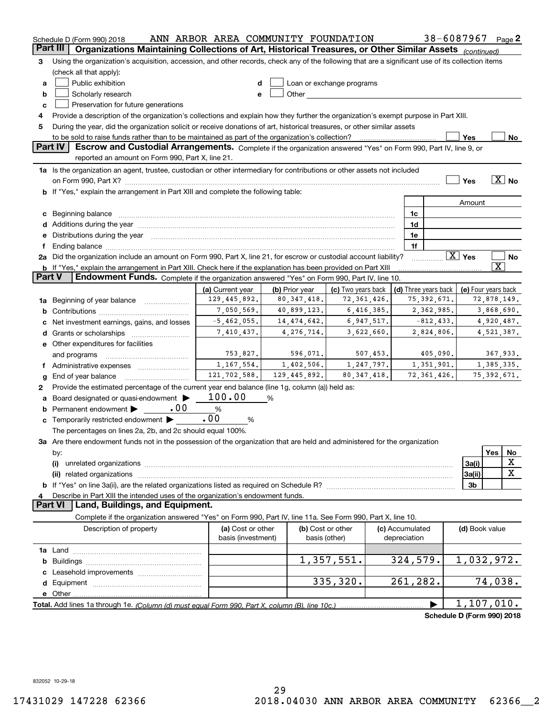|          | Schedule D (Form 990) 2018                                                                                                                                                                                                     | ANN ARBOR AREA COMMUNITY FOUNDATION     |                |                                                                                                                                                                                                                                |               |                      | 38-6087967                 | Page $2$              |
|----------|--------------------------------------------------------------------------------------------------------------------------------------------------------------------------------------------------------------------------------|-----------------------------------------|----------------|--------------------------------------------------------------------------------------------------------------------------------------------------------------------------------------------------------------------------------|---------------|----------------------|----------------------------|-----------------------|
| Part III | Organizations Maintaining Collections of Art, Historical Treasures, or Other Similar Assets (continued)                                                                                                                        |                                         |                |                                                                                                                                                                                                                                |               |                      |                            |                       |
| З        | Using the organization's acquisition, accession, and other records, check any of the following that are a significant use of its collection items                                                                              |                                         |                |                                                                                                                                                                                                                                |               |                      |                            |                       |
|          | (check all that apply):                                                                                                                                                                                                        |                                         |                |                                                                                                                                                                                                                                |               |                      |                            |                       |
| a        | Public exhibition                                                                                                                                                                                                              | d                                       |                | Loan or exchange programs                                                                                                                                                                                                      |               |                      |                            |                       |
| b        | Scholarly research                                                                                                                                                                                                             | е                                       |                | Other the contract of the contract of the contract of the contract of the contract of the contract of the contract of the contract of the contract of the contract of the contract of the contract of the contract of the cont |               |                      |                            |                       |
| c        | Preservation for future generations                                                                                                                                                                                            |                                         |                |                                                                                                                                                                                                                                |               |                      |                            |                       |
| 4        | Provide a description of the organization's collections and explain how they further the organization's exempt purpose in Part XIII.                                                                                           |                                         |                |                                                                                                                                                                                                                                |               |                      |                            |                       |
| 5        | During the year, did the organization solicit or receive donations of art, historical treasures, or other similar assets                                                                                                       |                                         |                |                                                                                                                                                                                                                                |               |                      |                            |                       |
|          | to be sold to raise funds rather than to be maintained as part of the organization's collection?                                                                                                                               |                                         |                |                                                                                                                                                                                                                                |               |                      | Yes                        | No                    |
|          | Part IV<br>Escrow and Custodial Arrangements. Complete if the organization answered "Yes" on Form 990, Part IV, line 9, or                                                                                                     |                                         |                |                                                                                                                                                                                                                                |               |                      |                            |                       |
|          | reported an amount on Form 990, Part X, line 21.                                                                                                                                                                               |                                         |                |                                                                                                                                                                                                                                |               |                      |                            |                       |
|          | 1a Is the organization an agent, trustee, custodian or other intermediary for contributions or other assets not included                                                                                                       |                                         |                |                                                                                                                                                                                                                                |               |                      |                            |                       |
|          |                                                                                                                                                                                                                                |                                         |                |                                                                                                                                                                                                                                |               |                      | Yes                        | $\overline{X}$ No     |
|          | on Form 990, Part X? [11] matter contracts and contracts and contracts are contracted and contracts are contracted and contract of the set of the set of the set of the set of the set of the set of the set of the set of the |                                         |                |                                                                                                                                                                                                                                |               |                      |                            |                       |
|          | If "Yes," explain the arrangement in Part XIII and complete the following table:                                                                                                                                               |                                         |                |                                                                                                                                                                                                                                |               |                      |                            |                       |
|          |                                                                                                                                                                                                                                |                                         |                |                                                                                                                                                                                                                                |               |                      | Amount                     |                       |
| c        | Beginning balance                                                                                                                                                                                                              |                                         |                |                                                                                                                                                                                                                                |               | 1c                   |                            |                       |
| d        | Additions during the year manufactured and an account of the state of the state of the state of the state of the state of the state of the state of the state of the state of the state of the state of the state of the state |                                         |                |                                                                                                                                                                                                                                |               | 1d                   |                            |                       |
| е        | Distributions during the year manufactured and an account of the state of the state of the state of the state of the state of the state of the state of the state of the state of the state of the state of the state of the s |                                         |                |                                                                                                                                                                                                                                |               | 1e                   |                            |                       |
|          |                                                                                                                                                                                                                                |                                         |                |                                                                                                                                                                                                                                |               | 1f                   |                            |                       |
|          | 2a Did the organization include an amount on Form 990, Part X, line 21, for escrow or custodial account liability?                                                                                                             |                                         |                |                                                                                                                                                                                                                                |               |                      | $\boxed{\text{X}}$ Yes     | No                    |
|          | <b>b</b> If "Yes," explain the arrangement in Part XIII. Check here if the explanation has been provided on Part XIII                                                                                                          |                                         |                |                                                                                                                                                                                                                                |               |                      |                            | $\overline{\text{X}}$ |
| Part V   | Endowment Funds. Complete if the organization answered "Yes" on Form 990, Part IV, line 10.                                                                                                                                    |                                         |                |                                                                                                                                                                                                                                |               |                      |                            |                       |
|          |                                                                                                                                                                                                                                | (a) Current year                        | (b) Prior year | (c) Two years back                                                                                                                                                                                                             |               | (d) Three years back | (e) Four years back        |                       |
| 1a       | Beginning of year balance                                                                                                                                                                                                      | 129,445,892.                            | 80,347,418.    |                                                                                                                                                                                                                                | 72, 361, 426. | 75, 392, 671.        |                            | 72,878,149.           |
| b        |                                                                                                                                                                                                                                | 7,050,569.                              | 40,899,123.    |                                                                                                                                                                                                                                | 6,416,385.    | 2,362,985.           |                            | 3,868,690.            |
|          | Net investment earnings, gains, and losses                                                                                                                                                                                     | $-5,462,055.$                           | 14, 474, 642.  |                                                                                                                                                                                                                                | 6,947,517.    | $-812, 433.$         |                            | 4,920,487.            |
| d        | Grants or scholarships                                                                                                                                                                                                         | 7,410,437.                              | 4, 276, 714.   |                                                                                                                                                                                                                                | 3,622,660.    | 2,824,806.           |                            | 4,521,387.            |
|          | e Other expenditures for facilities                                                                                                                                                                                            |                                         |                |                                                                                                                                                                                                                                |               |                      |                            |                       |
|          | and programs                                                                                                                                                                                                                   | 753,827.                                | 596,071.       |                                                                                                                                                                                                                                | 507,453.      | 405,090.             |                            | 367,933.              |
|          | f Administrative expenses                                                                                                                                                                                                      | 1,167,554.                              | 1,402,506.     |                                                                                                                                                                                                                                | 1,247,797.    | 1,351,901.           |                            | 1,385,335.            |
| g        | End of year balance                                                                                                                                                                                                            | 121,702,588.                            | 129,445,892.   |                                                                                                                                                                                                                                | 80, 347, 418. | 72, 361, 426.        |                            | 75, 392, 671.         |
| 2        | Provide the estimated percentage of the current year end balance (line 1g, column (a)) held as:                                                                                                                                |                                         |                |                                                                                                                                                                                                                                |               |                      |                            |                       |
| а        | Board designated or quasi-endowment                                                                                                                                                                                            | 100.00                                  | %              |                                                                                                                                                                                                                                |               |                      |                            |                       |
| b        | Permanent endowment<br>.00                                                                                                                                                                                                     | $\%$                                    |                |                                                                                                                                                                                                                                |               |                      |                            |                       |
| c        | Temporarily restricted endowment                                                                                                                                                                                               | .00<br>%                                |                |                                                                                                                                                                                                                                |               |                      |                            |                       |
|          | The percentages on lines 2a, 2b, and 2c should equal 100%.                                                                                                                                                                     |                                         |                |                                                                                                                                                                                                                                |               |                      |                            |                       |
|          | 3a Are there endowment funds not in the possession of the organization that are held and administered for the organization                                                                                                     |                                         |                |                                                                                                                                                                                                                                |               |                      |                            |                       |
|          | by:                                                                                                                                                                                                                            |                                         |                |                                                                                                                                                                                                                                |               |                      |                            | Yes<br>No             |
|          | (i)                                                                                                                                                                                                                            |                                         |                |                                                                                                                                                                                                                                |               |                      | 3a(i)                      | х                     |
|          | (ii) related organizations                                                                                                                                                                                                     |                                         |                |                                                                                                                                                                                                                                |               |                      | 3a(ii)                     | X                     |
| b        |                                                                                                                                                                                                                                |                                         |                |                                                                                                                                                                                                                                |               |                      | 3b                         |                       |
| 4        |                                                                                                                                                                                                                                |                                         |                |                                                                                                                                                                                                                                |               |                      |                            |                       |
|          | Describe in Part XIII the intended uses of the organization's endowment funds.<br>Land, Buildings, and Equipment.<br><b>Part VI</b>                                                                                            |                                         |                |                                                                                                                                                                                                                                |               |                      |                            |                       |
|          | Complete if the organization answered "Yes" on Form 990, Part IV, line 11a. See Form 990, Part X, line 10.                                                                                                                     |                                         |                |                                                                                                                                                                                                                                |               |                      |                            |                       |
|          |                                                                                                                                                                                                                                |                                         |                |                                                                                                                                                                                                                                |               |                      |                            |                       |
|          | Description of property                                                                                                                                                                                                        | (a) Cost or other<br>basis (investment) |                | (b) Cost or other                                                                                                                                                                                                              |               | (c) Accumulated      | (d) Book value             |                       |
|          |                                                                                                                                                                                                                                |                                         |                | basis (other)                                                                                                                                                                                                                  |               | depreciation         |                            |                       |
|          |                                                                                                                                                                                                                                |                                         |                |                                                                                                                                                                                                                                |               |                      |                            |                       |
| b        |                                                                                                                                                                                                                                |                                         |                | 1,357,551.                                                                                                                                                                                                                     |               | 324,579.             | 1,032,972.                 |                       |
|          |                                                                                                                                                                                                                                |                                         |                |                                                                                                                                                                                                                                |               |                      |                            |                       |
| d        |                                                                                                                                                                                                                                |                                         |                | 335,320.                                                                                                                                                                                                                       |               | 261,282.             |                            | 74,038.               |
|          | e Other                                                                                                                                                                                                                        |                                         |                |                                                                                                                                                                                                                                |               |                      |                            |                       |
|          | Total. Add lines 1a through 1e. (Column (d) must equal Form 990. Part X, column (B), line 10c.)                                                                                                                                |                                         |                |                                                                                                                                                                                                                                |               |                      | 1,107,010.                 |                       |
|          |                                                                                                                                                                                                                                |                                         |                |                                                                                                                                                                                                                                |               |                      | Schedule D (Form 990) 2018 |                       |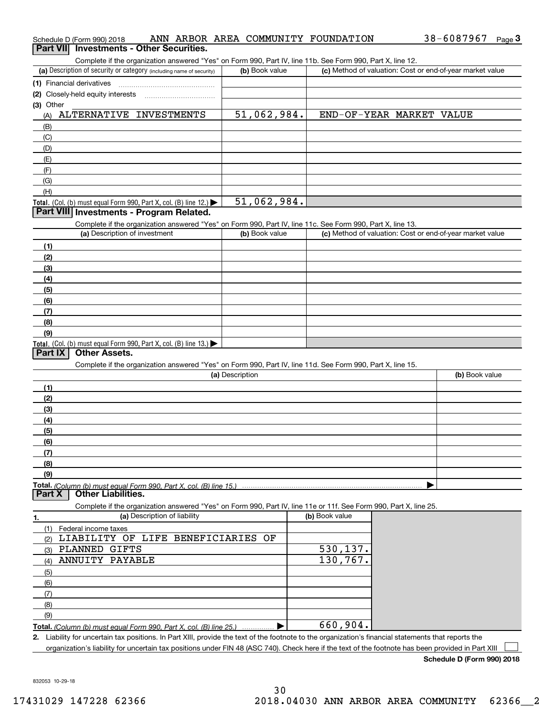|                  | Schedule D (Form 990) 2018                                                |                              |                 |                | ANN ARBOR AREA COMMUNITY FOUNDATION                                                                                                                  | 38-6087967                                                | Page <sup>3</sup> |
|------------------|---------------------------------------------------------------------------|------------------------------|-----------------|----------------|------------------------------------------------------------------------------------------------------------------------------------------------------|-----------------------------------------------------------|-------------------|
| <b>Part VIII</b> | <b>Investments - Other Securities.</b>                                    |                              |                 |                |                                                                                                                                                      |                                                           |                   |
|                  |                                                                           |                              |                 |                | Complete if the organization answered "Yes" on Form 990, Part IV, line 11b. See Form 990, Part X, line 12.                                           |                                                           |                   |
|                  | (a) Description of security or category (including name of security)      |                              |                 | (b) Book value |                                                                                                                                                      | (c) Method of valuation: Cost or end-of-year market value |                   |
|                  | (1) Financial derivatives                                                 |                              |                 |                |                                                                                                                                                      |                                                           |                   |
|                  | (2) Closely-held equity interests                                         |                              |                 |                |                                                                                                                                                      |                                                           |                   |
| (3) Other        |                                                                           |                              |                 |                |                                                                                                                                                      |                                                           |                   |
| (A)              | ALTERNATIVE INVESTMENTS                                                   |                              |                 | 51,062,984.    | END-OF-YEAR MARKET VALUE                                                                                                                             |                                                           |                   |
| (B)              |                                                                           |                              |                 |                |                                                                                                                                                      |                                                           |                   |
| (C)              |                                                                           |                              |                 |                |                                                                                                                                                      |                                                           |                   |
| (D)              |                                                                           |                              |                 |                |                                                                                                                                                      |                                                           |                   |
| (E)              |                                                                           |                              |                 |                |                                                                                                                                                      |                                                           |                   |
| (F)              |                                                                           |                              |                 |                |                                                                                                                                                      |                                                           |                   |
| (G)              |                                                                           |                              |                 |                |                                                                                                                                                      |                                                           |                   |
| (H)              |                                                                           |                              |                 |                |                                                                                                                                                      |                                                           |                   |
|                  | Total. (Col. (b) must equal Form 990, Part X, col. (B) line 12.)          |                              |                 | 51,062,984.    |                                                                                                                                                      |                                                           |                   |
|                  | Part VIII Investments - Program Related.                                  |                              |                 |                |                                                                                                                                                      |                                                           |                   |
|                  |                                                                           |                              |                 |                | Complete if the organization answered "Yes" on Form 990, Part IV, line 11c. See Form 990, Part X, line 13.                                           |                                                           |                   |
|                  | (a) Description of investment                                             |                              |                 | (b) Book value |                                                                                                                                                      | (c) Method of valuation: Cost or end-of-year market value |                   |
|                  |                                                                           |                              |                 |                |                                                                                                                                                      |                                                           |                   |
| (1)              |                                                                           |                              |                 |                |                                                                                                                                                      |                                                           |                   |
| (2)              |                                                                           |                              |                 |                |                                                                                                                                                      |                                                           |                   |
| (3)              |                                                                           |                              |                 |                |                                                                                                                                                      |                                                           |                   |
| (4)              |                                                                           |                              |                 |                |                                                                                                                                                      |                                                           |                   |
| (5)              |                                                                           |                              |                 |                |                                                                                                                                                      |                                                           |                   |
| (6)              |                                                                           |                              |                 |                |                                                                                                                                                      |                                                           |                   |
| (7)              |                                                                           |                              |                 |                |                                                                                                                                                      |                                                           |                   |
| (8)              |                                                                           |                              |                 |                |                                                                                                                                                      |                                                           |                   |
| (9)              |                                                                           |                              |                 |                |                                                                                                                                                      |                                                           |                   |
|                  | <b>Total.</b> (Col. (b) must equal Form 990, Part X, col. (B) line 13.)   |                              |                 |                |                                                                                                                                                      |                                                           |                   |
| Part IX          | <b>Other Assets.</b>                                                      |                              |                 |                |                                                                                                                                                      |                                                           |                   |
|                  |                                                                           |                              |                 |                | Complete if the organization answered "Yes" on Form 990, Part IV, line 11d. See Form 990, Part X, line 15.                                           |                                                           |                   |
|                  |                                                                           |                              | (a) Description |                |                                                                                                                                                      | (b) Book value                                            |                   |
| (1)              |                                                                           |                              |                 |                |                                                                                                                                                      |                                                           |                   |
| (2)              |                                                                           |                              |                 |                |                                                                                                                                                      |                                                           |                   |
| (3)              |                                                                           |                              |                 |                |                                                                                                                                                      |                                                           |                   |
| (4)              |                                                                           |                              |                 |                |                                                                                                                                                      |                                                           |                   |
| (5)              |                                                                           |                              |                 |                |                                                                                                                                                      |                                                           |                   |
| (6)              |                                                                           |                              |                 |                |                                                                                                                                                      |                                                           |                   |
| (7)              |                                                                           |                              |                 |                |                                                                                                                                                      |                                                           |                   |
| (8)              |                                                                           |                              |                 |                |                                                                                                                                                      |                                                           |                   |
| (9)              |                                                                           |                              |                 |                |                                                                                                                                                      |                                                           |                   |
|                  | <b>Total.</b> (Column (b) must equal Form 990. Part X. col. (B) line 15.) |                              |                 |                |                                                                                                                                                      |                                                           |                   |
| Part X           | <b>Other Liabilities.</b>                                                 |                              |                 |                |                                                                                                                                                      |                                                           |                   |
|                  |                                                                           |                              |                 |                | Complete if the organization answered "Yes" on Form 990, Part IV, line 11e or 11f. See Form 990, Part X, line 25.                                    |                                                           |                   |
| 1.               |                                                                           | (a) Description of liability |                 |                | (b) Book value                                                                                                                                       |                                                           |                   |
| (1)              | Federal income taxes                                                      |                              |                 |                |                                                                                                                                                      |                                                           |                   |
| (2)              | LIABILITY OF LIFE BENEFICIARIES OF                                        |                              |                 |                |                                                                                                                                                      |                                                           |                   |
| (3)              | PLANNED GIFTS                                                             |                              |                 |                | 530, 137.                                                                                                                                            |                                                           |                   |
| (4)              | ANNUITY PAYABLE                                                           |                              |                 |                | 130,767.                                                                                                                                             |                                                           |                   |
| (5)              |                                                                           |                              |                 |                |                                                                                                                                                      |                                                           |                   |
| (6)              |                                                                           |                              |                 |                |                                                                                                                                                      |                                                           |                   |
| (7)              |                                                                           |                              |                 |                |                                                                                                                                                      |                                                           |                   |
| (8)              |                                                                           |                              |                 |                |                                                                                                                                                      |                                                           |                   |
| (9)              |                                                                           |                              |                 |                |                                                                                                                                                      |                                                           |                   |
|                  | Total. (Column (b) must equal Form 990, Part X, col. (B) line 25.)        |                              |                 |                | 660,904.                                                                                                                                             |                                                           |                   |
|                  |                                                                           |                              |                 |                | 2. Liability for uncertain tax positions. In Part XIII, provide the text of the footnote to the organization's financial statements that reports the |                                                           |                   |
|                  |                                                                           |                              |                 |                | organization's liability for uncertain tax positions under FIN 48 (ASC 740). Check here if the text of the footnote has been provided in Part XIII   |                                                           |                   |

**Schedule D (Form 990) 2018**

832053 10-29-18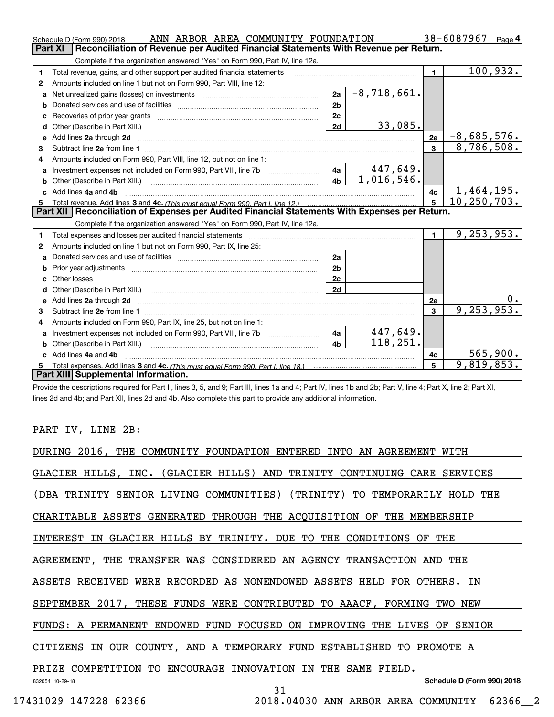|   | ANN ARBOR AREA COMMUNITY FOUNDATION<br>Schedule D (Form 990) 2018                                                          |                |               |                         | 38-6087967<br>Page $4$           |
|---|----------------------------------------------------------------------------------------------------------------------------|----------------|---------------|-------------------------|----------------------------------|
|   | Reconciliation of Revenue per Audited Financial Statements With Revenue per Return.<br>Part XI                             |                |               |                         |                                  |
|   | Complete if the organization answered "Yes" on Form 990, Part IV, line 12a.                                                |                |               |                         |                                  |
| 1 | Total revenue, gains, and other support per audited financial statements                                                   |                |               | $\blacksquare$          | 100,932.                         |
| 2 | Amounts included on line 1 but not on Form 990, Part VIII, line 12:                                                        |                |               |                         |                                  |
| a |                                                                                                                            | 2a             | $-8,718,661.$ |                         |                                  |
|   |                                                                                                                            | 2 <sub>b</sub> |               |                         |                                  |
| с |                                                                                                                            | 2c             |               |                         |                                  |
| d | Other (Describe in Part XIII.) <b>Construction Construction</b> Chern Construction Chern Chern Chern Chern Chern Chern     | 2d             | 33,085.       |                         |                                  |
| е | Add lines 2a through 2d                                                                                                    |                |               | 2e                      | $-8,685,576.$                    |
| 3 |                                                                                                                            |                |               | $\overline{\mathbf{3}}$ | 8,786,508.                       |
| 4 | Amounts included on Form 990. Part VIII, line 12, but not on line 1:                                                       |                |               |                         |                                  |
|   |                                                                                                                            |                | 447,649.      |                         |                                  |
| b | Other (Describe in Part XIII.) <b>Construction Contract Construction</b> Chemistry Chemistry Chemistry Chemistry Chemistry | 4 <sub>b</sub> | 1,016,546.    |                         |                                  |
|   | c Add lines 4a and 4b                                                                                                      |                |               | 4с                      | $\frac{1,464,195.}{10,250,703.}$ |
|   |                                                                                                                            |                |               | $\overline{5}$          |                                  |
|   | Part XII   Reconciliation of Expenses per Audited Financial Statements With Expenses per Return.                           |                |               |                         |                                  |
|   | Complete if the organization answered "Yes" on Form 990, Part IV, line 12a.                                                |                |               |                         |                                  |
| 1 | Total expenses and losses per audited financial statements                                                                 |                |               | $\mathbf{1}$            | 9, 253, 953.                     |
| 2 | Amounts included on line 1 but not on Form 990, Part IX, line 25:                                                          |                |               |                         |                                  |
| a |                                                                                                                            | 2a             |               |                         |                                  |
| b |                                                                                                                            | 2 <sub>b</sub> |               |                         |                                  |
| c |                                                                                                                            | 2 <sub>c</sub> |               |                         |                                  |
| d | Other (Describe in Part XIII.) (2000) (2000) (2000) (2010) (2010) (2010) (2010) (2010) (2010) (2010) (2010) (20            | 2d             |               |                         |                                  |
|   |                                                                                                                            |                |               | 2e                      |                                  |
| 3 |                                                                                                                            |                |               | $\mathbf{a}$            | 9, 253, 953.                     |
| 4 | Amounts included on Form 990, Part IX, line 25, but not on line 1:                                                         |                |               |                         |                                  |
| a | Investment expenses not included on Form 990, Part VIII, line 7b [1000000000000000000000000000000000                       | 4a             | 447,649.      |                         |                                  |
| b |                                                                                                                            | 4 <sub>h</sub> | 118,251.      |                         |                                  |
|   | c Add lines 4a and 4b                                                                                                      |                |               | 4с                      | 565,900.                         |
|   |                                                                                                                            |                |               | 5                       | 9,819,853.                       |
|   | Part XIII Supplemental Information.                                                                                        |                |               |                         |                                  |

Provide the descriptions required for Part II, lines 3, 5, and 9; Part III, lines 1a and 4; Part IV, lines 1b and 2b; Part V, line 4; Part X, line 2; Part XI, lines 2d and 4b; and Part XII, lines 2d and 4b. Also complete this part to provide any additional information.

### PART IV, LINE 2B:

| DURING 2016, THE COMMUNITY FOUNDATION ENTERED INTO AN AGREEMENT WITH      |
|---------------------------------------------------------------------------|
| GLACIER HILLS, INC. (GLACIER HILLS) AND TRINITY CONTINUING CARE SERVICES  |
| (DBA TRINITY SENIOR LIVING COMMUNITIES) (TRINITY) TO TEMPORARILY HOLD THE |
| CHARITABLE ASSETS GENERATED THROUGH THE ACQUISITION OF THE MEMBERSHIP     |
| INTEREST IN GLACIER HILLS BY TRINITY. DUE TO THE CONDITIONS OF THE        |
| AGREEMENT, THE TRANSFER WAS CONSIDERED AN AGENCY TRANSACTION AND THE      |
| ASSETS RECEIVED WERE RECORDED AS NONENDOWED ASSETS HELD FOR OTHERS. IN    |
| SEPTEMBER 2017, THESE FUNDS WERE CONTRIBUTED TO AAACF, FORMING TWO NEW    |
| FUNDS: A PERMANENT ENDOWED FUND FOCUSED ON IMPROVING THE LIVES OF SENIOR  |
| CITIZENS IN OUR COUNTY, AND A TEMPORARY FUND ESTABLISHED TO PROMOTE A     |
| PRIZE COMPETITION TO ENCOURAGE INNOVATION IN THE SAME FIELD.              |
| Schedule D (Form 990) 2018<br>832054 10-29-18<br>31                       |
| 17431029 147228 62366<br>2018.04030 ANN ARBOR AREA COMMUNITY 62366 2      |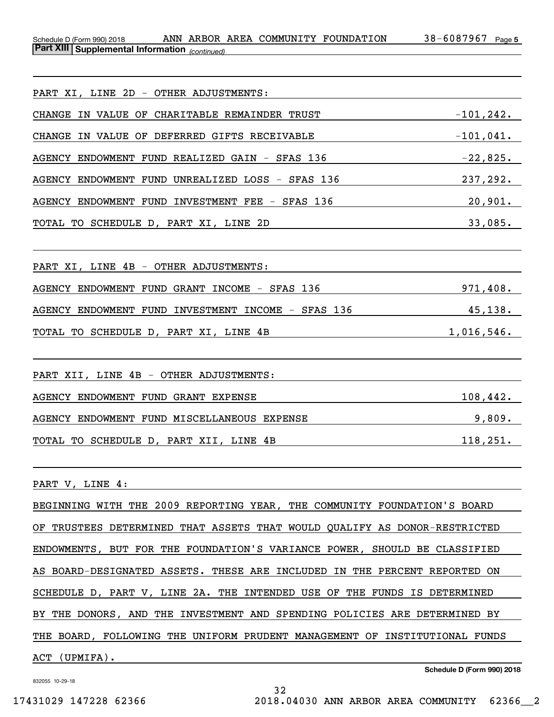**5** *(continued)* **Part XIII Supplemental Information**  Schedule D (Form 990) 2018 ANN ARBOR AREA COMMUNITY FOUNDATION 38-6087967 Page

| PART XI, LINE 2D - OTHER ADJUSTMENTS:                                                                                 |              |
|-----------------------------------------------------------------------------------------------------------------------|--------------|
| CHANGE IN VALUE OF CHARITABLE REMAINDER TRUST                                                                         | $-101, 242.$ |
| CHANGE IN VALUE OF DEFERRED GIFTS RECEIVABLE                                                                          | $-101,041.$  |
|                                                                                                                       |              |
| AGENCY ENDOWMENT FUND UNREALIZED LOSS - SFAS 136 237,292.                                                             |              |
| AGENCY ENDOWMENT FUND INVESTMENT FEE - SFAS 136                                                                       | 20,901.      |
|                                                                                                                       | 33,085.      |
| PART XI, LINE 4B - OTHER ADJUSTMENTS:                                                                                 |              |
| AGENCY ENDOWMENT FUND GRANT INCOME - SFAS 136 971,408.                                                                |              |
| AGENCY ENDOWMENT FUND INVESTMENT INCOME - SFAS 136 45,138.                                                            |              |
| TOTAL TO SCHEDULE D, PART XI, LINE 4B CONTROLLER CONTROLLER CONTROLLER TO THE SCHEDULE OF THE SERVICE OF THE SCHEDULE | 1,016,546.   |
| PART XII, LINE 4B - OTHER ADJUSTMENTS:                                                                                |              |
| AGENCY ENDOWMENT FUND GRANT EXPENSE<br><u> 1989 - Johann Barn, mars eta bat e</u>                                     | 108, 442.    |
| AGENCY ENDOWMENT FUND MISCELLANEOUS EXPENSE 3,809.                                                                    |              |
| TOTAL TO SCHEDULE D, PART XII, LINE 4B                                                                                | 118,251.     |
| PART V, LINE 4:                                                                                                       |              |
| BEGINNING WITH THE 2009 REPORTING YEAR, THE COMMUNITY FOUNDATION'S BOARD                                              |              |
| OF TRUSTEES DETERMINED THAT ASSETS THAT WOULD QUALIFY AS DONOR-RESTRICTED                                             |              |
| ENDOWMENTS, BUT FOR THE FOUNDATION'S VARIANCE POWER, SHOULD BE CLASSIFIED                                             |              |
| AS BOARD-DESIGNATED ASSETS. THESE ARE INCLUDED IN THE PERCENT REPORTED ON                                             |              |
| SCHEDULE D, PART V, LINE 2A. THE INTENDED USE OF THE FUNDS IS DETERMINED                                              |              |
| BY THE DONORS, AND THE INVESTMENT AND SPENDING POLICIES ARE DETERMINED BY                                             |              |
| THE BOARD, FOLLOWING THE UNIFORM PRUDENT MANAGEMENT OF INSTITUTIONAL FUNDS                                            |              |
| ACT (UPMIFA).                                                                                                         |              |

32

832055 10-29-18

**Schedule D (Form 990) 2018**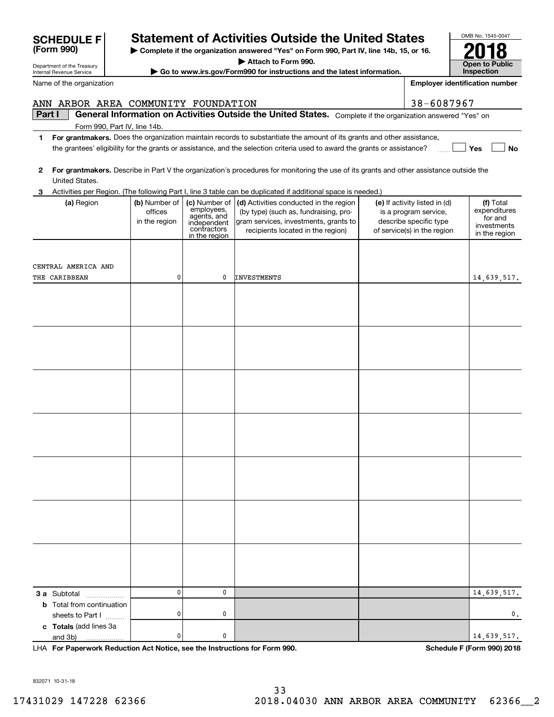| and 3b)                                                                    | 0 | 0 |                                     |  |                            | 14,639,517. |  |
|----------------------------------------------------------------------------|---|---|-------------------------------------|--|----------------------------|-------------|--|
| LHA For Paperwork Reduction Act Notice, see the Instructions for Form 990. |   |   |                                     |  | Schedule F (Form 990) 2018 |             |  |
|                                                                            |   |   |                                     |  |                            |             |  |
| 832071 10-31-18                                                            |   |   | 33                                  |  |                            |             |  |
| 17431029 147228 62366                                                      |   |   | 2018.04030 ANN ARBOR AREA COMMUNITY |  |                            | 62366 2     |  |
|                                                                            |   |   |                                     |  |                            |             |  |

0

0

0

0

|   | ANN ARBOR AREA COMMUNITY FOUNDATION                                                                                                            |                                           |                                                                                           |                                                                                                                                                               | 38-6087967                                                                                                      |                                                                      |  |  |  |  |  |  |  |
|---|------------------------------------------------------------------------------------------------------------------------------------------------|-------------------------------------------|-------------------------------------------------------------------------------------------|---------------------------------------------------------------------------------------------------------------------------------------------------------------|-----------------------------------------------------------------------------------------------------------------|----------------------------------------------------------------------|--|--|--|--|--|--|--|
|   | Part I<br>General Information on Activities Outside the United States. Complete if the organization answered "Yes" on                          |                                           |                                                                                           |                                                                                                                                                               |                                                                                                                 |                                                                      |  |  |  |  |  |  |  |
|   | Form 990, Part IV, line 14b.                                                                                                                   |                                           |                                                                                           |                                                                                                                                                               |                                                                                                                 |                                                                      |  |  |  |  |  |  |  |
| 1 | For grantmakers. Does the organization maintain records to substantiate the amount of its grants and other assistance,                         |                                           |                                                                                           |                                                                                                                                                               |                                                                                                                 |                                                                      |  |  |  |  |  |  |  |
|   | Yes<br><b>No</b><br>the grantees' eligibility for the grants or assistance, and the selection criteria used to award the grants or assistance? |                                           |                                                                                           |                                                                                                                                                               |                                                                                                                 |                                                                      |  |  |  |  |  |  |  |
|   |                                                                                                                                                |                                           |                                                                                           |                                                                                                                                                               |                                                                                                                 |                                                                      |  |  |  |  |  |  |  |
| 2 | For grantmakers. Describe in Part V the organization's procedures for monitoring the use of its grants and other assistance outside the        |                                           |                                                                                           |                                                                                                                                                               |                                                                                                                 |                                                                      |  |  |  |  |  |  |  |
|   | United States.                                                                                                                                 |                                           |                                                                                           |                                                                                                                                                               |                                                                                                                 |                                                                      |  |  |  |  |  |  |  |
|   |                                                                                                                                                |                                           |                                                                                           | Activities per Region. (The following Part I, line 3 table can be duplicated if additional space is needed.)                                                  |                                                                                                                 |                                                                      |  |  |  |  |  |  |  |
|   | (a) Region                                                                                                                                     | (b) Number of<br>offices<br>in the region | (c) Number of<br>employees,<br>agents, and<br>independent<br>contractors<br>in the region | (d) Activities conducted in the region<br>(by type) (such as, fundraising, pro-<br>gram services, investments, grants to<br>recipients located in the region) | (e) If activity listed in (d)<br>is a program service,<br>describe specific type<br>of service(s) in the region | (f) Total<br>expenditures<br>for and<br>investments<br>in the region |  |  |  |  |  |  |  |
|   | CENTRAL AMERICA AND<br>THE CARIBBEAN                                                                                                           |                                           | 0                                                                                         | <b>INVESTMENTS</b>                                                                                                                                            |                                                                                                                 | 14,639,517.                                                          |  |  |  |  |  |  |  |
|   |                                                                                                                                                |                                           |                                                                                           |                                                                                                                                                               |                                                                                                                 |                                                                      |  |  |  |  |  |  |  |
|   |                                                                                                                                                |                                           |                                                                                           |                                                                                                                                                               |                                                                                                                 |                                                                      |  |  |  |  |  |  |  |
|   |                                                                                                                                                |                                           |                                                                                           |                                                                                                                                                               |                                                                                                                 |                                                                      |  |  |  |  |  |  |  |
|   |                                                                                                                                                |                                           |                                                                                           |                                                                                                                                                               |                                                                                                                 |                                                                      |  |  |  |  |  |  |  |

## **Statement of Activities Outside the United States**

**| Complete if the organization answered "Yes" on Form 990, Part IV, line 14b, 15, or 16.**

**| Attach to Form 990.**

**| Go to www.irs.gov/Form990 for instructions and the latest information.**

**(Form 990)**

Department of the Treasury Internal Revenue Service

Name of th

**Open to Public Inspection**

OMB No. 1545-0047

**2018**

|  | Employer identification number |  |
|--|--------------------------------|--|
|--|--------------------------------|--|

 0. 639,517.

14,639,517.

**3 a** Subtotal .................. **b** Total from continuation

**c Totals**  (add lines 3a

sheets to Part  $1$   $\ldots$ 

| านe Service     | Go to www.irs.gov/Form990 fo |
|-----------------|------------------------------|
| he organization |                              |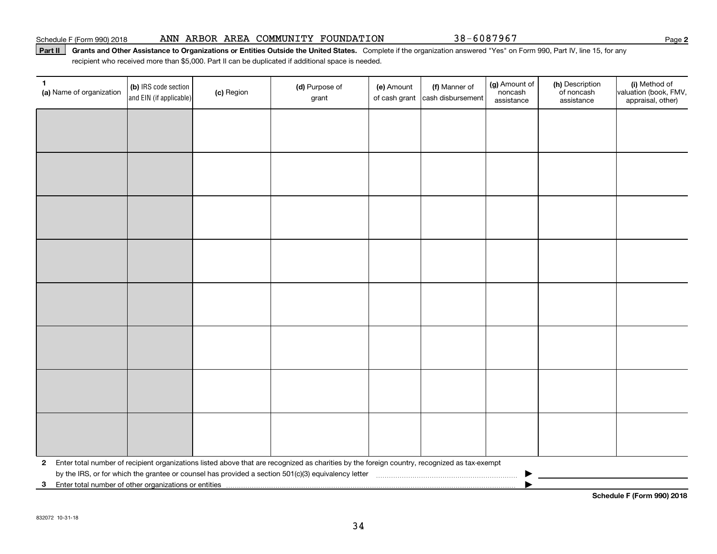#### Schedule F (Form 990) 2018 Page ANN ARBOR AREA COMMUNITY FOUNDATION 38-6087967

#### Part II | Grants and Other Assistance to Organizations or Entities Outside the United States. Complete if the organization answered "Yes" on Form 990, Part IV, line 15, for any recipient who received more than \$5,000. Part II can be duplicated if additional space is needed.

| $\mathbf{1}$<br>(a) Name of organization                                | (b) IRS code section<br>and EIN (if applicable) | (c) Region | (d) Purpose of<br>grant                                                                                                                        | (e) Amount<br>of cash grant | (f) Manner of<br>cash disbursement | (g) Amount of<br>noncash<br>assistance | (h) Description<br>of noncash<br>assistance | (i) Method of<br>valuation (book, FMV,<br>appraisal, other) |
|-------------------------------------------------------------------------|-------------------------------------------------|------------|------------------------------------------------------------------------------------------------------------------------------------------------|-----------------------------|------------------------------------|----------------------------------------|---------------------------------------------|-------------------------------------------------------------|
|                                                                         |                                                 |            |                                                                                                                                                |                             |                                    |                                        |                                             |                                                             |
|                                                                         |                                                 |            |                                                                                                                                                |                             |                                    |                                        |                                             |                                                             |
|                                                                         |                                                 |            |                                                                                                                                                |                             |                                    |                                        |                                             |                                                             |
|                                                                         |                                                 |            |                                                                                                                                                |                             |                                    |                                        |                                             |                                                             |
|                                                                         |                                                 |            |                                                                                                                                                |                             |                                    |                                        |                                             |                                                             |
|                                                                         |                                                 |            |                                                                                                                                                |                             |                                    |                                        |                                             |                                                             |
|                                                                         |                                                 |            |                                                                                                                                                |                             |                                    |                                        |                                             |                                                             |
|                                                                         |                                                 |            |                                                                                                                                                |                             |                                    |                                        |                                             |                                                             |
|                                                                         |                                                 |            |                                                                                                                                                |                             |                                    |                                        |                                             |                                                             |
|                                                                         |                                                 |            |                                                                                                                                                |                             |                                    |                                        |                                             |                                                             |
|                                                                         |                                                 |            |                                                                                                                                                |                             |                                    |                                        |                                             |                                                             |
|                                                                         |                                                 |            |                                                                                                                                                |                             |                                    |                                        |                                             |                                                             |
|                                                                         |                                                 |            |                                                                                                                                                |                             |                                    |                                        |                                             |                                                             |
|                                                                         |                                                 |            |                                                                                                                                                |                             |                                    |                                        |                                             |                                                             |
|                                                                         |                                                 |            |                                                                                                                                                |                             |                                    |                                        |                                             |                                                             |
|                                                                         |                                                 |            |                                                                                                                                                |                             |                                    |                                        |                                             |                                                             |
|                                                                         |                                                 |            | 2 Enter total number of recipient organizations listed above that are recognized as charities by the foreign country, recognized as tax-exempt |                             |                                    |                                        |                                             |                                                             |
| Enter total number of other organizations or entities<br>3 <sup>1</sup> |                                                 |            |                                                                                                                                                |                             |                                    |                                        |                                             |                                                             |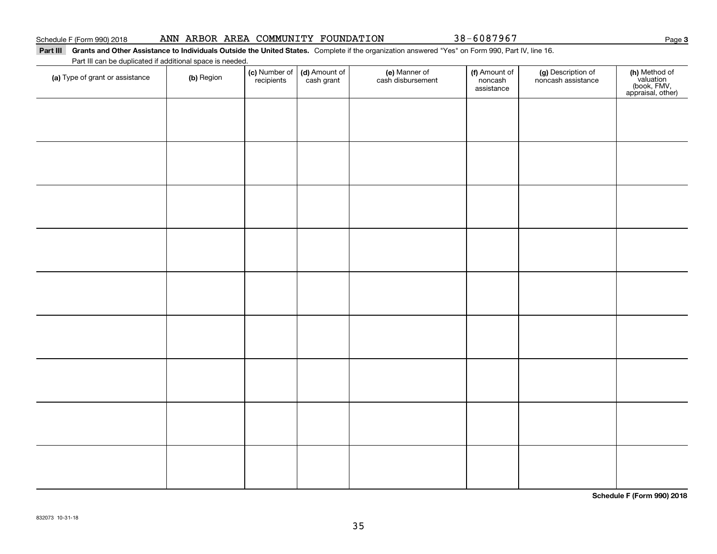#### Part III Grants and Other Assistance to Individuals Outside the United States. Complete if the organization answered "Yes" on Form 990, Part IV, line 16.

Part III can be duplicated if additional space is needed.

| (a) Type of grant or assistance | (b) Region | (c) Number of<br>recipients | (d) Amount of | (e) Manner of<br>cash disbursement | (f) Amount of<br>noncash<br>assistance | (g) Description of<br>noncash assistance | (h) Method of<br>valuation<br>(book, FMV,<br>appraisal, other) |
|---------------------------------|------------|-----------------------------|---------------|------------------------------------|----------------------------------------|------------------------------------------|----------------------------------------------------------------|
|                                 |            |                             |               |                                    |                                        |                                          |                                                                |
|                                 |            |                             |               |                                    |                                        |                                          |                                                                |
|                                 |            |                             |               |                                    |                                        |                                          |                                                                |
|                                 |            |                             |               |                                    |                                        |                                          |                                                                |
|                                 |            |                             |               |                                    |                                        |                                          |                                                                |
|                                 |            |                             |               |                                    |                                        |                                          |                                                                |
|                                 |            |                             |               |                                    |                                        |                                          |                                                                |
|                                 |            |                             |               |                                    |                                        |                                          |                                                                |
|                                 |            |                             |               |                                    |                                        |                                          |                                                                |
|                                 |            |                             |               |                                    |                                        |                                          |                                                                |
|                                 |            |                             |               |                                    |                                        |                                          |                                                                |
|                                 |            |                             |               |                                    |                                        |                                          |                                                                |
|                                 |            |                             |               |                                    |                                        |                                          |                                                                |

**Schedule F (Form 990) 2018**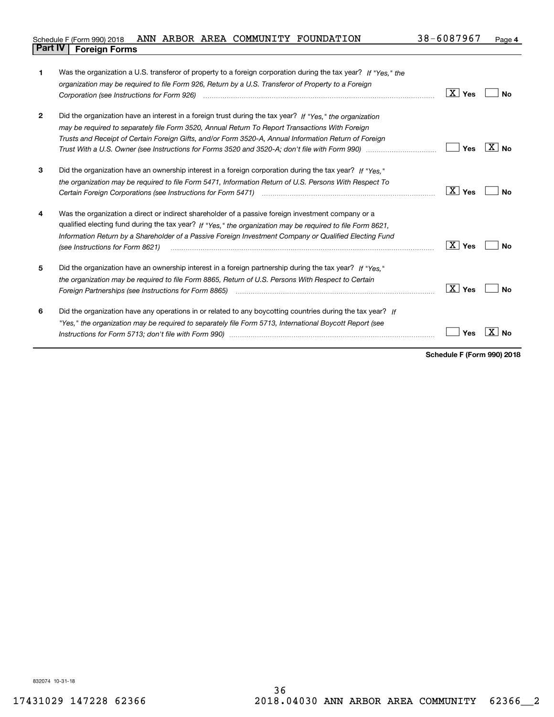| Schedule F (Form 990) 2018             | ANN | ARBOR | AREA | COMMUNITY | FOUNDATION | 38-6087967 | Page |
|----------------------------------------|-----|-------|------|-----------|------------|------------|------|
| <b>Part IV</b><br><b>Foreign Forms</b> |     |       |      |           |            |            |      |

| 1            | Was the organization a U.S. transferor of property to a foreign corporation during the tax year? If "Yes," the                                                                                                                |                        |                |
|--------------|-------------------------------------------------------------------------------------------------------------------------------------------------------------------------------------------------------------------------------|------------------------|----------------|
|              | organization may be required to file Form 926, Return by a U.S. Transferor of Property to a Foreign                                                                                                                           |                        |                |
|              | Corporation (see Instructions for Form 926) <i>manual content content corporation (see Instructions</i> of Form                                                                                                               | $\boxed{\text{X}}$ Yes | Nο             |
| $\mathbf{2}$ | Did the organization have an interest in a foreign trust during the tax year? If "Yes," the organization                                                                                                                      |                        |                |
|              | may be required to separately file Form 3520, Annual Return To Report Transactions With Foreign                                                                                                                               |                        |                |
|              | Trusts and Receipt of Certain Foreign Gifts, and/or Form 3520-A, Annual Information Return of Foreign                                                                                                                         |                        |                |
|              |                                                                                                                                                                                                                               | Yes                    | $X \mid N_{0}$ |
| 3            | Did the organization have an ownership interest in a foreign corporation during the tax year? If "Yes."                                                                                                                       |                        |                |
|              | the organization may be required to file Form 5471, Information Return of U.S. Persons With Respect To                                                                                                                        |                        |                |
|              |                                                                                                                                                                                                                               | $\boxed{\text{X}}$ Yes | Nο             |
| 4            | Was the organization a direct or indirect shareholder of a passive foreign investment company or a                                                                                                                            |                        |                |
|              | qualified electing fund during the tax year? If "Yes," the organization may be required to file Form 8621,                                                                                                                    |                        |                |
|              | Information Return by a Shareholder of a Passive Foreign Investment Company or Qualified Electing Fund<br>(see Instructions for Form 8621)                                                                                    | $\boxed{\text{X}}$ Yes | Nο             |
|              |                                                                                                                                                                                                                               |                        |                |
| 5            | Did the organization have an ownership interest in a foreign partnership during the tax year? If "Yes."                                                                                                                       |                        |                |
|              | the organization may be required to file Form 8865. Return of U.S. Persons With Respect to Certain                                                                                                                            |                        |                |
|              | Foreign Partnerships (see Instructions for Form 8865) manufactured contain the control of the control of the control of the control of the control of the control of the control of the control of the control of the control | $\boxed{\text{X}}$ Yes | Nο             |
| 6            | Did the organization have any operations in or related to any boycotting countries during the tax year? If                                                                                                                    |                        |                |
|              | "Yes," the organization may be required to separately file Form 5713, International Boycott Report (see                                                                                                                       |                        |                |
|              |                                                                                                                                                                                                                               | Yes                    | x<br>No        |
|              |                                                                                                                                                                                                                               |                        |                |

**Schedule F (Form 990) 2018**

832074 10-31-18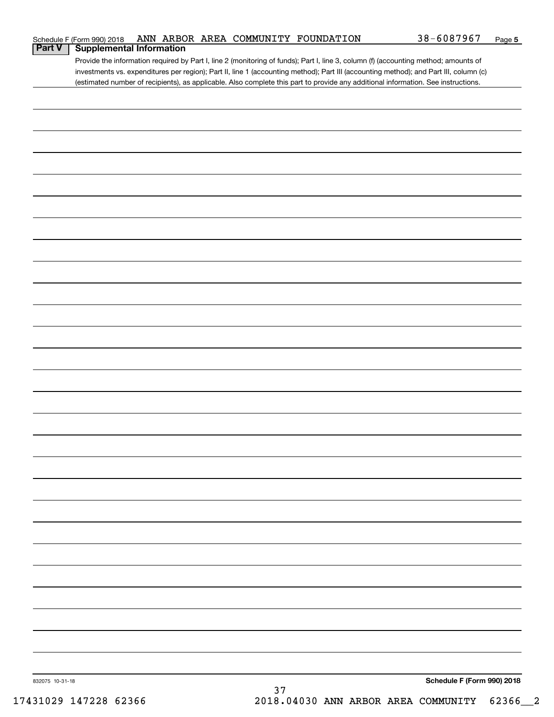|                 | Schedule F (Form 990) 2018 |                                 |    | ANN ARBOR AREA COMMUNITY FOUNDATION | 38-6087967                                                                                                                            | Page 5 |
|-----------------|----------------------------|---------------------------------|----|-------------------------------------|---------------------------------------------------------------------------------------------------------------------------------------|--------|
| <b>Part V</b>   |                            | <b>Supplemental Information</b> |    |                                     |                                                                                                                                       |        |
|                 |                            |                                 |    |                                     | Provide the information required by Part I, line 2 (monitoring of funds); Part I, line 3, column (f) (accounting method; amounts of   |        |
|                 |                            |                                 |    |                                     | investments vs. expenditures per region); Part II, line 1 (accounting method); Part III (accounting method); and Part III, column (c) |        |
|                 |                            |                                 |    |                                     | (estimated number of recipients), as applicable. Also complete this part to provide any additional information. See instructions.     |        |
|                 |                            |                                 |    |                                     |                                                                                                                                       |        |
|                 |                            |                                 |    |                                     |                                                                                                                                       |        |
|                 |                            |                                 |    |                                     |                                                                                                                                       |        |
|                 |                            |                                 |    |                                     |                                                                                                                                       |        |
|                 |                            |                                 |    |                                     |                                                                                                                                       |        |
|                 |                            |                                 |    |                                     |                                                                                                                                       |        |
|                 |                            |                                 |    |                                     |                                                                                                                                       |        |
|                 |                            |                                 |    |                                     |                                                                                                                                       |        |
|                 |                            |                                 |    |                                     |                                                                                                                                       |        |
|                 |                            |                                 |    |                                     |                                                                                                                                       |        |
|                 |                            |                                 |    |                                     |                                                                                                                                       |        |
|                 |                            |                                 |    |                                     |                                                                                                                                       |        |
|                 |                            |                                 |    |                                     |                                                                                                                                       |        |
|                 |                            |                                 |    |                                     |                                                                                                                                       |        |
|                 |                            |                                 |    |                                     |                                                                                                                                       |        |
|                 |                            |                                 |    |                                     |                                                                                                                                       |        |
|                 |                            |                                 |    |                                     |                                                                                                                                       |        |
|                 |                            |                                 |    |                                     |                                                                                                                                       |        |
|                 |                            |                                 |    |                                     |                                                                                                                                       |        |
|                 |                            |                                 |    |                                     |                                                                                                                                       |        |
|                 |                            |                                 |    |                                     |                                                                                                                                       |        |
|                 |                            |                                 |    |                                     |                                                                                                                                       |        |
|                 |                            |                                 |    |                                     |                                                                                                                                       |        |
|                 |                            |                                 |    |                                     |                                                                                                                                       |        |
|                 |                            |                                 |    |                                     |                                                                                                                                       |        |
|                 |                            |                                 |    |                                     |                                                                                                                                       |        |
|                 |                            |                                 |    |                                     |                                                                                                                                       |        |
|                 |                            |                                 |    |                                     |                                                                                                                                       |        |
|                 |                            |                                 |    |                                     |                                                                                                                                       |        |
|                 |                            |                                 |    |                                     |                                                                                                                                       |        |
|                 |                            |                                 |    |                                     |                                                                                                                                       |        |
|                 |                            |                                 |    |                                     |                                                                                                                                       |        |
|                 |                            |                                 |    |                                     |                                                                                                                                       |        |
|                 |                            |                                 |    |                                     |                                                                                                                                       |        |
|                 |                            |                                 |    |                                     |                                                                                                                                       |        |
|                 |                            |                                 |    |                                     |                                                                                                                                       |        |
|                 |                            |                                 |    |                                     |                                                                                                                                       |        |
|                 |                            |                                 |    |                                     |                                                                                                                                       |        |
|                 |                            |                                 |    |                                     |                                                                                                                                       |        |
|                 |                            |                                 |    |                                     |                                                                                                                                       |        |
|                 |                            |                                 |    |                                     |                                                                                                                                       |        |
|                 |                            |                                 |    |                                     |                                                                                                                                       |        |
|                 |                            |                                 |    |                                     |                                                                                                                                       |        |
|                 |                            |                                 |    |                                     |                                                                                                                                       |        |
|                 |                            |                                 |    |                                     |                                                                                                                                       |        |
|                 |                            |                                 |    |                                     |                                                                                                                                       |        |
|                 |                            |                                 |    |                                     |                                                                                                                                       |        |
|                 |                            |                                 |    |                                     |                                                                                                                                       |        |
|                 |                            |                                 |    |                                     |                                                                                                                                       |        |
|                 |                            |                                 |    |                                     |                                                                                                                                       |        |
| 832075 10-31-18 |                            |                                 |    |                                     | Schedule F (Form 990) 2018                                                                                                            |        |
|                 |                            |                                 | 37 |                                     |                                                                                                                                       |        |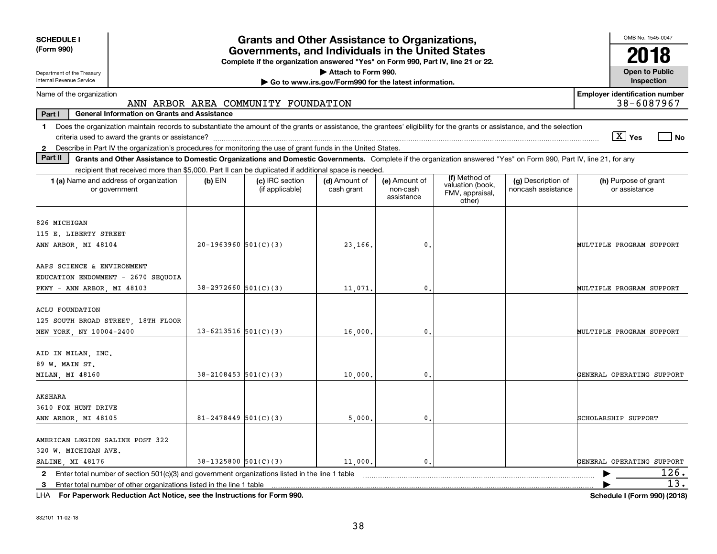| <b>SCHEDULE I</b><br>(Form 990)                                                                                        | <b>Grants and Other Assistance to Organizations,</b><br>Governments, and Individuals in the United States                                                                                                  |                                                                                  |                                                       |                                         |                                               |                                          |                                                                             |  |  |  |
|------------------------------------------------------------------------------------------------------------------------|------------------------------------------------------------------------------------------------------------------------------------------------------------------------------------------------------------|----------------------------------------------------------------------------------|-------------------------------------------------------|-----------------------------------------|-----------------------------------------------|------------------------------------------|-----------------------------------------------------------------------------|--|--|--|
|                                                                                                                        |                                                                                                                                                                                                            | Complete if the organization answered "Yes" on Form 990, Part IV, line 21 or 22. |                                                       |                                         |                                               |                                          | 2018                                                                        |  |  |  |
| Attach to Form 990.<br>Department of the Treasury                                                                      |                                                                                                                                                                                                            |                                                                                  |                                                       |                                         |                                               | <b>Open to Public</b>                    |                                                                             |  |  |  |
| Internal Revenue Service                                                                                               |                                                                                                                                                                                                            |                                                                                  | Go to www.irs.gov/Form990 for the latest information. |                                         |                                               |                                          | Inspection                                                                  |  |  |  |
| <b>Employer identification number</b><br>Name of the organization<br>38-6087967<br>ANN ARBOR AREA COMMUNITY FOUNDATION |                                                                                                                                                                                                            |                                                                                  |                                                       |                                         |                                               |                                          |                                                                             |  |  |  |
| Part I<br><b>General Information on Grants and Assistance</b>                                                          |                                                                                                                                                                                                            |                                                                                  |                                                       |                                         |                                               |                                          |                                                                             |  |  |  |
| 1.                                                                                                                     | Does the organization maintain records to substantiate the amount of the grants or assistance, the grantees' eligibility for the grants or assistance, and the selection<br>$\boxed{\text{X}}$ Yes<br>l No |                                                                                  |                                                       |                                         |                                               |                                          |                                                                             |  |  |  |
| $\mathbf{2}$                                                                                                           | Describe in Part IV the organization's procedures for monitoring the use of grant funds in the United States.                                                                                              |                                                                                  |                                                       |                                         |                                               |                                          |                                                                             |  |  |  |
| Part II                                                                                                                | Grants and Other Assistance to Domestic Organizations and Domestic Governments. Complete if the organization answered "Yes" on Form 990, Part IV, line 21, for any                                         |                                                                                  |                                                       |                                         |                                               |                                          |                                                                             |  |  |  |
|                                                                                                                        | recipient that received more than \$5,000. Part II can be duplicated if additional space is needed.                                                                                                        |                                                                                  |                                                       |                                         | (f) Method of                                 |                                          |                                                                             |  |  |  |
| 1 (a) Name and address of organization<br>or government                                                                | $(b)$ EIN                                                                                                                                                                                                  | (c) IRC section<br>(if applicable)                                               | (d) Amount of<br>cash grant                           | (e) Amount of<br>non-cash<br>assistance | valuation (book,<br>FMV, appraisal,<br>other) | (g) Description of<br>noncash assistance | (h) Purpose of grant<br>or assistance                                       |  |  |  |
| 826 MICHIGAN                                                                                                           |                                                                                                                                                                                                            |                                                                                  |                                                       |                                         |                                               |                                          |                                                                             |  |  |  |
| 115 E. LIBERTY STREET                                                                                                  |                                                                                                                                                                                                            |                                                                                  |                                                       |                                         |                                               |                                          |                                                                             |  |  |  |
| ANN ARBOR, MI 48104                                                                                                    | $20-1963960$ 501(C)(3)                                                                                                                                                                                     |                                                                                  | 23,166.                                               | 0.                                      |                                               |                                          | MULTIPLE PROGRAM SUPPORT                                                    |  |  |  |
| AAPS SCIENCE & ENVIRONMENT<br>EDUCATION ENDOWMENT - 2670 SEQUOIA<br>PKWY - ANN ARBOR, MI 48103                         | $38-2972660$ 501(C)(3)                                                                                                                                                                                     |                                                                                  | 11,071.                                               | $\mathfrak o$ .                         |                                               |                                          | MULTIPLE PROGRAM SUPPORT                                                    |  |  |  |
| <b>ACLU FOUNDATION</b><br>125 SOUTH BROAD STREET, 18TH FLOOR<br>NEW YORK, NY 10004-2400                                | 13-6213516 $501(C)(3)$                                                                                                                                                                                     |                                                                                  | 16,000,                                               | $\mathbf{0}$ .                          |                                               |                                          | MULTIPLE PROGRAM SUPPORT                                                    |  |  |  |
| AID IN MILAN, INC.<br>89 W. MAIN ST.<br>MILAN, MI 48160                                                                | $38 - 2108453$ 501(C)(3)                                                                                                                                                                                   |                                                                                  | 10,000                                                | 0.                                      |                                               |                                          | GENERAL OPERATING SUPPORT                                                   |  |  |  |
| AKSHARA<br>3610 FOX HUNT DRIVE<br>ANN ARBOR, MI 48105                                                                  | $81 - 2478449$ 501(C)(3)                                                                                                                                                                                   |                                                                                  | 5,000                                                 | 0.                                      |                                               |                                          | SCHOLARSHIP SUPPORT                                                         |  |  |  |
| AMERICAN LEGION SALINE POST 322<br>320 W. MICHIGAN AVE.<br>SALINE, MI 48176                                            | $38-1325800$ $501(C)(3)$                                                                                                                                                                                   |                                                                                  | 11,000.                                               | $\mathbf{0}$ .                          |                                               |                                          | GENERAL OPERATING SUPPORT                                                   |  |  |  |
| 2                                                                                                                      | 126.<br>Enter total number of section 501(c)(3) and government organizations listed in the line 1 table                                                                                                    |                                                                                  |                                                       |                                         |                                               |                                          |                                                                             |  |  |  |
| 13.<br>3                                                                                                               |                                                                                                                                                                                                            |                                                                                  |                                                       |                                         |                                               |                                          |                                                                             |  |  |  |
| .                                                                                                                      | and the state of the state of the<br>$\sim$ $\sim$ $\sim$ $\sim$ $\sim$                                                                                                                                    |                                                                                  |                                                       |                                         |                                               |                                          | $\begin{array}{c}\n\bullet \\ \bullet \\ \bullet \\ \bullet \\ \end{array}$ |  |  |  |

**For Paperwork Reduction Act Notice, see the Instructions for Form 990. Schedule I (Form 990) (2018)** LHA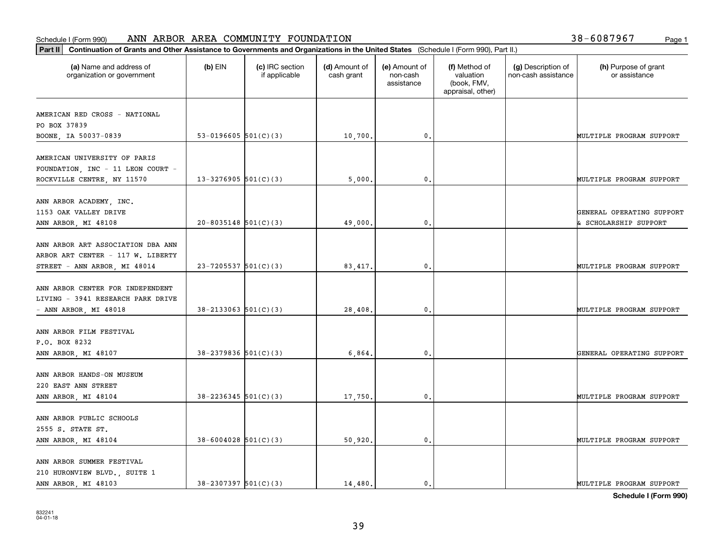| (a) Name and address of<br>organization or government                   | $(b)$ EIN                  | (c) IRC section<br>if applicable | (d) Amount of<br>cash grant | (e) Amount of<br>non-cash<br>assistance | (f) Method of<br>valuation<br>(book, FMV,<br>appraisal, other) | (g) Description of<br>non-cash assistance | (h) Purpose of grant<br>or assistance              |
|-------------------------------------------------------------------------|----------------------------|----------------------------------|-----------------------------|-----------------------------------------|----------------------------------------------------------------|-------------------------------------------|----------------------------------------------------|
| AMERICAN RED CROSS - NATIONAL                                           |                            |                                  |                             |                                         |                                                                |                                           |                                                    |
| PO BOX 37839                                                            |                            |                                  |                             |                                         |                                                                |                                           |                                                    |
| BOONE, IA 50037-0839                                                    | 53-0196605 $501(C)(3)$     |                                  | 10,700.                     | 0.                                      |                                                                |                                           | MULTIPLE PROGRAM SUPPORT                           |
| AMERICAN UNIVERSITY OF PARIS<br>FOUNDATION, INC - 11 LEON COURT -       |                            |                                  |                             |                                         |                                                                |                                           |                                                    |
| ROCKVILLE CENTRE, NY 11570                                              | $13 - 3276905$ 501(C)(3)   |                                  | 5,000                       | 0.                                      |                                                                |                                           | MULTIPLE PROGRAM SUPPORT                           |
| ANN ARBOR ACADEMY, INC.<br>1153 OAK VALLEY DRIVE<br>ANN ARBOR, MI 48108 | $20 - 8035148$ 501(C)(3)   |                                  | 49,000,                     | $\mathbf{0}$ .                          |                                                                |                                           | GENERAL OPERATING SUPPORT<br>& SCHOLARSHIP SUPPORT |
|                                                                         |                            |                                  |                             |                                         |                                                                |                                           |                                                    |
| ANN ARBOR ART ASSOCIATION DBA ANN                                       |                            |                                  |                             |                                         |                                                                |                                           |                                                    |
| ARBOR ART CENTER - 117 W. LIBERTY                                       |                            |                                  |                             |                                         |                                                                |                                           |                                                    |
| STREET - ANN ARBOR, MI 48014                                            | $23 - 7205537$ 501(C)(3)   |                                  | 83,417.                     | 0.                                      |                                                                |                                           | MULTIPLE PROGRAM SUPPORT                           |
| ANN ARBOR CENTER FOR INDEPENDENT<br>LIVING - 3941 RESEARCH PARK DRIVE   |                            |                                  |                             |                                         |                                                                |                                           |                                                    |
| $-$ ANN ARBOR, MI 48018                                                 | $38 - 2133063$ $501(C)(3)$ |                                  | 28,408.                     | $\mathbf{0}$                            |                                                                |                                           | MULTIPLE PROGRAM SUPPORT                           |
|                                                                         |                            |                                  |                             |                                         |                                                                |                                           |                                                    |
| ANN ARBOR FILM FESTIVAL                                                 |                            |                                  |                             |                                         |                                                                |                                           |                                                    |
| P.O. BOX 8232                                                           |                            |                                  |                             |                                         |                                                                |                                           |                                                    |
| ANN ARBOR, MI 48107                                                     | $38 - 2379836$ $501(C)(3)$ |                                  | 6,864.                      | $\mathfrak o$ .                         |                                                                |                                           | GENERAL OPERATING SUPPORT                          |
| ANN ARBOR HANDS-ON MUSEUM                                               |                            |                                  |                             |                                         |                                                                |                                           |                                                    |
| 220 EAST ANN STREET                                                     |                            |                                  |                             |                                         |                                                                |                                           |                                                    |
| ANN ARBOR, MI 48104                                                     | $38 - 2236345$ 501(C)(3)   |                                  | 17,750.                     | $\mathfrak{o}$ .                        |                                                                |                                           | MULTIPLE PROGRAM SUPPORT                           |
|                                                                         |                            |                                  |                             |                                         |                                                                |                                           |                                                    |
| ANN ARBOR PUBLIC SCHOOLS                                                |                            |                                  |                             |                                         |                                                                |                                           |                                                    |
| 2555 S. STATE ST.                                                       | $38 - 6004028$ 501(C)(3)   |                                  |                             | $\mathbf{0}$ .                          |                                                                |                                           | MULTIPLE PROGRAM SUPPORT                           |
| ANN ARBOR, MI 48104                                                     |                            |                                  | 50,920.                     |                                         |                                                                |                                           |                                                    |
| ANN ARBOR SUMMER FESTIVAL                                               |                            |                                  |                             |                                         |                                                                |                                           |                                                    |
| 210 HURONVIEW BLVD., SUITE 1                                            |                            |                                  |                             |                                         |                                                                |                                           |                                                    |
| ANN ARBOR, MI 48103                                                     | $38 - 2307397$ $501(C)(3)$ |                                  | 14,480.                     | $\mathfrak{o}$ .                        |                                                                |                                           | MULTIPLE PROGRAM SUPPORT                           |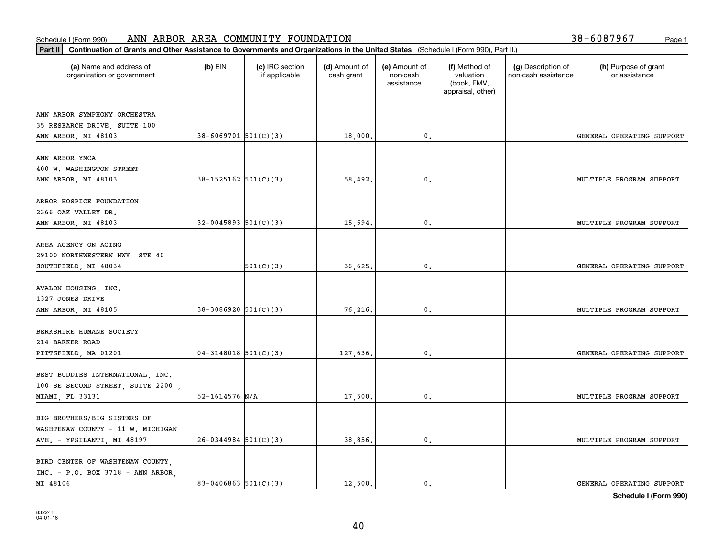| Part II   Continuation of Grants and Other Assistance to Governments and Organizations in the United States (Schedule I (Form 990), Part II.) |                            |                                  |                             |                                         |                                                                |                                           |                                       |
|-----------------------------------------------------------------------------------------------------------------------------------------------|----------------------------|----------------------------------|-----------------------------|-----------------------------------------|----------------------------------------------------------------|-------------------------------------------|---------------------------------------|
| (a) Name and address of<br>organization or government                                                                                         | $(b)$ EIN                  | (c) IRC section<br>if applicable | (d) Amount of<br>cash grant | (e) Amount of<br>non-cash<br>assistance | (f) Method of<br>valuation<br>(book, FMV,<br>appraisal, other) | (g) Description of<br>non-cash assistance | (h) Purpose of grant<br>or assistance |
| ANN ARBOR SYMPHONY ORCHESTRA                                                                                                                  |                            |                                  |                             |                                         |                                                                |                                           |                                       |
| 35 RESEARCH DRIVE, SUITE 100                                                                                                                  |                            |                                  |                             |                                         |                                                                |                                           |                                       |
| ANN ARBOR, MI 48103                                                                                                                           | $38 - 6069701$ $501(C)(3)$ |                                  | 18,000.                     | $\,$ 0 $_\star$                         |                                                                |                                           | GENERAL OPERATING SUPPORT             |
|                                                                                                                                               |                            |                                  |                             |                                         |                                                                |                                           |                                       |
| ANN ARBOR YMCA                                                                                                                                |                            |                                  |                             |                                         |                                                                |                                           |                                       |
| 400 W. WASHINGTON STREET                                                                                                                      | $38-1525162$ $501(C)(3)$   |                                  | 58,492.                     | 0.                                      |                                                                |                                           | MULTIPLE PROGRAM SUPPORT              |
| ANN ARBOR, MI 48103                                                                                                                           |                            |                                  |                             |                                         |                                                                |                                           |                                       |
| ARBOR HOSPICE FOUNDATION                                                                                                                      |                            |                                  |                             |                                         |                                                                |                                           |                                       |
| 2366 OAK VALLEY DR.                                                                                                                           |                            |                                  |                             |                                         |                                                                |                                           |                                       |
| ANN ARBOR, MI 48103                                                                                                                           | $32-0045893$ $501(C)(3)$   |                                  | 15,594.                     | $\mathfrak o$ .                         |                                                                |                                           | MULTIPLE PROGRAM SUPPORT              |
|                                                                                                                                               |                            |                                  |                             |                                         |                                                                |                                           |                                       |
| AREA AGENCY ON AGING                                                                                                                          |                            |                                  |                             |                                         |                                                                |                                           |                                       |
| 29100 NORTHWESTERN HWY STE 40                                                                                                                 |                            |                                  |                             |                                         |                                                                |                                           |                                       |
| SOUTHFIELD, MI 48034                                                                                                                          |                            | 501(C)(3)                        | 36,625.                     | 0.                                      |                                                                |                                           | GENERAL OPERATING SUPPORT             |
|                                                                                                                                               |                            |                                  |                             |                                         |                                                                |                                           |                                       |
| AVALON HOUSING, INC.<br>1327 JONES DRIVE                                                                                                      |                            |                                  |                             |                                         |                                                                |                                           |                                       |
| ANN ARBOR, MI 48105                                                                                                                           | $38-3086920$ $501(C)(3)$   |                                  | 76,216.                     | $\mathbf{0}$                            |                                                                |                                           | MULTIPLE PROGRAM SUPPORT              |
|                                                                                                                                               |                            |                                  |                             |                                         |                                                                |                                           |                                       |
| BERKSHIRE HUMANE SOCIETY                                                                                                                      |                            |                                  |                             |                                         |                                                                |                                           |                                       |
| 214 BARKER ROAD                                                                                                                               |                            |                                  |                             |                                         |                                                                |                                           |                                       |
| PITTSFIELD, MA 01201                                                                                                                          | $04-3148018$ 501(C)(3)     |                                  | 127,636.                    | 0.                                      |                                                                |                                           | GENERAL OPERATING SUPPORT             |
|                                                                                                                                               |                            |                                  |                             |                                         |                                                                |                                           |                                       |
| BEST BUDDIES INTERNATIONAL, INC.                                                                                                              |                            |                                  |                             |                                         |                                                                |                                           |                                       |
| 100 SE SECOND STREET, SUITE 2200,                                                                                                             |                            |                                  |                             |                                         |                                                                |                                           |                                       |
| MIAMI, FL 33131                                                                                                                               | $52 - 1614576$ N/A         |                                  | 17,500.                     | $\mathfrak{o}$ .                        |                                                                |                                           | MULTIPLE PROGRAM SUPPORT              |
| BIG BROTHERS/BIG SISTERS OF                                                                                                                   |                            |                                  |                             |                                         |                                                                |                                           |                                       |
| WASHTENAW COUNTY - 11 W. MICHIGAN                                                                                                             |                            |                                  |                             |                                         |                                                                |                                           |                                       |
|                                                                                                                                               | $26 - 0344984$ 501(C)(3)   |                                  | 38,856.                     | $\mathfrak{o}$ .                        |                                                                |                                           | MULTIPLE PROGRAM SUPPORT              |
| AVE. - YPSILANTI, MI 48197                                                                                                                    |                            |                                  |                             |                                         |                                                                |                                           |                                       |
| BIRD CENTER OF WASHTENAW COUNTY,                                                                                                              |                            |                                  |                             |                                         |                                                                |                                           |                                       |
| INC. - P.O. BOX 3718 - ANN ARBOR,                                                                                                             |                            |                                  |                             |                                         |                                                                |                                           |                                       |
| MI 48106                                                                                                                                      | 83-0406863 $501(C)(3)$     |                                  | 12,500.                     | $\mathbf{0}$ .                          |                                                                |                                           | GENERAL OPERATING SUPPORT             |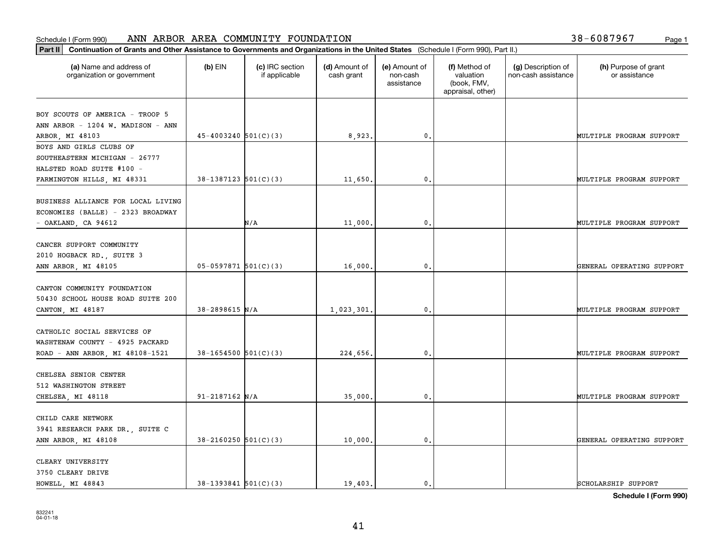| (a) Name and address of            | $(b)$ EIN                  | (c) IRC section | (d) Amount of | (e) Amount of          | (f) Method of                                 | (g) Description of  | (h) Purpose of grant      |
|------------------------------------|----------------------------|-----------------|---------------|------------------------|-----------------------------------------------|---------------------|---------------------------|
| organization or government         |                            | if applicable   | cash grant    | non-cash<br>assistance | valuation<br>(book, FMV,<br>appraisal, other) | non-cash assistance | or assistance             |
| BOY SCOUTS OF AMERICA - TROOP 5    |                            |                 |               |                        |                                               |                     |                           |
| ANN ARBOR - 1204 W. MADISON - ANN  |                            |                 |               |                        |                                               |                     |                           |
| ARBOR, MI 48103                    | $45 - 4003240$ 501(C)(3)   |                 | 8,923.        | 0.                     |                                               |                     | MULTIPLE PROGRAM SUPPORT  |
| BOYS AND GIRLS CLUBS OF            |                            |                 |               |                        |                                               |                     |                           |
| SOUTHEASTERN MICHIGAN - 26777      |                            |                 |               |                        |                                               |                     |                           |
| HALSTED ROAD SUITE #100 -          |                            |                 |               |                        |                                               |                     |                           |
| FARMINGTON HILLS, MI 48331         | $38-1387123$ $501(C)(3)$   |                 | 11,650        | $\mathbf{0}$           |                                               |                     | MULTIPLE PROGRAM SUPPORT  |
| BUSINESS ALLIANCE FOR LOCAL LIVING |                            |                 |               |                        |                                               |                     |                           |
| ECONOMIES (BALLE) - 2323 BROADWAY  |                            |                 |               |                        |                                               |                     |                           |
| - OAKLAND, CA 94612                |                            | N/A             | 11,000.       | $\mathfrak{o}$ .       |                                               |                     | MULTIPLE PROGRAM SUPPORT  |
|                                    |                            |                 |               |                        |                                               |                     |                           |
| CANCER SUPPORT COMMUNITY           |                            |                 |               |                        |                                               |                     |                           |
| 2010 HOGBACK RD., SUITE 3          |                            |                 |               |                        |                                               |                     |                           |
| ANN ARBOR, MI 48105                | $05-0597871$ 501(C)(3)     |                 | 16,000        | $\mathbf{0}$           |                                               |                     | GENERAL OPERATING SUPPORT |
| CANTON COMMUNITY FOUNDATION        |                            |                 |               |                        |                                               |                     |                           |
| 50430 SCHOOL HOUSE ROAD SUITE 200  |                            |                 |               |                        |                                               |                     |                           |
| CANTON, MI 48187                   | $38 - 2898615$ N/A         |                 | 1,023,301     | $\mathbf{0}$           |                                               |                     | MULTIPLE PROGRAM SUPPORT  |
|                                    |                            |                 |               |                        |                                               |                     |                           |
| CATHOLIC SOCIAL SERVICES OF        |                            |                 |               |                        |                                               |                     |                           |
| WASHTENAW COUNTY - 4925 PACKARD    |                            |                 |               |                        |                                               |                     |                           |
| ROAD - ANN ARBOR, MI 48108-1521    | $38 - 1654500$ $501(C)(3)$ |                 | 224,656.      | $\mathbf{0}$           |                                               |                     | MULTIPLE PROGRAM SUPPORT  |
|                                    |                            |                 |               |                        |                                               |                     |                           |
| CHELSEA SENIOR CENTER              |                            |                 |               |                        |                                               |                     |                           |
| 512 WASHINGTON STREET              |                            |                 |               |                        |                                               |                     |                           |
| CHELSEA, MI 48118                  | $91 - 2187162$ N/A         |                 | 35,000        | $^{\rm 0}$ .           |                                               |                     | MULTIPLE PROGRAM SUPPORT  |
| CHILD CARE NETWORK                 |                            |                 |               |                        |                                               |                     |                           |
| 3941 RESEARCH PARK DR., SUITE C    |                            |                 |               |                        |                                               |                     |                           |
| ANN ARBOR, MI 48108                | $38 - 2160250$ 501(C)(3)   |                 | 10,000.       | $^{\circ}$ .           |                                               |                     | GENERAL OPERATING SUPPORT |
|                                    |                            |                 |               |                        |                                               |                     |                           |
| CLEARY UNIVERSITY                  |                            |                 |               |                        |                                               |                     |                           |
| 3750 CLEARY DRIVE                  |                            |                 |               |                        |                                               |                     |                           |
| HOWELL, MI 48843                   | $38-1393841$ $501(C)(3)$   |                 | 19.403.       | $\mathbf{0}$ .         |                                               |                     | SCHOLARSHIP SUPPORT       |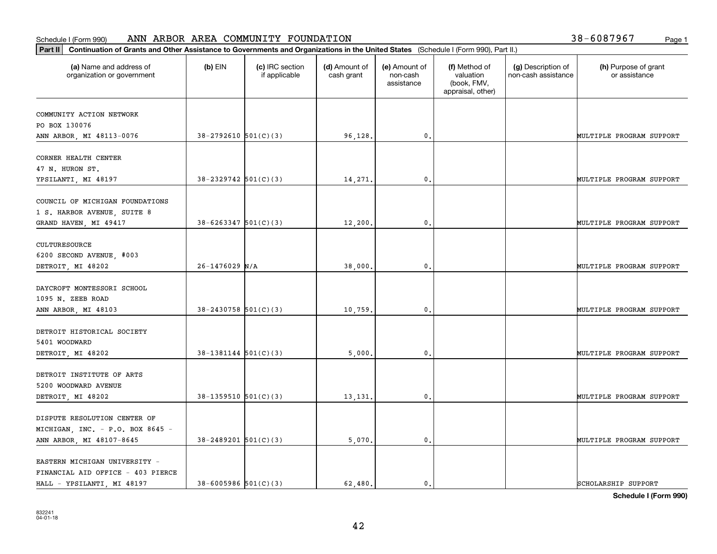| Part II   Continuation of Grants and Other Assistance to Governments and Organizations in the United States (Schedule I (Form 990), Part II.) |                            |                                  |                             |                                         |                                                                |                                           |                                       |
|-----------------------------------------------------------------------------------------------------------------------------------------------|----------------------------|----------------------------------|-----------------------------|-----------------------------------------|----------------------------------------------------------------|-------------------------------------------|---------------------------------------|
| (a) Name and address of<br>organization or government                                                                                         | $(b)$ EIN                  | (c) IRC section<br>if applicable | (d) Amount of<br>cash grant | (e) Amount of<br>non-cash<br>assistance | (f) Method of<br>valuation<br>(book, FMV,<br>appraisal, other) | (g) Description of<br>non-cash assistance | (h) Purpose of grant<br>or assistance |
| COMMUNITY ACTION NETWORK                                                                                                                      |                            |                                  |                             |                                         |                                                                |                                           |                                       |
| PO BOX 130076                                                                                                                                 |                            |                                  |                             |                                         |                                                                |                                           |                                       |
| ANN ARBOR, MI 48113-0076                                                                                                                      | $38-2792610$ $501(C)(3)$   |                                  | 96,128.                     | $\mathfrak o$ .                         |                                                                |                                           | MULTIPLE PROGRAM SUPPORT              |
|                                                                                                                                               |                            |                                  |                             |                                         |                                                                |                                           |                                       |
| CORNER HEALTH CENTER                                                                                                                          |                            |                                  |                             |                                         |                                                                |                                           |                                       |
| 47 N. HURON ST.                                                                                                                               |                            |                                  |                             |                                         |                                                                |                                           |                                       |
| YPSILANTI, MI 48197                                                                                                                           | $38 - 2329742$ 501(C)(3)   |                                  | 14,271                      | $\mathfrak{o}$ .                        |                                                                |                                           | MULTIPLE PROGRAM SUPPORT              |
| COUNCIL OF MICHIGAN FOUNDATIONS                                                                                                               |                            |                                  |                             |                                         |                                                                |                                           |                                       |
| 1 S. HARBOR AVENUE, SUITE 8                                                                                                                   |                            |                                  |                             |                                         |                                                                |                                           |                                       |
| GRAND HAVEN, MI 49417                                                                                                                         | $38 - 6263347$ 501(C)(3)   |                                  | 12,200.                     | $\mathfrak{o}$ .                        |                                                                |                                           | MULTIPLE PROGRAM SUPPORT              |
|                                                                                                                                               |                            |                                  |                             |                                         |                                                                |                                           |                                       |
| CULTURESOURCE                                                                                                                                 |                            |                                  |                             |                                         |                                                                |                                           |                                       |
| 6200 SECOND AVENUE, #003                                                                                                                      |                            |                                  |                             |                                         |                                                                |                                           |                                       |
| DETROIT, MI 48202                                                                                                                             | $26 - 1476029$ N/A         |                                  | 38,000                      | $\mathbf{0}$ .                          |                                                                |                                           | MULTIPLE PROGRAM SUPPORT              |
|                                                                                                                                               |                            |                                  |                             |                                         |                                                                |                                           |                                       |
| DAYCROFT MONTESSORI SCHOOL                                                                                                                    |                            |                                  |                             |                                         |                                                                |                                           |                                       |
| 1095 N. ZEEB ROAD                                                                                                                             |                            |                                  |                             |                                         |                                                                |                                           |                                       |
| ANN ARBOR, MI 48103                                                                                                                           | $38 - 2430758$ 501(C)(3)   |                                  | 10,759                      | $\mathbf{0}$                            |                                                                |                                           | MULTIPLE PROGRAM SUPPORT              |
| DETROIT HISTORICAL SOCIETY                                                                                                                    |                            |                                  |                             |                                         |                                                                |                                           |                                       |
| 5401 WOODWARD                                                                                                                                 |                            |                                  |                             |                                         |                                                                |                                           |                                       |
| DETROIT, MI 48202                                                                                                                             | $38-1381144$ $501(C)(3)$   |                                  | 5,000                       | 0.                                      |                                                                |                                           | MULTIPLE PROGRAM SUPPORT              |
|                                                                                                                                               |                            |                                  |                             |                                         |                                                                |                                           |                                       |
| DETROIT INSTITUTE OF ARTS                                                                                                                     |                            |                                  |                             |                                         |                                                                |                                           |                                       |
| 5200 WOODWARD AVENUE                                                                                                                          |                            |                                  |                             |                                         |                                                                |                                           |                                       |
| DETROIT, MI 48202                                                                                                                             | $38-1359510$ $501(C)(3)$   |                                  | 13,131.                     | $\mathbf{0}$ .                          |                                                                |                                           | MULTIPLE PROGRAM SUPPORT              |
|                                                                                                                                               |                            |                                  |                             |                                         |                                                                |                                           |                                       |
| DISPUTE RESOLUTION CENTER OF                                                                                                                  |                            |                                  |                             |                                         |                                                                |                                           |                                       |
| MICHIGAN, INC. - P.O. BOX 8645 -                                                                                                              |                            |                                  |                             |                                         |                                                                |                                           |                                       |
| ANN ARBOR, MI 48107-8645                                                                                                                      | $38 - 2489201$ 501(C)(3)   |                                  | 5,070.                      | $\mathfrak o$ .                         |                                                                |                                           | MULTIPLE PROGRAM SUPPORT              |
| EASTERN MICHIGAN UNIVERSITY -                                                                                                                 |                            |                                  |                             |                                         |                                                                |                                           |                                       |
| FINANCIAL AID OFFICE - 403 PIERCE                                                                                                             |                            |                                  |                             |                                         |                                                                |                                           |                                       |
| HALL - YPSILANTI, MI 48197                                                                                                                    | $38 - 6005986$ $501(C)(3)$ |                                  | 62.480.                     | $\mathfrak{o}$ .                        |                                                                |                                           | SCHOLARSHIP SUPPORT                   |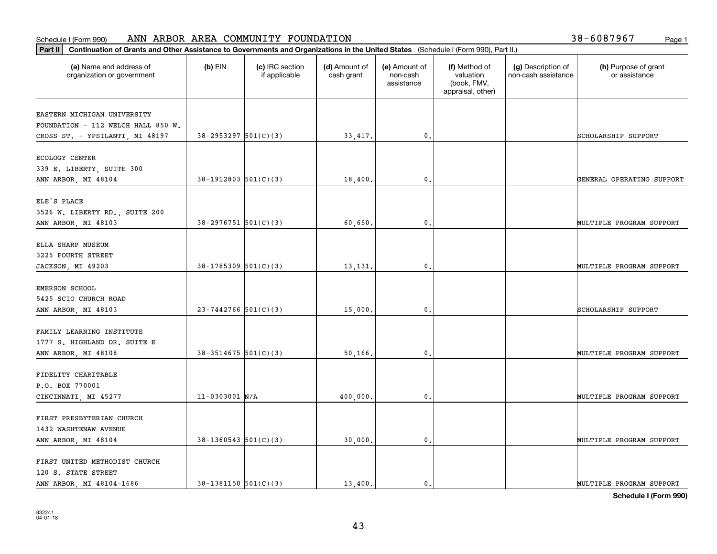| Part II   Continuation of Grants and Other Assistance to Governments and Organizations in the United States (Schedule I (Form 990), Part II.) |                          |                                  |                             |                                         |                                                                |                                           |                                       |
|-----------------------------------------------------------------------------------------------------------------------------------------------|--------------------------|----------------------------------|-----------------------------|-----------------------------------------|----------------------------------------------------------------|-------------------------------------------|---------------------------------------|
| (a) Name and address of<br>organization or government                                                                                         | $(b)$ EIN                | (c) IRC section<br>if applicable | (d) Amount of<br>cash grant | (e) Amount of<br>non-cash<br>assistance | (f) Method of<br>valuation<br>(book, FMV,<br>appraisal, other) | (g) Description of<br>non-cash assistance | (h) Purpose of grant<br>or assistance |
| EASTERN MICHIGAN UNIVERSITY                                                                                                                   |                          |                                  |                             |                                         |                                                                |                                           |                                       |
| FOUNDATION - 112 WELCH HALL 850 W.                                                                                                            |                          |                                  |                             |                                         |                                                                |                                           |                                       |
| CROSS ST. - YPSILANTI, MI 48197                                                                                                               | $38-2953297$ $501(C)(3)$ |                                  | 33,417.                     | $\mathbf{0}$ .                          |                                                                |                                           | SCHOLARSHIP SUPPORT                   |
| ECOLOGY CENTER                                                                                                                                |                          |                                  |                             |                                         |                                                                |                                           |                                       |
| 339 E. LIBERTY, SUITE 300                                                                                                                     |                          |                                  |                             |                                         |                                                                |                                           |                                       |
| ANN ARBOR, MI 48104                                                                                                                           | $38-1912803$ $501(C)(3)$ |                                  | 18,400                      | 0.                                      |                                                                |                                           | GENERAL OPERATING SUPPORT             |
|                                                                                                                                               |                          |                                  |                             |                                         |                                                                |                                           |                                       |
| ELE'S PLACE                                                                                                                                   |                          |                                  |                             |                                         |                                                                |                                           |                                       |
| 3526 W. LIBERTY RD., SUITE 200                                                                                                                | $38 - 2976751$ 501(C)(3) |                                  | 60,650,                     | $\mathfrak o$ .                         |                                                                |                                           | MULTIPLE PROGRAM SUPPORT              |
| ANN ARBOR, MI 48103                                                                                                                           |                          |                                  |                             |                                         |                                                                |                                           |                                       |
| ELLA SHARP MUSEUM                                                                                                                             |                          |                                  |                             |                                         |                                                                |                                           |                                       |
| 3225 FOURTH STREET                                                                                                                            |                          |                                  |                             |                                         |                                                                |                                           |                                       |
| JACKSON, MI 49203                                                                                                                             | $38-1785309$ $501(C)(3)$ |                                  | 13,131.                     | 0.                                      |                                                                |                                           | MULTIPLE PROGRAM SUPPORT              |
| <b>EMERSON SCHOOL</b>                                                                                                                         |                          |                                  |                             |                                         |                                                                |                                           |                                       |
| 5425 SCIO CHURCH ROAD                                                                                                                         |                          |                                  |                             |                                         |                                                                |                                           |                                       |
| ANN ARBOR, MI 48103                                                                                                                           | $23 - 7442766$ 501(C)(3) |                                  | 15,000                      | $\mathbf{0}$                            |                                                                |                                           | SCHOLARSHIP SUPPORT                   |
|                                                                                                                                               |                          |                                  |                             |                                         |                                                                |                                           |                                       |
| FAMILY LEARNING INSTITUTE                                                                                                                     |                          |                                  |                             |                                         |                                                                |                                           |                                       |
| 1777 S. HIGHLAND DR. SUITE E                                                                                                                  |                          |                                  |                             |                                         |                                                                |                                           |                                       |
| ANN ARBOR, MI 48108                                                                                                                           | $38 - 3514675$ 501(C)(3) |                                  | 50,166.                     | 0.                                      |                                                                |                                           | MULTIPLE PROGRAM SUPPORT              |
| FIDELITY CHARITABLE                                                                                                                           |                          |                                  |                             |                                         |                                                                |                                           |                                       |
| P.O. BOX 770001                                                                                                                               |                          |                                  |                             |                                         |                                                                |                                           |                                       |
| CINCINNATI, MI 45277                                                                                                                          | $11 - 0303001$ N/A       |                                  | 400,000,                    | $\mathbf{0}$ .                          |                                                                |                                           | MULTIPLE PROGRAM SUPPORT              |
|                                                                                                                                               |                          |                                  |                             |                                         |                                                                |                                           |                                       |
| FIRST PRESBYTERIAN CHURCH                                                                                                                     |                          |                                  |                             |                                         |                                                                |                                           |                                       |
| 1432 WASHTENAW AVENUE                                                                                                                         |                          |                                  |                             |                                         |                                                                |                                           |                                       |
| ANN ARBOR, MI 48104                                                                                                                           | $38-1360543$ 501(C)(3)   |                                  | 30,000.                     | $\mathfrak{o}$ .                        |                                                                |                                           | MULTIPLE PROGRAM SUPPORT              |
| FIRST UNITED METHODIST CHURCH                                                                                                                 |                          |                                  |                             |                                         |                                                                |                                           |                                       |
| 120 S. STATE STREET                                                                                                                           |                          |                                  |                             |                                         |                                                                |                                           |                                       |
| ANN ARBOR, MI 48104-1686                                                                                                                      | $38-1381150$ $501(C)(3)$ |                                  | 13,400.                     | $\mathbf{0}$ .                          |                                                                |                                           | MULTIPLE PROGRAM SUPPORT              |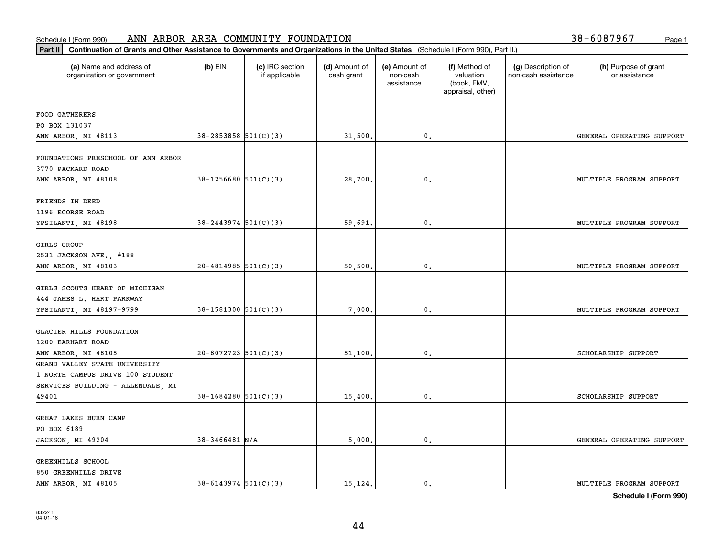| (a) Name and address of                                 | $(b)$ EIN                  | (c) IRC section | (d) Amount of | (e) Amount of          | (f) Method of                                 | (g) Description of  | (h) Purpose of grant      |
|---------------------------------------------------------|----------------------------|-----------------|---------------|------------------------|-----------------------------------------------|---------------------|---------------------------|
| organization or government                              |                            | if applicable   | cash grant    | non-cash<br>assistance | valuation<br>(book, FMV,<br>appraisal, other) | non-cash assistance | or assistance             |
| <b>FOOD GATHERERS</b>                                   |                            |                 |               |                        |                                               |                     |                           |
| PO BOX 131037                                           |                            |                 |               |                        |                                               |                     |                           |
| ANN ARBOR, MI 48113                                     | $38 - 2853858$ $501(C)(3)$ |                 | 31,500.       | $\mathfrak o$ .        |                                               |                     | GENERAL OPERATING SUPPORT |
| FOUNDATIONS PRESCHOOL OF ANN ARBOR<br>3770 PACKARD ROAD |                            |                 |               |                        |                                               |                     |                           |
| ANN ARBOR, MI 48108                                     | $38-1256680$ $501(C)(3)$   |                 | 28,700        | 0.                     |                                               |                     | MULTIPLE PROGRAM SUPPORT  |
| FRIENDS IN DEED                                         |                            |                 |               |                        |                                               |                     |                           |
| 1196 ECORSE ROAD                                        |                            |                 |               |                        |                                               |                     |                           |
| YPSILANTI, MI 48198                                     | $38 - 2443974$ 501(C)(3)   |                 | 59,691        | $\mathfrak o$ .        |                                               |                     | MULTIPLE PROGRAM SUPPORT  |
| GIRLS GROUP                                             |                            |                 |               |                        |                                               |                     |                           |
| 2531 JACKSON AVE., #188                                 |                            |                 |               |                        |                                               |                     |                           |
| ANN ARBOR, MI 48103                                     | $20 - 4814985$ 501(C)(3)   |                 | 50,500        | $\mathbf{0}$           |                                               |                     | MULTIPLE PROGRAM SUPPORT  |
| GIRLS SCOUTS HEART OF MICHIGAN                          |                            |                 |               |                        |                                               |                     |                           |
| 444 JAMES L. HART PARKWAY                               |                            |                 |               |                        |                                               |                     |                           |
| YPSILANTI, MI 48197-9799                                | $38-1581300$ $501(C)(3)$   |                 | 7,000         | $\mathbf{0}$           |                                               |                     | MULTIPLE PROGRAM SUPPORT  |
| GLACIER HILLS FOUNDATION                                |                            |                 |               |                        |                                               |                     |                           |
| 1200 EARHART ROAD                                       |                            |                 |               |                        |                                               |                     |                           |
| ANN ARBOR, MI 48105                                     | $20 - 8072723$ 501(C)(3)   |                 | 51,100.       | 0.                     |                                               |                     | SCHOLARSHIP SUPPORT       |
| GRAND VALLEY STATE UNIVERSITY                           |                            |                 |               |                        |                                               |                     |                           |
| 1 NORTH CAMPUS DRIVE 100 STUDENT                        |                            |                 |               |                        |                                               |                     |                           |
| SERVICES BUILDING - ALLENDALE, MI                       |                            |                 |               |                        |                                               |                     |                           |
| 49401                                                   | $38-1684280$ 501(C)(3)     |                 | 15,400.       | $\mathfrak{o}$ .       |                                               |                     | SCHOLARSHIP SUPPORT       |
| GREAT LAKES BURN CAMP                                   |                            |                 |               |                        |                                               |                     |                           |
| PO BOX 6189                                             |                            |                 |               |                        |                                               |                     |                           |
| JACKSON, MI 49204                                       | $38 - 3466481$ N/A         |                 | 5,000.        | $\mathfrak{o}$ .       |                                               |                     | GENERAL OPERATING SUPPORT |
| GREENHILLS SCHOOL                                       |                            |                 |               |                        |                                               |                     |                           |
| 850 GREENHILLS DRIVE                                    |                            |                 |               |                        |                                               |                     |                           |
| ANN ARBOR, MI 48105                                     | $38 - 6143974$ $501(C)(3)$ |                 | 15, 124.      | $\mathbf{0}$ .         |                                               |                     | MULTIPLE PROGRAM SUPPORT  |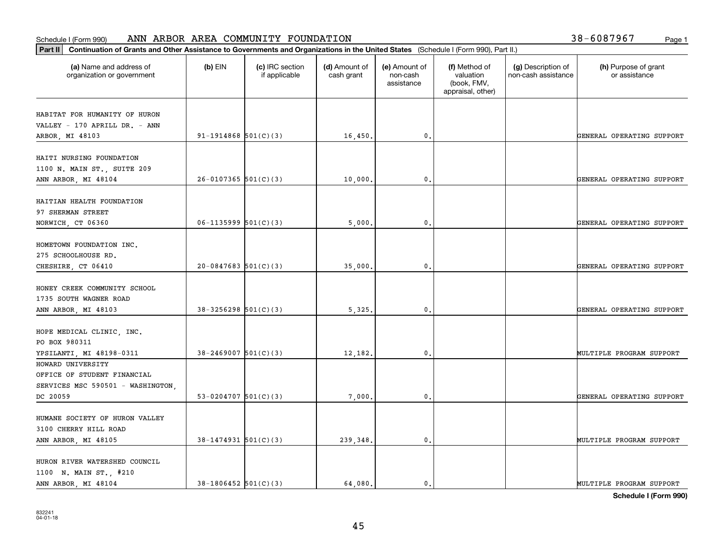| Part II   Continuation of Grants and Other Assistance to Governments and Organizations in the United States (Schedule I (Form 990), Part II.) |                          |                                  |                             |                                         |                                                                |                                           |                                       |
|-----------------------------------------------------------------------------------------------------------------------------------------------|--------------------------|----------------------------------|-----------------------------|-----------------------------------------|----------------------------------------------------------------|-------------------------------------------|---------------------------------------|
| (a) Name and address of<br>organization or government                                                                                         | $(b)$ EIN                | (c) IRC section<br>if applicable | (d) Amount of<br>cash grant | (e) Amount of<br>non-cash<br>assistance | (f) Method of<br>valuation<br>(book, FMV,<br>appraisal, other) | (g) Description of<br>non-cash assistance | (h) Purpose of grant<br>or assistance |
| HABITAT FOR HUMANITY OF HURON                                                                                                                 |                          |                                  |                             |                                         |                                                                |                                           |                                       |
| VALLEY - 170 APRILL DR. - ANN                                                                                                                 |                          |                                  |                             |                                         |                                                                |                                           |                                       |
| ARBOR, MI 48103                                                                                                                               | $91-1914868$ $501(C)(3)$ |                                  | 16,450.                     | $\mathfrak{o}$ .                        |                                                                |                                           | GENERAL OPERATING SUPPORT             |
|                                                                                                                                               |                          |                                  |                             |                                         |                                                                |                                           |                                       |
| HAITI NURSING FOUNDATION                                                                                                                      |                          |                                  |                             |                                         |                                                                |                                           |                                       |
| 1100 N. MAIN ST., SUITE 209                                                                                                                   |                          |                                  |                             |                                         |                                                                |                                           |                                       |
| ANN ARBOR, MI 48104                                                                                                                           | $26-0107365$ 501(C)(3)   |                                  | 10,000.                     | 0.                                      |                                                                |                                           | GENERAL OPERATING SUPPORT             |
|                                                                                                                                               |                          |                                  |                             |                                         |                                                                |                                           |                                       |
| HAITIAN HEALTH FOUNDATION                                                                                                                     |                          |                                  |                             |                                         |                                                                |                                           |                                       |
| 97 SHERMAN STREET                                                                                                                             |                          |                                  |                             |                                         |                                                                |                                           |                                       |
| NORWICH, CT 06360                                                                                                                             | $06-1135999$ 501(C)(3)   |                                  | 5,000.                      | $\mathbf{0}$ .                          |                                                                |                                           | GENERAL OPERATING SUPPORT             |
| HOMETOWN FOUNDATION INC.                                                                                                                      |                          |                                  |                             |                                         |                                                                |                                           |                                       |
| 275 SCHOOLHOUSE RD.                                                                                                                           |                          |                                  |                             |                                         |                                                                |                                           |                                       |
| CHESHIRE, CT 06410                                                                                                                            | $20-0847683$ 501(C)(3)   |                                  | 35,000.                     | 0.                                      |                                                                |                                           | GENERAL OPERATING SUPPORT             |
|                                                                                                                                               |                          |                                  |                             |                                         |                                                                |                                           |                                       |
| HONEY CREEK COMMUNITY SCHOOL                                                                                                                  |                          |                                  |                             |                                         |                                                                |                                           |                                       |
| 1735 SOUTH WAGNER ROAD                                                                                                                        |                          |                                  |                             |                                         |                                                                |                                           |                                       |
| ANN ARBOR, MI 48103                                                                                                                           | $38-3256298$ $501(C)(3)$ |                                  | 5,325,                      | $\mathbf{0}$                            |                                                                |                                           | GENERAL OPERATING SUPPORT             |
|                                                                                                                                               |                          |                                  |                             |                                         |                                                                |                                           |                                       |
| HOPE MEDICAL CLINIC, INC.                                                                                                                     |                          |                                  |                             |                                         |                                                                |                                           |                                       |
| PO BOX 980311                                                                                                                                 |                          |                                  |                             |                                         |                                                                |                                           |                                       |
| YPSILANTI, MI 48198-0311                                                                                                                      | $38 - 2469007$ 501(C)(3) |                                  | 12,182.                     | $\mathfrak{o}$ .                        |                                                                |                                           | MULTIPLE PROGRAM SUPPORT              |
| HOWARD UNIVERSITY                                                                                                                             |                          |                                  |                             |                                         |                                                                |                                           |                                       |
| OFFICE OF STUDENT FINANCIAL                                                                                                                   |                          |                                  |                             |                                         |                                                                |                                           |                                       |
| SERVICES MSC 590501 - WASHINGTON,                                                                                                             |                          |                                  |                             |                                         |                                                                |                                           |                                       |
| DC 20059                                                                                                                                      | 53-0204707 $501(C)(3)$   |                                  | 7,000.                      | $\mathfrak{o}$ .                        |                                                                |                                           | GENERAL OPERATING SUPPORT             |
|                                                                                                                                               |                          |                                  |                             |                                         |                                                                |                                           |                                       |
| HUMANE SOCIETY OF HURON VALLEY                                                                                                                |                          |                                  |                             |                                         |                                                                |                                           |                                       |
| 3100 CHERRY HILL ROAD                                                                                                                         |                          |                                  |                             |                                         |                                                                |                                           |                                       |
| ANN ARBOR, MI 48105                                                                                                                           | $38 - 1474931$ 501(C)(3) |                                  | 239,348.                    | $\mathfrak o$ .                         |                                                                |                                           | MULTIPLE PROGRAM SUPPORT              |
| HURON RIVER WATERSHED COUNCIL                                                                                                                 |                          |                                  |                             |                                         |                                                                |                                           |                                       |
| 1100 N. MAIN ST., #210                                                                                                                        |                          |                                  |                             |                                         |                                                                |                                           |                                       |
| ANN ARBOR, MI 48104                                                                                                                           | $38-1806452$ 501(C)(3)   |                                  | 64,080.                     | $\mathfrak{o}$ .                        |                                                                |                                           | MULTIPLE PROGRAM SUPPORT              |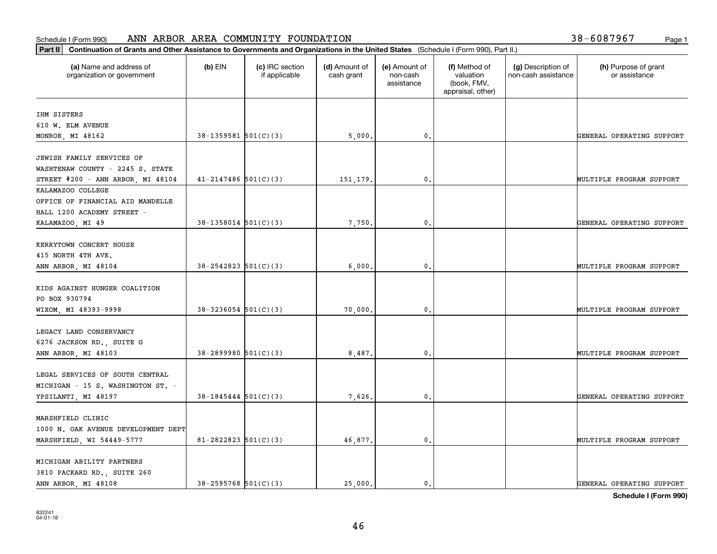| Part II   Continuation of Grants and Other Assistance to Governments and Organizations in the United States (Schedule I (Form 990), Part II.) |                            |                                  |                             |                                         |                                                                |                                           |                                       |
|-----------------------------------------------------------------------------------------------------------------------------------------------|----------------------------|----------------------------------|-----------------------------|-----------------------------------------|----------------------------------------------------------------|-------------------------------------------|---------------------------------------|
| (a) Name and address of<br>organization or government                                                                                         | $(b)$ EIN                  | (c) IRC section<br>if applicable | (d) Amount of<br>cash grant | (e) Amount of<br>non-cash<br>assistance | (f) Method of<br>valuation<br>(book, FMV,<br>appraisal, other) | (g) Description of<br>non-cash assistance | (h) Purpose of grant<br>or assistance |
| IHM SISTERS                                                                                                                                   |                            |                                  |                             |                                         |                                                                |                                           |                                       |
| 610 W. ELM AVENUE                                                                                                                             |                            |                                  |                             |                                         |                                                                |                                           |                                       |
| MONROE, MI 48162                                                                                                                              | $38-1359581$ $501(C)(3)$   |                                  | 5,000.                      | 0.                                      |                                                                |                                           | GENERAL OPERATING SUPPORT             |
|                                                                                                                                               |                            |                                  |                             |                                         |                                                                |                                           |                                       |
| JEWISH FAMILY SERVICES OF                                                                                                                     |                            |                                  |                             |                                         |                                                                |                                           |                                       |
| WASHTENAW COUNTY - 2245 S. STATE                                                                                                              |                            |                                  |                             |                                         |                                                                |                                           |                                       |
| STREET $#200 - ANN ARBOR, MI 48104$                                                                                                           | $41 - 2147486$ 501(C)(3)   |                                  | 151,179.                    | 0.                                      |                                                                |                                           | MULTIPLE PROGRAM SUPPORT              |
| KALAMAZOO COLLEGE                                                                                                                             |                            |                                  |                             |                                         |                                                                |                                           |                                       |
| OFFICE OF FINANCIAL AID MANDELLE                                                                                                              |                            |                                  |                             |                                         |                                                                |                                           |                                       |
| HALL 1200 ACADEMY STREET -                                                                                                                    |                            |                                  |                             |                                         |                                                                |                                           |                                       |
| KALAMAZOO, MI 49                                                                                                                              | $38-1358014$ $501(C)(3)$   |                                  | 7,750.                      | 0.                                      |                                                                |                                           | GENERAL OPERATING SUPPORT             |
|                                                                                                                                               |                            |                                  |                             |                                         |                                                                |                                           |                                       |
| KERRYTOWN CONCERT HOUSE                                                                                                                       |                            |                                  |                             |                                         |                                                                |                                           |                                       |
| 415 NORTH 4TH AVE.                                                                                                                            |                            |                                  |                             |                                         |                                                                |                                           |                                       |
| ANN ARBOR, MI 48104                                                                                                                           | $38 - 2542823$ $501(C)(3)$ |                                  | 6,000                       | 0.                                      |                                                                |                                           | MULTIPLE PROGRAM SUPPORT              |
| KIDS AGAINST HUNGER COALITION                                                                                                                 |                            |                                  |                             |                                         |                                                                |                                           |                                       |
| PO BOX 930794                                                                                                                                 |                            |                                  |                             |                                         |                                                                |                                           |                                       |
| WIXOM, MI 48393-9998                                                                                                                          | $38 - 3236054$ $501(C)(3)$ |                                  | 70,000.                     | 0.                                      |                                                                |                                           | MULTIPLE PROGRAM SUPPORT              |
|                                                                                                                                               |                            |                                  |                             |                                         |                                                                |                                           |                                       |
| LEGACY LAND CONSERVANCY                                                                                                                       |                            |                                  |                             |                                         |                                                                |                                           |                                       |
| 6276 JACKSON RD., SUITE G                                                                                                                     |                            |                                  |                             |                                         |                                                                |                                           |                                       |
| ANN ARBOR, MI 48103                                                                                                                           | $38 - 2899980$ $501(C)(3)$ |                                  | 8,487.                      | 0.                                      |                                                                |                                           | MULTIPLE PROGRAM SUPPORT              |
|                                                                                                                                               |                            |                                  |                             |                                         |                                                                |                                           |                                       |
| LEGAL SERVICES OF SOUTH CENTRAL                                                                                                               |                            |                                  |                             |                                         |                                                                |                                           |                                       |
| MICHIGAN - 15 S. WASHINGTON ST. -                                                                                                             |                            |                                  |                             |                                         |                                                                |                                           |                                       |
| YPSILANTI, MI 48197                                                                                                                           | $38-1845444$ $501(C)(3)$   |                                  | 7,626.                      | $\mathbf{0}$ .                          |                                                                |                                           | GENERAL OPERATING SUPPORT             |
|                                                                                                                                               |                            |                                  |                             |                                         |                                                                |                                           |                                       |
| MARSHFIELD CLINIC                                                                                                                             |                            |                                  |                             |                                         |                                                                |                                           |                                       |
| 1000 N. OAK AVENUE DEVELOPMENT DEPT                                                                                                           |                            |                                  |                             |                                         |                                                                |                                           |                                       |
| MARSHFIELD, WI 54449-5777                                                                                                                     | 81-2822823 $501(C)(3)$     |                                  | 46,877.                     | $\mathfrak o$ .                         |                                                                |                                           | MULTIPLE PROGRAM SUPPORT              |
| MICHIGAN ABILITY PARTNERS                                                                                                                     |                            |                                  |                             |                                         |                                                                |                                           |                                       |
| 3810 PACKARD RD., SUITE 260                                                                                                                   |                            |                                  |                             |                                         |                                                                |                                           |                                       |
| ANN ARBOR, MI 48108                                                                                                                           | $38 - 2595768$ 501(C)(3)   |                                  | 25.000.                     | $\mathfrak{o}$ .                        |                                                                |                                           | GENERAL OPERATING SUPPORT             |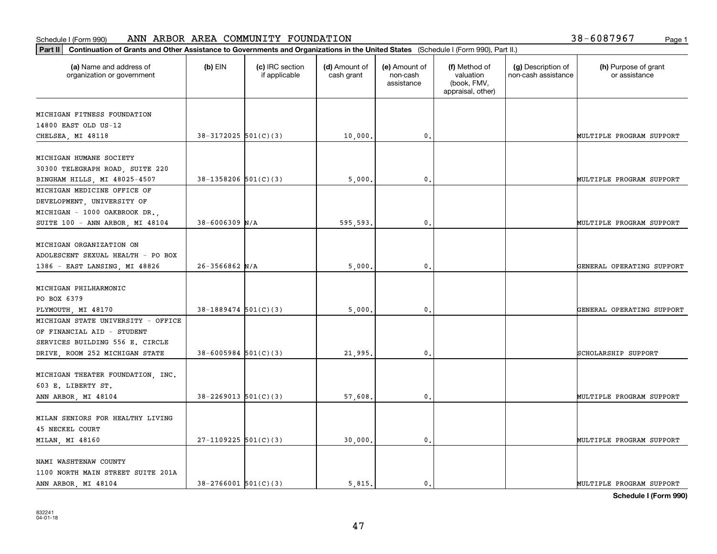| 38-6087967 | Page 1 |  |  |  |  |  |  |  |  |
|------------|--------|--|--|--|--|--|--|--|--|
|------------|--------|--|--|--|--|--|--|--|--|

| Part II   Continuation of Grants and Other Assistance to Governments and Organizations in the United States (Schedule I (Form 990), Part II.) |                            |                                  |                             |                                         |                                                                |                                           |                                       |
|-----------------------------------------------------------------------------------------------------------------------------------------------|----------------------------|----------------------------------|-----------------------------|-----------------------------------------|----------------------------------------------------------------|-------------------------------------------|---------------------------------------|
| (a) Name and address of<br>organization or government                                                                                         | $(b)$ EIN                  | (c) IRC section<br>if applicable | (d) Amount of<br>cash grant | (e) Amount of<br>non-cash<br>assistance | (f) Method of<br>valuation<br>(book, FMV,<br>appraisal, other) | (g) Description of<br>non-cash assistance | (h) Purpose of grant<br>or assistance |
| MICHIGAN FITNESS FOUNDATION                                                                                                                   |                            |                                  |                             |                                         |                                                                |                                           |                                       |
| 14800 EAST OLD US-12                                                                                                                          |                            |                                  |                             |                                         |                                                                |                                           |                                       |
| CHELSEA, MI 48118                                                                                                                             | $38-3172025$ 501(C)(3)     |                                  | 10,000.                     | 0.                                      |                                                                |                                           | MULTIPLE PROGRAM SUPPORT              |
| MICHIGAN HUMANE SOCIETY                                                                                                                       |                            |                                  |                             |                                         |                                                                |                                           |                                       |
|                                                                                                                                               |                            |                                  |                             |                                         |                                                                |                                           |                                       |
| 30300 TELEGRAPH ROAD, SUITE 220<br>BINGHAM HILLS, MI 48025-4507                                                                               | $38-1358206$ $501(C)(3)$   |                                  | 5,000                       | 0.                                      |                                                                |                                           | MULTIPLE PROGRAM SUPPORT              |
| MICHIGAN MEDICINE OFFICE OF                                                                                                                   |                            |                                  |                             |                                         |                                                                |                                           |                                       |
| DEVELOPMENT, UNIVERSITY OF                                                                                                                    |                            |                                  |                             |                                         |                                                                |                                           |                                       |
| MICHIGAN - 1000 OAKBROOK DR.,                                                                                                                 |                            |                                  |                             |                                         |                                                                |                                           |                                       |
| SUITE 100 - ANN ARBOR, MI 48104                                                                                                               | $38 - 6006309$ N/A         |                                  | 595,593.                    | $\mathbf{0}$ .                          |                                                                |                                           | MULTIPLE PROGRAM SUPPORT              |
|                                                                                                                                               |                            |                                  |                             |                                         |                                                                |                                           |                                       |
| MICHIGAN ORGANIZATION ON                                                                                                                      |                            |                                  |                             |                                         |                                                                |                                           |                                       |
| ADOLESCENT SEXUAL HEALTH - PO BOX                                                                                                             |                            |                                  |                             |                                         |                                                                |                                           |                                       |
| 1386 - EAST LANSING, MI 48826                                                                                                                 | $26 - 3566862$ N/A         |                                  | 5,000                       | $\mathbf{0}$                            |                                                                |                                           | GENERAL OPERATING SUPPORT             |
|                                                                                                                                               |                            |                                  |                             |                                         |                                                                |                                           |                                       |
| MICHIGAN PHILHARMONIC                                                                                                                         |                            |                                  |                             |                                         |                                                                |                                           |                                       |
| PO BOX 6379                                                                                                                                   |                            |                                  |                             |                                         |                                                                |                                           |                                       |
| PLYMOUTH, MI 48170                                                                                                                            | $38-1889474$ 501(C)(3)     |                                  | 5,000                       | $\mathbf{0}$                            |                                                                |                                           | GENERAL OPERATING SUPPORT             |
| MICHIGAN STATE UNIVERSITY - OFFICE                                                                                                            |                            |                                  |                             |                                         |                                                                |                                           |                                       |
| OF FINANCIAL AID - STUDENT<br>SERVICES BUILDING 556 E. CIRCLE                                                                                 |                            |                                  |                             |                                         |                                                                |                                           |                                       |
| DRIVE, ROOM 252 MICHIGAN STATE                                                                                                                | $38 - 6005984$ 501(C)(3)   |                                  | 21,995.                     | $\mathbf{0}$                            |                                                                |                                           | SCHOLARSHIP SUPPORT                   |
|                                                                                                                                               |                            |                                  |                             |                                         |                                                                |                                           |                                       |
| MICHIGAN THEATER FOUNDATION, INC.                                                                                                             |                            |                                  |                             |                                         |                                                                |                                           |                                       |
| 603 E. LIBERTY ST.                                                                                                                            |                            |                                  |                             |                                         |                                                                |                                           |                                       |
| ANN ARBOR, MI 48104                                                                                                                           | $38 - 2269013$ $501(C)(3)$ |                                  | 57,608.                     | $^{\rm 0}$ .                            |                                                                |                                           | MULTIPLE PROGRAM SUPPORT              |
|                                                                                                                                               |                            |                                  |                             |                                         |                                                                |                                           |                                       |
| MILAN SENIORS FOR HEALTHY LIVING                                                                                                              |                            |                                  |                             |                                         |                                                                |                                           |                                       |
| <b>45 NECKEL COURT</b>                                                                                                                        |                            |                                  |                             |                                         |                                                                |                                           |                                       |
| MILAN, MI 48160                                                                                                                               | $27-1109225$ 501(C)(3)     |                                  | 30,000.                     | $\mathfrak{o}$ .                        |                                                                |                                           | MULTIPLE PROGRAM SUPPORT              |
| NAMI WASHTENAW COUNTY                                                                                                                         |                            |                                  |                             |                                         |                                                                |                                           |                                       |
| 1100 NORTH MAIN STREET SUITE 201A                                                                                                             |                            |                                  |                             |                                         |                                                                |                                           |                                       |
| ANN ARBOR, MI 48104                                                                                                                           | $38 - 2766001$ 501(C)(3)   |                                  | 5.815.                      | $\mathbf{0}$ .                          |                                                                |                                           | MULTIPLE PROGRAM SUPPORT              |
|                                                                                                                                               |                            |                                  |                             |                                         |                                                                |                                           |                                       |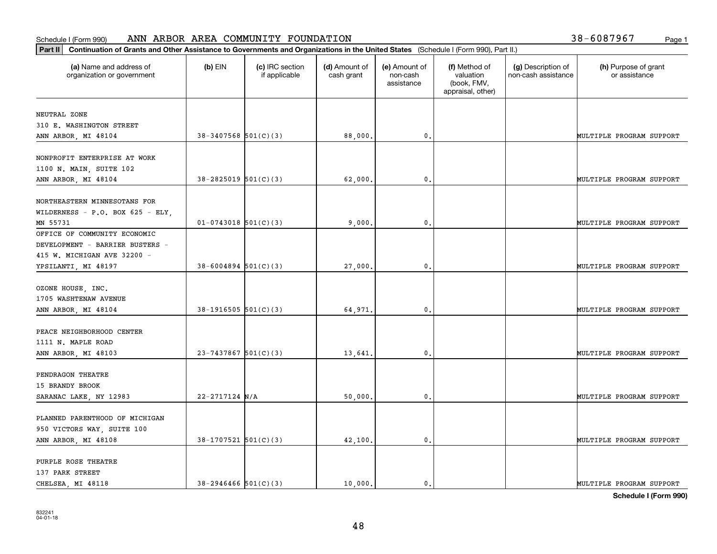| (a) Name and address of<br>organization or government | $(b)$ EIN                  | (c) IRC section<br>if applicable | (d) Amount of<br>cash grant | (e) Amount of<br>non-cash<br>assistance | (f) Method of<br>valuation<br>(book, FMV,<br>appraisal, other) | (g) Description of<br>non-cash assistance | (h) Purpose of grant<br>or assistance |
|-------------------------------------------------------|----------------------------|----------------------------------|-----------------------------|-----------------------------------------|----------------------------------------------------------------|-------------------------------------------|---------------------------------------|
| NEUTRAL ZONE                                          |                            |                                  |                             |                                         |                                                                |                                           |                                       |
| 310 E. WASHINGTON STREET                              |                            |                                  |                             |                                         |                                                                |                                           |                                       |
| ANN ARBOR, MI 48104                                   | $38-3407568$ $501(C)(3)$   |                                  | 88,000.                     | 0.                                      |                                                                |                                           | MULTIPLE PROGRAM SUPPORT              |
|                                                       |                            |                                  |                             |                                         |                                                                |                                           |                                       |
| NONPROFIT ENTERPRISE AT WORK                          |                            |                                  |                             |                                         |                                                                |                                           |                                       |
| 1100 N. MAIN, SUITE 102                               |                            |                                  |                             |                                         |                                                                |                                           |                                       |
| ANN ARBOR, MI 48104                                   | $38 - 2825019$ 501(C)(3)   |                                  | 62,000.                     | 0.                                      |                                                                |                                           | MULTIPLE PROGRAM SUPPORT              |
| NORTHEASTERN MINNESOTANS FOR                          |                            |                                  |                             |                                         |                                                                |                                           |                                       |
| WILDERNESS - P.O. BOX 625 - ELY,                      |                            |                                  |                             |                                         |                                                                |                                           |                                       |
| MN 55731                                              | $01-0743018$ 501(C)(3)     |                                  | 9,000,                      | 0.                                      |                                                                |                                           | MULTIPLE PROGRAM SUPPORT              |
| OFFICE OF COMMUNITY ECONOMIC                          |                            |                                  |                             |                                         |                                                                |                                           |                                       |
| DEVELOPMENT - BARRIER BUSTERS -                       |                            |                                  |                             |                                         |                                                                |                                           |                                       |
| 415 W. MICHIGAN AVE 32200 -                           |                            |                                  |                             |                                         |                                                                |                                           |                                       |
| YPSILANTI, MI 48197                                   | $38 - 6004894$ 501(C)(3)   |                                  | 27,000.                     | 0.                                      |                                                                |                                           | MULTIPLE PROGRAM SUPPORT              |
|                                                       |                            |                                  |                             |                                         |                                                                |                                           |                                       |
| OZONE HOUSE, INC.                                     |                            |                                  |                             |                                         |                                                                |                                           |                                       |
| 1705 WASHTENAW AVENUE                                 |                            |                                  |                             |                                         |                                                                |                                           |                                       |
| ANN ARBOR, MI 48104                                   | $38-1916505$ $501(C)(3)$   |                                  | 64,971.                     | $\mathbf{0}$                            |                                                                |                                           | MULTIPLE PROGRAM SUPPORT              |
|                                                       |                            |                                  |                             |                                         |                                                                |                                           |                                       |
| PEACE NEIGHBORHOOD CENTER                             |                            |                                  |                             |                                         |                                                                |                                           |                                       |
| 1111 N. MAPLE ROAD                                    |                            |                                  |                             |                                         |                                                                |                                           |                                       |
| ANN ARBOR, MI 48103                                   | $23 - 7437867$ 501(C)(3)   |                                  | 13,641.                     | 0.                                      |                                                                |                                           | MULTIPLE PROGRAM SUPPORT              |
|                                                       |                            |                                  |                             |                                         |                                                                |                                           |                                       |
| PENDRAGON THEATRE                                     |                            |                                  |                             |                                         |                                                                |                                           |                                       |
| 15 BRANDY BROOK                                       |                            |                                  |                             |                                         |                                                                |                                           |                                       |
| SARANAC LAKE, NY 12983                                | $22 - 2717124$ N/A         |                                  | 50,000.                     | 0.                                      |                                                                |                                           | MULTIPLE PROGRAM SUPPORT              |
|                                                       |                            |                                  |                             |                                         |                                                                |                                           |                                       |
| PLANNED PARENTHOOD OF MICHIGAN                        |                            |                                  |                             |                                         |                                                                |                                           |                                       |
| 950 VICTORS WAY, SUITE 100                            |                            |                                  |                             |                                         |                                                                |                                           |                                       |
| ANN ARBOR, MI 48108                                   | $38-1707521$ 501(C)(3)     |                                  | 42,100.                     | $\mathbf{0}$ .                          |                                                                |                                           | MULTIPLE PROGRAM SUPPORT              |
|                                                       |                            |                                  |                             |                                         |                                                                |                                           |                                       |
| PURPLE ROSE THEATRE                                   |                            |                                  |                             |                                         |                                                                |                                           |                                       |
| 137 PARK STREET                                       |                            |                                  |                             |                                         |                                                                |                                           |                                       |
| CHELSEA, MI 48118                                     | $38 - 2946466$ $501(C)(3)$ |                                  | 10,000.                     | 0.                                      |                                                                |                                           | MULTIPLE PROGRAM SUPPORT              |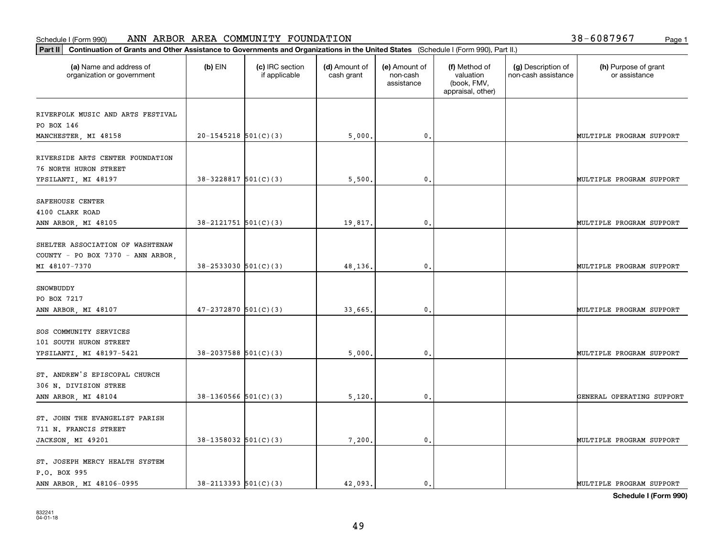| Part II   Continuation of Grants and Other Assistance to Governments and Organizations in the United States (Schedule I (Form 990), Part II.) |                            |                                  |                             |                                         |                                                                |                                           |                                       |
|-----------------------------------------------------------------------------------------------------------------------------------------------|----------------------------|----------------------------------|-----------------------------|-----------------------------------------|----------------------------------------------------------------|-------------------------------------------|---------------------------------------|
| (a) Name and address of<br>organization or government                                                                                         | $(b)$ EIN                  | (c) IRC section<br>if applicable | (d) Amount of<br>cash grant | (e) Amount of<br>non-cash<br>assistance | (f) Method of<br>valuation<br>(book, FMV,<br>appraisal, other) | (g) Description of<br>non-cash assistance | (h) Purpose of grant<br>or assistance |
|                                                                                                                                               |                            |                                  |                             |                                         |                                                                |                                           |                                       |
| RIVERFOLK MUSIC AND ARTS FESTIVAL<br>PO BOX 146                                                                                               |                            |                                  |                             |                                         |                                                                |                                           |                                       |
| MANCHESTER, MI 48158                                                                                                                          | $20-1545218$ $501(C)(3)$   |                                  | 5,000.                      | 0.                                      |                                                                |                                           | MULTIPLE PROGRAM SUPPORT              |
|                                                                                                                                               |                            |                                  |                             |                                         |                                                                |                                           |                                       |
| RIVERSIDE ARTS CENTER FOUNDATION                                                                                                              |                            |                                  |                             |                                         |                                                                |                                           |                                       |
| <b>76 NORTH HURON STREET</b>                                                                                                                  |                            |                                  |                             |                                         |                                                                |                                           |                                       |
| YPSILANTI, MI 48197                                                                                                                           | $38-3228817$ $501(C)(3)$   |                                  | 5,500                       | 0.                                      |                                                                |                                           | MULTIPLE PROGRAM SUPPORT              |
|                                                                                                                                               |                            |                                  |                             |                                         |                                                                |                                           |                                       |
| SAFEHOUSE CENTER<br>4100 CLARK ROAD                                                                                                           |                            |                                  |                             |                                         |                                                                |                                           |                                       |
| ANN ARBOR, MI 48105                                                                                                                           | $38 - 2121751$ $501(C)(3)$ |                                  | 19,817.                     | $\mathbf{0}$ .                          |                                                                |                                           | MULTIPLE PROGRAM SUPPORT              |
|                                                                                                                                               |                            |                                  |                             |                                         |                                                                |                                           |                                       |
| SHELTER ASSOCIATION OF WASHTENAW                                                                                                              |                            |                                  |                             |                                         |                                                                |                                           |                                       |
| COUNTY - PO BOX 7370 - ANN ARBOR,                                                                                                             |                            |                                  |                             |                                         |                                                                |                                           |                                       |
| MI 48107-7370                                                                                                                                 | $38 - 2533030$ $501(C)(3)$ |                                  | 48,136.                     | $\mathfrak{o}$ .                        |                                                                |                                           | MULTIPLE PROGRAM SUPPORT              |
|                                                                                                                                               |                            |                                  |                             |                                         |                                                                |                                           |                                       |
| SNOWBUDDY                                                                                                                                     |                            |                                  |                             |                                         |                                                                |                                           |                                       |
| PO BOX 7217                                                                                                                                   |                            |                                  |                             |                                         |                                                                |                                           |                                       |
| ANN ARBOR, MI 48107                                                                                                                           | $47 - 2372870$ 501(C)(3)   |                                  | 33,665.                     | 0.                                      |                                                                |                                           | MULTIPLE PROGRAM SUPPORT              |
|                                                                                                                                               |                            |                                  |                             |                                         |                                                                |                                           |                                       |
| SOS COMMUNITY SERVICES<br>101 SOUTH HURON STREET                                                                                              |                            |                                  |                             |                                         |                                                                |                                           |                                       |
| YPSILANTI, MI 48197-5421                                                                                                                      | $38 - 2037588$ 501(C)(3)   |                                  | 5,000                       | 0.                                      |                                                                |                                           | MULTIPLE PROGRAM SUPPORT              |
|                                                                                                                                               |                            |                                  |                             |                                         |                                                                |                                           |                                       |
| ST. ANDREW'S EPISCOPAL CHURCH                                                                                                                 |                            |                                  |                             |                                         |                                                                |                                           |                                       |
| 306 N. DIVISION STREE                                                                                                                         |                            |                                  |                             |                                         |                                                                |                                           |                                       |
| ANN ARBOR, MI 48104                                                                                                                           | $38-1360566$ $501(C)(3)$   |                                  | 5,120,                      | 0.                                      |                                                                |                                           | GENERAL OPERATING SUPPORT             |
|                                                                                                                                               |                            |                                  |                             |                                         |                                                                |                                           |                                       |
| ST. JOHN THE EVANGELIST PARISH                                                                                                                |                            |                                  |                             |                                         |                                                                |                                           |                                       |
| 711 N. FRANCIS STREET                                                                                                                         |                            |                                  |                             |                                         |                                                                |                                           |                                       |
| JACKSON, MI 49201                                                                                                                             | $38-1358032$ 501(C)(3)     |                                  | 7,200.                      | $\mathfrak o$ .                         |                                                                |                                           | MULTIPLE PROGRAM SUPPORT              |
| ST. JOSEPH MERCY HEALTH SYSTEM                                                                                                                |                            |                                  |                             |                                         |                                                                |                                           |                                       |
| P.O. BOX 995                                                                                                                                  |                            |                                  |                             |                                         |                                                                |                                           |                                       |
| ANN ARBOR, MI 48106-0995                                                                                                                      | $38 - 2113393$ $501(C)(3)$ |                                  | 42.093.                     | $\mathbf{0}$ .                          |                                                                |                                           | MULTIPLE PROGRAM SUPPORT              |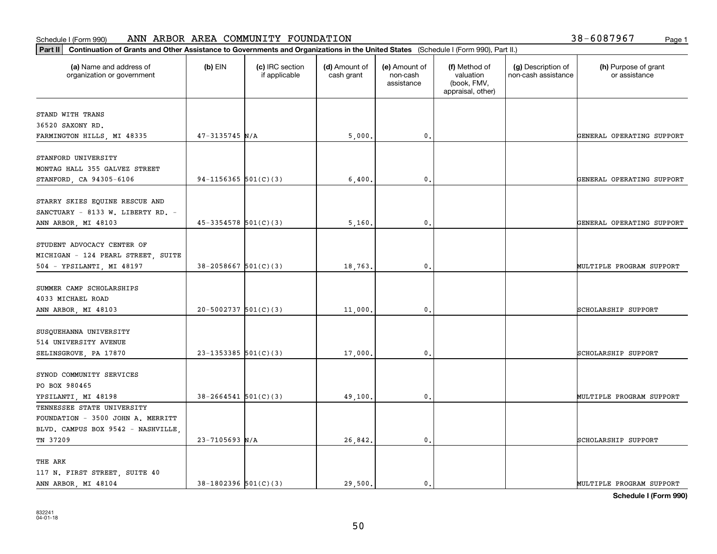| (a) Name and address of<br>organization or government | $(b)$ EIN                  | (c) IRC section<br>if applicable | (d) Amount of<br>cash grant | (e) Amount of<br>non-cash<br>assistance | (f) Method of<br>valuation<br>(book, FMV, | (g) Description of<br>non-cash assistance | (h) Purpose of grant<br>or assistance |
|-------------------------------------------------------|----------------------------|----------------------------------|-----------------------------|-----------------------------------------|-------------------------------------------|-------------------------------------------|---------------------------------------|
|                                                       |                            |                                  |                             |                                         | appraisal, other)                         |                                           |                                       |
| STAND WITH TRANS                                      |                            |                                  |                             |                                         |                                           |                                           |                                       |
| 36520 SAXONY RD.                                      |                            |                                  |                             |                                         |                                           |                                           |                                       |
| FARMINGTON HILLS, MI 48335                            | $47 - 3135745$ N/A         |                                  | 5,000.                      | $\mathbf 0$ .                           |                                           |                                           | GENERAL OPERATING SUPPORT             |
|                                                       |                            |                                  |                             |                                         |                                           |                                           |                                       |
| STANFORD UNIVERSITY                                   |                            |                                  |                             |                                         |                                           |                                           |                                       |
| MONTAG HALL 355 GALVEZ STREET                         |                            |                                  |                             |                                         |                                           |                                           |                                       |
| STANFORD, CA 94305-6106                               | $94-1156365$ $501(C)(3)$   |                                  | 6,400                       | 0.                                      |                                           |                                           | GENERAL OPERATING SUPPORT             |
|                                                       |                            |                                  |                             |                                         |                                           |                                           |                                       |
| STARRY SKIES EQUINE RESCUE AND                        |                            |                                  |                             |                                         |                                           |                                           |                                       |
| SANCTUARY - 8133 W. LIBERTY RD. -                     |                            |                                  |                             |                                         |                                           |                                           |                                       |
| ANN ARBOR, MI 48103                                   | $45-3354578$ 501(C)(3)     |                                  | 5,160                       | $\mathfrak{o}$ .                        |                                           |                                           | GENERAL OPERATING SUPPORT             |
|                                                       |                            |                                  |                             |                                         |                                           |                                           |                                       |
| STUDENT ADVOCACY CENTER OF                            |                            |                                  |                             |                                         |                                           |                                           |                                       |
| MICHIGAN - 124 PEARL STREET, SUITE                    |                            |                                  |                             |                                         |                                           |                                           |                                       |
| 504 - YPSILANTI, MI 48197                             | $38 - 2058667$ 501(C)(3)   |                                  | 18,763.                     | $\mathbf{0}$                            |                                           |                                           | MULTIPLE PROGRAM SUPPORT              |
|                                                       |                            |                                  |                             |                                         |                                           |                                           |                                       |
| SUMMER CAMP SCHOLARSHIPS                              |                            |                                  |                             |                                         |                                           |                                           |                                       |
| 4033 MICHAEL ROAD                                     | $20-5002737$ 501(C)(3)     |                                  |                             | $\mathbf{0}$                            |                                           |                                           | SCHOLARSHIP SUPPORT                   |
| ANN ARBOR, MI 48103                                   |                            |                                  | 11,000                      |                                         |                                           |                                           |                                       |
| SUSQUEHANNA UNIVERSITY                                |                            |                                  |                             |                                         |                                           |                                           |                                       |
| 514 UNIVERSITY AVENUE                                 |                            |                                  |                             |                                         |                                           |                                           |                                       |
| SELINSGROVE, PA 17870                                 | $23-1353385$ 501(C)(3)     |                                  | 17,000                      | $\mathbf{0}$                            |                                           |                                           | SCHOLARSHIP SUPPORT                   |
|                                                       |                            |                                  |                             |                                         |                                           |                                           |                                       |
| SYNOD COMMUNITY SERVICES                              |                            |                                  |                             |                                         |                                           |                                           |                                       |
| PO BOX 980465                                         |                            |                                  |                             |                                         |                                           |                                           |                                       |
| YPSILANTI, MI 48198                                   | $38 - 2664541$ $501(C)(3)$ |                                  | 49,100                      | $\mathfrak{o}$ .                        |                                           |                                           | MULTIPLE PROGRAM SUPPORT              |
| TENNESSEE STATE UNIVERSITY                            |                            |                                  |                             |                                         |                                           |                                           |                                       |
| FOUNDATION - 3500 JOHN A. MERRITT                     |                            |                                  |                             |                                         |                                           |                                           |                                       |
| BLVD. CAMPUS BOX 9542 - NASHVILLE,                    |                            |                                  |                             |                                         |                                           |                                           |                                       |
| TN 37209                                              | $23 - 7105693$ N/A         |                                  | 26,842.                     | $\mathfrak{o}$ .                        |                                           |                                           | SCHOLARSHIP SUPPORT                   |
|                                                       |                            |                                  |                             |                                         |                                           |                                           |                                       |
| THE ARK                                               |                            |                                  |                             |                                         |                                           |                                           |                                       |
| 117 N. FIRST STREET, SUITE 40                         |                            |                                  |                             |                                         |                                           |                                           |                                       |
| ANN ARBOR, MI 48104                                   | $38-1802396$ $501(C)(3)$   |                                  | 29.500.                     | $\mathfrak{o}$ .                        |                                           |                                           | MULTIPLE PROGRAM SUPPORT              |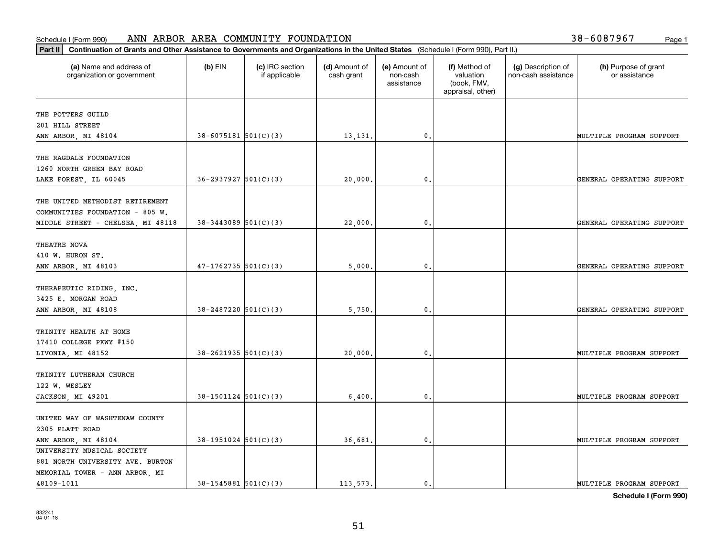| Part II   Continuation of Grants and Other Assistance to Governments and Organizations in the United States (Schedule I (Form 990), Part II.) |                            |                                  |                             |                                         |                                                                |                                           |                                       |
|-----------------------------------------------------------------------------------------------------------------------------------------------|----------------------------|----------------------------------|-----------------------------|-----------------------------------------|----------------------------------------------------------------|-------------------------------------------|---------------------------------------|
| (a) Name and address of<br>organization or government                                                                                         | $(b)$ EIN                  | (c) IRC section<br>if applicable | (d) Amount of<br>cash grant | (e) Amount of<br>non-cash<br>assistance | (f) Method of<br>valuation<br>(book, FMV,<br>appraisal, other) | (g) Description of<br>non-cash assistance | (h) Purpose of grant<br>or assistance |
| THE POTTERS GUILD                                                                                                                             |                            |                                  |                             |                                         |                                                                |                                           |                                       |
| 201 HILL STREET                                                                                                                               |                            |                                  |                             |                                         |                                                                |                                           |                                       |
| ANN ARBOR, MI 48104                                                                                                                           | $38 - 6075181$ $501(C)(3)$ |                                  | 13,131.                     | 0.                                      |                                                                |                                           | MULTIPLE PROGRAM SUPPORT              |
|                                                                                                                                               |                            |                                  |                             |                                         |                                                                |                                           |                                       |
| THE RAGDALE FOUNDATION                                                                                                                        |                            |                                  |                             |                                         |                                                                |                                           |                                       |
| 1260 NORTH GREEN BAY ROAD                                                                                                                     |                            |                                  |                             |                                         |                                                                |                                           |                                       |
| LAKE FOREST, IL 60045                                                                                                                         | $36 - 2937927$ $501(C)(3)$ |                                  | 20,000                      | $\mathbf{0}$ .                          |                                                                |                                           | GENERAL OPERATING SUPPORT             |
|                                                                                                                                               |                            |                                  |                             |                                         |                                                                |                                           |                                       |
| THE UNITED METHODIST RETIREMENT                                                                                                               |                            |                                  |                             |                                         |                                                                |                                           |                                       |
| COMMUNITIES FOUNDATION - 805 W.                                                                                                               |                            |                                  |                             |                                         |                                                                |                                           |                                       |
| MIDDLE STREET - CHELSEA, MI 48118                                                                                                             | $38 - 3443089$ 501(C)(3)   |                                  | 22,000.                     | $\mathbf{0}$ .                          |                                                                |                                           | GENERAL OPERATING SUPPORT             |
|                                                                                                                                               |                            |                                  |                             |                                         |                                                                |                                           |                                       |
| THEATRE NOVA                                                                                                                                  |                            |                                  |                             |                                         |                                                                |                                           |                                       |
| 410 W. HURON ST.                                                                                                                              |                            |                                  |                             |                                         |                                                                |                                           |                                       |
| ANN ARBOR, MI 48103                                                                                                                           | $47-1762735$ 501(C)(3)     |                                  | 5,000                       | 0.                                      |                                                                |                                           | GENERAL OPERATING SUPPORT             |
|                                                                                                                                               |                            |                                  |                             |                                         |                                                                |                                           |                                       |
| THERAPEUTIC RIDING, INC.<br>3425 E. MORGAN ROAD                                                                                               |                            |                                  |                             |                                         |                                                                |                                           |                                       |
| ANN ARBOR, MI 48108                                                                                                                           | $38 - 2487220$ 501(C)(3)   |                                  | 5,750.                      | $\mathbf{0}$                            |                                                                |                                           | GENERAL OPERATING SUPPORT             |
|                                                                                                                                               |                            |                                  |                             |                                         |                                                                |                                           |                                       |
| TRINITY HEALTH AT HOME                                                                                                                        |                            |                                  |                             |                                         |                                                                |                                           |                                       |
| 17410 COLLEGE PKWY #150                                                                                                                       |                            |                                  |                             |                                         |                                                                |                                           |                                       |
| LIVONIA, MI 48152                                                                                                                             | $38-2621935$ $501(C)(3)$   |                                  | 20,000.                     | 0.                                      |                                                                |                                           | MULTIPLE PROGRAM SUPPORT              |
|                                                                                                                                               |                            |                                  |                             |                                         |                                                                |                                           |                                       |
| TRINITY LUTHERAN CHURCH                                                                                                                       |                            |                                  |                             |                                         |                                                                |                                           |                                       |
| 122 W. WESLEY                                                                                                                                 |                            |                                  |                             |                                         |                                                                |                                           |                                       |
| JACKSON, MI 49201                                                                                                                             | $38-1501124$ $501(C)(3)$   |                                  | 6,400.                      | $\mathbf{0}$ .                          |                                                                |                                           | MULTIPLE PROGRAM SUPPORT              |
|                                                                                                                                               |                            |                                  |                             |                                         |                                                                |                                           |                                       |
| UNITED WAY OF WASHTENAW COUNTY                                                                                                                |                            |                                  |                             |                                         |                                                                |                                           |                                       |
| 2305 PLATT ROAD                                                                                                                               |                            |                                  |                             |                                         |                                                                |                                           |                                       |
| ANN ARBOR, MI 48104                                                                                                                           | $38-1951024$ $501(C)(3)$   |                                  | 36,681.                     | $\mathbf{0}$ .                          |                                                                |                                           | MULTIPLE PROGRAM SUPPORT              |
| UNIVERSITY MUSICAL SOCIETY                                                                                                                    |                            |                                  |                             |                                         |                                                                |                                           |                                       |
| 881 NORTH UNIVERSITY AVE. BURTON                                                                                                              |                            |                                  |                             |                                         |                                                                |                                           |                                       |
| MEMORIAL TOWER - ANN ARBOR, MI                                                                                                                |                            |                                  |                             |                                         |                                                                |                                           |                                       |
| 48109-1011                                                                                                                                    | $38 - 1545881$ 501(C)(3)   |                                  | 113.573.                    | 0.                                      |                                                                |                                           | MULTIPLE PROGRAM SUPPORT              |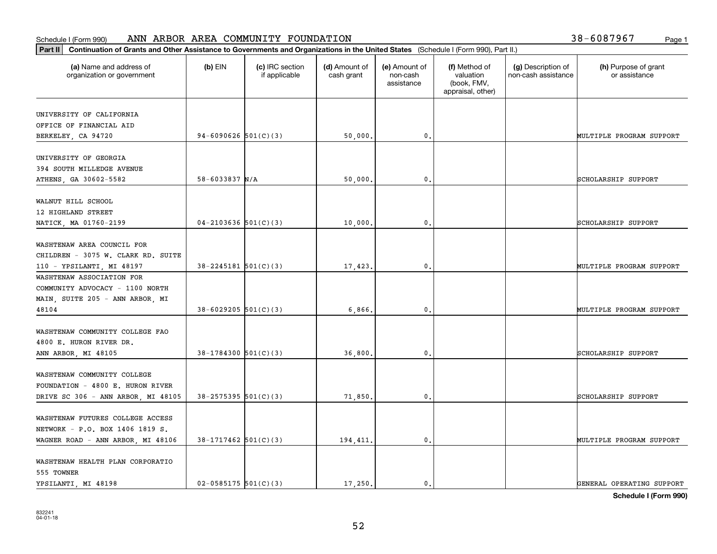| Part II   Continuation of Grants and Other Assistance to Governments and Organizations in the United States (Schedule I (Form 990), Part II.) |                            |                                  |                             |                                         |                                                                |                                           |                                       |
|-----------------------------------------------------------------------------------------------------------------------------------------------|----------------------------|----------------------------------|-----------------------------|-----------------------------------------|----------------------------------------------------------------|-------------------------------------------|---------------------------------------|
| (a) Name and address of<br>organization or government                                                                                         | $(b)$ EIN                  | (c) IRC section<br>if applicable | (d) Amount of<br>cash grant | (e) Amount of<br>non-cash<br>assistance | (f) Method of<br>valuation<br>(book, FMV,<br>appraisal, other) | (g) Description of<br>non-cash assistance | (h) Purpose of grant<br>or assistance |
| UNIVERSITY OF CALIFORNIA                                                                                                                      |                            |                                  |                             |                                         |                                                                |                                           |                                       |
| OFFICE OF FINANCIAL AID                                                                                                                       |                            |                                  |                             |                                         |                                                                |                                           |                                       |
| BERKELEY, CA 94720                                                                                                                            | 94-6090626 $501(C)(3)$     |                                  | 50,000.                     | $\mathbf 0$ .                           |                                                                |                                           | MULTIPLE PROGRAM SUPPORT              |
|                                                                                                                                               |                            |                                  |                             |                                         |                                                                |                                           |                                       |
| UNIVERSITY OF GEORGIA                                                                                                                         |                            |                                  |                             |                                         |                                                                |                                           |                                       |
| 394 SOUTH MILLEDGE AVENUE                                                                                                                     |                            |                                  |                             |                                         |                                                                |                                           |                                       |
| ATHENS, GA 30602-5582                                                                                                                         | $58 - 6033837$ N/A         |                                  | 50,000                      | 0.                                      |                                                                |                                           | SCHOLARSHIP SUPPORT                   |
|                                                                                                                                               |                            |                                  |                             |                                         |                                                                |                                           |                                       |
| WALNUT HILL SCHOOL                                                                                                                            |                            |                                  |                             |                                         |                                                                |                                           |                                       |
| 12 HIGHLAND STREET                                                                                                                            |                            |                                  |                             |                                         |                                                                |                                           |                                       |
| NATICK, MA 01760-2199                                                                                                                         | $04 - 2103636$ 501(C)(3)   |                                  | 10,000                      | $\mathfrak o$ .                         |                                                                |                                           | SCHOLARSHIP SUPPORT                   |
| WASHTENAW AREA COUNCIL FOR                                                                                                                    |                            |                                  |                             |                                         |                                                                |                                           |                                       |
|                                                                                                                                               |                            |                                  |                             |                                         |                                                                |                                           |                                       |
| CHILDREN - 3075 W. CLARK RD. SUITE                                                                                                            | $38 - 2245181$ $501(C)(3)$ |                                  |                             | $\mathbf{0}$                            |                                                                |                                           | MULTIPLE PROGRAM SUPPORT              |
| 110 - YPSILANTI, MI 48197<br>WASHTENAW ASSOCIATION FOR                                                                                        |                            |                                  | 17,423.                     |                                         |                                                                |                                           |                                       |
| COMMUNITY ADVOCACY - 1100 NORTH                                                                                                               |                            |                                  |                             |                                         |                                                                |                                           |                                       |
| MAIN, SUITE 205 - ANN ARBOR, MI                                                                                                               |                            |                                  |                             |                                         |                                                                |                                           |                                       |
| 48104                                                                                                                                         | $38 - 6029205$ 501(C)(3)   |                                  | 6,866                       | $\mathbf{0}$                            |                                                                |                                           | MULTIPLE PROGRAM SUPPORT              |
|                                                                                                                                               |                            |                                  |                             |                                         |                                                                |                                           |                                       |
| WASHTENAW COMMUNITY COLLEGE FAO                                                                                                               |                            |                                  |                             |                                         |                                                                |                                           |                                       |
| 4800 E. HURON RIVER DR.                                                                                                                       |                            |                                  |                             |                                         |                                                                |                                           |                                       |
| ANN ARBOR, MI 48105                                                                                                                           | $38-1784300$ $501(C)(3)$   |                                  | 36,800.                     | $\mathbf{0}$                            |                                                                |                                           | SCHOLARSHIP SUPPORT                   |
|                                                                                                                                               |                            |                                  |                             |                                         |                                                                |                                           |                                       |
| WASHTENAW COMMUNITY COLLEGE                                                                                                                   |                            |                                  |                             |                                         |                                                                |                                           |                                       |
| FOUNDATION - 4800 E. HURON RIVER                                                                                                              |                            |                                  |                             |                                         |                                                                |                                           |                                       |
| DRIVE SC 306 - ANN ARBOR, MI 48105                                                                                                            | $38 - 2575395$ $501(C)(3)$ |                                  | 71,850                      | $\mathfrak{o}$ .                        |                                                                |                                           | SCHOLARSHIP SUPPORT                   |
|                                                                                                                                               |                            |                                  |                             |                                         |                                                                |                                           |                                       |
| WASHTENAW FUTURES COLLEGE ACCESS                                                                                                              |                            |                                  |                             |                                         |                                                                |                                           |                                       |
| NETWORK - P.O. BOX 1406 1819 S.                                                                                                               |                            |                                  |                             |                                         |                                                                |                                           |                                       |
| WAGNER ROAD - ANN ARBOR, MI 48106                                                                                                             | $38-1717462$ 501(C)(3)     |                                  | 194,411.                    | $\mathfrak{o}$ .                        |                                                                |                                           | MULTIPLE PROGRAM SUPPORT              |
|                                                                                                                                               |                            |                                  |                             |                                         |                                                                |                                           |                                       |
| WASHTENAW HEALTH PLAN CORPORATIO<br>555 TOWNER                                                                                                |                            |                                  |                             |                                         |                                                                |                                           |                                       |
| YPSILANTI, MI 48198                                                                                                                           | $02 - 0585175$ $501(C)(3)$ |                                  | 17.250.                     | $\mathbf{0}$ .                          |                                                                |                                           | GENERAL OPERATING SUPPORT             |
|                                                                                                                                               |                            |                                  |                             |                                         |                                                                |                                           |                                       |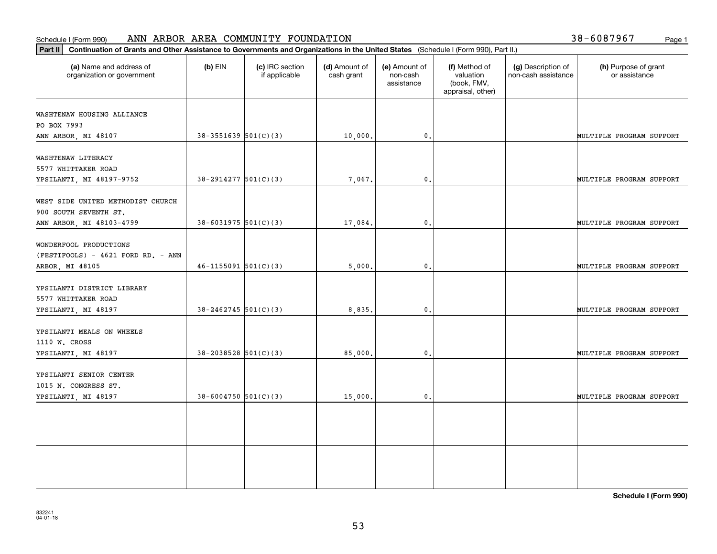#### **Part III Continuation of Grants and Other Assistance to Grants and Other Assistance I** Schedule I (Form 990) Page 1 ANN ARBOR AREA COMMUNITY FOUNDATION

|  | 38-6087967 | Page 1 |
|--|------------|--------|
|  |            |        |

| Continuation of Grants and Other Assistance to Governments and Organizations in the United States (Schedule I (Form 990), Part II.)<br> Part II |                            |                                  |                             |                                         |                                                                |                                           |                                       |  |  |
|-------------------------------------------------------------------------------------------------------------------------------------------------|----------------------------|----------------------------------|-----------------------------|-----------------------------------------|----------------------------------------------------------------|-------------------------------------------|---------------------------------------|--|--|
| (a) Name and address of<br>organization or government                                                                                           | $(b)$ EIN                  | (c) IRC section<br>if applicable | (d) Amount of<br>cash grant | (e) Amount of<br>non-cash<br>assistance | (f) Method of<br>valuation<br>(book, FMV,<br>appraisal, other) | (g) Description of<br>non-cash assistance | (h) Purpose of grant<br>or assistance |  |  |
| WASHTENAW HOUSING ALLIANCE<br>PO BOX 7993                                                                                                       |                            |                                  |                             |                                         |                                                                |                                           |                                       |  |  |
| ANN ARBOR, MI 48107                                                                                                                             | $38-3551639$ 501(C)(3)     |                                  | 10,000.                     | $\mathbf{0}$ .                          |                                                                |                                           | MULTIPLE PROGRAM SUPPORT              |  |  |
| WASHTENAW LITERACY<br>5577 WHITTAKER ROAD<br>YPSILANTI, MI 48197-9752                                                                           | $38-2914277$ 501(C)(3)     |                                  | 7,067.                      | $\mathbf{0}$ .                          |                                                                |                                           | MULTIPLE PROGRAM SUPPORT              |  |  |
| WEST SIDE UNITED METHODIST CHURCH<br>900 SOUTH SEVENTH ST.                                                                                      |                            |                                  |                             |                                         |                                                                |                                           |                                       |  |  |
| ANN ARBOR, MI 48103-4799                                                                                                                        | $38 - 6031975$ 501(C)(3)   |                                  | 17,084.                     | $\mathbf{0}$ .                          |                                                                |                                           | MULTIPLE PROGRAM SUPPORT              |  |  |
| WONDERFOOL PRODUCTIONS<br>(FESTIFOOLS) - 4621 FORD RD. - ANN<br>ARBOR, MI 48105                                                                 | $46 - 1155091$ $501(C)(3)$ |                                  | 5,000.                      | $\mathbf{0}$ .                          |                                                                |                                           | MULTIPLE PROGRAM SUPPORT              |  |  |
| YPSILANTI DISTRICT LIBRARY<br>5577 WHITTAKER ROAD<br>YPSILANTI, MI 48197                                                                        | $38 - 2462745$ 501(C)(3)   |                                  | 8,835.                      | $\mathbf{0}$ .                          |                                                                |                                           | MULTIPLE PROGRAM SUPPORT              |  |  |
| YPSILANTI MEALS ON WHEELS<br>1110 W. CROSS                                                                                                      |                            |                                  |                             |                                         |                                                                |                                           |                                       |  |  |
| YPSILANTI, MI 48197                                                                                                                             | $38 - 2038528$ 501(C)(3)   |                                  | 85,000.                     | $\mathbf{0}$ .                          |                                                                |                                           | MULTIPLE PROGRAM SUPPORT              |  |  |
| YPSILANTI SENIOR CENTER<br>1015 N. CONGRESS ST.<br>YPSILANTI, MI 48197                                                                          | $38 - 6004750$ 501(C)(3)   |                                  | 15,000.                     | $\mathfrak o$ .                         |                                                                |                                           | MULTIPLE PROGRAM SUPPORT              |  |  |
|                                                                                                                                                 |                            |                                  |                             |                                         |                                                                |                                           |                                       |  |  |
|                                                                                                                                                 |                            |                                  |                             |                                         |                                                                |                                           |                                       |  |  |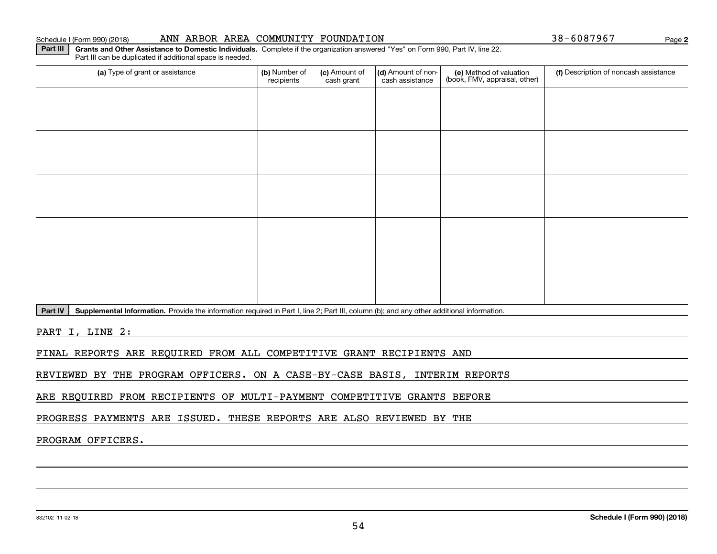**2**

**Part III** | Grants and Other Assistance to Domestic Individuals. Complete if the organization answered "Yes" on Form 990, Part IV, line 22. Part III can be duplicated if additional space is needed.

| (b) Number of<br>recipients | (c) Amount of<br>cash grant | (d) Amount of non-<br>cash assistance | (e) Method of valuation<br>(book, FMV, appraisal, other) | (f) Description of noncash assistance |
|-----------------------------|-----------------------------|---------------------------------------|----------------------------------------------------------|---------------------------------------|
|                             |                             |                                       |                                                          |                                       |
|                             |                             |                                       |                                                          |                                       |
|                             |                             |                                       |                                                          |                                       |
|                             |                             |                                       |                                                          |                                       |
|                             |                             |                                       |                                                          |                                       |
|                             |                             |                                       |                                                          |                                       |
|                             |                             |                                       |                                                          |                                       |
|                             |                             |                                       |                                                          |                                       |
|                             |                             |                                       |                                                          |                                       |
|                             |                             |                                       |                                                          |                                       |
|                             |                             |                                       |                                                          |                                       |

Part IV | Supplemental Information. Provide the information required in Part I, line 2; Part III, column (b); and any other additional information.

PART I, LINE 2:

FINAL REPORTS ARE REQUIRED FROM ALL COMPETITIVE GRANT RECIPIENTS AND

REVIEWED BY THE PROGRAM OFFICERS. ON A CASE-BY-CASE BASIS, INTERIM REPORTS

ARE REQUIRED FROM RECIPIENTS OF MULTI-PAYMENT COMPETITIVE GRANTS BEFORE

PROGRESS PAYMENTS ARE ISSUED. THESE REPORTS ARE ALSO REVIEWED BY THE

## PROGRAM OFFICERS.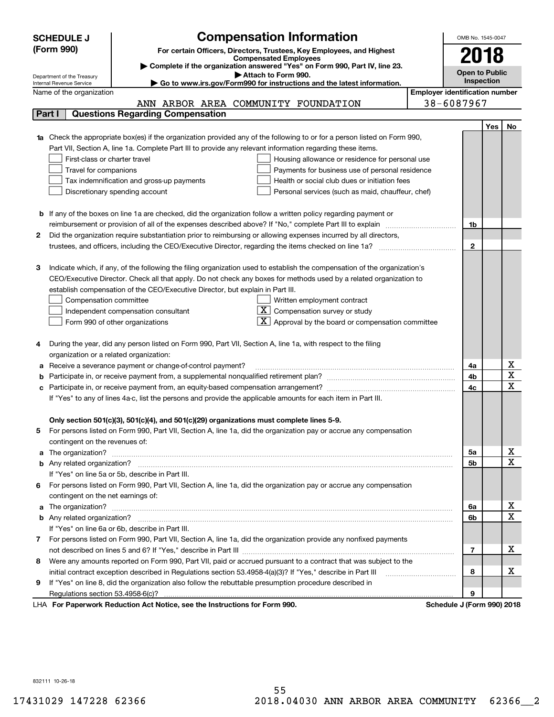|        | <b>SCHEDULE J</b>                                      | <b>Compensation Information</b>                                                                                           | OMB No. 1545-0047                     |     |             |
|--------|--------------------------------------------------------|---------------------------------------------------------------------------------------------------------------------------|---------------------------------------|-----|-------------|
|        | (Form 990)                                             | For certain Officers, Directors, Trustees, Key Employees, and Highest                                                     |                                       |     |             |
|        |                                                        | <b>Compensated Employees</b>                                                                                              | 2018                                  |     |             |
|        |                                                        | Complete if the organization answered "Yes" on Form 990, Part IV, line 23.<br>Attach to Form 990.                         | <b>Open to Public</b>                 |     |             |
|        | Department of the Treasury<br>Internal Revenue Service | Go to www.irs.gov/Form990 for instructions and the latest information.                                                    | Inspection                            |     |             |
|        | Name of the organization                               |                                                                                                                           | <b>Employer identification number</b> |     |             |
|        |                                                        | ANN ARBOR AREA COMMUNITY FOUNDATION                                                                                       | 38-6087967                            |     |             |
| Part I |                                                        | <b>Questions Regarding Compensation</b>                                                                                   |                                       |     |             |
|        |                                                        |                                                                                                                           |                                       | Yes | No          |
|        |                                                        | Check the appropriate box(es) if the organization provided any of the following to or for a person listed on Form 990,    |                                       |     |             |
|        |                                                        | Part VII, Section A, line 1a. Complete Part III to provide any relevant information regarding these items.                |                                       |     |             |
|        | First-class or charter travel                          | Housing allowance or residence for personal use                                                                           |                                       |     |             |
|        | Travel for companions                                  | Payments for business use of personal residence                                                                           |                                       |     |             |
|        |                                                        | Tax indemnification and gross-up payments<br>Health or social club dues or initiation fees                                |                                       |     |             |
|        |                                                        | Discretionary spending account<br>Personal services (such as maid, chauffeur, chef)                                       |                                       |     |             |
|        |                                                        |                                                                                                                           |                                       |     |             |
|        |                                                        | <b>b</b> If any of the boxes on line 1a are checked, did the organization follow a written policy regarding payment or    |                                       |     |             |
|        |                                                        | reimbursement or provision of all of the expenses described above? If "No," complete Part III to explain                  | 1b                                    |     |             |
| 2      |                                                        | Did the organization require substantiation prior to reimbursing or allowing expenses incurred by all directors,          |                                       |     |             |
|        |                                                        |                                                                                                                           | $\mathbf{2}$                          |     |             |
|        |                                                        |                                                                                                                           |                                       |     |             |
| з      |                                                        | Indicate which, if any, of the following the filing organization used to establish the compensation of the organization's |                                       |     |             |
|        |                                                        | CEO/Executive Director. Check all that apply. Do not check any boxes for methods used by a related organization to        |                                       |     |             |
|        |                                                        | establish compensation of the CEO/Executive Director, but explain in Part III.                                            |                                       |     |             |
|        | Compensation committee                                 | Written employment contract                                                                                               |                                       |     |             |
|        |                                                        | $X$ Compensation survey or study<br>Independent compensation consultant                                                   |                                       |     |             |
|        |                                                        | $\boxed{\textbf{X}}$ Approval by the board or compensation committee<br>Form 990 of other organizations                   |                                       |     |             |
|        |                                                        |                                                                                                                           |                                       |     |             |
| 4      |                                                        | During the year, did any person listed on Form 990, Part VII, Section A, line 1a, with respect to the filing              |                                       |     |             |
|        | organization or a related organization:                |                                                                                                                           |                                       |     |             |
| а      |                                                        | Receive a severance payment or change-of-control payment?                                                                 | 4a                                    |     | х           |
| b      |                                                        |                                                                                                                           | 4b                                    |     | X           |
| с      |                                                        |                                                                                                                           | 4c                                    |     | $\mathbf X$ |
|        |                                                        | If "Yes" to any of lines 4a-c, list the persons and provide the applicable amounts for each item in Part III.             |                                       |     |             |
|        |                                                        |                                                                                                                           |                                       |     |             |
|        |                                                        | Only section 501(c)(3), 501(c)(4), and 501(c)(29) organizations must complete lines 5-9.                                  |                                       |     |             |
| 5      |                                                        | For persons listed on Form 990, Part VII, Section A, line 1a, did the organization pay or accrue any compensation         |                                       |     |             |
|        | contingent on the revenues of:                         |                                                                                                                           |                                       |     |             |
| a      |                                                        |                                                                                                                           | 5a                                    |     | x           |
|        |                                                        |                                                                                                                           | 5b                                    |     | Χ           |
|        |                                                        | If "Yes" on line 5a or 5b, describe in Part III.                                                                          |                                       |     |             |
|        |                                                        | 6 For persons listed on Form 990, Part VII, Section A, line 1a, did the organization pay or accrue any compensation       |                                       |     |             |
|        | contingent on the net earnings of:                     |                                                                                                                           |                                       |     |             |
| a      |                                                        |                                                                                                                           | 6a                                    |     | x           |
|        |                                                        |                                                                                                                           | 6b                                    |     | Χ           |
|        |                                                        | If "Yes" on line 6a or 6b, describe in Part III.                                                                          |                                       |     |             |
|        |                                                        | 7 For persons listed on Form 990, Part VII, Section A, line 1a, did the organization provide any nonfixed payments        |                                       |     |             |
|        |                                                        |                                                                                                                           | 7                                     |     | х           |
| 8      |                                                        | Were any amounts reported on Form 990, Part VII, paid or accrued pursuant to a contract that was subject to the           |                                       |     |             |
|        |                                                        | initial contract exception described in Regulations section 53.4958-4(a)(3)? If "Yes," describe in Part III               | 8                                     |     | х           |
| 9      |                                                        | If "Yes" on line 8, did the organization also follow the rebuttable presumption procedure described in                    |                                       |     |             |
|        |                                                        |                                                                                                                           | 9                                     |     |             |
|        |                                                        | LHA For Paperwork Reduction Act Notice, see the Instructions for Form 990.                                                | Schedule J (Form 990) 2018            |     |             |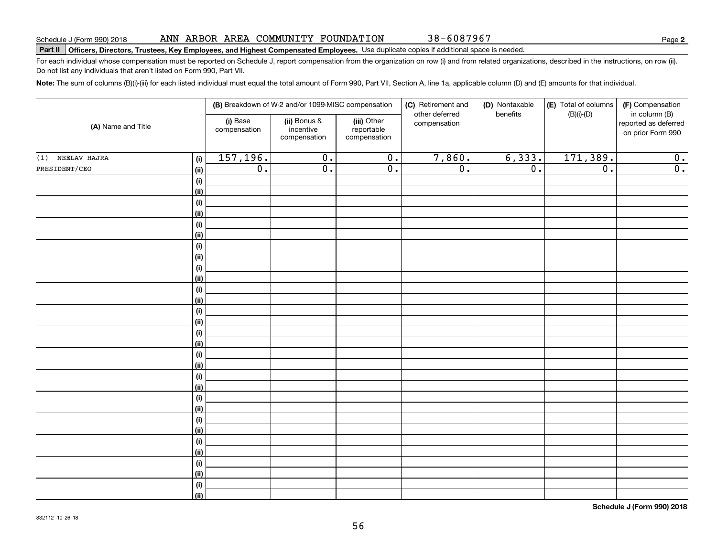38-6087967

# **Part II Officers, Directors, Trustees, Key Employees, and Highest Compensated Employees.**  Schedule J (Form 990) 2018 Page Use duplicate copies if additional space is needed.

For each individual whose compensation must be reported on Schedule J, report compensation from the organization on row (i) and from related organizations, described in the instructions, on row (ii). Do not list any individuals that aren't listed on Form 990, Part VII.

**Note:**  The sum of columns (B)(i)-(iii) for each listed individual must equal the total amount of Form 990, Part VII, Section A, line 1a, applicable column (D) and (E) amounts for that individual.

|                     |                    |                          | (B) Breakdown of W-2 and/or 1099-MISC compensation |                                           | (C) Retirement and             | (D) Nontaxable   | (E) Total of columns | (F) Compensation                                           |
|---------------------|--------------------|--------------------------|----------------------------------------------------|-------------------------------------------|--------------------------------|------------------|----------------------|------------------------------------------------------------|
| (A) Name and Title  |                    | (i) Base<br>compensation | (ii) Bonus &<br>incentive<br>compensation          | (iii) Other<br>reportable<br>compensation | other deferred<br>compensation | benefits         | $(B)(i)$ - $(D)$     | in column (B)<br>reported as deferred<br>on prior Form 990 |
| NEELAV HAJRA<br>(1) | (i)                | 157, 196.                | $\overline{0}$ .                                   | $\overline{0}$ .                          | 7,860.                         | 6,333.           | 171,389.             | $\overline{0}$ .                                           |
| PRESIDENT/CEO       | <u>(ii)</u>        | $\overline{0}$ .         | $\overline{0}$ .                                   | $\overline{0}$ .                          | $\overline{0}$ .               | $\overline{0}$ . | $\overline{0}$ .     | $\overline{0}$ .                                           |
|                     | (i)                |                          |                                                    |                                           |                                |                  |                      |                                                            |
|                     | <u>(ii)</u>        |                          |                                                    |                                           |                                |                  |                      |                                                            |
|                     | $(\sf{i})$         |                          |                                                    |                                           |                                |                  |                      |                                                            |
|                     | <u>(ii)</u>        |                          |                                                    |                                           |                                |                  |                      |                                                            |
|                     | (i)                |                          |                                                    |                                           |                                |                  |                      |                                                            |
|                     | <u>(ii)</u>        |                          |                                                    |                                           |                                |                  |                      |                                                            |
|                     | (i)                |                          |                                                    |                                           |                                |                  |                      |                                                            |
|                     | <u>(ii)</u>        |                          |                                                    |                                           |                                |                  |                      |                                                            |
|                     | (i)                |                          |                                                    |                                           |                                |                  |                      |                                                            |
|                     | <u>(ii)</u>        |                          |                                                    |                                           |                                |                  |                      |                                                            |
|                     | (i)                |                          |                                                    |                                           |                                |                  |                      |                                                            |
|                     | <u>(ii)</u><br>(i) |                          |                                                    |                                           |                                |                  |                      |                                                            |
|                     | <u>(ii)</u>        |                          |                                                    |                                           |                                |                  |                      |                                                            |
|                     | (i)                |                          |                                                    |                                           |                                |                  |                      |                                                            |
|                     | <u>(ii)</u>        |                          |                                                    |                                           |                                |                  |                      |                                                            |
|                     | (i)                |                          |                                                    |                                           |                                |                  |                      |                                                            |
|                     | <u>(ii)</u>        |                          |                                                    |                                           |                                |                  |                      |                                                            |
|                     | (i)                |                          |                                                    |                                           |                                |                  |                      |                                                            |
|                     | <u>(ii)</u>        |                          |                                                    |                                           |                                |                  |                      |                                                            |
|                     | $(\sf{i})$         |                          |                                                    |                                           |                                |                  |                      |                                                            |
|                     | <u>(ii)</u>        |                          |                                                    |                                           |                                |                  |                      |                                                            |
|                     | (i)                |                          |                                                    |                                           |                                |                  |                      |                                                            |
|                     | <u>(ii)</u>        |                          |                                                    |                                           |                                |                  |                      |                                                            |
|                     | (i)                |                          |                                                    |                                           |                                |                  |                      |                                                            |
|                     | <u>(ii)</u>        |                          |                                                    |                                           |                                |                  |                      |                                                            |
|                     | (i)                |                          |                                                    |                                           |                                |                  |                      |                                                            |
|                     | <u>(ii)</u>        |                          |                                                    |                                           |                                |                  |                      |                                                            |
|                     | (i)                |                          |                                                    |                                           |                                |                  |                      |                                                            |
|                     | $\vert$ (ii)       |                          |                                                    |                                           |                                |                  |                      |                                                            |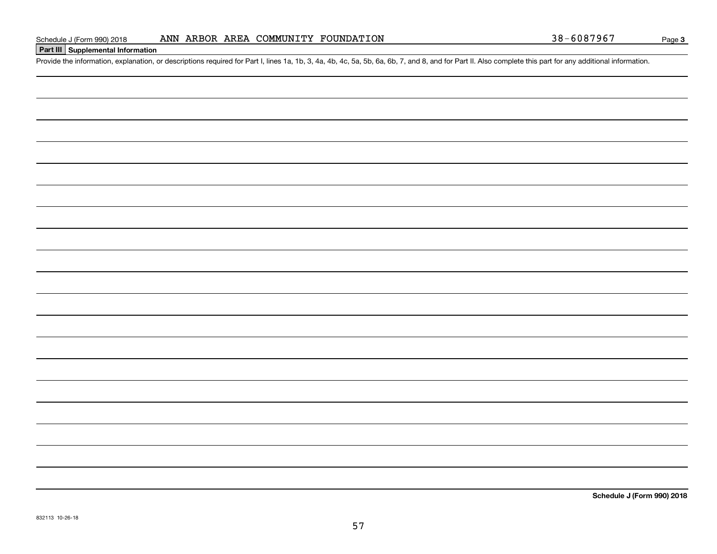## **Part III Supplemental Information**

Schedule J (Form 990) 2018 ANN ARBOR AREA COMMUNITY FOUNDATION 38-6087967<br>Part III Supplemental Information<br>Provide the information, explanation, or descriptions required for Part I, lines 1a, 1b, 3, 4a, 4b, 4c, 5a, 5b, 6a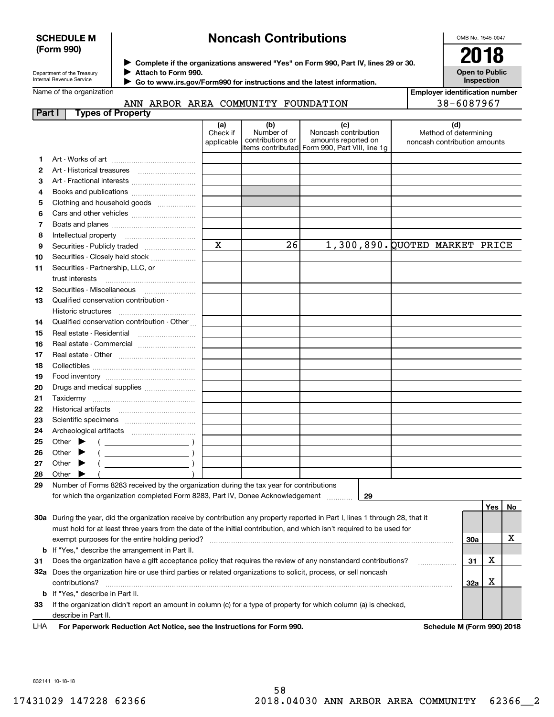## **SCHEDULE M (Form 990)**

# **Noncash Contributions**

OMB No. 1545-0047

**Open to Public**

| Department of the Treasury      |
|---------------------------------|
| <b>Internal Revenue Service</b> |

Name of the organization

**3132a**

**33**

**b**

**Complete if the organizations answered "Yes" on Form 990, Part IV, lines 29 or 30.** <sup>J</sup>**2018 Attach to Form 990.** J

 **Go to www.irs.gov/Form990 for instructions and the latest information.** J

**InspectionEmployer identification number**

|        | ANN ARBOR AREA COMMUNITY FOUNDATION                                                                                                                                                                                                                                                                                                                                                                                        |                               |                                      |                                                                                                      | 38-6087967                                                   |    |
|--------|----------------------------------------------------------------------------------------------------------------------------------------------------------------------------------------------------------------------------------------------------------------------------------------------------------------------------------------------------------------------------------------------------------------------------|-------------------------------|--------------------------------------|------------------------------------------------------------------------------------------------------|--------------------------------------------------------------|----|
| Part I | <b>Types of Property</b>                                                                                                                                                                                                                                                                                                                                                                                                   |                               |                                      |                                                                                                      |                                                              |    |
|        |                                                                                                                                                                                                                                                                                                                                                                                                                            | (a)<br>Check if<br>applicable | (b)<br>Number of<br>contributions or | (c)<br>Noncash contribution<br>amounts reported on<br>items contributed Form 990, Part VIII, line 1g | (d)<br>Method of determining<br>noncash contribution amounts |    |
| 1.     |                                                                                                                                                                                                                                                                                                                                                                                                                            |                               |                                      |                                                                                                      |                                                              |    |
| 2      |                                                                                                                                                                                                                                                                                                                                                                                                                            |                               |                                      |                                                                                                      |                                                              |    |
| 3      | Art - Fractional interests                                                                                                                                                                                                                                                                                                                                                                                                 |                               |                                      |                                                                                                      |                                                              |    |
| 4      | Books and publications                                                                                                                                                                                                                                                                                                                                                                                                     |                               |                                      |                                                                                                      |                                                              |    |
| 5      | Clothing and household goods                                                                                                                                                                                                                                                                                                                                                                                               |                               |                                      |                                                                                                      |                                                              |    |
| 6      |                                                                                                                                                                                                                                                                                                                                                                                                                            |                               |                                      |                                                                                                      |                                                              |    |
| 7      |                                                                                                                                                                                                                                                                                                                                                                                                                            |                               |                                      |                                                                                                      |                                                              |    |
| 8      |                                                                                                                                                                                                                                                                                                                                                                                                                            |                               |                                      |                                                                                                      |                                                              |    |
| 9      | Securities - Publicly traded                                                                                                                                                                                                                                                                                                                                                                                               | $\overline{\mathbf{x}}$       | 26                                   | 1,300,890. QUOTED MARKET PRICE                                                                       |                                                              |    |
| 10     | Securities - Closely held stock                                                                                                                                                                                                                                                                                                                                                                                            |                               |                                      |                                                                                                      |                                                              |    |
| 11     | Securities - Partnership, LLC, or                                                                                                                                                                                                                                                                                                                                                                                          |                               |                                      |                                                                                                      |                                                              |    |
|        | trust interests                                                                                                                                                                                                                                                                                                                                                                                                            |                               |                                      |                                                                                                      |                                                              |    |
| 12     |                                                                                                                                                                                                                                                                                                                                                                                                                            |                               |                                      |                                                                                                      |                                                              |    |
| 13     | Qualified conservation contribution -                                                                                                                                                                                                                                                                                                                                                                                      |                               |                                      |                                                                                                      |                                                              |    |
|        | Historic structures                                                                                                                                                                                                                                                                                                                                                                                                        |                               |                                      |                                                                                                      |                                                              |    |
| 14     | Qualified conservation contribution - Other                                                                                                                                                                                                                                                                                                                                                                                |                               |                                      |                                                                                                      |                                                              |    |
| 15     | Real estate - Residential                                                                                                                                                                                                                                                                                                                                                                                                  |                               |                                      |                                                                                                      |                                                              |    |
| 16     | Real estate - Commercial                                                                                                                                                                                                                                                                                                                                                                                                   |                               |                                      |                                                                                                      |                                                              |    |
| 17     |                                                                                                                                                                                                                                                                                                                                                                                                                            |                               |                                      |                                                                                                      |                                                              |    |
| 18     |                                                                                                                                                                                                                                                                                                                                                                                                                            |                               |                                      |                                                                                                      |                                                              |    |
| 19     |                                                                                                                                                                                                                                                                                                                                                                                                                            |                               |                                      |                                                                                                      |                                                              |    |
| 20     | Drugs and medical supplies <i></i>                                                                                                                                                                                                                                                                                                                                                                                         |                               |                                      |                                                                                                      |                                                              |    |
| 21     | Taxidermy                                                                                                                                                                                                                                                                                                                                                                                                                  |                               |                                      |                                                                                                      |                                                              |    |
| 22     |                                                                                                                                                                                                                                                                                                                                                                                                                            |                               |                                      |                                                                                                      |                                                              |    |
| 23     |                                                                                                                                                                                                                                                                                                                                                                                                                            |                               |                                      |                                                                                                      |                                                              |    |
| 24     |                                                                                                                                                                                                                                                                                                                                                                                                                            |                               |                                      |                                                                                                      |                                                              |    |
| 25     | Other $\blacktriangleright$<br>$($ )                                                                                                                                                                                                                                                                                                                                                                                       |                               |                                      |                                                                                                      |                                                              |    |
| 26     | $\left(\begin{array}{ccc} \rule{0pt}{2.5ex} & \rule{0pt}{2.5ex} & \rule{0pt}{2.5ex} & \rule{0pt}{2.5ex} & \rule{0pt}{2.5ex} & \rule{0pt}{2.5ex} & \rule{0pt}{2.5ex} & \rule{0pt}{2.5ex} & \rule{0pt}{2.5ex} & \rule{0pt}{2.5ex} & \rule{0pt}{2.5ex} & \rule{0pt}{2.5ex} & \rule{0pt}{2.5ex} & \rule{0pt}{2.5ex} & \rule{0pt}{2.5ex} & \rule{0pt}{2.5ex} & \rule{0pt}{2.5ex} & \rule{0pt}{2$<br>Other $\blacktriangleright$ |                               |                                      |                                                                                                      |                                                              |    |
| 27     | Other $\blacktriangleright$                                                                                                                                                                                                                                                                                                                                                                                                |                               |                                      |                                                                                                      |                                                              |    |
| 28     | Other $\blacktriangleright$                                                                                                                                                                                                                                                                                                                                                                                                |                               |                                      |                                                                                                      |                                                              |    |
| 29     | Number of Forms 8283 received by the organization during the tax year for contributions                                                                                                                                                                                                                                                                                                                                    |                               |                                      | 29                                                                                                   |                                                              |    |
|        | for which the organization completed Form 8283, Part IV, Donee Acknowledgement                                                                                                                                                                                                                                                                                                                                             |                               |                                      |                                                                                                      |                                                              |    |
|        |                                                                                                                                                                                                                                                                                                                                                                                                                            |                               |                                      |                                                                                                      | Yes                                                          | No |
|        | 30a During the year, did the organization receive by contribution any property reported in Part I, lines 1 through 28, that it<br>must hold for at least three years from the date of the initial contribution, and which isn't required to be used for                                                                                                                                                                    |                               |                                      |                                                                                                      |                                                              |    |
|        |                                                                                                                                                                                                                                                                                                                                                                                                                            |                               |                                      |                                                                                                      | 30a                                                          | х  |
|        | If "Yes," describe the arrangement in Part II.                                                                                                                                                                                                                                                                                                                                                                             |                               |                                      |                                                                                                      |                                                              |    |
|        |                                                                                                                                                                                                                                                                                                                                                                                                                            |                               |                                      |                                                                                                      |                                                              |    |

| Does the organization have a gift acceptance policy that requires the review of any nonstandard contributions?<br>31 | △ |  |
|----------------------------------------------------------------------------------------------------------------------|---|--|
| Does the organization hire or use third parties or related organizations to solicit, process, or sell noncash        |   |  |
| <b>32a</b><br>contributions?                                                                                         |   |  |
| If "Yes." describe in Part II.                                                                                       |   |  |
| If the organization didn't report an amount in column (c) for a type of property for which column (a) is checked,    |   |  |
| describe in Part II.                                                                                                 |   |  |

**For Paperwork Reduction Act Notice, see the Instructions for Form 990. Schedule M (Form 990) 2018** LHA

832141 10-18-18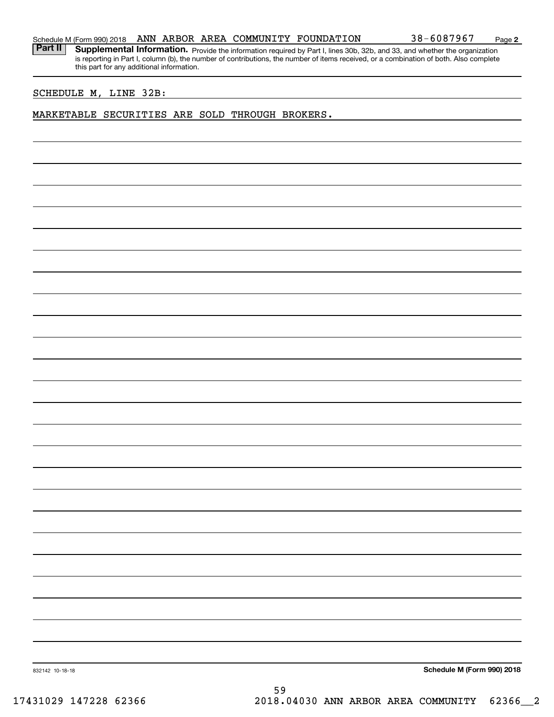**2**

Part II | Supplemental Information. Provide the information required by Part I, lines 30b, 32b, and 33, and whether the organization is reporting in Part I, column (b), the number of contributions, the number of items received, or a combination of both. Also complete this part for any additional information.

## SCHEDULE M, LINE 32B:

## MARKETABLE SECURITIES ARE SOLD THROUGH BROKERS.

**Schedule M (Form 990) 2018**

832142 10-18-18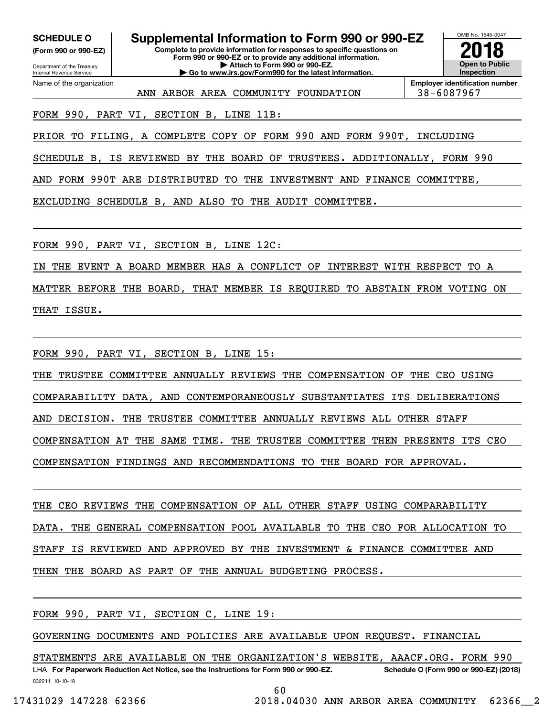**(Form 990 or 990-EZ)**

Department of the Treasury Internal Revenue Service Name of the organization

**Complete to provide information for responses to specific questions on Form 990 or 990-EZ or to provide any additional information. | Attach to Form 990 or 990-EZ. | Go to www.irs.gov/Form990 for the latest information. SCHEDULE O Supplemental Information to Form 990 or 990-EZ**



**Employer identification number** ANN ARBOR AREA COMMUNITY FOUNDATION 38-6087967

FORM 990, PART VI, SECTION B, LINE 11B:

PRIOR TO FILING, A COMPLETE COPY OF FORM 990 AND FORM 990T, INCLUDING

SCHEDULE B, IS REVIEWED BY THE BOARD OF TRUSTEES. ADDITIONALLY, FORM 990

AND FORM 990T ARE DISTRIBUTED TO THE INVESTMENT AND FINANCE COMMITTEE,

EXCLUDING SCHEDULE B, AND ALSO TO THE AUDIT COMMITTEE.

FORM 990, PART VI, SECTION B, LINE 12C:

IN THE EVENT A BOARD MEMBER HAS A CONFLICT OF INTEREST WITH RESPECT TO A

MATTER BEFORE THE BOARD, THAT MEMBER IS REQUIRED TO ABSTAIN FROM VOTING ON THAT ISSUE.

FORM 990, PART VI, SECTION B, LINE 15:

THE TRUSTEE COMMITTEE ANNUALLY REVIEWS THE COMPENSATION OF THE CEO USING

COMPARABILITY DATA, AND CONTEMPORANEOUSLY SUBSTANTIATES ITS DELIBERATIONS

AND DECISION. THE TRUSTEE COMMITTEE ANNUALLY REVIEWS ALL OTHER STAFF

COMPENSATION AT THE SAME TIME. THE TRUSTEE COMMITTEE THEN PRESENTS ITS CEO

COMPENSATION FINDINGS AND RECOMMENDATIONS TO THE BOARD FOR APPROVAL.

THE CEO REVIEWS THE COMPENSATION OF ALL OTHER STAFF USING COMPARABILITY DATA. THE GENERAL COMPENSATION POOL AVAILABLE TO THE CEO FOR ALLOCATION TO STAFF IS REVIEWED AND APPROVED BY THE INVESTMENT & FINANCE COMMITTEE AND THEN THE BOARD AS PART OF THE ANNUAL BUDGETING PROCESS.

FORM 990, PART VI, SECTION C, LINE 19:

GOVERNING DOCUMENTS AND POLICIES ARE AVAILABLE UPON REQUEST. FINANCIAL

832211 10-10-18 LHA For Paperwork Reduction Act Notice, see the Instructions for Form 990 or 990-EZ. Schedule O (Form 990 or 990-EZ) (2018) STATEMENTS ARE AVAILABLE ON THE ORGANIZATION'S WEBSITE, AAACF.ORG. FORM 990

60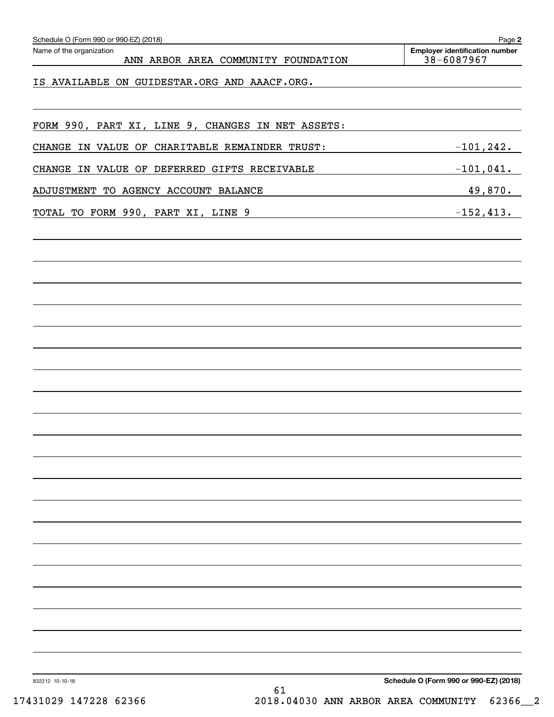| Schedule O (Form 990 or 990-EZ) (2018)<br>Name of the organization<br>ANN ARBOR AREA COMMUNITY FOUNDATION | Page 2<br><b>Employer identification number</b><br>38-6087967 |
|-----------------------------------------------------------------------------------------------------------|---------------------------------------------------------------|
|                                                                                                           |                                                               |
| IS AVAILABLE ON GUIDESTAR.ORG AND AAACF.ORG.                                                              |                                                               |
|                                                                                                           |                                                               |
| FORM 990, PART XI, LINE 9, CHANGES IN NET ASSETS:                                                         |                                                               |
| CHANGE IN VALUE OF CHARITABLE REMAINDER TRUST:                                                            | $-101, 242.$                                                  |
| CHANGE IN VALUE OF DEFERRED GIFTS RECEIVABLE                                                              | $-101,041.$                                                   |
| ADJUSTMENT TO AGENCY ACCOUNT BALANCE                                                                      | 49,870.                                                       |
| TOTAL TO FORM 990, PART XI, LINE 9                                                                        | $-152, 413.$                                                  |
|                                                                                                           |                                                               |
|                                                                                                           |                                                               |
|                                                                                                           |                                                               |
|                                                                                                           |                                                               |
|                                                                                                           |                                                               |
|                                                                                                           |                                                               |
|                                                                                                           |                                                               |
|                                                                                                           |                                                               |
|                                                                                                           |                                                               |
|                                                                                                           |                                                               |
|                                                                                                           |                                                               |
|                                                                                                           |                                                               |
|                                                                                                           |                                                               |
|                                                                                                           |                                                               |
|                                                                                                           |                                                               |
|                                                                                                           |                                                               |
|                                                                                                           |                                                               |
|                                                                                                           |                                                               |
|                                                                                                           |                                                               |
|                                                                                                           |                                                               |
|                                                                                                           |                                                               |
|                                                                                                           |                                                               |
|                                                                                                           | Schedule O (Form 990 or 990-EZ) (2018)                        |

17431029 147228 62366 2018.04030 ANN ARBOR AREA COMMUNITY 62366\_\_2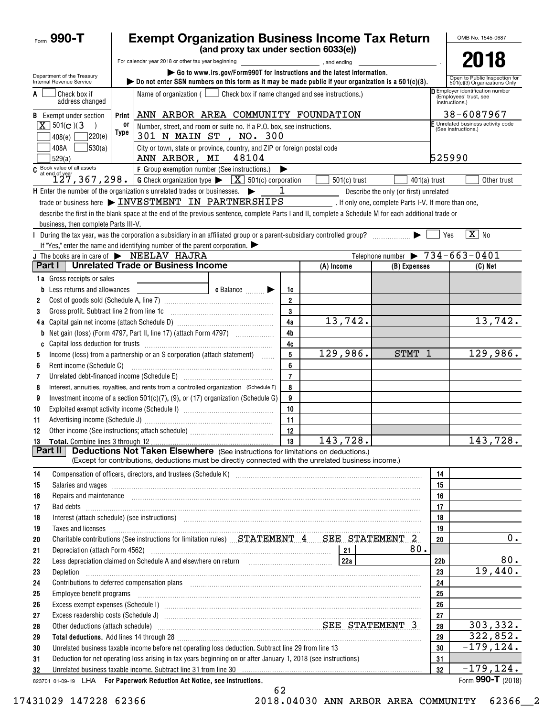| <b>Exempt Organization Business Income Tax Return</b><br>Form $990 - T$ |                                                                                                                                                                                                                                |                                                                                          |                                                                            |                         |                |                                                | OMB No. 1545-0687     |                                                               |
|-------------------------------------------------------------------------|--------------------------------------------------------------------------------------------------------------------------------------------------------------------------------------------------------------------------------|------------------------------------------------------------------------------------------|----------------------------------------------------------------------------|-------------------------|----------------|------------------------------------------------|-----------------------|---------------------------------------------------------------|
|                                                                         |                                                                                                                                                                                                                                | (and proxy tax under section 6033(e))                                                    |                                                                            |                         |                |                                                |                       |                                                               |
|                                                                         | For calendar year 2018 or other tax year beginning                                                                                                                                                                             |                                                                                          |                                                                            | and ending, and ending  |                |                                                |                       | 2018                                                          |
| Department of the Treasury<br>Internal Revenue Service                  | bo not enter SSN numbers on this form as it may be made public if your organization is a $501(c)(3)$ .                                                                                                                         | $\triangleright$ Go to www.irs.gov/Form990T for instructions and the latest information. |                                                                            |                         |                |                                                |                       | Open to Public Inspection for<br>501(c)(3) Organizations Only |
| Check box if<br>A<br>address changed                                    | Name of organization $($                                                                                                                                                                                                       |                                                                                          | Employer identification number<br>(Employees' trust, see<br>instructions.) |                         |                |                                                |                       |                                                               |
| <b>B</b> Exempt under section                                           | ANN ARBOR AREA COMMUNITY FOUNDATION<br>Print                                                                                                                                                                                   |                                                                                          |                                                                            |                         |                |                                                |                       | 38-6087967                                                    |
| $X$ 501(c)(3)                                                           | or<br>Number, street, and room or suite no. If a P.O. box, see instructions.                                                                                                                                                   |                                                                                          |                                                                            |                         |                |                                                |                       | E Unrelated business activity code<br>(See instructions.)     |
| 7220(e)<br>408(e)                                                       | Type<br>301 N MAIN ST , NO. 300                                                                                                                                                                                                |                                                                                          |                                                                            |                         |                |                                                |                       |                                                               |
| 530(a) <br>408A<br>529(a)                                               | City or town, state or province, country, and ZIP or foreign postal code<br>525990<br>48104<br>ANN ARBOR, MI                                                                                                                   |                                                                                          |                                                                            |                         |                |                                                |                       |                                                               |
| C Book value of all assets<br>at end of year                            | F Group exemption number (See instructions.)                                                                                                                                                                                   |                                                                                          |                                                                            |                         |                |                                                |                       |                                                               |
|                                                                         | 127, 367, 298. G Check organization type $\blacktriangleright$ $\boxed{X}$ 501(c) corporation                                                                                                                                  |                                                                                          |                                                                            |                         | $501(c)$ trust | $401(a)$ trust                                 |                       | Other trust                                                   |
|                                                                         | $H$ Enter the number of the organization's unrelated trades or businesses. $\blacktriangleright$                                                                                                                               |                                                                                          | 1                                                                          |                         |                | Describe the only (or first) unrelated         |                       |                                                               |
|                                                                         | trade or business here > INVESTMENT IN PARTNERSHIPS [16] If only one, complete Parts I-V. If more than one,                                                                                                                    |                                                                                          |                                                                            |                         |                |                                                |                       |                                                               |
|                                                                         | describe the first in the blank space at the end of the previous sentence, complete Parts I and II, complete a Schedule M for each additional trade or                                                                         |                                                                                          |                                                                            |                         |                |                                                |                       |                                                               |
| business, then complete Parts III-V.                                    |                                                                                                                                                                                                                                |                                                                                          |                                                                            |                         |                |                                                |                       | $\overline{X}$ No                                             |
|                                                                         | During the tax year, was the corporation a subsidiary in an affiliated group or a parent-subsidiary controlled group?<br>If "Yes," enter the name and identifying number of the parent corporation. $\blacktriangleright$      |                                                                                          |                                                                            |                         |                |                                                | Yes                   |                                                               |
|                                                                         | J The books are in care of NEELAV HAJRA                                                                                                                                                                                        |                                                                                          |                                                                            |                         |                | Telephone number $\triangleright$ 734-663-0401 |                       |                                                               |
| Part I                                                                  | <b>Unrelated Trade or Business Income</b>                                                                                                                                                                                      |                                                                                          |                                                                            | (A) Income              |                | (B) Expenses                                   |                       | $(C)$ Net                                                     |
| <b>1a</b> Gross receipts or sales                                       |                                                                                                                                                                                                                                |                                                                                          |                                                                            |                         |                |                                                |                       |                                                               |
| <b>b</b> Less returns and allowances                                    |                                                                                                                                                                                                                                | $\bullet$ Balance $\qquad \qquad \bullet$                                                | 1c                                                                         |                         |                |                                                |                       |                                                               |
| 2                                                                       |                                                                                                                                                                                                                                |                                                                                          | $\overline{2}$                                                             |                         |                |                                                |                       |                                                               |
| 3                                                                       |                                                                                                                                                                                                                                |                                                                                          | 3                                                                          |                         |                |                                                |                       |                                                               |
|                                                                         |                                                                                                                                                                                                                                |                                                                                          | 4a                                                                         |                         | 13,742.        |                                                |                       | 13,742.                                                       |
| b                                                                       |                                                                                                                                                                                                                                |                                                                                          | 4b                                                                         |                         |                |                                                |                       |                                                               |
| C                                                                       |                                                                                                                                                                                                                                |                                                                                          | 4c                                                                         |                         |                |                                                |                       |                                                               |
| 5                                                                       | Income (loss) from a partnership or an S corporation (attach statement)                                                                                                                                                        |                                                                                          | 5                                                                          | 129,986.                |                | <b>STMT</b><br>1                               |                       | 129,986.                                                      |
| 6                                                                       |                                                                                                                                                                                                                                |                                                                                          | 6                                                                          |                         |                |                                                |                       |                                                               |
| 7                                                                       | Unrelated debt-financed income (Schedule E) [11] [2010] [2010] [2010] [2010] [2010] [2010] [2010] [2010] [2010                                                                                                                 |                                                                                          | $\overline{7}$                                                             |                         |                |                                                |                       |                                                               |
| 8                                                                       | Interest, annuities, royalties, and rents from a controlled organization (Schedule F)                                                                                                                                          |                                                                                          | 8                                                                          |                         |                |                                                |                       |                                                               |
| 9                                                                       | Investment income of a section $501(c)(7)$ , (9), or (17) organization (Schedule G)                                                                                                                                            |                                                                                          | 9<br>10                                                                    |                         |                |                                                |                       |                                                               |
| 10<br>11                                                                |                                                                                                                                                                                                                                |                                                                                          | 11                                                                         |                         |                |                                                |                       |                                                               |
| 12                                                                      |                                                                                                                                                                                                                                |                                                                                          | 12                                                                         |                         |                |                                                |                       |                                                               |
|                                                                         |                                                                                                                                                                                                                                |                                                                                          | 13                                                                         | $\overline{143}$ , 728. |                |                                                |                       | 143,728.                                                      |
| Part II                                                                 | <b>Deductions Not Taken Elsewhere</b> (See instructions for limitations on deductions.)                                                                                                                                        |                                                                                          |                                                                            |                         |                |                                                |                       |                                                               |
|                                                                         | (Except for contributions, deductions must be directly connected with the unrelated business income.)                                                                                                                          |                                                                                          |                                                                            |                         |                |                                                |                       |                                                               |
| 14                                                                      |                                                                                                                                                                                                                                |                                                                                          |                                                                            |                         |                |                                                | 14                    |                                                               |
| 15                                                                      |                                                                                                                                                                                                                                |                                                                                          |                                                                            |                         |                |                                                | 15                    |                                                               |
| 16                                                                      |                                                                                                                                                                                                                                |                                                                                          |                                                                            |                         |                |                                                | 16                    |                                                               |
| 17                                                                      |                                                                                                                                                                                                                                |                                                                                          |                                                                            |                         |                |                                                | 17                    |                                                               |
| 18                                                                      | Interest (attach schedule) (see instructions) www.communications.communications are interest (attach schedule)                                                                                                                 |                                                                                          |                                                                            |                         |                |                                                | 18                    |                                                               |
| 19                                                                      | Taxes and licenses <b>with a construction of the construction of the construction of the construction</b>                                                                                                                      |                                                                                          |                                                                            |                         |                |                                                | 19                    |                                                               |
| 20                                                                      | Charitable contributions (See instructions for limitation rules) STATEMENT 4 SEE STATEMENT 2                                                                                                                                   |                                                                                          |                                                                            |                         |                |                                                | 20                    | 0.                                                            |
| 21                                                                      |                                                                                                                                                                                                                                |                                                                                          |                                                                            |                         |                | 80.                                            |                       | 80.                                                           |
| 22<br>23                                                                | Less depreciation claimed on Schedule A and elsewhere on return [1] [224]                                                                                                                                                      |                                                                                          |                                                                            |                         |                |                                                | 22 <sub>b</sub><br>23 | 19,440.                                                       |
| Depletion<br>24                                                         | Contributions to deferred compensation plans [11] manufactured and produced a deferred compensation plans [11] manufactured and plans [11] manufactured and plans and plans and plans and plans are controlled and plans and p |                                                                                          |                                                                            |                         |                |                                                | 24                    |                                                               |
| 25                                                                      | Employee benefit programs in the continuum contract of the contract of the contract of the contract of the contract of the contract of the contract of the contract of the contract of the contract of the contract of the con |                                                                                          |                                                                            |                         |                |                                                | 25                    |                                                               |
| 26                                                                      |                                                                                                                                                                                                                                |                                                                                          |                                                                            |                         |                |                                                | 26                    |                                                               |
| 27                                                                      |                                                                                                                                                                                                                                |                                                                                          |                                                                            |                         |                |                                                | 27                    |                                                               |
| 28                                                                      | Other deductions (attach schedule) Material Material Material SEE STATEMENT 3                                                                                                                                                  |                                                                                          |                                                                            |                         |                |                                                | 28                    | 303, 332.                                                     |
| 29                                                                      |                                                                                                                                                                                                                                |                                                                                          |                                                                            |                         |                |                                                | 29                    | 322,852.                                                      |
| 30                                                                      | Unrelated business taxable income before net operating loss deduction. Subtract line 29 from line 13                                                                                                                           |                                                                                          |                                                                            |                         |                |                                                | 30                    | $-179, 124.$                                                  |
| 31                                                                      | Deduction for net operating loss arising in tax years beginning on or after January 1, 2018 (see instructions)                                                                                                                 |                                                                                          |                                                                            |                         |                |                                                | 31                    |                                                               |
| 32                                                                      | Unrelated business taxable income. Subtract line 31 from line 30 manufactured contains and contained the state of the Unrelated business taxable income. Subtract line 31 from line 30 manufactured contains and the Unrelated |                                                                                          |                                                                            |                         |                |                                                | 32                    | $-179, 124.$                                                  |
|                                                                         | 823701 01-09-19 LHA For Paperwork Reduction Act Notice, see instructions.                                                                                                                                                      |                                                                                          |                                                                            |                         |                |                                                |                       | Form 990-T (2018)                                             |

62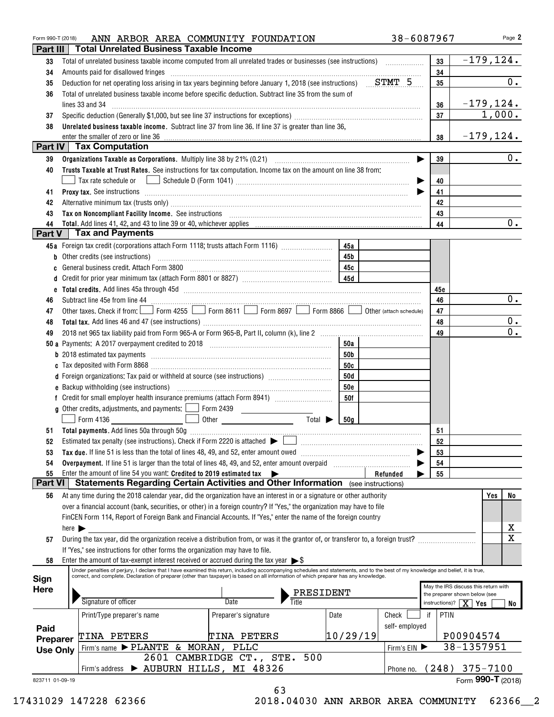| Form 990-T (2018) | ANN ARBOR AREA COMMUNITY FOUNDATION                                                                                                                                                                                                                                                                                       |                             |            | 38-6087967              |                                         | Page 2                               |
|-------------------|---------------------------------------------------------------------------------------------------------------------------------------------------------------------------------------------------------------------------------------------------------------------------------------------------------------------------|-----------------------------|------------|-------------------------|-----------------------------------------|--------------------------------------|
| Part III          | <b>Total Unrelated Business Taxable Income</b>                                                                                                                                                                                                                                                                            |                             |            |                         |                                         |                                      |
| 33                |                                                                                                                                                                                                                                                                                                                           |                             |            |                         | 33                                      | $-179, 124.$                         |
| 34                | Amounts paid for disallowed fringes                                                                                                                                                                                                                                                                                       |                             |            |                         | 34                                      |                                      |
| 35                | Deduction for net operating loss arising in tax years beginning before January 1, 2018 (see instructions) STMT 5                                                                                                                                                                                                          |                             |            |                         | 35                                      | $\overline{0}$ .                     |
| 36                | Total of unrelated business taxable income before specific deduction. Subtract line 35 from the sum of                                                                                                                                                                                                                    |                             |            |                         |                                         |                                      |
|                   | lines 33 and 34                                                                                                                                                                                                                                                                                                           |                             |            |                         | 36                                      | $-179, 124.$                         |
| 37                |                                                                                                                                                                                                                                                                                                                           |                             |            |                         | 37                                      | 1,000.                               |
| 38                | Unrelated business taxable income. Subtract line 37 from line 36. If line 37 is greater than line 36,                                                                                                                                                                                                                     |                             |            |                         |                                         |                                      |
|                   | enter the smaller of zero or line 36                                                                                                                                                                                                                                                                                      |                             |            |                         | 38                                      | $-179, 124.$                         |
|                   | <b>Part IV Tax Computation</b>                                                                                                                                                                                                                                                                                            |                             |            |                         |                                         |                                      |
| 39                |                                                                                                                                                                                                                                                                                                                           |                             |            |                         | 39                                      | 0.                                   |
| 40                | Trusts Taxable at Trust Rates. See instructions for tax computation. Income tax on the amount on line 38 from:                                                                                                                                                                                                            |                             |            |                         |                                         |                                      |
|                   |                                                                                                                                                                                                                                                                                                                           |                             |            |                         | 40                                      |                                      |
| 41                | Proxy tax. See instructions encouragements are all the contract of the contract of the contract of the contract of the contract of the contract of the contract of the contract of the contract of the contract of the contrac                                                                                            |                             |            |                         | 41                                      |                                      |
| 42                |                                                                                                                                                                                                                                                                                                                           |                             |            |                         | 42                                      |                                      |
| 43                | Tax on Noncompliant Facility Income. See instructions [11] The manufacture in the contract on Noncompliant Facility Income. See instructions [11] The manufacture in the set of the set of the set of the set of the set of th                                                                                            |                             |            |                         | 43                                      |                                      |
| 44                |                                                                                                                                                                                                                                                                                                                           |                             |            |                         | 44                                      | 0.                                   |
| Part V            | <b>Tax and Payments</b>                                                                                                                                                                                                                                                                                                   |                             |            |                         |                                         |                                      |
|                   | 45a Foreign tax credit (corporations attach Form 1118; trusts attach Form 1116) [                                                                                                                                                                                                                                         |                             | 45a        |                         |                                         |                                      |
| b                 |                                                                                                                                                                                                                                                                                                                           |                             | 45b        |                         |                                         |                                      |
|                   | General business credit. Attach Form 3800                                                                                                                                                                                                                                                                                 |                             | 45c        |                         |                                         |                                      |
|                   |                                                                                                                                                                                                                                                                                                                           |                             | 45d        |                         |                                         |                                      |
|                   |                                                                                                                                                                                                                                                                                                                           |                             |            |                         |                                         |                                      |
| e                 |                                                                                                                                                                                                                                                                                                                           |                             |            |                         | 45e                                     | 0.                                   |
| 46                | Other taxes. Check if from:   Form 4255   Form 8611   Form 8697   Form 8866                                                                                                                                                                                                                                               |                             |            |                         | 46                                      |                                      |
| 47                |                                                                                                                                                                                                                                                                                                                           |                             |            | Other (attach schedule) | 47                                      | 0.                                   |
| 48                |                                                                                                                                                                                                                                                                                                                           |                             |            |                         | 48                                      | 0.                                   |
| 49                |                                                                                                                                                                                                                                                                                                                           |                             |            |                         | 49                                      |                                      |
|                   |                                                                                                                                                                                                                                                                                                                           |                             | 50a        |                         |                                         |                                      |
|                   | <b>b</b> 2018 estimated tax payments <i>manually contained as a contained to 2018</i> estimated tax payments                                                                                                                                                                                                              |                             | 50b        |                         |                                         |                                      |
|                   |                                                                                                                                                                                                                                                                                                                           |                             | 50c        |                         |                                         |                                      |
|                   | d Foreign organizations: Tax paid or withheld at source (see instructions)                                                                                                                                                                                                                                                |                             | 50d        |                         |                                         |                                      |
|                   |                                                                                                                                                                                                                                                                                                                           |                             | <b>50e</b> |                         |                                         |                                      |
|                   |                                                                                                                                                                                                                                                                                                                           |                             | 50f        |                         |                                         |                                      |
|                   | <b>g</b> Other credits, adjustments, and payments: $\Box$ Form 2439                                                                                                                                                                                                                                                       |                             |            |                         |                                         |                                      |
|                   | Form 4136                                                                                                                                                                                                                                                                                                                 | Total $\blacktriangleright$ | 50a        |                         |                                         |                                      |
|                   |                                                                                                                                                                                                                                                                                                                           |                             |            |                         | 51                                      |                                      |
|                   |                                                                                                                                                                                                                                                                                                                           |                             |            |                         | 52                                      |                                      |
| 53                |                                                                                                                                                                                                                                                                                                                           |                             |            |                         | 53                                      |                                      |
| 54                | Overpayment. If line 51 is larger than the total of lines 48, 49, and 52, enter amount overpaid                                                                                                                                                                                                                           |                             |            |                         | 54                                      |                                      |
| 55                | Enter the amount of line 54 you want: Credited to 2019 estimated tax $\blacktriangleright$                                                                                                                                                                                                                                |                             |            | Refunded                | 55                                      |                                      |
| <b>Part VI</b>    | Statements Regarding Certain Activities and Other Information (see instructions)                                                                                                                                                                                                                                          |                             |            |                         |                                         |                                      |
| 56                | At any time during the 2018 calendar year, did the organization have an interest in or a signature or other authority                                                                                                                                                                                                     |                             |            |                         |                                         | Yes<br>No                            |
|                   | over a financial account (bank, securities, or other) in a foreign country? If "Yes," the organization may have to file                                                                                                                                                                                                   |                             |            |                         |                                         |                                      |
|                   | FinCEN Form 114, Report of Foreign Bank and Financial Accounts. If "Yes," enter the name of the foreign country                                                                                                                                                                                                           |                             |            |                         |                                         |                                      |
|                   | here $\blacktriangleright$                                                                                                                                                                                                                                                                                                |                             |            |                         |                                         | х                                    |
| 57                | During the tax year, did the organization receive a distribution from, or was it the grantor of, or transferor to, a foreign trust?                                                                                                                                                                                       |                             |            |                         |                                         | $\mathbf X$                          |
|                   | If "Yes," see instructions for other forms the organization may have to file.                                                                                                                                                                                                                                             |                             |            |                         |                                         |                                      |
| 58                | Enter the amount of tax-exempt interest received or accrued during the tax year $\triangleright$ \$                                                                                                                                                                                                                       |                             |            |                         |                                         |                                      |
|                   | Under penalties of perjury, I declare that I have examined this return, including accompanying schedules and statements, and to the best of my knowledge and belief, it is true,<br>correct, and complete. Declaration of preparer (other than taxpayer) is based on all information of which preparer has any knowledge. |                             |            |                         |                                         |                                      |
| Sign              |                                                                                                                                                                                                                                                                                                                           |                             |            |                         |                                         | May the IRS discuss this return with |
| <b>Here</b>       |                                                                                                                                                                                                                                                                                                                           | PRESIDENT                   |            |                         |                                         | the preparer shown below (see        |
|                   | Signature of officer                                                                                                                                                                                                                                                                                                      | Date                        |            |                         | instructions)? $\boxed{\mathbf{X}}$ Yes | No                                   |
|                   | Print/Type preparer's name                                                                                                                                                                                                                                                                                                | Preparer's signature        | Date       | Check                   | PTIN<br>if                              |                                      |
| Paid              |                                                                                                                                                                                                                                                                                                                           |                             |            | self-employed           |                                         |                                      |
| Preparer          | <b>TINA PETERS</b>                                                                                                                                                                                                                                                                                                        | TINA PETERS                 | 10/29/19   |                         |                                         | P00904574                            |
| <b>Use Only</b>   | Firm's name $\blacktriangleright$ PLANTE & MORAN,                                                                                                                                                                                                                                                                         | PLLC                        |            | Firm's EIN              |                                         | 38-1357951                           |
|                   | 2601 CAMBRIDGE CT.,                                                                                                                                                                                                                                                                                                       | STE.<br>500                 |            |                         |                                         |                                      |
|                   | > AUBURN HILLS, MI 48326<br>Firm's address                                                                                                                                                                                                                                                                                |                             |            | Phone no.               |                                         | $(248)$ 375-7100                     |
| 823711 01-09-19   |                                                                                                                                                                                                                                                                                                                           |                             |            |                         |                                         | Form 990-T $(2018)$                  |
|                   |                                                                                                                                                                                                                                                                                                                           | 63                          |            |                         |                                         |                                      |

17431029 147228 62366 2018.04030 ANN ARBOR AREA COMMUNITY 62366\_\_2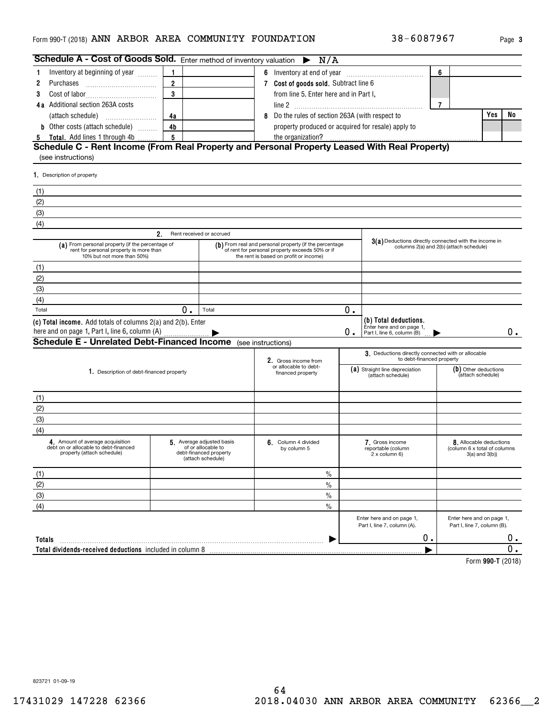## Form 990-T (2018) **ANN ARBOR AREA COMMUNITY FOUNDATION** 38-6087967 Page 3

| Schedule A - Cost of Goods Sold. Enter method of inventory valuation $\blacktriangleright$                                |                |                                                                                               | N/A                                                                                                                                                 |    |                                                                                  |                |                                                                                |    |
|---------------------------------------------------------------------------------------------------------------------------|----------------|-----------------------------------------------------------------------------------------------|-----------------------------------------------------------------------------------------------------------------------------------------------------|----|----------------------------------------------------------------------------------|----------------|--------------------------------------------------------------------------------|----|
| Inventory at beginning of year                                                                                            | 1              |                                                                                               |                                                                                                                                                     |    |                                                                                  | 6              |                                                                                |    |
| 2<br>Purchases                                                                                                            | $\overline{2}$ |                                                                                               | 7 Cost of goods sold. Subtract line 6                                                                                                               |    |                                                                                  |                |                                                                                |    |
| 3                                                                                                                         | 3              |                                                                                               | from line 5. Enter here and in Part I,                                                                                                              |    |                                                                                  |                |                                                                                |    |
| 4a Additional section 263A costs                                                                                          |                |                                                                                               |                                                                                                                                                     |    |                                                                                  | $\overline{7}$ |                                                                                |    |
|                                                                                                                           | 4a             |                                                                                               | 8 Do the rules of section 263A (with respect to                                                                                                     |    |                                                                                  |                | Yes                                                                            | No |
| <b>b</b> Other costs (attach schedule)                                                                                    | 4 <sub>b</sub> |                                                                                               | property produced or acquired for resale) apply to                                                                                                  |    |                                                                                  |                |                                                                                |    |
| <b>Total.</b> Add lines 1 through 4b<br>5                                                                                 | 5              |                                                                                               | the organization?                                                                                                                                   |    |                                                                                  |                |                                                                                |    |
| Schedule C - Rent Income (From Real Property and Personal Property Leased With Real Property)<br>(see instructions)       |                |                                                                                               |                                                                                                                                                     |    |                                                                                  |                |                                                                                |    |
| 1. Description of property                                                                                                |                |                                                                                               |                                                                                                                                                     |    |                                                                                  |                |                                                                                |    |
| (1)                                                                                                                       |                |                                                                                               |                                                                                                                                                     |    |                                                                                  |                |                                                                                |    |
| (2)                                                                                                                       |                |                                                                                               |                                                                                                                                                     |    |                                                                                  |                |                                                                                |    |
| (3)                                                                                                                       |                |                                                                                               |                                                                                                                                                     |    |                                                                                  |                |                                                                                |    |
| (4)                                                                                                                       |                |                                                                                               |                                                                                                                                                     |    |                                                                                  |                |                                                                                |    |
|                                                                                                                           | 2.             | Rent received or accrued                                                                      |                                                                                                                                                     |    |                                                                                  |                |                                                                                |    |
| (a) From personal property (if the percentage of<br>rent for personal property is more than<br>10% but not more than 50%) |                |                                                                                               | (b) From real and personal property (if the percentage<br>of rent for personal property exceeds 50% or if<br>the rent is based on profit or income) |    | 3(a) Deductions directly connected with the income in                            |                | columns 2(a) and 2(b) (attach schedule)                                        |    |
| (1)                                                                                                                       |                |                                                                                               |                                                                                                                                                     |    |                                                                                  |                |                                                                                |    |
| (2)                                                                                                                       |                |                                                                                               |                                                                                                                                                     |    |                                                                                  |                |                                                                                |    |
| (3)                                                                                                                       |                |                                                                                               |                                                                                                                                                     |    |                                                                                  |                |                                                                                |    |
| (4)                                                                                                                       |                |                                                                                               |                                                                                                                                                     |    |                                                                                  |                |                                                                                |    |
| Total                                                                                                                     | 0.             | Total                                                                                         |                                                                                                                                                     | 0. |                                                                                  |                |                                                                                |    |
| (c) Total income. Add totals of columns 2(a) and 2(b). Enter<br>here and on page 1, Part I, line 6, column (A)            |                |                                                                                               |                                                                                                                                                     | 0. | (b) Total deductions.<br>Enter here and on page 1,<br>Part I, line 6, column (B) |                |                                                                                | 0. |
| <b>Schedule E - Unrelated Debt-Financed Income</b> (see instructions)                                                     |                |                                                                                               |                                                                                                                                                     |    |                                                                                  |                |                                                                                |    |
|                                                                                                                           |                |                                                                                               | 2. Gross income from<br>or allocable to debt-                                                                                                       |    | 3. Deductions directly connected with or allocable<br>to debt-financed property  |                |                                                                                |    |
| 1. Description of debt-financed property                                                                                  |                |                                                                                               | financed property                                                                                                                                   |    | (a) Straight line depreciation<br>(attach schedule)                              |                | (b) Other deductions<br>(attach schedule)                                      |    |
| (1)                                                                                                                       |                |                                                                                               |                                                                                                                                                     |    |                                                                                  |                |                                                                                |    |
| (2)                                                                                                                       |                |                                                                                               |                                                                                                                                                     |    |                                                                                  |                |                                                                                |    |
| (3)                                                                                                                       |                |                                                                                               |                                                                                                                                                     |    |                                                                                  |                |                                                                                |    |
| (4)                                                                                                                       |                |                                                                                               |                                                                                                                                                     |    |                                                                                  |                |                                                                                |    |
| 4. Amount of average acquisition<br>debt on or allocable to debt-financed<br>property (attach schedule)                   |                | 5 Average adjusted basis<br>of or allocable to<br>debt-financed property<br>(attach schedule) | 6. Column 4 divided<br>by column 5                                                                                                                  |    | 7. Gross income<br>reportable (column<br>2 x column 6)                           |                | 8. Allocable deductions<br>(column 6 x total of columns<br>$3(a)$ and $3(b)$ ) |    |
| (1)                                                                                                                       |                |                                                                                               | $\%$                                                                                                                                                |    |                                                                                  |                |                                                                                |    |
| (2)                                                                                                                       |                |                                                                                               | $\%$                                                                                                                                                |    |                                                                                  |                |                                                                                |    |
| (3)                                                                                                                       |                |                                                                                               | $\%$                                                                                                                                                |    |                                                                                  |                |                                                                                |    |
| (4)                                                                                                                       |                |                                                                                               | $\frac{0}{0}$                                                                                                                                       |    |                                                                                  |                |                                                                                |    |
|                                                                                                                           |                |                                                                                               |                                                                                                                                                     |    | Enter here and on page 1,<br>Part I, line 7, column (A).                         |                | Enter here and on page 1,<br>Part I, line 7, column (B).                       |    |
| Totals                                                                                                                    |                |                                                                                               |                                                                                                                                                     |    | 0.                                                                               |                |                                                                                | 0. |
| Total dividends-received deductions included in column 8                                                                  |                |                                                                                               |                                                                                                                                                     |    |                                                                                  |                |                                                                                | О. |
|                                                                                                                           |                |                                                                                               |                                                                                                                                                     |    |                                                                                  |                |                                                                                |    |

**990-T**  Form (2018)

823721 01-09-19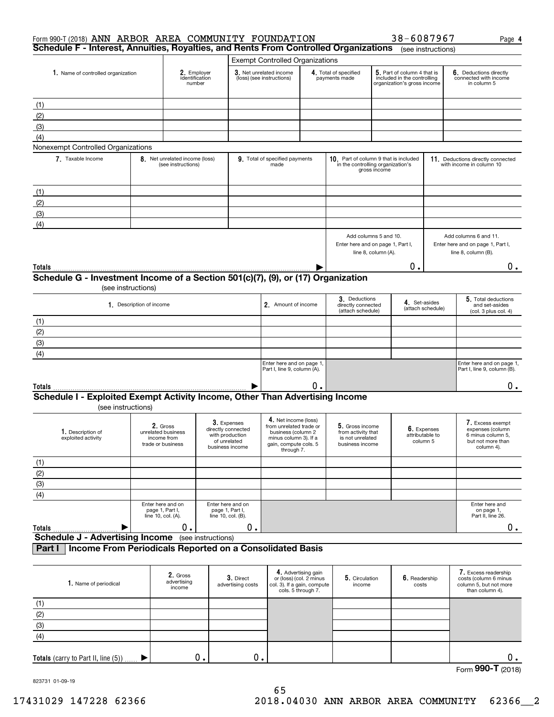| Form 990-T (2018) ANN ARBOR AREA COMMUNITY FOUNDATION<br>Schedule F - Interest, Annuities, Royalties, and Rents From Controlled Organizations |                          |                                                                    |                    |                                                                                         |                                                                                                                                       |                                                                      |                                                                              |                                              | 38-6087967                                                                                | (see instructions) | Page 4                                                                                       |
|-----------------------------------------------------------------------------------------------------------------------------------------------|--------------------------|--------------------------------------------------------------------|--------------------|-----------------------------------------------------------------------------------------|---------------------------------------------------------------------------------------------------------------------------------------|----------------------------------------------------------------------|------------------------------------------------------------------------------|----------------------------------------------|-------------------------------------------------------------------------------------------|--------------------|----------------------------------------------------------------------------------------------|
|                                                                                                                                               |                          |                                                                    |                    |                                                                                         | <b>Exempt Controlled Organizations</b>                                                                                                |                                                                      |                                                                              |                                              |                                                                                           |                    |                                                                                              |
| 1. Name of controlled organization                                                                                                            |                          | 2. Employer<br>identification<br>number                            |                    |                                                                                         | 3. Net unrelated income<br>(loss) (see instructions)                                                                                  |                                                                      | 4. Total of specified<br>payments made                                       |                                              | 5. Part of column 4 that is<br>included in the controlling<br>organization's gross income |                    | 6. Deductions directly<br>connected with income<br>in column 5                               |
| (1)<br>(2)<br>(3)                                                                                                                             |                          |                                                                    |                    |                                                                                         |                                                                                                                                       |                                                                      |                                                                              |                                              |                                                                                           |                    |                                                                                              |
|                                                                                                                                               |                          |                                                                    |                    |                                                                                         |                                                                                                                                       |                                                                      |                                                                              |                                              |                                                                                           |                    |                                                                                              |
| (4)<br>Nonexempt Controlled Organizations                                                                                                     |                          |                                                                    |                    |                                                                                         |                                                                                                                                       |                                                                      |                                                                              |                                              |                                                                                           |                    |                                                                                              |
| 7. Taxable Income                                                                                                                             |                          | 8. Net unrelated income (loss)<br>(see instructions)               |                    |                                                                                         | 9. Total of specified payments<br>made                                                                                                |                                                                      | 10. Part of column 9 that is included<br>in the controlling organization's   | gross income                                 |                                                                                           |                    | 11. Deductions directly connected<br>with income in column 10                                |
| (1)<br>(2)<br>(3)                                                                                                                             |                          |                                                                    |                    |                                                                                         |                                                                                                                                       |                                                                      |                                                                              |                                              |                                                                                           |                    |                                                                                              |
| (4)                                                                                                                                           |                          |                                                                    |                    |                                                                                         |                                                                                                                                       |                                                                      |                                                                              |                                              |                                                                                           |                    |                                                                                              |
|                                                                                                                                               |                          |                                                                    |                    |                                                                                         |                                                                                                                                       |                                                                      | Enter here and on page 1, Part I,                                            | Add columns 5 and 10.<br>line 8, column (A). |                                                                                           |                    | Add columns 6 and 11.<br>Enter here and on page 1, Part I,<br>line 8, column (B).            |
| Totals                                                                                                                                        |                          |                                                                    |                    |                                                                                         |                                                                                                                                       |                                                                      |                                                                              |                                              | О.                                                                                        |                    | 0.                                                                                           |
| Schedule G - Investment Income of a Section 501(c)(7), (9), or (17) Organization                                                              | (see instructions)       |                                                                    |                    |                                                                                         |                                                                                                                                       |                                                                      |                                                                              |                                              |                                                                                           |                    |                                                                                              |
|                                                                                                                                               | 1. Description of income |                                                                    |                    |                                                                                         | 2. Amount of income                                                                                                                   |                                                                      | 3. Deductions<br>directly connected<br>(attach schedule)                     |                                              | 4. Set-asides                                                                             | (attach schedule)  | 5. Total deductions<br>and set-asides<br>(col. 3 plus col. 4)                                |
| (1)                                                                                                                                           |                          |                                                                    |                    |                                                                                         |                                                                                                                                       |                                                                      |                                                                              |                                              |                                                                                           |                    |                                                                                              |
| (2)                                                                                                                                           |                          |                                                                    |                    |                                                                                         |                                                                                                                                       |                                                                      |                                                                              |                                              |                                                                                           |                    |                                                                                              |
| (3)                                                                                                                                           |                          |                                                                    |                    |                                                                                         |                                                                                                                                       |                                                                      |                                                                              |                                              |                                                                                           |                    |                                                                                              |
| (4)                                                                                                                                           |                          |                                                                    |                    |                                                                                         |                                                                                                                                       |                                                                      |                                                                              |                                              |                                                                                           |                    |                                                                                              |
|                                                                                                                                               |                          |                                                                    |                    |                                                                                         | Enter here and on page 1,<br>Part I, line 9, column (A).                                                                              |                                                                      |                                                                              |                                              |                                                                                           |                    | Enter here and on page 1,<br>Part I, line 9, column (B).                                     |
| Totals                                                                                                                                        |                          |                                                                    |                    |                                                                                         |                                                                                                                                       | О.                                                                   |                                                                              |                                              |                                                                                           |                    | 0.                                                                                           |
| Schedule I - Exploited Exempt Activity Income, Other Than Advertising Income<br>(see instructions)                                            |                          |                                                                    |                    |                                                                                         |                                                                                                                                       |                                                                      |                                                                              |                                              |                                                                                           |                    |                                                                                              |
| 1. Description of<br>exploited activity                                                                                                       |                          | 2. Gross<br>unrelated business<br>income from<br>trade or business |                    | 3. Expenses<br>directly connected<br>with production<br>of unrelated<br>business income | 4. Net income (loss)<br>from unrelated trade or<br>business (column 2<br>minus column 3). If a<br>gain, compute cols. 5<br>through 7. |                                                                      | 5. Gross income<br>from activity that<br>is not unrelated<br>business income |                                              | 6. Expenses<br>attributable to                                                            | column 5           | 7. Excess exempt<br>expenses (column<br>6 minus column 5.<br>but not more than<br>column 4). |
| (1)                                                                                                                                           |                          |                                                                    |                    |                                                                                         |                                                                                                                                       |                                                                      |                                                                              |                                              |                                                                                           |                    |                                                                                              |
| (2)                                                                                                                                           |                          |                                                                    |                    |                                                                                         |                                                                                                                                       |                                                                      |                                                                              |                                              |                                                                                           |                    |                                                                                              |
| (3)                                                                                                                                           |                          |                                                                    |                    |                                                                                         |                                                                                                                                       |                                                                      |                                                                              |                                              |                                                                                           |                    |                                                                                              |
| (4)                                                                                                                                           |                          |                                                                    |                    |                                                                                         |                                                                                                                                       |                                                                      |                                                                              |                                              |                                                                                           |                    |                                                                                              |
|                                                                                                                                               |                          | Enter here and on<br>page 1, Part I,<br>line 10, col. (A).<br>0.   |                    | Enter here and on<br>page 1, Part I,<br>line 10, col. (B).<br>0.                        |                                                                                                                                       |                                                                      |                                                                              |                                              |                                                                                           |                    | Enter here and<br>on page 1,<br>Part II, line 26.<br>0.                                      |
| Totals<br><b>Schedule J - Advertising Income</b>                                                                                              |                          |                                                                    | (see instructions) |                                                                                         |                                                                                                                                       |                                                                      |                                                                              |                                              |                                                                                           |                    |                                                                                              |
| Income From Periodicals Reported on a Consolidated Basis<br>Part I                                                                            |                          |                                                                    |                    |                                                                                         |                                                                                                                                       |                                                                      |                                                                              |                                              |                                                                                           |                    |                                                                                              |
| 1. Name of periodical                                                                                                                         |                          | 2. Gross<br>advertising<br>income                                  |                    | 3. Direct<br>advertising costs                                                          | col. 3). If a gain, compute                                                                                                           | 4. Advertising gain<br>or (loss) (col. 2 minus<br>cols. 5 through 7. | 5. Circulation<br>income                                                     |                                              | 6. Readership<br>costs                                                                    |                    | 7. Excess readership<br>costs (column 6 minus<br>column 5, but not more<br>than column 4).   |
|                                                                                                                                               |                          |                                                                    |                    |                                                                                         |                                                                                                                                       |                                                                      |                                                                              |                                              |                                                                                           |                    |                                                                                              |

|                                        |           |    |                    |  | $\sim$ $\sim$   |
|----------------------------------------|-----------|----|--------------------|--|-----------------|
| Totals (carry to Part II, line $(5)$ ) | υ.        | 0. |                    |  | 0.              |
| (4)                                    |           |    |                    |  |                 |
| (3)                                    |           |    |                    |  |                 |
| (2)                                    |           |    |                    |  |                 |
| (1)                                    |           |    |                    |  |                 |
|                                        | 111001116 |    | cols. 5 through 7. |  | than column 4). |

Form (2018) **990-T**

823731 01-09-19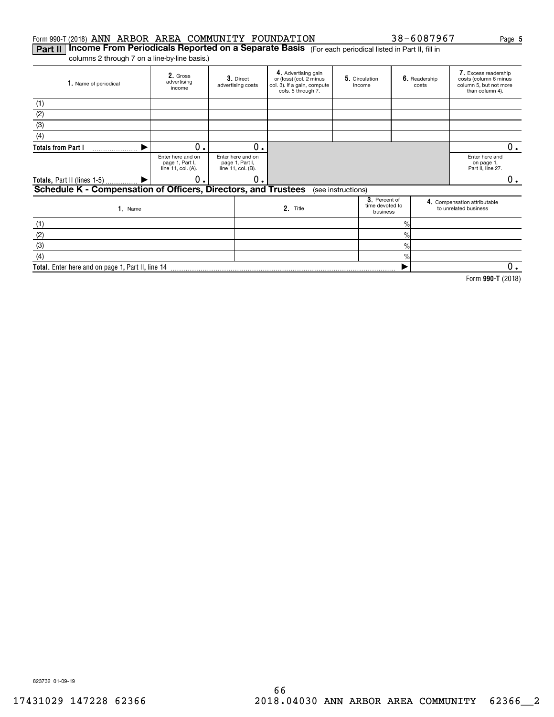### Form 990-T (2018) ANN ARBOR AREA COMMUNITY FOUNDATION  $38-6087967$  Page

**Part II | Income From Periodicals Reported on a Separate Basis** (For each periodical listed in Part II, fill in columns 2 through 7 on a line-by-line basis.)

**Total.**  Enter here and on page 1, Part II, line 14

| 1. Name of periodical                                          | 2. Gross<br>advertising<br>income                          |  | 3. Direct<br>advertising costs                             | 4. Advertising gain<br>or (loss) (col. 2 minus<br>col. 3). If a gain, compute<br>cols. 5 through 7. |                    | 5. Circulation<br>income                     |                | 6. Readership<br>costs | 7. Excess readership<br>costs (column 6 minus<br>column 5, but not more<br>than column 4). |    |
|----------------------------------------------------------------|------------------------------------------------------------|--|------------------------------------------------------------|-----------------------------------------------------------------------------------------------------|--------------------|----------------------------------------------|----------------|------------------------|--------------------------------------------------------------------------------------------|----|
| (1)                                                            |                                                            |  |                                                            |                                                                                                     |                    |                                              |                |                        |                                                                                            |    |
| (2)                                                            |                                                            |  |                                                            |                                                                                                     |                    |                                              |                |                        |                                                                                            |    |
| (3)                                                            |                                                            |  |                                                            |                                                                                                     |                    |                                              |                |                        |                                                                                            |    |
| (4)                                                            |                                                            |  |                                                            |                                                                                                     |                    |                                              |                |                        |                                                                                            |    |
| <b>Totals from Part I</b>                                      | 0.                                                         |  | 0.                                                         |                                                                                                     |                    |                                              |                |                        |                                                                                            | 0. |
|                                                                | Enter here and on<br>page 1, Part I,<br>line 11, col. (A). |  | Enter here and on<br>page 1, Part I,<br>line 11, col. (B). |                                                                                                     |                    |                                              |                |                        | Enter here and<br>on page 1,<br>Part II, line 27.                                          |    |
| Totals, Part II (lines 1-5) $\frac{1}{1}$                      | 0.                                                         |  | $\mathbf 0$ .                                              |                                                                                                     |                    |                                              |                |                        |                                                                                            | 0. |
| Schedule K - Compensation of Officers, Directors, and Trustees |                                                            |  |                                                            |                                                                                                     | (see instructions) |                                              |                |                        |                                                                                            |    |
| $1.$ Name                                                      |                                                            |  |                                                            | 2. Title                                                                                            |                    | 3. Percent of<br>time devoted to<br>business |                |                        | 4. Compensation attributable<br>to unrelated business                                      |    |
| (1)                                                            |                                                            |  |                                                            |                                                                                                     |                    |                                              | $\frac{9}{10}$ |                        |                                                                                            |    |
| (2)                                                            |                                                            |  |                                                            |                                                                                                     |                    |                                              | $\frac{9}{10}$ |                        |                                                                                            |    |
| (3)                                                            |                                                            |  |                                                            |                                                                                                     |                    |                                              | $\frac{9}{6}$  |                        |                                                                                            |    |
| (4)                                                            |                                                            |  |                                                            |                                                                                                     |                    |                                              | $\frac{0}{2}$  |                        |                                                                                            |    |

**990-T**  Form (2018)  $\blacktriangleright$ 0.

823732 01-09-19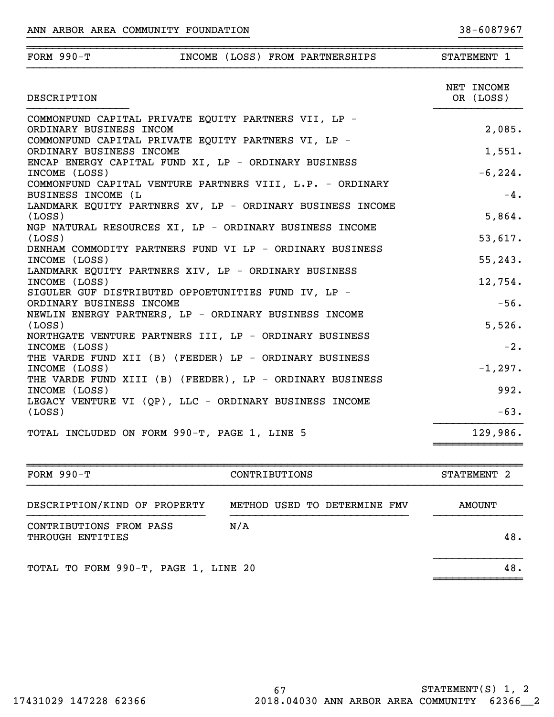| FORM $990-T$                                                                                                                             |  | INCOME (LOSS) FROM PARTNERSHIPS | STATEMENT 1 |                     |        |
|------------------------------------------------------------------------------------------------------------------------------------------|--|---------------------------------|-------------|---------------------|--------|
| DESCRIPTION                                                                                                                              |  |                                 | NET INCOME  | OR (LOSS)           |        |
| COMMONFUND CAPITAL PRIVATE EQUITY PARTNERS VII, LP -<br>ORDINARY BUSINESS INCOM<br>COMMONFUND CAPITAL PRIVATE EQUITY PARTNERS VI, LP -   |  |                                 |             |                     | 2,085. |
| ORDINARY BUSINESS INCOME<br>ENCAP ENERGY CAPITAL FUND XI, LP - ORDINARY BUSINESS<br>INCOME (LOSS)                                        |  |                                 |             | $-6, 224.$          | 1,551. |
| COMMONFUND CAPITAL VENTURE PARTNERS VIII, L.P. - ORDINARY<br>BUSINESS INCOME (L                                                          |  |                                 |             |                     | $-4$ . |
| LANDMARK EQUITY PARTNERS XV, LP - ORDINARY BUSINESS INCOME<br>(LOSS)<br>NGP NATURAL RESOURCES XI, LP - ORDINARY BUSINESS INCOME          |  |                                 |             |                     | 5,864. |
| (LOSS)<br>DENHAM COMMODITY PARTNERS FUND VI LP - ORDINARY BUSINESS                                                                       |  |                                 |             | 53,617.             |        |
| INCOME (LOSS)<br>LANDMARK EQUITY PARTNERS XIV, LP - ORDINARY BUSINESS<br>INCOME (LOSS)                                                   |  |                                 |             | 55, 243.<br>12,754. |        |
| SIGULER GUF DISTRIBUTED OPPOETUNITIES FUND IV, LP -<br>ORDINARY BUSINESS INCOME<br>NEWLIN ENERGY PARTNERS, LP - ORDINARY BUSINESS INCOME |  |                                 |             |                     | $-56.$ |
| (LOSS)<br>NORTHGATE VENTURE PARTNERS III, LP - ORDINARY BUSINESS                                                                         |  |                                 |             |                     | 5,526. |
| INCOME (LOSS)<br>THE VARDE FUND XII (B) (FEEDER) LP - ORDINARY BUSINESS<br>INCOME (LOSS)                                                 |  |                                 |             | $-1, 297.$          | $-2.$  |
| THE VARDE FUND XIII (B) (FEEDER), LP - ORDINARY BUSINESS<br>INCOME (LOSS)                                                                |  |                                 |             |                     | 992.   |
| LEGACY VENTURE VI (QP), LLC - ORDINARY BUSINESS INCOME<br>(LOSS)                                                                         |  |                                 |             |                     | $-63.$ |
| TOTAL INCLUDED ON FORM 990-T, PAGE 1, LINE 5                                                                                             |  |                                 |             | 129,986.            |        |

}}}}}}}}}}}}}}}}}}}}}}}}}}}}}}}}}}} }}}}}}}}}}

| FORM $990-T$                                | CONTRIBUTIONS                | STATEMENT 2 |
|---------------------------------------------|------------------------------|-------------|
| DESCRIPTION/KIND OF PROPERTY                | METHOD USED TO DETERMINE FMV | AMOUNT      |
| CONTRIBUTIONS FROM PASS<br>THROUGH ENTITIES | N/A                          | 48.         |
| TOTAL TO FORM 990-T, PAGE 1, LINE 20        |                              | 48.         |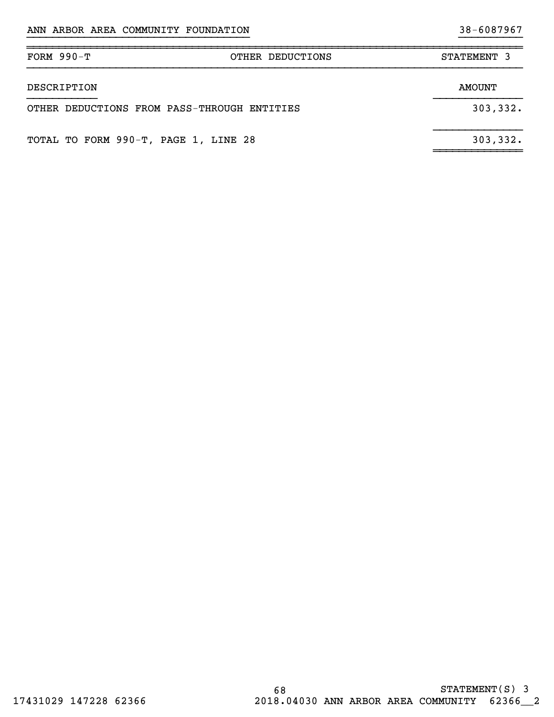| $FORM 990-T$                                | OTHER DEDUCTIONS | STATEMENT 3 |
|---------------------------------------------|------------------|-------------|
| DESCRIPTION                                 |                  | AMOUNT      |
| OTHER DEDUCTIONS FROM PASS-THROUGH ENTITIES |                  | 303,332.    |
| TOTAL TO FORM 990-T, PAGE 1, LINE 28        |                  | 303, 332.   |

}}}}}}}}}}}}}}}}}}}}}}}}}}}}}}}}}}} }}}}}}}}}}

~~~~~~~~~~~~~~~~~~~~~~~~~~~~~~~~~~~~~~~~~~~~~~~~~~~~~~~~~~~~~~~~~~~~~~~~~~~~~~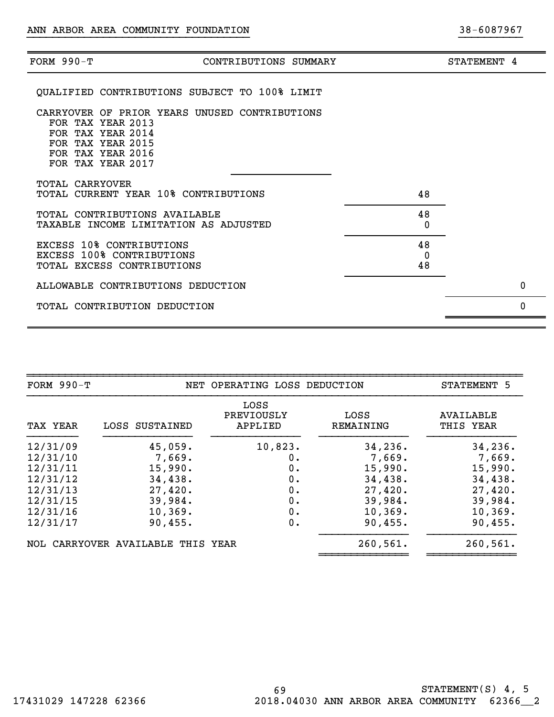| FORM $990-T$    | CONTRIBUTIONS SUMMARY                                                                                                                                  | STATEMENT 4 |          |
|-----------------|--------------------------------------------------------------------------------------------------------------------------------------------------------|-------------|----------|
|                 | <b>OUALIFIED CONTRIBUTIONS SUBJECT TO 100% LIMIT</b>                                                                                                   |             |          |
|                 | CARRYOVER OF PRIOR YEARS UNUSED CONTRIBUTIONS<br>FOR TAX YEAR 2013<br>FOR TAX YEAR 2014<br>FOR TAX YEAR 2015<br>FOR TAX YEAR 2016<br>FOR TAX YEAR 2017 |             |          |
| TOTAL CARRYOVER | TOTAL CURRENT YEAR 10% CONTRIBUTIONS<br>48                                                                                                             |             |          |
|                 | 48<br>TOTAL CONTRIBUTIONS AVAILABLE<br>TAXABLE INCOME LIMITATION AS ADJUSTED<br>0                                                                      |             |          |
|                 | EXCESS 10% CONTRIBUTIONS<br>48<br><b>EXCESS 100% CONTRIBUTIONS</b><br>0<br>48<br>TOTAL EXCESS CONTRIBUTIONS                                            |             |          |
|                 | ALLOWABLE CONTRIBUTIONS DEDUCTION                                                                                                                      |             | 0        |
|                 | TOTAL CONTRIBUTION DEDUCTION                                                                                                                           |             | $\Omega$ |
|                 |                                                                                                                                                        |             |          |

}}}}}}}}}}}}}}}}}}}}}}}}}}}}}}}}}}} }}}}}}}}}}

| $FORM 990-T$ |                                   | NET OPERATING LOSS DEDUCTION  |                   | STATEMENT 5            |
|--------------|-----------------------------------|-------------------------------|-------------------|------------------------|
| TAX YEAR     | LOSS SUSTAINED                    | LOSS<br>PREVIOUSLY<br>APPLIED | LOSS<br>REMAINING | AVAILABLE<br>THIS YEAR |
| 12/31/09     | 45,059.                           | 10,823.                       | 34, 236.          | 34,236.                |
| 12/31/10     | 7,669.                            | 0.                            | 7,669.            | 7,669.                 |
| 12/31/11     | 15,990.                           | 0.                            | 15,990.           | 15,990.                |
| 12/31/12     | 34,438.                           | 0.                            | 34,438.           | 34,438.                |
| 12/31/13     | 27,420.                           | 0.                            | 27,420.           | 27,420.                |
| 12/31/15     | 39,984.                           | 0.                            | 39,984.           | 39,984.                |
| 12/31/16     | 10, 369.                          | 0.                            | 10, 369.          | 10, 369.               |
| 12/31/17     | 90, 455.                          | 0.                            | 90,455.           | 90, 455.               |
|              | NOL CARRYOVER AVAILABLE THIS YEAR |                               | 260, 561.         | 260,561.               |

69 STATEMENT(S) 4, 5 17431029 147228 62366 2018.04030 ANN ARBOR AREA COMMUNITY 62366\_\_2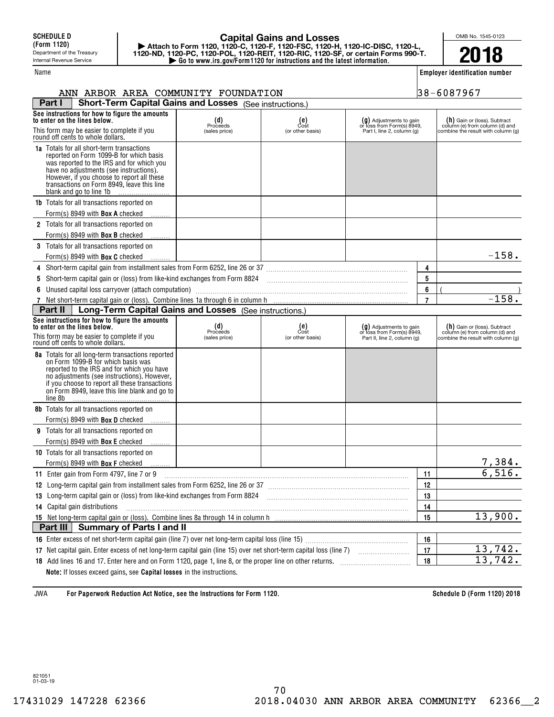## **| Go to www.irs.gov/Form1120 for instructions and the latest information. | Attach to Form 1120, 1120-C, 1120-F, 1120-FSC, 1120-H, 1120-IC-DISC, 1120-L, 1120-ND, 1120-PC, 1120-POL, 1120-REIT, 1120-RIC, 1120-SF, or certain Forms 990-T. Capital Gains and Losses**

OMB No. 1545-0123 **2018**

**Employer identification number**

| ANN ARBOR AREA COMMUNITY FOUNDATION                                                                                                                                                                                                                                                                        |                                  | 38-6087967                                                                            |                                                                                        |                |                                                                                                        |
|------------------------------------------------------------------------------------------------------------------------------------------------------------------------------------------------------------------------------------------------------------------------------------------------------------|----------------------------------|---------------------------------------------------------------------------------------|----------------------------------------------------------------------------------------|----------------|--------------------------------------------------------------------------------------------------------|
| <b>Short-Term Capital Gains and Losses</b> (See instructions.)<br>Part I                                                                                                                                                                                                                                   |                                  |                                                                                       |                                                                                        |                |                                                                                                        |
| See instructions for how to figure the amounts<br>to enter on the lines below.<br>This form may be easier to complete if you<br>round off cents to whole dollars.                                                                                                                                          | (d)<br>Proceeds<br>(sales price) | $_{\text{Cost}}^{\text{(e)}}$<br>(or other basis)                                     | $(g)$ Adjustments to gain<br>or loss from Form(s) 8949,<br>Part I, line 2, column (g)  |                | $(h)$ Gain or (loss). Subtract<br>column (e) from column (d) and<br>combine the result with column (g) |
| <b>1a</b> Totals for all short-term transactions<br>reported on Form 1099-B for which basis<br>was reported to the IRS and for which you<br>have no adjustments (see instructions).<br>However, if you choose to report all these<br>transactions on Form 8949, leave this line<br>blank and go to line 1b |                                  |                                                                                       |                                                                                        |                |                                                                                                        |
| <b>1b</b> Totals for all transactions reported on<br>Form(s) 8949 with <b>Box A</b> checked                                                                                                                                                                                                                |                                  |                                                                                       |                                                                                        |                |                                                                                                        |
| 2 Totals for all transactions reported on<br>Form(s) 8949 with <b>Box B</b> checked                                                                                                                                                                                                                        |                                  |                                                                                       |                                                                                        |                |                                                                                                        |
| 3 Totals for all transactions reported on<br>Form(s) 8949 with <b>Box C</b> checked                                                                                                                                                                                                                        |                                  |                                                                                       |                                                                                        |                | $-158.$                                                                                                |
| 4                                                                                                                                                                                                                                                                                                          |                                  |                                                                                       |                                                                                        | 4              |                                                                                                        |
| Short-term capital gain or (loss) from like-kind exchanges from Form 8824 [11] [12] [12] [12] [12] [12] Short-term capital gain or (loss) from like-kind exchanges from Form 8824<br>5                                                                                                                     |                                  |                                                                                       |                                                                                        | 5              |                                                                                                        |
| Unused capital loss carryover (attach computation) manufactured and computer and capital loss carryover (attach computation)                                                                                                                                                                               |                                  |                                                                                       |                                                                                        | 6              |                                                                                                        |
|                                                                                                                                                                                                                                                                                                            |                                  |                                                                                       |                                                                                        | $\overline{7}$ | $-158.$                                                                                                |
| Long-Term Capital Gains and Losses (See instructions.)<br>Part II                                                                                                                                                                                                                                          |                                  |                                                                                       |                                                                                        |                |                                                                                                        |
| See instructions for how to figure the amounts<br>to enter on the lines below.<br>This form may be easier to complete if you<br>round off cents to whole dollars.                                                                                                                                          | (d)<br>Proceeds<br>(sales price) | $\begin{smallmatrix} \text{(e)} \\ \text{Cost} \end{smallmatrix}$<br>(or other basis) | $(g)$ Adjustments to gain<br>or loss from Form(s) 8949,<br>Part II, line 2, column (g) |                | $(h)$ Gain or (loss). Subtract<br>column (e) from column (d) and<br>combine the result with column (g) |
| 8a Totals for all long-term transactions reported<br>on Form 1099-B for which basis was<br>reported to the IRS and for which you have<br>no adjustments (see instructions). However,<br>if you choose to report all these transactions<br>on Form 8949, leave this line blank and go to<br>line 8b         |                                  |                                                                                       |                                                                                        |                |                                                                                                        |
| 8b Totals for all transactions reported on<br>Form(s) 8949 with <b>Box D</b> checked                                                                                                                                                                                                                       |                                  |                                                                                       |                                                                                        |                |                                                                                                        |
| 9 Totals for all transactions reported on<br>Form(s) 8949 with <b>Box E</b> checked                                                                                                                                                                                                                        |                                  |                                                                                       |                                                                                        |                |                                                                                                        |
| 10 Totals for all transactions reported on                                                                                                                                                                                                                                                                 |                                  |                                                                                       |                                                                                        |                |                                                                                                        |
| Form(s) 8949 with <b>Box F</b> checked                                                                                                                                                                                                                                                                     |                                  |                                                                                       |                                                                                        |                | 7,384.                                                                                                 |
| 11 Enter gain from Form 4797, line 7 or 9                                                                                                                                                                                                                                                                  |                                  |                                                                                       |                                                                                        | 11             | 6,516.                                                                                                 |
| 12 Long-term capital gain from installment sales from Form 6252, line 26 or 37 [11] [12] Long-term capital gain from installment sales from Form 6252, line 26 or 37                                                                                                                                       |                                  |                                                                                       |                                                                                        | 12             |                                                                                                        |
| 13 Long-term capital gain or (loss) from like-kind exchanges from Form 8824                                                                                                                                                                                                                                |                                  |                                                                                       |                                                                                        | 13             |                                                                                                        |
| 14 Capital gain distributions                                                                                                                                                                                                                                                                              |                                  |                                                                                       |                                                                                        | 14             |                                                                                                        |
|                                                                                                                                                                                                                                                                                                            |                                  |                                                                                       |                                                                                        | 15             | 13,900.                                                                                                |
| Part III<br><b>Summary of Parts I and II</b>                                                                                                                                                                                                                                                               |                                  |                                                                                       |                                                                                        |                |                                                                                                        |
|                                                                                                                                                                                                                                                                                                            |                                  |                                                                                       |                                                                                        | 16             |                                                                                                        |
|                                                                                                                                                                                                                                                                                                            |                                  |                                                                                       |                                                                                        | 17             | $\overline{13,742}$ .                                                                                  |
|                                                                                                                                                                                                                                                                                                            |                                  |                                                                                       |                                                                                        | 18             | 13,742.                                                                                                |
| Note: If losses exceed gains, see Capital losses in the instructions.                                                                                                                                                                                                                                      |                                  |                                                                                       |                                                                                        |                |                                                                                                        |

**For Paperwork Reduction Act Notice, see the Instructions for Form 1120. Schedule D (Form 1120) 2018** JWA

821051 01-03-19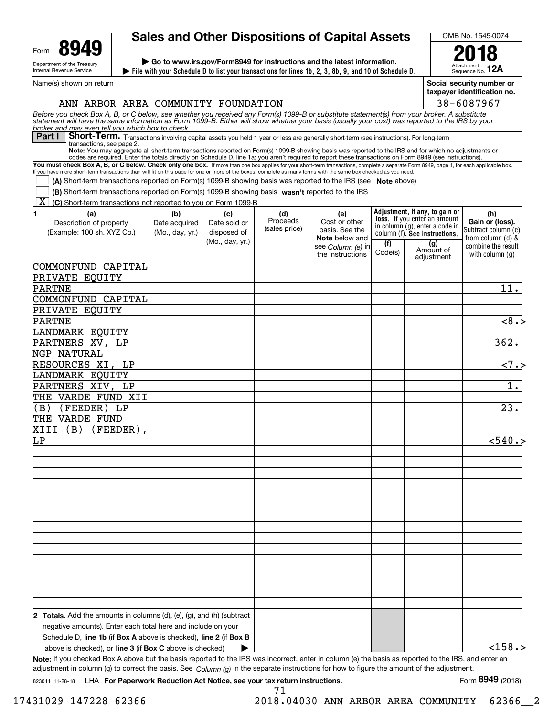| Form                                                   |  |  |  |  |  |
|--------------------------------------------------------|--|--|--|--|--|
| Department of the Treasury<br>Internal Revenue Service |  |  |  |  |  |

Name(s) shown on return

# **Sales and Other Dispositions of Capital Assets**

**File with your Schedule D to list your transactions for lines 1b, 2, 3, 8b, 9, and 10 of Schedule D. | | Go to www.irs.gov/Form8949 for instructions and the latest information.**

OMB No. 1545-0074

Attachment Sequence No. **12A 2018**

**Social security number or taxpayer identification no.**

| ANN ARBOR AREA COMMUNITY FOUNDATION                                                                                                                                                                                                                                                                                                                        |                 |                 |               |                                            |         |                                                                | 38-6087967                               |
|------------------------------------------------------------------------------------------------------------------------------------------------------------------------------------------------------------------------------------------------------------------------------------------------------------------------------------------------------------|-----------------|-----------------|---------------|--------------------------------------------|---------|----------------------------------------------------------------|------------------------------------------|
| Before you check Box A, B, or C below, see whether you received any Form(s) 1099-B or substitute statement(s) from your broker. A substitute statement will have the same information as Form 1099-B. Either will show whether                                                                                                                             |                 |                 |               |                                            |         |                                                                |                                          |
| broker and may even tell you which box to check.<br>Short-Term. Transactions involving capital assets you held 1 year or less are generally short-term (see instructions). For long-term<br>Part I                                                                                                                                                         |                 |                 |               |                                            |         |                                                                |                                          |
| transactions, see page 2.<br>Note: You may aggregate all short-term transactions reported on Form(s) 1099-B showing basis was reported to the IRS and for which no adjustments or                                                                                                                                                                          |                 |                 |               |                                            |         |                                                                |                                          |
| codes are required. Enter the totals directly on Schedule D, line 1a; you aren't required to report these transactions on Form 8949 (see instructions).                                                                                                                                                                                                    |                 |                 |               |                                            |         |                                                                |                                          |
| You must check Box A, B, or C below. Check only one box. If more than one box applies for your short-term transactions, complete a separate Form 8949, page 1, for each applicable box.<br>If you have more short-term transactions than will fit on this page for one or more of the boxes, complete as many forms with the same box checked as you need. |                 |                 |               |                                            |         |                                                                |                                          |
| (A) Short-term transactions reported on Form(s) 1099-B showing basis was reported to the IRS (see Note above)                                                                                                                                                                                                                                              |                 |                 |               |                                            |         |                                                                |                                          |
| (B) Short-term transactions reported on Form(s) 1099-B showing basis wasn't reported to the IRS                                                                                                                                                                                                                                                            |                 |                 |               |                                            |         |                                                                |                                          |
| <b>X</b> (C) Short-term transactions not reported to you on Form 1099-B                                                                                                                                                                                                                                                                                    |                 |                 |               |                                            |         |                                                                |                                          |
| (a)<br>1.                                                                                                                                                                                                                                                                                                                                                  | (b)             | (c)             | (d)           | (e)                                        |         | Adjustment, if any, to gain or                                 | (h)                                      |
| Description of property                                                                                                                                                                                                                                                                                                                                    | Date acquired   | Date sold or    | Proceeds      | Cost or other                              |         | loss. If you enter an amount<br>in column (g), enter a code in | Gain or (loss).                          |
| (Example: 100 sh. XYZ Co.)                                                                                                                                                                                                                                                                                                                                 | (Mo., day, yr.) | disposed of     | (sales price) | basis. See the                             |         | column (f). See instructions.                                  | Subtract column (e)<br>from column (d) & |
|                                                                                                                                                                                                                                                                                                                                                            |                 | (Mo., day, yr.) |               | <b>Note</b> below and<br>see Column (e) in | (f)     | (g)                                                            | combine the result                       |
|                                                                                                                                                                                                                                                                                                                                                            |                 |                 |               | the instructions                           | Code(s) | Amount of<br>adjustment                                        | with column $(q)$                        |
| COMMONFUND CAPITAL                                                                                                                                                                                                                                                                                                                                         |                 |                 |               |                                            |         |                                                                |                                          |
| PRIVATE EQUITY                                                                                                                                                                                                                                                                                                                                             |                 |                 |               |                                            |         |                                                                |                                          |
| <b>PARTNE</b>                                                                                                                                                                                                                                                                                                                                              |                 |                 |               |                                            |         |                                                                | 11.                                      |
| COMMONFUND CAPITAL                                                                                                                                                                                                                                                                                                                                         |                 |                 |               |                                            |         |                                                                |                                          |
| PRIVATE EQUITY                                                                                                                                                                                                                                                                                                                                             |                 |                 |               |                                            |         |                                                                |                                          |
| <b>PARTNE</b>                                                                                                                                                                                                                                                                                                                                              |                 |                 |               |                                            |         |                                                                | $\overline{8.5}$                         |
| LANDMARK EQUITY                                                                                                                                                                                                                                                                                                                                            |                 |                 |               |                                            |         |                                                                |                                          |
| PARTNERS XV,<br>LP                                                                                                                                                                                                                                                                                                                                         |                 |                 |               |                                            |         |                                                                | 362.                                     |
| NGP NATURAL                                                                                                                                                                                                                                                                                                                                                |                 |                 |               |                                            |         |                                                                |                                          |
| RESOURCES XI, LP                                                                                                                                                                                                                                                                                                                                           |                 |                 |               |                                            |         |                                                                | $\overline{27.5}$                        |
| LANDMARK EQUITY                                                                                                                                                                                                                                                                                                                                            |                 |                 |               |                                            |         |                                                                |                                          |
|                                                                                                                                                                                                                                                                                                                                                            |                 |                 |               |                                            |         |                                                                | $\overline{1}$ .                         |
| PARTNERS XIV, LP                                                                                                                                                                                                                                                                                                                                           |                 |                 |               |                                            |         |                                                                |                                          |
| THE VARDE FUND XII                                                                                                                                                                                                                                                                                                                                         |                 |                 |               |                                            |         |                                                                |                                          |
| (FEEDER) LP<br>(B)                                                                                                                                                                                                                                                                                                                                         |                 |                 |               |                                            |         |                                                                | 23.                                      |
| THE VARDE FUND                                                                                                                                                                                                                                                                                                                                             |                 |                 |               |                                            |         |                                                                |                                          |
| XIII<br>(FEEDER)<br>(B)                                                                                                                                                                                                                                                                                                                                    |                 |                 |               |                                            |         |                                                                |                                          |
| LΡ                                                                                                                                                                                                                                                                                                                                                         |                 |                 |               |                                            |         |                                                                | < 540.                                   |
|                                                                                                                                                                                                                                                                                                                                                            |                 |                 |               |                                            |         |                                                                |                                          |
|                                                                                                                                                                                                                                                                                                                                                            |                 |                 |               |                                            |         |                                                                |                                          |
|                                                                                                                                                                                                                                                                                                                                                            |                 |                 |               |                                            |         |                                                                |                                          |
|                                                                                                                                                                                                                                                                                                                                                            |                 |                 |               |                                            |         |                                                                |                                          |
|                                                                                                                                                                                                                                                                                                                                                            |                 |                 |               |                                            |         |                                                                |                                          |
|                                                                                                                                                                                                                                                                                                                                                            |                 |                 |               |                                            |         |                                                                |                                          |
|                                                                                                                                                                                                                                                                                                                                                            |                 |                 |               |                                            |         |                                                                |                                          |
|                                                                                                                                                                                                                                                                                                                                                            |                 |                 |               |                                            |         |                                                                |                                          |
|                                                                                                                                                                                                                                                                                                                                                            |                 |                 |               |                                            |         |                                                                |                                          |
|                                                                                                                                                                                                                                                                                                                                                            |                 |                 |               |                                            |         |                                                                |                                          |
|                                                                                                                                                                                                                                                                                                                                                            |                 |                 |               |                                            |         |                                                                |                                          |
|                                                                                                                                                                                                                                                                                                                                                            |                 |                 |               |                                            |         |                                                                |                                          |
|                                                                                                                                                                                                                                                                                                                                                            |                 |                 |               |                                            |         |                                                                |                                          |
|                                                                                                                                                                                                                                                                                                                                                            |                 |                 |               |                                            |         |                                                                |                                          |
|                                                                                                                                                                                                                                                                                                                                                            |                 |                 |               |                                            |         |                                                                |                                          |
| 2 Totals. Add the amounts in columns (d), (e), (g), and (h) (subtract                                                                                                                                                                                                                                                                                      |                 |                 |               |                                            |         |                                                                |                                          |
| negative amounts). Enter each total here and include on your                                                                                                                                                                                                                                                                                               |                 |                 |               |                                            |         |                                                                |                                          |
| Schedule D, line 1b (if Box A above is checked), line 2 (if Box B                                                                                                                                                                                                                                                                                          |                 |                 |               |                                            |         |                                                                |                                          |
| above is checked), or line 3 (if Box C above is checked)                                                                                                                                                                                                                                                                                                   |                 |                 |               |                                            |         |                                                                | $<$ 158.>                                |
| Note: If you checked Box A above but the basis reported to the IRS was incorrect, enter in column (e) the basis as reported to the IRS, and enter an                                                                                                                                                                                                       |                 |                 |               |                                            |         |                                                                |                                          |

adjustment in column (g) to correct the basis. See *Column (g)* in the separate instructions for how to figure the amount of the adjustment.

17431029 147228 62366 2018.04030 ANN ARBOR AREA COMMUNITY 62366\_\_2

71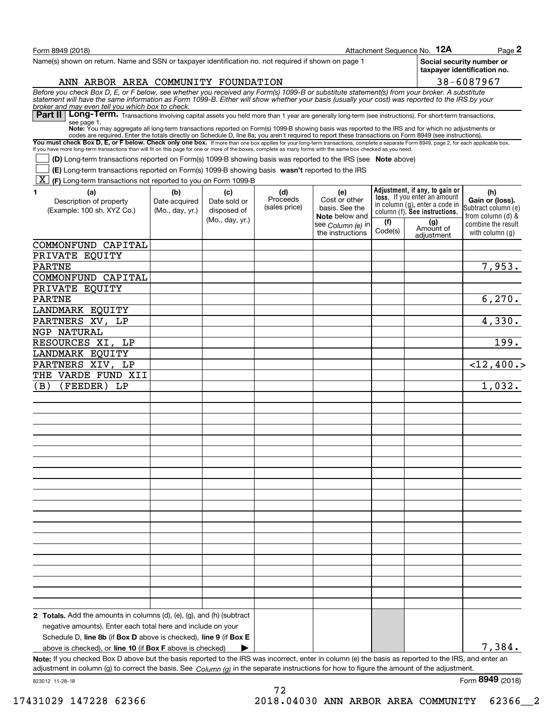| Form 8949 (2018)                                                                                                                                                                                                                                                                                                                                  |                 |                 |               |                                         |         | Attachment Sequence No. 12A                                           | Page $2$                                                 |
|---------------------------------------------------------------------------------------------------------------------------------------------------------------------------------------------------------------------------------------------------------------------------------------------------------------------------------------------------|-----------------|-----------------|---------------|-----------------------------------------|---------|-----------------------------------------------------------------------|----------------------------------------------------------|
| Name(s) shown on return. Name and SSN or taxpayer identification no, not required if shown on page 1                                                                                                                                                                                                                                              |                 |                 |               |                                         |         |                                                                       | Social security number or<br>taxpayer identification no. |
| ANN ARBOR AREA COMMUNITY FOUNDATION                                                                                                                                                                                                                                                                                                               |                 |                 |               |                                         |         |                                                                       | 38-6087967                                               |
| Before you check Box D, E, or F below, see whether you received any Form(s) 1099-B or substitute statement(s) from your broker. A substitute statement will have the same information as Form 1099-B. Either will show whether                                                                                                                    |                 |                 |               |                                         |         |                                                                       |                                                          |
| broker and may even tell you which box to check.<br>Part II   Long-Term. Transactions involving capital assets you held more than 1 year are generally long-term (see instructions). For short-term transactions,                                                                                                                                 |                 |                 |               |                                         |         |                                                                       |                                                          |
| see page 1.<br>Note: You may aggregate all long-term transactions reported on Form(s) 1099-B showing basis was reported to the IRS and for which no adjustments or                                                                                                                                                                                |                 |                 |               |                                         |         |                                                                       |                                                          |
| codes are required. Enter the totals directly on Schedule D, line 8a; you aren't required to report these transactions on Form 8949 (see instructions).<br>You must check Box D, E, or F below. Check only one box. If more than one box applies for your long-term transactions, complete a separate Form 8949, page 2, for each applicable box. |                 |                 |               |                                         |         |                                                                       |                                                          |
| If you have more long-term transactions than will fit on this page for one or more of the boxes, complete as many forms with the same box checked as you need.                                                                                                                                                                                    |                 |                 |               |                                         |         |                                                                       |                                                          |
| (D) Long-term transactions reported on Form(s) 1099-B showing basis was reported to the IRS (see Note above)                                                                                                                                                                                                                                      |                 |                 |               |                                         |         |                                                                       |                                                          |
| (E) Long-term transactions reported on Form(s) 1099-B showing basis wasn't reported to the IRS                                                                                                                                                                                                                                                    |                 |                 |               |                                         |         |                                                                       |                                                          |
| ΧI<br>(F) Long-term transactions not reported to you on Form 1099-B                                                                                                                                                                                                                                                                               |                 |                 |               |                                         |         |                                                                       |                                                          |
| 1.<br>(a)                                                                                                                                                                                                                                                                                                                                         | (b)             | (c)             | (d)           | (e)                                     |         | Adjustment, if any, to gain or                                        | (h)                                                      |
| Description of property                                                                                                                                                                                                                                                                                                                           | Date acquired   | Date sold or    | Proceeds      | Cost or other                           |         | <b>loss.</b> If you enter an amount<br>in column (g), enter a code in | Gain or (loss).                                          |
| (Example: 100 sh. XYZ Co.)                                                                                                                                                                                                                                                                                                                        | (Mo., day, yr.) | disposed of     | (sales price) | basis. See the<br><b>Note</b> below and |         | column (f). See instructions.                                         | Subtract column (e)<br>from column (d) &                 |
|                                                                                                                                                                                                                                                                                                                                                   |                 | (Mo., day, yr.) |               | see Column (e) in                       | (f)     | (g)                                                                   | combine the result                                       |
|                                                                                                                                                                                                                                                                                                                                                   |                 |                 |               | the instructions                        | Code(s) | Amount of<br>adjustment                                               | with column $(q)$                                        |
| COMMONFUND CAPITAL                                                                                                                                                                                                                                                                                                                                |                 |                 |               |                                         |         |                                                                       |                                                          |
| PRIVATE EQUITY                                                                                                                                                                                                                                                                                                                                    |                 |                 |               |                                         |         |                                                                       |                                                          |
| <b>PARTNE</b>                                                                                                                                                                                                                                                                                                                                     |                 |                 |               |                                         |         |                                                                       | 7,953.                                                   |
| COMMONFUND CAPITAL                                                                                                                                                                                                                                                                                                                                |                 |                 |               |                                         |         |                                                                       |                                                          |
| PRIVATE EQUITY                                                                                                                                                                                                                                                                                                                                    |                 |                 |               |                                         |         |                                                                       |                                                          |
| <b>PARTNE</b>                                                                                                                                                                                                                                                                                                                                     |                 |                 |               |                                         |         |                                                                       | 6,270.                                                   |
| LANDMARK EQUITY                                                                                                                                                                                                                                                                                                                                   |                 |                 |               |                                         |         |                                                                       |                                                          |
| PARTNERS XV, LP                                                                                                                                                                                                                                                                                                                                   |                 |                 |               |                                         |         |                                                                       | 4,330.                                                   |
| NGP NATURAL                                                                                                                                                                                                                                                                                                                                       |                 |                 |               |                                         |         |                                                                       |                                                          |
| RESOURCES XI,<br>LP                                                                                                                                                                                                                                                                                                                               |                 |                 |               |                                         |         |                                                                       | 199.                                                     |
| LANDMARK EQUITY                                                                                                                                                                                                                                                                                                                                   |                 |                 |               |                                         |         |                                                                       |                                                          |
| PARTNERS XIV, LP                                                                                                                                                                                                                                                                                                                                  |                 |                 |               |                                         |         |                                                                       | <12,400.>                                                |
| THE VARDE FUND XII                                                                                                                                                                                                                                                                                                                                |                 |                 |               |                                         |         |                                                                       |                                                          |
| (FEEDER)<br>(B)<br>LP                                                                                                                                                                                                                                                                                                                             |                 |                 |               |                                         |         |                                                                       | 1,032.                                                   |
|                                                                                                                                                                                                                                                                                                                                                   |                 |                 |               |                                         |         |                                                                       |                                                          |
|                                                                                                                                                                                                                                                                                                                                                   |                 |                 |               |                                         |         |                                                                       |                                                          |
|                                                                                                                                                                                                                                                                                                                                                   |                 |                 |               |                                         |         |                                                                       |                                                          |
|                                                                                                                                                                                                                                                                                                                                                   |                 |                 |               |                                         |         |                                                                       |                                                          |
|                                                                                                                                                                                                                                                                                                                                                   |                 |                 |               |                                         |         |                                                                       |                                                          |
|                                                                                                                                                                                                                                                                                                                                                   |                 |                 |               |                                         |         |                                                                       |                                                          |
|                                                                                                                                                                                                                                                                                                                                                   |                 |                 |               |                                         |         |                                                                       |                                                          |
|                                                                                                                                                                                                                                                                                                                                                   |                 |                 |               |                                         |         |                                                                       |                                                          |
|                                                                                                                                                                                                                                                                                                                                                   |                 |                 |               |                                         |         |                                                                       |                                                          |
|                                                                                                                                                                                                                                                                                                                                                   |                 |                 |               |                                         |         |                                                                       |                                                          |
|                                                                                                                                                                                                                                                                                                                                                   |                 |                 |               |                                         |         |                                                                       |                                                          |
|                                                                                                                                                                                                                                                                                                                                                   |                 |                 |               |                                         |         |                                                                       |                                                          |
|                                                                                                                                                                                                                                                                                                                                                   |                 |                 |               |                                         |         |                                                                       |                                                          |
|                                                                                                                                                                                                                                                                                                                                                   |                 |                 |               |                                         |         |                                                                       |                                                          |
|                                                                                                                                                                                                                                                                                                                                                   |                 |                 |               |                                         |         |                                                                       |                                                          |
|                                                                                                                                                                                                                                                                                                                                                   |                 |                 |               |                                         |         |                                                                       |                                                          |
|                                                                                                                                                                                                                                                                                                                                                   |                 |                 |               |                                         |         |                                                                       |                                                          |
|                                                                                                                                                                                                                                                                                                                                                   |                 |                 |               |                                         |         |                                                                       |                                                          |
|                                                                                                                                                                                                                                                                                                                                                   |                 |                 |               |                                         |         |                                                                       |                                                          |
|                                                                                                                                                                                                                                                                                                                                                   |                 |                 |               |                                         |         |                                                                       |                                                          |
| 2 Totals. Add the amounts in columns (d), (e), (g), and (h) (subtract                                                                                                                                                                                                                                                                             |                 |                 |               |                                         |         |                                                                       |                                                          |
| negative amounts). Enter each total here and include on your                                                                                                                                                                                                                                                                                      |                 |                 |               |                                         |         |                                                                       |                                                          |
| Schedule D, line 8b (if Box D above is checked), line 9 (if Box E                                                                                                                                                                                                                                                                                 |                 |                 |               |                                         |         |                                                                       |                                                          |
| above is checked), or line 10 (if Box F above is checked)                                                                                                                                                                                                                                                                                         |                 |                 |               |                                         |         |                                                                       | 7,384.                                                   |
| Note: If you checked Box D above but the basis reported to the IRS was incorrect, enter in column (e) the basis as reported to the IRS, and enter an                                                                                                                                                                                              |                 |                 |               |                                         |         |                                                                       |                                                          |
| adjustment in column (g) to correct the basis. See $Column(q)$ in the separate instructions for how to figure the amount of the adjustment.                                                                                                                                                                                                       |                 |                 |               |                                         |         |                                                                       |                                                          |
| 823012 11-28-18                                                                                                                                                                                                                                                                                                                                   |                 |                 |               |                                         |         |                                                                       | Form 8949 (2018)                                         |
|                                                                                                                                                                                                                                                                                                                                                   |                 |                 |               |                                         |         |                                                                       |                                                          |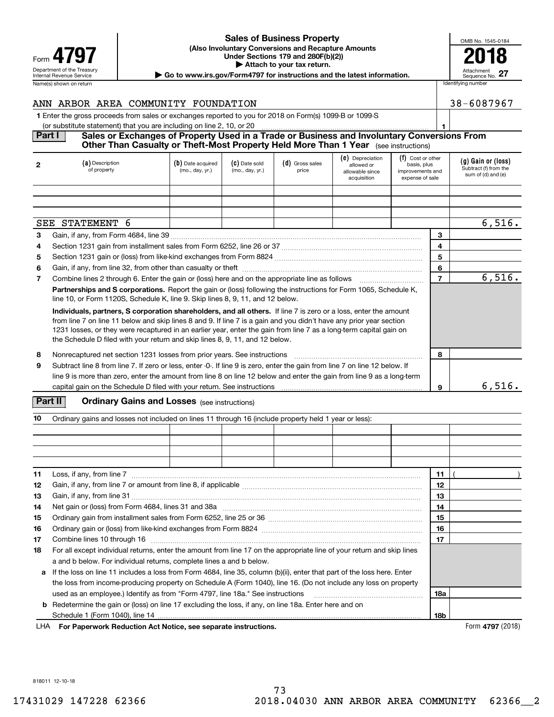| Form                                                   |
|--------------------------------------------------------|
| Department of the Treasury<br>Internal Revenue Service |
| Name(s) shown on return                                |

### Department of the Treasury **Number of the Treasury Attachment**<br>Internal Revenue Service Sequence No.<br> **| Go to www.irs.gov/Form4797 for instructions and the latest information.** | Sequence No. **(Also Involuntary Conversions and Recapture Amounts 4797 Example 19 The CALL CONSERVANT Under Sections 179 and 280F(b)(2))**<br> **Example 19 and 280F(b)(2) | Attach to your tax return. Sales of Business Property**

| OMB No. 1545-0184             |
|-------------------------------|
|                               |
| Attachment<br>Sequence No. 27 |

38-6087967

| Name(s) shown on return                                                                                 |  | Identifying number |  |  |  |
|---------------------------------------------------------------------------------------------------------|--|--------------------|--|--|--|
| ANN ARBOR AREA COMMUNITY FOUNDATION                                                                     |  | $38 - 608$         |  |  |  |
| 1 Enter the gross proceeds from sales or exchanges reported to you for 2018 on Form(s) 1099-B or 1099-S |  |                    |  |  |  |
| (or substitute statement) that you are including on line 2, 10, or 20                                   |  |                    |  |  |  |
| PartI<br>Colon or Evebengeo of Dranarhy Hood in a Trade or Puninese and Involuntary Conversions Eram    |  |                    |  |  |  |

### **Part I Sales or Exchanges of Property Used in a Trade or Business and Involuntary Conversions From Other Than Casualty or Theft-Most Property Held More Than 1 Year** (see instructions)

| $\mathbf{2}$                                                                                                                                                                                                                                                                                                                                                                                                                                  | (a) Description<br>of property                                                                                                                                                                                                                       | (b) Date acquired<br>(mo., day, yr.) | (C) Date sold<br>(mo., day, yr.) | (d) Gross sales<br>price | (e) Depreciation<br>allowed or<br>allowable since<br>acquisition | (f) Cost or other<br>basis, plus<br>improvements and<br>expense of sale |                | (g) Gain or (loss)<br>Subtract (f) from the<br>sum of (d) and (e) |
|-----------------------------------------------------------------------------------------------------------------------------------------------------------------------------------------------------------------------------------------------------------------------------------------------------------------------------------------------------------------------------------------------------------------------------------------------|------------------------------------------------------------------------------------------------------------------------------------------------------------------------------------------------------------------------------------------------------|--------------------------------------|----------------------------------|--------------------------|------------------------------------------------------------------|-------------------------------------------------------------------------|----------------|-------------------------------------------------------------------|
|                                                                                                                                                                                                                                                                                                                                                                                                                                               |                                                                                                                                                                                                                                                      |                                      |                                  |                          |                                                                  |                                                                         |                |                                                                   |
|                                                                                                                                                                                                                                                                                                                                                                                                                                               |                                                                                                                                                                                                                                                      |                                      |                                  |                          |                                                                  |                                                                         |                |                                                                   |
|                                                                                                                                                                                                                                                                                                                                                                                                                                               |                                                                                                                                                                                                                                                      |                                      |                                  |                          |                                                                  |                                                                         |                |                                                                   |
|                                                                                                                                                                                                                                                                                                                                                                                                                                               | SEE STATEMENT 6                                                                                                                                                                                                                                      |                                      |                                  |                          |                                                                  |                                                                         |                | 6,516.                                                            |
| 3                                                                                                                                                                                                                                                                                                                                                                                                                                             |                                                                                                                                                                                                                                                      |                                      |                                  |                          |                                                                  |                                                                         | 3              |                                                                   |
| 4                                                                                                                                                                                                                                                                                                                                                                                                                                             |                                                                                                                                                                                                                                                      |                                      |                                  |                          |                                                                  |                                                                         | 4              |                                                                   |
| 5                                                                                                                                                                                                                                                                                                                                                                                                                                             |                                                                                                                                                                                                                                                      |                                      |                                  |                          |                                                                  |                                                                         | 5              |                                                                   |
| 6                                                                                                                                                                                                                                                                                                                                                                                                                                             |                                                                                                                                                                                                                                                      |                                      |                                  |                          |                                                                  |                                                                         | 6              |                                                                   |
| $\overline{7}$                                                                                                                                                                                                                                                                                                                                                                                                                                | Combine lines 2 through 6. Enter the gain or (loss) here and on the appropriate line as follows manufactured in                                                                                                                                      |                                      |                                  |                          |                                                                  |                                                                         | $\overline{7}$ | 6,516.                                                            |
|                                                                                                                                                                                                                                                                                                                                                                                                                                               | Partnerships and S corporations. Report the gain or (loss) following the instructions for Form 1065, Schedule K,<br>line 10, or Form 1120S, Schedule K, line 9. Skip lines 8, 9, 11, and 12 below.                                                   |                                      |                                  |                          |                                                                  |                                                                         |                |                                                                   |
| Individuals, partners, S corporation shareholders, and all others. If line 7 is zero or a loss, enter the amount<br>from line 7 on line 11 below and skip lines 8 and 9. If line 7 is a gain and you didn't have any prior year section<br>1231 losses, or they were recaptured in an earlier year, enter the gain from line 7 as a long-term capital gain on<br>the Schedule D filed with your return and skip lines 8, 9, 11, and 12 below. |                                                                                                                                                                                                                                                      |                                      |                                  |                          |                                                                  |                                                                         |                |                                                                   |
| 8                                                                                                                                                                                                                                                                                                                                                                                                                                             | Nonrecaptured net section 1231 losses from prior years. See instructions                                                                                                                                                                             |                                      |                                  |                          |                                                                  |                                                                         |                |                                                                   |
| 9                                                                                                                                                                                                                                                                                                                                                                                                                                             | Subtract line 8 from line 7. If zero or less, enter -0-. If line 9 is zero, enter the gain from line 7 on line 12 below. If<br>line 9 is more than zero, enter the amount from line 8 on line 12 below and enter the gain from line 9 as a long-term |                                      |                                  |                          |                                                                  |                                                                         |                |                                                                   |
|                                                                                                                                                                                                                                                                                                                                                                                                                                               | capital gain on the Schedule D filed with your return. See instructions [10011] [10011] [10011] [10011] [10011                                                                                                                                       |                                      |                                  |                          |                                                                  |                                                                         | 9              | 6,516.                                                            |

## **Part II** | Crdinary Gains and Losses (see instructions)

| 10 | Ordinary gains and losses not included on lines 11 through 16 (include property held 1 year or less):                   |            |  |  |  |  |  |  |
|----|-------------------------------------------------------------------------------------------------------------------------|------------|--|--|--|--|--|--|
|    |                                                                                                                         |            |  |  |  |  |  |  |
|    |                                                                                                                         |            |  |  |  |  |  |  |
|    |                                                                                                                         |            |  |  |  |  |  |  |
|    |                                                                                                                         |            |  |  |  |  |  |  |
| 11 | Loss, if any, from line 7                                                                                               | 11         |  |  |  |  |  |  |
| 12 |                                                                                                                         | 12         |  |  |  |  |  |  |
| 13 |                                                                                                                         | 13         |  |  |  |  |  |  |
| 14 |                                                                                                                         | 14         |  |  |  |  |  |  |
| 15 |                                                                                                                         | 15         |  |  |  |  |  |  |
| 16 |                                                                                                                         | 16         |  |  |  |  |  |  |
| 17 |                                                                                                                         | 17         |  |  |  |  |  |  |
| 18 | For all except individual returns, enter the amount from line 17 on the appropriate line of your return and skip lines  |            |  |  |  |  |  |  |
|    | a and b below. For individual returns, complete lines a and b below.                                                    |            |  |  |  |  |  |  |
| a  | If the loss on line 11 includes a loss from Form 4684, line 35, column (b)(ii), enter that part of the loss here. Enter |            |  |  |  |  |  |  |
|    | the loss from income-producing property on Schedule A (Form 1040), line 16. (Do not include any loss on property        |            |  |  |  |  |  |  |
|    | used as an employee.) Identify as from "Form 4797, line 18a." See instructions                                          | <b>18a</b> |  |  |  |  |  |  |
|    | <b>b</b> Redetermine the gain or (loss) on line 17 excluding the loss, if any, on line 18a. Enter here and on           |            |  |  |  |  |  |  |
|    |                                                                                                                         | <b>18b</b> |  |  |  |  |  |  |

**For Paperwork Reduction Act Notice, see separate instructions.** Form **4797** (2018) LHA

818011 12-10-18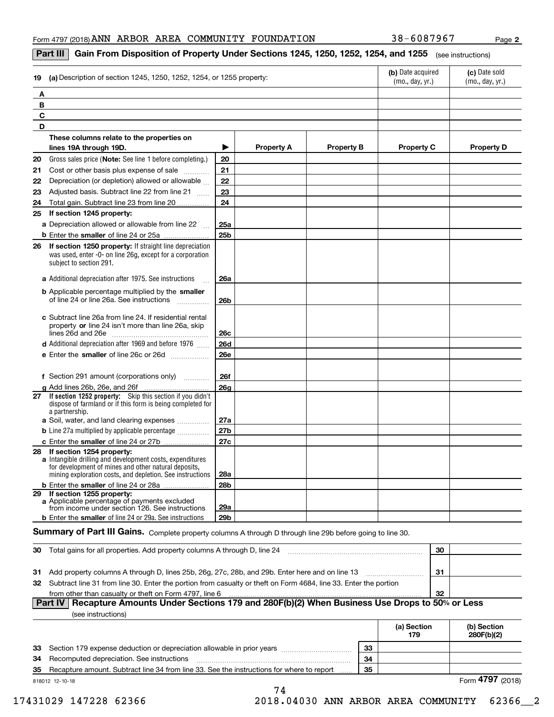**2**

### **Part III**  $\mid$  **Gain From Disposition of Property Under Sections 1245, 1250, 1252, 1254, and 1255**  $\mid$  $_{\rm (see\, instructions)}$

| (a) Description of section 1245, 1250, 1252, 1254, or 1255 property:<br>19                                                                                                                                     | (b) Date acquired<br>(mo., day, yr.) | (c) Date sold<br>(mo., day, yr.) |                   |                   |                   |
|----------------------------------------------------------------------------------------------------------------------------------------------------------------------------------------------------------------|--------------------------------------|----------------------------------|-------------------|-------------------|-------------------|
| A                                                                                                                                                                                                              |                                      |                                  |                   |                   |                   |
| B                                                                                                                                                                                                              |                                      |                                  |                   |                   |                   |
| C                                                                                                                                                                                                              |                                      |                                  |                   |                   |                   |
| D                                                                                                                                                                                                              |                                      |                                  |                   |                   |                   |
| These columns relate to the properties on                                                                                                                                                                      |                                      |                                  |                   |                   |                   |
| lines 19A through 19D.                                                                                                                                                                                         | ▶                                    | <b>Property A</b>                | <b>Property B</b> | <b>Property C</b> | <b>Property D</b> |
| 20<br>Gross sales price (Note: See line 1 before completing.)                                                                                                                                                  | 20                                   |                                  |                   |                   |                   |
| Cost or other basis plus expense of sale<br>21                                                                                                                                                                 | 21                                   |                                  |                   |                   |                   |
| Depreciation (or depletion) allowed or allowable<br>22                                                                                                                                                         | 22                                   |                                  |                   |                   |                   |
| Adjusted basis. Subtract line 22 from line 21<br>23                                                                                                                                                            | 23                                   |                                  |                   |                   |                   |
| Total gain. Subtract line 23 from line 20.<br>24                                                                                                                                                               | 24                                   |                                  |                   |                   |                   |
| 25 If section 1245 property:                                                                                                                                                                                   |                                      |                                  |                   |                   |                   |
| a Depreciation allowed or allowable from line 22                                                                                                                                                               | 25a                                  |                                  |                   |                   |                   |
|                                                                                                                                                                                                                | 25 <sub>b</sub>                      |                                  |                   |                   |                   |
| If section 1250 property: If straight line depreciation<br>26<br>was used, enter -0- on line 26g, except for a corporation<br>subject to section 291.                                                          |                                      |                                  |                   |                   |                   |
| a Additional depreciation after 1975. See instructions                                                                                                                                                         | 26a                                  |                                  |                   |                   |                   |
| <b>b</b> Applicable percentage multiplied by the smaller<br>of line 24 or line 26a. See instructions                                                                                                           | 26 <sub>b</sub>                      |                                  |                   |                   |                   |
| c Subtract line 26a from line 24. If residential rental<br>property or line 24 isn't more than line 26a, skip                                                                                                  | 26c                                  |                                  |                   |                   |                   |
| <b>d</b> Additional depreciation after 1969 and before 1976                                                                                                                                                    | <b>26d</b>                           |                                  |                   |                   |                   |
| e Enter the smaller of line 26c or 26d                                                                                                                                                                         | <b>26e</b>                           |                                  |                   |                   |                   |
| f Section 291 amount (corporations only)                                                                                                                                                                       | <b>26f</b>                           |                                  |                   |                   |                   |
| g Add lines 26b, 26e, and 26f                                                                                                                                                                                  | 26 <sub>g</sub>                      |                                  |                   |                   |                   |
| 27 If section 1252 property: Skip this section if you didn't<br>dispose of farmland or if this form is being completed for<br>a partnership.                                                                   |                                      |                                  |                   |                   |                   |
| a Soil, water, and land clearing expenses                                                                                                                                                                      | 27a                                  |                                  |                   |                   |                   |
| <b>b</b> Line 27a multiplied by applicable percentage <i></i>                                                                                                                                                  | 27b                                  |                                  |                   |                   |                   |
| c Enter the smaller of line 24 or 27b                                                                                                                                                                          | 27c                                  |                                  |                   |                   |                   |
| 28 If section 1254 property:<br>a Intangible drilling and development costs, expenditures<br>for development of mines and other natural deposits,<br>mining exploration costs, and depletion. See instructions | 28a                                  |                                  |                   |                   |                   |
| <b>b</b> Enter the smaller of line 24 or 28a                                                                                                                                                                   | 28 <sub>b</sub>                      |                                  |                   |                   |                   |
| 29 If section 1255 property:<br>a Applicable percentage of payments excluded<br>from income under section 126. See instructions                                                                                | 29a                                  |                                  |                   |                   |                   |
| <b>b</b> Enter the smaller of line 24 or 29a. See instructions                                                                                                                                                 | 29 <sub>b</sub>                      |                                  |                   |                   |                   |

## $S$ ummary of Part III Gains. Complete property columns A through D through line 29b before going to line 30.

| -30 | Total gains for all properties. Add property columns A through D, line 24                                           | 30  |  |  |  |
|-----|---------------------------------------------------------------------------------------------------------------------|-----|--|--|--|
|     |                                                                                                                     |     |  |  |  |
|     | 31 Add property columns A through D, lines 25b, 26g, 27c, 28b, and 29b. Enter here and on line 13                   | -31 |  |  |  |
|     | 32 Subtract line 31 from line 30. Enter the portion from casualty or theft on Form 4684, line 33. Enter the portion |     |  |  |  |
|     | from other than casualty or theft on Form 4797, line 6                                                              | -32 |  |  |  |
|     | Part IV   Recapture Amounts Under Sections 179 and 280F(b)(2) When Business Use Drops to 50% or Less                |     |  |  |  |

| (see instructions) |  |
|--------------------|--|
|                    |  |

|    |                                                                                           |    | (a) Section<br>179 | (b) Section<br>280F(b)(2) |
|----|-------------------------------------------------------------------------------------------|----|--------------------|---------------------------|
|    | 33 Section 179 expense deduction or depreciation allowable in prior years                 | 33 |                    |                           |
| 34 | Recomputed depreciation. See instructions                                                 | 34 |                    |                           |
| 35 | Recapture amount. Subtract line 34 from line 33. See the instructions for where to report | 35 |                    |                           |
|    | 818012 12-10-18                                                                           |    |                    | Form 4797 (2018)          |

74